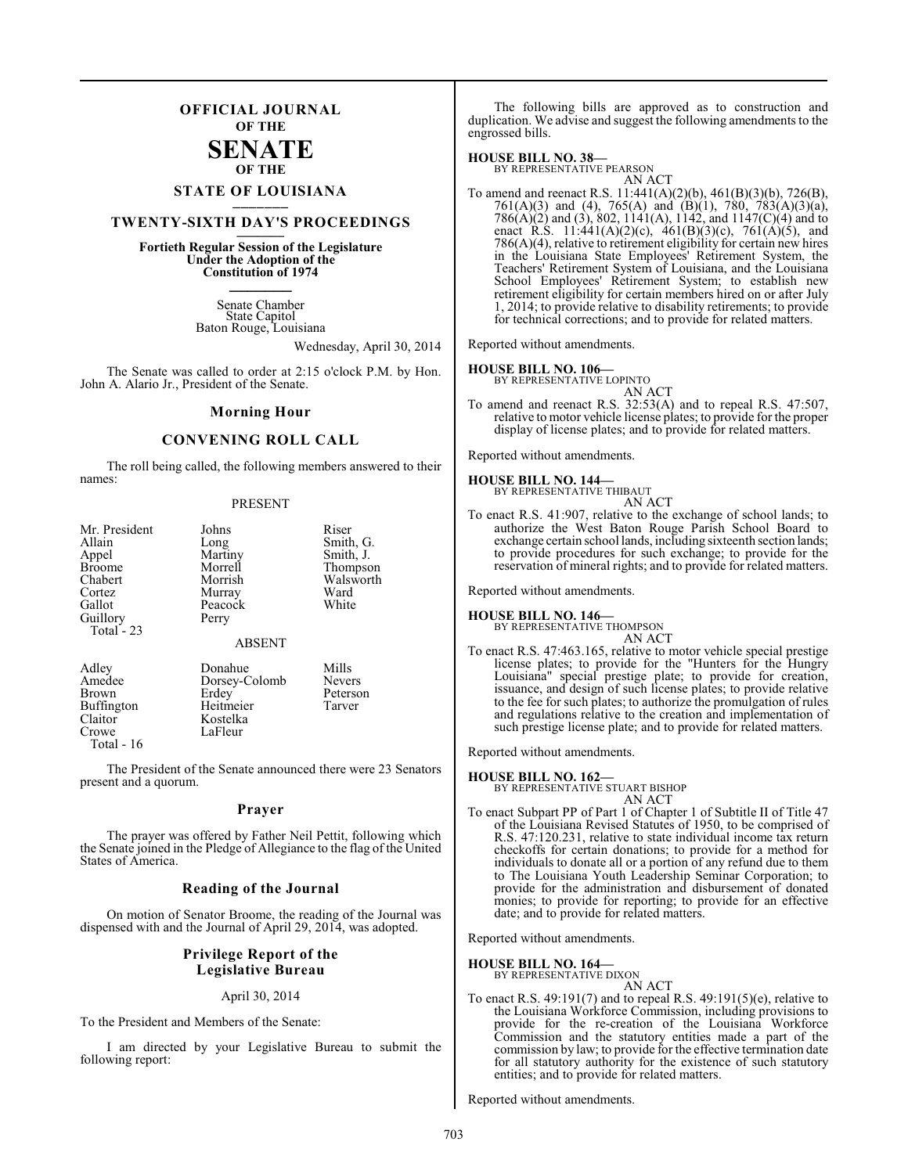## **OFFICIAL JOURNAL OF THE**

## **SENATE OF THE**

# **STATE OF LOUISIANA \_\_\_\_\_\_\_**

# **TWENTY-SIXTH DAY'S PROCEEDINGS \_\_\_\_\_\_\_**

**Fortieth Regular Session of the Legislature Under the Adoption of the Constitution of 1974 \_\_\_\_\_\_\_**

> Senate Chamber State Capitol Baton Rouge, Louisiana

> > Wednesday, April 30, 2014

The Senate was called to order at 2:15 o'clock P.M. by Hon. John A. Alario Jr., President of the Senate.

#### **Morning Hour**

## **CONVENING ROLL CALL**

The roll being called, the following members answered to their names:

#### PRESENT

| Mr. President | Johns                            | Riser                         |
|---------------|----------------------------------|-------------------------------|
| Allain        | Long                             | Smith, G.                     |
| Appel         | Martiny                          | Smith, J.                     |
| <b>Broome</b> | Morrell                          | Thompson                      |
| Chabert       | Morrish                          | Walsworth                     |
| Cortez        | Murray                           | Ward                          |
| Gallot        | Peacock                          | White                         |
| Guillory      | Perry                            |                               |
| Total $-23$   |                                  |                               |
|               | <b>ABSENT</b>                    |                               |
| Adley         | Donahue                          | Mills                         |
| $A = -1 - 1$  | $D_1, \ldots, D_n, 1, \ldots, 1$ | $\mathbf{M}$ and $\mathbf{M}$ |

Buffington<br>Claitor Crowe Total - 16

Amedee Dorsey-Colomb Nevers<br>Brown Erdev Peterso Erdey Peterson<br>Heitmeier Tarver Kostelka<br>LaFleur

The President of the Senate announced there were 23 Senators present and a quorum.

#### **Prayer**

The prayer was offered by Father Neil Pettit, following which the Senate joined in the Pledge of Allegiance to the flag of the United States of America.

#### **Reading of the Journal**

On motion of Senator Broome, the reading of the Journal was dispensed with and the Journal of April 29, 2014, was adopted.

#### **Privilege Report of the Legislative Bureau**

#### April 30, 2014

To the President and Members of the Senate:

I am directed by your Legislative Bureau to submit the following report:

The following bills are approved as to construction and duplication. We advise and suggest the following amendments to the engrossed bills.

#### **HOUSE BILL NO. 38—**

BY REPRESENTATIVE PEARSON AN ACT

To amend and reenact R.S. 11:441(A)(2)(b), 461(B)(3)(b), 726(B), 761(A)(3) and (4), 765(A) and (B)(1), 780, 783(A)(3)(a), 786(A)(2) and (3), 802, 1141(A), 1142, and 1147(C)(4) and to enact R.S. 11:441(A)(2)(c), 461(B)(3)(c), 761(A)(5), and 786(A)(4), relative to retirement eligibility for certain new hires in the Louisiana State Employees' Retirement System, the Teachers' Retirement System of Louisiana, and the Louisiana School Employees' Retirement System; to establish new retirement eligibility for certain members hired on or after July 1, 2014; to provide relative to disability retirements; to provide for technical corrections; and to provide for related matters.

Reported without amendments.

#### **HOUSE BILL NO. 106—**

BY REPRESENTATIVE LOPINTO AN ACT

To amend and reenact R.S. 32:53(A) and to repeal R.S. 47:507, relative to motor vehicle license plates; to provide for the proper display of license plates; and to provide for related matters.

Reported without amendments.

#### **HOUSE BILL NO. 144—**

| BY REPRESENTATIVE THIBAUT |        |  |
|---------------------------|--------|--|
|                           | AN ACT |  |

To enact R.S. 41:907, relative to the exchange of school lands; to authorize the West Baton Rouge Parish School Board to exchange certain school lands, including sixteenth section lands; to provide procedures for such exchange; to provide for the reservation of mineral rights; and to provide for related matters.

Reported without amendments.

**HOUSE BILL NO. 146—** BY REPRESENTATIVE THOMPSON AN ACT

To enact R.S. 47:463.165, relative to motor vehicle special prestige license plates; to provide for the "Hunters for the Hungry Louisiana" special prestige plate; to provide for creation, issuance, and design of such license plates; to provide relative to the fee for such plates; to authorize the promulgation of rules and regulations relative to the creation and implementation of such prestige license plate; and to provide for related matters.

Reported without amendments.

**HOUSE BILL NO. 162—** BY REPRESENTATIVE STUART BISHOP AN ACT

To enact Subpart PP of Part 1 of Chapter 1 of Subtitle II of Title 47 of the Louisiana Revised Statutes of 1950, to be comprised of R.S. 47:120.231, relative to state individual income tax return checkoffs for certain donations; to provide for a method for individuals to donate all or a portion of any refund due to them to The Louisiana Youth Leadership Seminar Corporation; to provide for the administration and disbursement of donated monies; to provide for reporting; to provide for an effective date; and to provide for related matters.

Reported without amendments.

# **HOUSE BILL NO. 164—** BY REPRESENTATIVE DIXON

AN ACT

To enact R.S. 49:191(7) and to repeal R.S. 49:191(5)(e), relative to the Louisiana Workforce Commission, including provisions to provide for the re-creation of the Louisiana Workforce Commission and the statutory entities made a part of the commission by law; to provide for the effective termination date for all statutory authority for the existence of such statutory entities; and to provide for related matters.

Reported without amendments.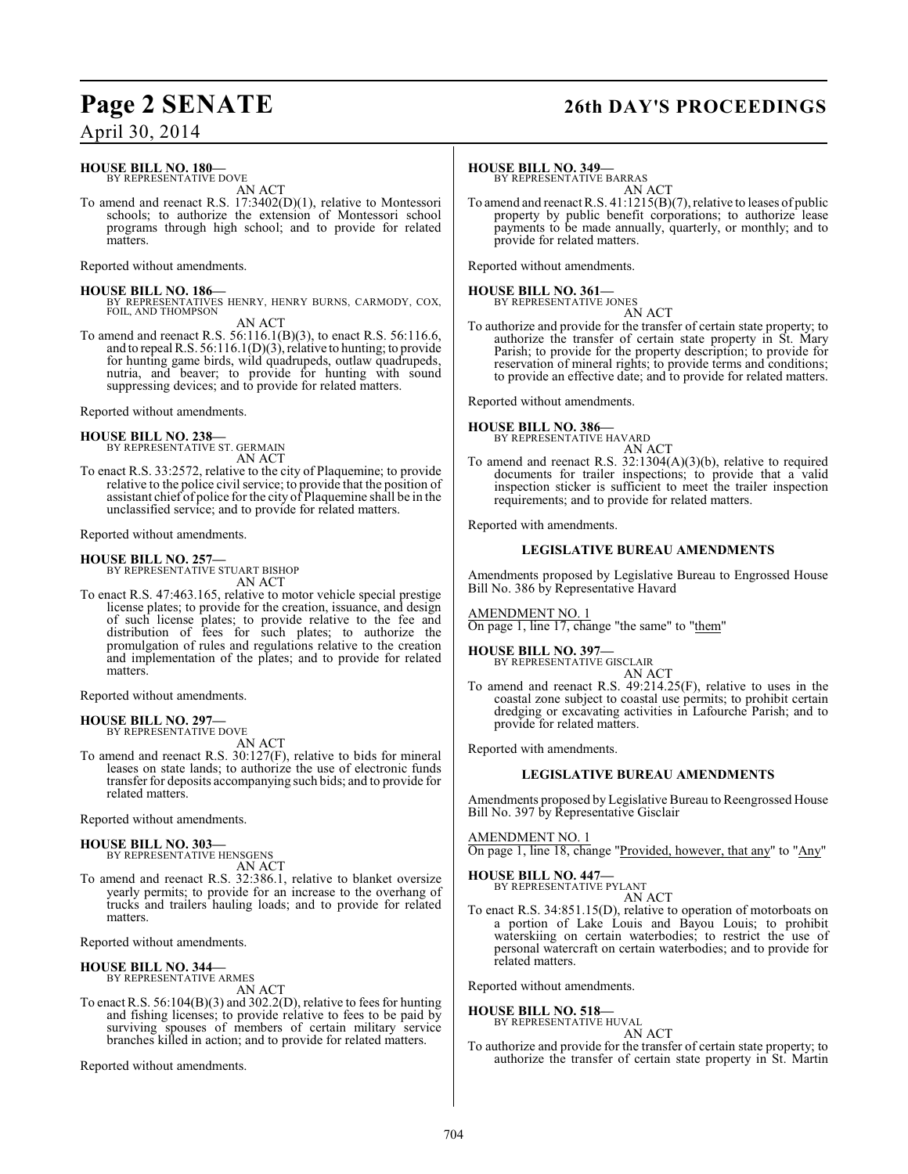# **Page 2 SENATE 26th DAY'S PROCEEDINGS**

# April 30, 2014

#### **HOUSE BILL NO. 180—** BY REPRESENTATIVE DOVE

AN ACT

To amend and reenact R.S. 17:3402(D)(1), relative to Montessori schools; to authorize the extension of Montessori school programs through high school; and to provide for related matters.

Reported without amendments.

## **HOUSE BILL NO. 186—**

BY REPRESENTATIVES HENRY, HENRY BURNS, CARMODY, COX, FOIL, AND THOMPSON AN ACT

To amend and reenact R.S. 56:116.1(B)(3), to enact R.S. 56:116.6, and to repeal R.S. 56:116.1(D)(3), relative to hunting; to provide for hunting game birds, wild quadrupeds, outlaw quadrupeds, nutria, and beaver; to provide for hunting with sound suppressing devices; and to provide for related matters.

Reported without amendments.

**HOUSE BILL NO. 238—** BY REPRESENTATIVE ST. GERMAIN

AN ACT To enact R.S. 33:2572, relative to the city of Plaquemine; to provide relative to the police civil service; to provide that the position of assistant chief of police for the city of Plaquemine shall be in the unclassified service; and to provide for related matters.

Reported without amendments.

**HOUSE BILL NO. 257—** BY REPRESENTATIVE STUART BISHOP AN ACT

To enact R.S. 47:463.165, relative to motor vehicle special prestige license plates; to provide for the creation, issuance, and design of such license plates; to provide relative to the fee and distribution of fees for such plates; to authorize the promulgation of rules and regulations relative to the creation and implementation of the plates; and to provide for related matters.

Reported without amendments.

#### **HOUSE BILL NO. 297—**

BY REPRESENTATIVE DOVE AN ACT

To amend and reenact R.S. 30:127(F), relative to bids for mineral leases on state lands; to authorize the use of electronic funds transfer for deposits accompanying such bids; and to provide for related matters.

Reported without amendments.

#### **HOUSE BILL NO. 303—** BY REPRESENTATIVE HENSGENS

AN ACT

To amend and reenact R.S. 32:386.1, relative to blanket oversize yearly permits; to provide for an increase to the overhang of trucks and trailers hauling loads; and to provide for related matters.

Reported without amendments.

#### **HOUSE BILL NO. 344—** BY REPRESENTATIVE ARMES

AN ACT

To enactR.S. 56:104(B)(3) and 302.2(D), relative to fees for hunting and fishing licenses; to provide relative to fees to be paid by surviving spouses of members of certain military service branches killed in action; and to provide for related matters.

Reported without amendments.

#### **HOUSE BILL NO. 349—**

BY REPRESENTATIVE BARRAS

AN ACT To amend and reenact R.S. 41:1215(B)(7), relative to leases of public property by public benefit corporations; to authorize lease payments to be made annually, quarterly, or monthly; and to provide for related matters.

Reported without amendments.

**HOUSE BILL NO. 361—** BY REPRESENTATIVE JONES

AN ACT

To authorize and provide for the transfer of certain state property; to authorize the transfer of certain state property in St. Mary Parish; to provide for the property description; to provide for reservation of mineral rights; to provide terms and conditions; to provide an effective date; and to provide for related matters.

Reported without amendments.

#### **HOUSE BILL NO. 386—**



To amend and reenact R.S. 32:1304(A)(3)(b), relative to required documents for trailer inspections; to provide that a valid inspection sticker is sufficient to meet the trailer inspection requirements; and to provide for related matters.

Reported with amendments.

## **LEGISLATIVE BUREAU AMENDMENTS**

Amendments proposed by Legislative Bureau to Engrossed House Bill No. 386 by Representative Havard

AMENDMENT NO. 1 On page 1, line 17, change "the same" to "them"

#### **HOUSE BILL NO. 397—**

BY REPRESENTATIVE GISCLAIR AN ACT

To amend and reenact R.S. 49:214.25(F), relative to uses in the coastal zone subject to coastal use permits; to prohibit certain dredging or excavating activities in Lafourche Parish; and to provide for related matters.

Reported with amendments.

## **LEGISLATIVE BUREAU AMENDMENTS**

Amendments proposed by Legislative Bureau to Reengrossed House Bill No. 397 by Representative Gisclair

#### AMENDMENT NO. 1

On page 1, line 18, change "Provided, however, that any" to "Any"

#### **HOUSE BILL NO. 447—** BY REPRESENTATIVE PYLANT

AN ACT To enact R.S. 34:851.15(D), relative to operation of motorboats on a portion of Lake Louis and Bayou Louis; to prohibit waterskiing on certain waterbodies; to restrict the use of personal watercraft on certain waterbodies; and to provide for related matters.

Reported without amendments.

#### **HOUSE BILL NO. 518—** BY REPRESENTATIVE HUVAL

## AN ACT

To authorize and provide for the transfer of certain state property; to authorize the transfer of certain state property in St. Martin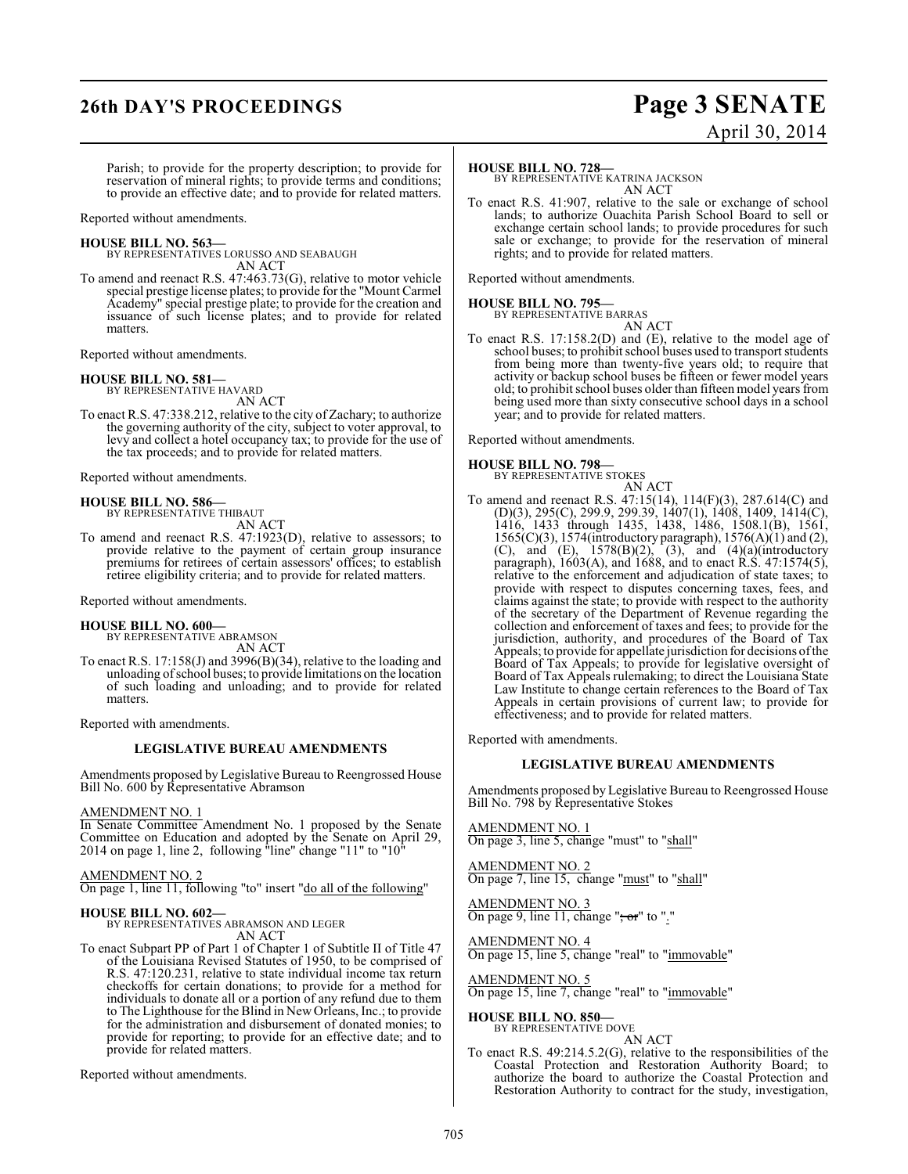# **26th DAY'S PROCEEDINGS Page 3 SENATE**

# April 30, 2014

Parish; to provide for the property description; to provide for reservation of mineral rights; to provide terms and conditions; to provide an effective date; and to provide for related matters.

Reported without amendments.

**HOUSE BILL NO. 563—** BY REPRESENTATIVES LORUSSO AND SEABAUGH AN ACT

To amend and reenact R.S. 47:463.73(G), relative to motor vehicle special prestige license plates; to provide for the "Mount Carmel Academy" special prestige plate; to provide for the creation and issuance of such license plates; and to provide for related matters.

Reported without amendments.

#### **HOUSE BILL NO. 581—**

BY REPRESENTATIVE HAVARD AN ACT

To enact R.S. 47:338.212, relative to the city of Zachary; to authorize the governing authority of the city, subject to voter approval, to levy and collect a hotel occupancy tax; to provide for the use of the tax proceeds; and to provide for related matters.

Reported without amendments.

**HOUSE BILL NO. 586—** BY REPRESENTATIVE THIBAUT

AN ACT

To amend and reenact R.S. 47:1923(D), relative to assessors; to provide relative to the payment of certain group insurance premiums for retirees of certain assessors' offices; to establish retiree eligibility criteria; and to provide for related matters.

Reported without amendments.

#### **HOUSE BILL NO. 600—**

BY REPRESENTATIVE ABRAMSON AN ACT

To enact R.S. 17:158(J) and 3996(B)(34), relative to the loading and unloading ofschool buses; to provide limitations on the location of such loading and unloading; and to provide for related matters.

Reported with amendments.

#### **LEGISLATIVE BUREAU AMENDMENTS**

Amendments proposed by Legislative Bureau to Reengrossed House Bill No. 600 by Representative Abramson

#### AMENDMENT NO. 1

In Senate Committee Amendment No. 1 proposed by the Senate Committee on Education and adopted by the Senate on April 29, 2014 on page 1, line 2, following "line" change "11" to "10"

#### AMENDMENT NO. 2

On page 1, line 11, following "to" insert "do all of the following"

**HOUSE BILL NO. 602—** BY REPRESENTATIVES ABRAMSON AND LEGER AN ACT

To enact Subpart PP of Part 1 of Chapter 1 of Subtitle II of Title 47 of the Louisiana Revised Statutes of 1950, to be comprised of R.S. 47:120.231, relative to state individual income tax return checkoffs for certain donations; to provide for a method for individuals to donate all or a portion of any refund due to them to The Lighthouse for the Blind in New Orleans, Inc.; to provide for the administration and disbursement of donated monies; to provide for reporting; to provide for an effective date; and to provide for related matters.

Reported without amendments.

#### **HOUSE BILL NO. 728—**

BY REPRESENTATIVE KATRINA JACKSON AN ACT

To enact R.S. 41:907, relative to the sale or exchange of school lands; to authorize Ouachita Parish School Board to sell or exchange certain school lands; to provide procedures for such sale or exchange; to provide for the reservation of mineral rights; and to provide for related matters.

Reported without amendments.

#### **HOUSE BILL NO. 795—**

BY REPRESENTATIVE BARRAS

AN ACT To enact R.S. 17:158.2(D) and (E), relative to the model age of school buses; to prohibit school buses used to transport students from being more than twenty-five years old; to require that activity or backup school buses be fifteen or fewer model years old; to prohibit school buses older than fifteen model years from being used more than sixty consecutive school days in a school year; and to provide for related matters.

Reported without amendments.

#### **HOUSE BILL NO. 798—**

BY REPRESENTATIVE STOKES

AN ACT To amend and reenact R.S. 47:15(14), 114(F)(3), 287.614(C) and (D)(3), 295(C), 299.9, 299.39, 1407(1), 1408, 1409, 1414(C), 1416, 1433 through 1435, 1438, 1486, 1508.1(B), 1561, 1565(C)(3), 1574(introductory paragraph), 1576(A)(1) and (2), (C), and  $(E)$ , 1578 $(B)(2)$ ,  $(3)$ , and  $(4)(a)$ (introductory paragraph), 1603(A), and 1688, and to enact R.S. 47:1574(5), relative to the enforcement and adjudication of state taxes; to provide with respect to disputes concerning taxes, fees, and claims against the state; to provide with respect to the authority of the secretary of the Department of Revenue regarding the collection and enforcement of taxes and fees; to provide for the jurisdiction, authority, and procedures of the Board of Tax Appeals; to provide for appellate jurisdiction for decisions of the Board of Tax Appeals; to provide for legislative oversight of Board of Tax Appeals rulemaking; to direct the Louisiana State Law Institute to change certain references to the Board of Tax Appeals in certain provisions of current law; to provide for effectiveness; and to provide for related matters.

Reported with amendments.

#### **LEGISLATIVE BUREAU AMENDMENTS**

Amendments proposed by Legislative Bureau to Reengrossed House Bill No. 798 by Representative Stokes

AMENDMENT NO. 1 On page 3, line 5, change "must" to "shall"

AMENDMENT NO. 2 On page 7, line 15, change "must" to "shall"

AMENDMENT NO. 3 On page 9, line 11, change " $; \sigma$ " to "."

AMENDMENT NO. 4 On page 15, line 5, change "real" to "immovable"

AMENDMENT NO. 5 On page 15, line 7, change "real" to "immovable"

**HOUSE BILL NO. 850—** BY REPRESENTATIVE DOVE AN ACT

To enact R.S. 49:214.5.2(G), relative to the responsibilities of the Coastal Protection and Restoration Authority Board; to authorize the board to authorize the Coastal Protection and Restoration Authority to contract for the study, investigation,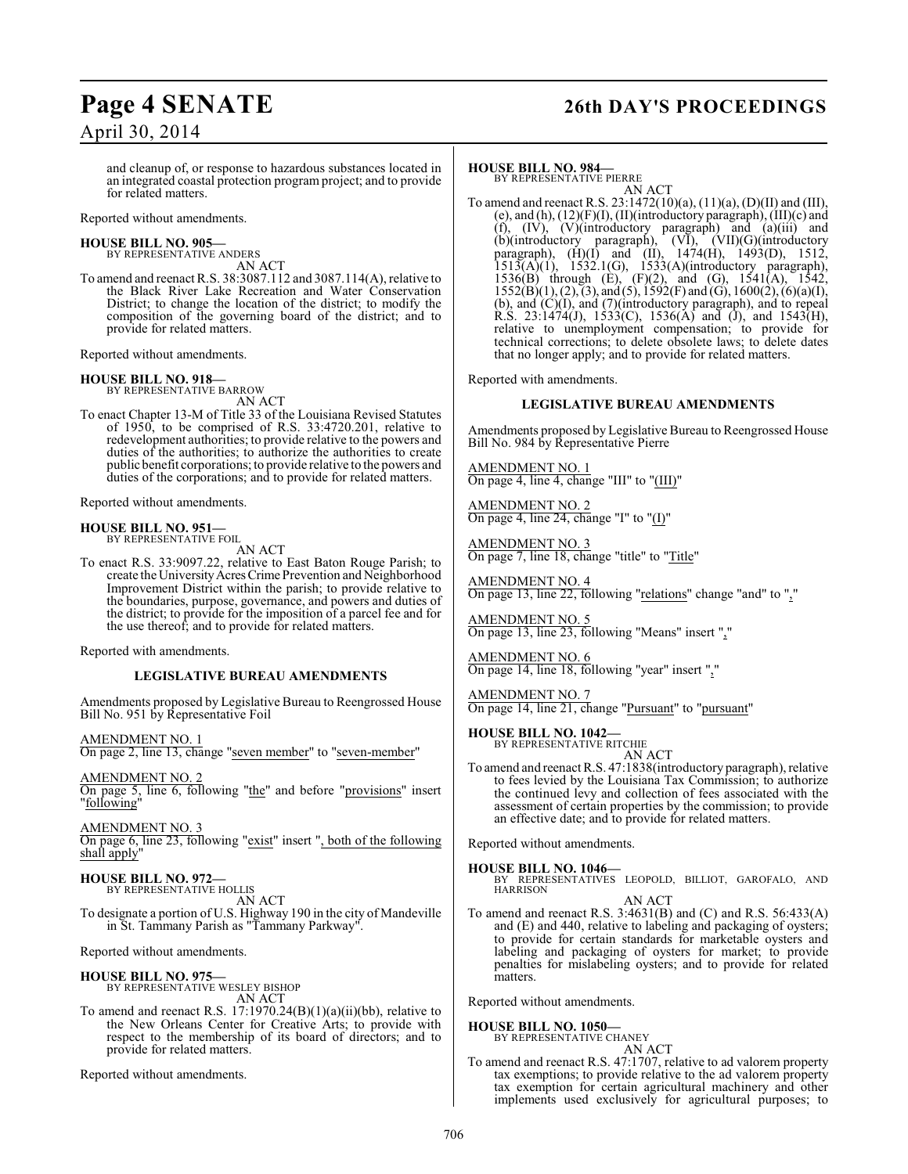# **Page 4 SENATE 26th DAY'S PROCEEDINGS**

and cleanup of, or response to hazardous substances located in an integrated coastal protection program project; and to provide for related matters.

Reported without amendments.

## **HOUSE BILL NO. 905—**

BY REPRESENTATIVE ANDERS AN ACT

To amend and reenact R.S. 38:3087.112 and 3087.114(A), relative to the Black River Lake Recreation and Water Conservation District; to change the location of the district; to modify the composition of the governing board of the district; and to provide for related matters.

Reported without amendments.

#### **HOUSE BILL NO. 918—**

BY REPRESENTATIVE BARROW AN ACT

To enact Chapter 13-M of Title 33 of the Louisiana Revised Statutes of 1950, to be comprised of R.S. 33:4720.201, relative to redevelopment authorities; to provide relative to the powers and duties of the authorities; to authorize the authorities to create public benefit corporations; to provide relative to the powers and duties of the corporations; and to provide for related matters.

Reported without amendments.

#### **HOUSE BILL NO. 951—** BY REPRESENTATIVE FOIL

AN ACT

To enact R.S. 33:9097.22, relative to East Baton Rouge Parish; to create the University Acres Crime Prevention and Neighborhood Improvement District within the parish; to provide relative to the boundaries, purpose, governance, and powers and duties of the district; to provide for the imposition of a parcel fee and for the use thereof; and to provide for related matters.

Reported with amendments.

#### **LEGISLATIVE BUREAU AMENDMENTS**

Amendments proposed by Legislative Bureau to Reengrossed House Bill No. 951 by Representative Foil

AMENDMENT NO. 1 On page 2, line 13, change "seven member" to "seven-member"

AMENDMENT NO. 2 On page 5, line 6, following "the" and before "provisions" insert "following"

AMENDMENT NO. 3 On page 6, line 23, following "exist" insert ", both of the following shall apply'

**HOUSE BILL NO. 972—** BY REPRESENTATIVE HOLLIS AN ACT To designate a portion of U.S. Highway 190 in the city of Mandeville

in St. Tammany Parish as "Tammany Parkway".

Reported without amendments.

**HOUSE BILL NO. 975—** BY REPRESENTATIVE WESLEY BISHOP AN ACT

To amend and reenact R.S. 17:1970.24(B)(1)(a)(ii)(bb), relative to the New Orleans Center for Creative Arts; to provide with respect to the membership of its board of directors; and to provide for related matters.

Reported without amendments.

#### **HOUSE BILL NO. 984—**

BY REPRESENTATIVE PIERRE AN ACT

To amend and reenact R.S. 23:1472(10)(a), (11)(a), (D)(II) and (III), (e), and (h), (12)(F)(I), (II)(introductory paragraph), (III)(c) and (f), (IV), (V)(introductory paragraph) and (a)(iii) and (b)(introductory paragraph), (VI), (VII)(G)(introductory paragraph), (H)(I) and (II), 1474(H), 1493(D), 1512,  $1513(A)(1)$ ,  $1532.1(G)$ ,  $1533(A)(introductory paragraph)$ , 1536(B) through (E), (F)(2), and (G), 1541(A), 1542,  $1552(B)(1), (2), (3),$  and  $(5), 1592(F)$  and  $(G), 1600(2), (6)(a)(I),$ (b), and (C)(I), and (7)(introductory paragraph), and to repeal R.S. 23:1474(J), 1533(C), 1536(A) and (J), and 1543(H), relative to unemployment compensation; to provide for technical corrections; to delete obsolete laws; to delete dates that no longer apply; and to provide for related matters.

Reported with amendments.

#### **LEGISLATIVE BUREAU AMENDMENTS**

Amendments proposed by Legislative Bureau to Reengrossed House Bill No. 984 by Representative Pierre

AMENDMENT NO. 1 On page 4, line 4, change "III" to "(III)"

AMENDMENT NO. 2 On page 4, line 24, change "I" to "(I)"

AMENDMENT NO. 3 On page 7, line 18, change "title" to "Title"

AMENDMENT NO. 4 On page 13, line 22, following "relations" change "and" to ","

AMENDMENT NO. 5 On page 13, line 23, following "Means" insert ","

AMENDMENT NO. 6 On page 14, line 18, following "year" insert ","

AMENDMENT NO. 7 On page 14, line 21, change "Pursuant" to "pursuant"

**HOUSE BILL NO. 1042—** BY REPRESENTATIVE RITCHIE

AN ACT

To amend and reenact R.S. 47:1838(introductory paragraph), relative to fees levied by the Louisiana Tax Commission; to authorize the continued levy and collection of fees associated with the assessment of certain properties by the commission; to provide an effective date; and to provide for related matters.

Reported without amendments.

**HOUSE BILL NO. 1046—** BY REPRESENTATIVES LEOPOLD, BILLIOT, GAROFALO, AND HARRISON AN ACT

To amend and reenact R.S. 3:4631(B) and (C) and R.S. 56:433(A) and (E) and 440, relative to labeling and packaging of oysters; to provide for certain standards for marketable oysters and labeling and packaging of oysters for market; to provide penalties for mislabeling oysters; and to provide for related matters.

Reported without amendments.

**HOUSE BILL NO. 1050—**

BY REPRESENTATIVE CHANEY AN ACT

To amend and reenact R.S. 47:1707, relative to ad valorem property tax exemptions; to provide relative to the ad valorem property tax exemption for certain agricultural machinery and other implements used exclusively for agricultural purposes; to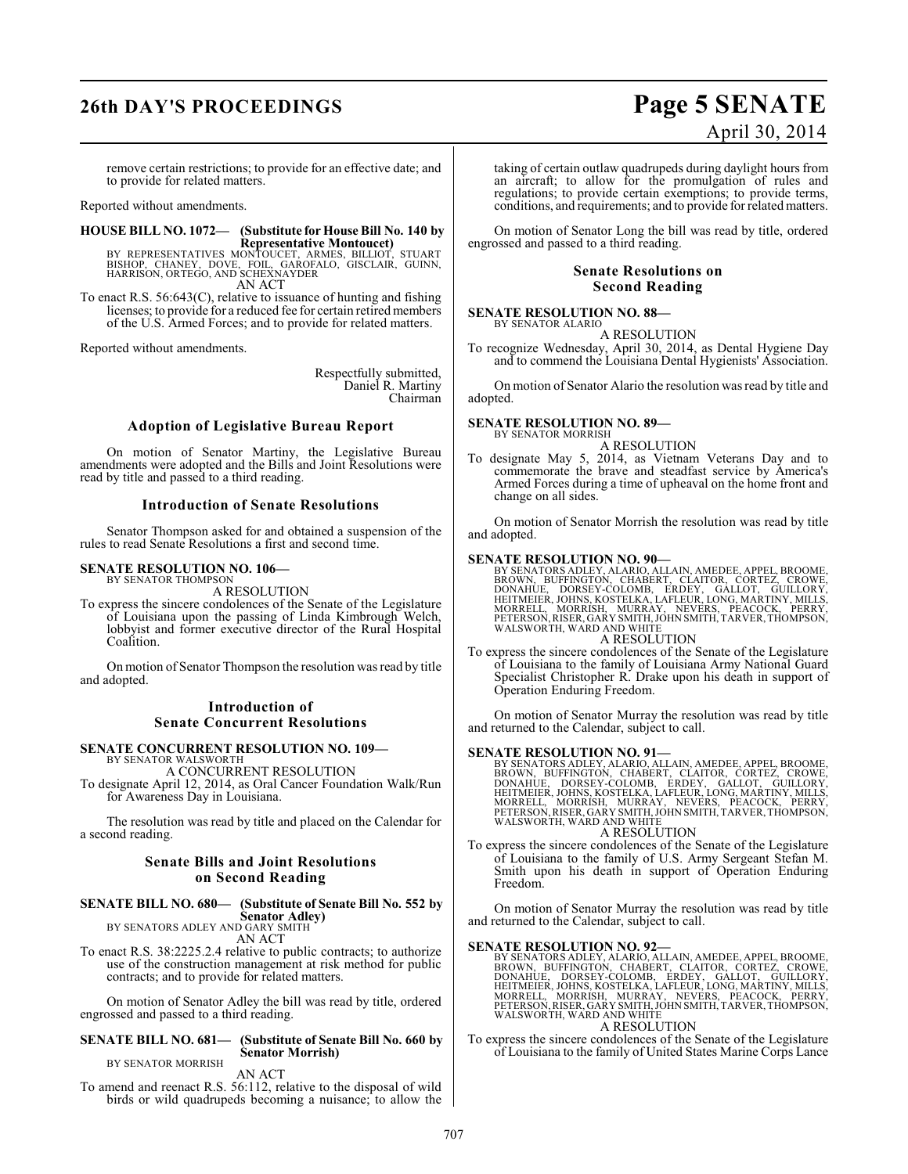# **26th DAY'S PROCEEDINGS Page 5 SENATE**

# April 30, 2014

remove certain restrictions; to provide for an effective date; and to provide for related matters.

Reported without amendments.

**HOUSE BILL NO. 1072— (Substitute for House Bill No. 140 by**

**Representative Montoucet)**<br>BISHOP, CHANEY, DOVE, FOIL, GARMES, BILLIOT, STUART<br>BISHOP, CHANEY, DOVE, FOIL, GAROFALO, GISCLAIR, GUINN,<br>HARRISON, ORTEGO, AND SCHEXNAYDER AN ACT

To enact R.S. 56:643(C), relative to issuance of hunting and fishing licenses; to provide for a reduced fee for certain retired members of the U.S. Armed Forces; and to provide for related matters.

Reported without amendments.

Respectfully submitted, Daniel R. Martiny Chairman

#### **Adoption of Legislative Bureau Report**

On motion of Senator Martiny, the Legislative Bureau amendments were adopted and the Bills and Joint Resolutions were read by title and passed to a third reading.

#### **Introduction of Senate Resolutions**

Senator Thompson asked for and obtained a suspension of the rules to read Senate Resolutions a first and second time.

#### **SENATE RESOLUTION NO. 106—** BY SENATOR THOMPSON

A RESOLUTION

To express the sincere condolences of the Senate of the Legislature of Louisiana upon the passing of Linda Kimbrough Welch, lobbyist and former executive director of the Rural Hospital Coalition.

On motion of Senator Thompson the resolution was read by title and adopted.

### **Introduction of Senate Concurrent Resolutions**

# **SENATE CONCURRENT RESOLUTION NO. 109—** BY SENATOR WALSWORTH

A CONCURRENT RESOLUTION

To designate April 12, 2014, as Oral Cancer Foundation Walk/Run for Awareness Day in Louisiana.

The resolution was read by title and placed on the Calendar for a second reading.

#### **Senate Bills and Joint Resolutions on Second Reading**

## **SENATE BILL NO. 680— (Substitute of Senate Bill No. 552 by Senator Adley)** BY SENATORS ADLEY AND GARY SMITH

AN ACT

To enact R.S. 38:2225.2.4 relative to public contracts; to authorize use of the construction management at risk method for public contracts; and to provide for related matters.

On motion of Senator Adley the bill was read by title, ordered engrossed and passed to a third reading.

#### **SENATE BILL NO. 681— (Substitute of Senate Bill No. 660 by Senator Morrish)**

BY SENATOR MORRISH AN ACT

To amend and reenact R.S. 56:112, relative to the disposal of wild birds or wild quadrupeds becoming a nuisance; to allow the

taking of certain outlaw quadrupeds during daylight hours from an aircraft; to allow for the promulgation of rules and regulations; to provide certain exemptions; to provide terms, conditions, and requirements; and to provide for related matters.

On motion of Senator Long the bill was read by title, ordered engrossed and passed to a third reading.

#### **Senate Resolutions on Second Reading**

#### **SENATE RESOLUTION NO. 88—**

BY SENATOR ALARIO A RESOLUTION

To recognize Wednesday, April 30, 2014, as Dental Hygiene Day and to commend the Louisiana Dental Hygienists' Association.

On motion of Senator Alario the resolution wasread by title and adopted.

# **SENATE RESOLUTION NO. 89—**<br>BY SENATOR MORRISH

A RESOLUTION

To designate May 5, 2014, as Vietnam Veterans Day and to commemorate the brave and steadfast service by America's Armed Forces during a time of upheaval on the home front and change on all sides.

On motion of Senator Morrish the resolution was read by title and adopted.

#### **SENATE RESOLUTION NO. 90—**

BY SENATORS ADLEY, ALARIO, ALLAIN, AMEDEE, APPEL, BROOME,<br>BROWN, BUFFINGTON, CHABERT, CLAITOR, CORTEZ, CROWE,<br>DONAHUE, DORSEY-COLOMB, ERDEY, GALLOT, GUILLORY,<br>HEITMEIER, JOHNS, KOSTELKA, LAFLEUR, LONG, MA MORRELL, MORRISH, MURRAY, NEVERS, PEACOCK, PERRY,<br>PETERSON,RISER,GARYSMITH,JOHNSMITH,TARVER,THOMPSON,<br>WALSWORTH,WARD AND WHITE A RESOLUTION

To express the sincere condolences of the Senate of the Legislature of Louisiana to the family of Louisiana Army National Guard Specialist Christopher R. Drake upon his death in support of Operation Enduring Freedom.

On motion of Senator Murray the resolution was read by title and returned to the Calendar, subject to call.

SENATE RESOLUTION NO. 91—<br>BY SENATORS ADLEY, ALARIO, ALLAIN, AMEDEE, APPEL, BROOME, BROWN, BUFFINGTON, CHABERT, CLAITOR, CORTEZ, CROWE,<br>DONAHUE, DORSEY-COLOMB, ERDEY, GALLOT, GUILLORY,<br>HEITMEIER, JOHNS, KOSTELKA, LAFLEUR, A RESOLUTION

To express the sincere condolences of the Senate of the Legislature of Louisiana to the family of U.S. Army Sergeant Stefan M. Smith upon his death in support of Operation Enduring Freedom.

On motion of Senator Murray the resolution was read by title and returned to the Calendar, subject to call.

SENATE RESOLUTION NO. 92—<br>BY SENATORS ADLEY, ALARIO, ALLAIN, AMEDEE, APPEL, BROOME, BROWN, BUFFINGTON, CHABERT, CLAITOR, CORTEZ, CROWE,<br>DONAHUE, DORSEY-COLOMB, ERDEY, GALLOT, GUILLORY,<br>HEITMEIER, JOHNS, KOSTELKA, LAFLEUR,

#### A RESOLUTION

To express the sincere condolences of the Senate of the Legislature of Louisiana to the family of United States Marine Corps Lance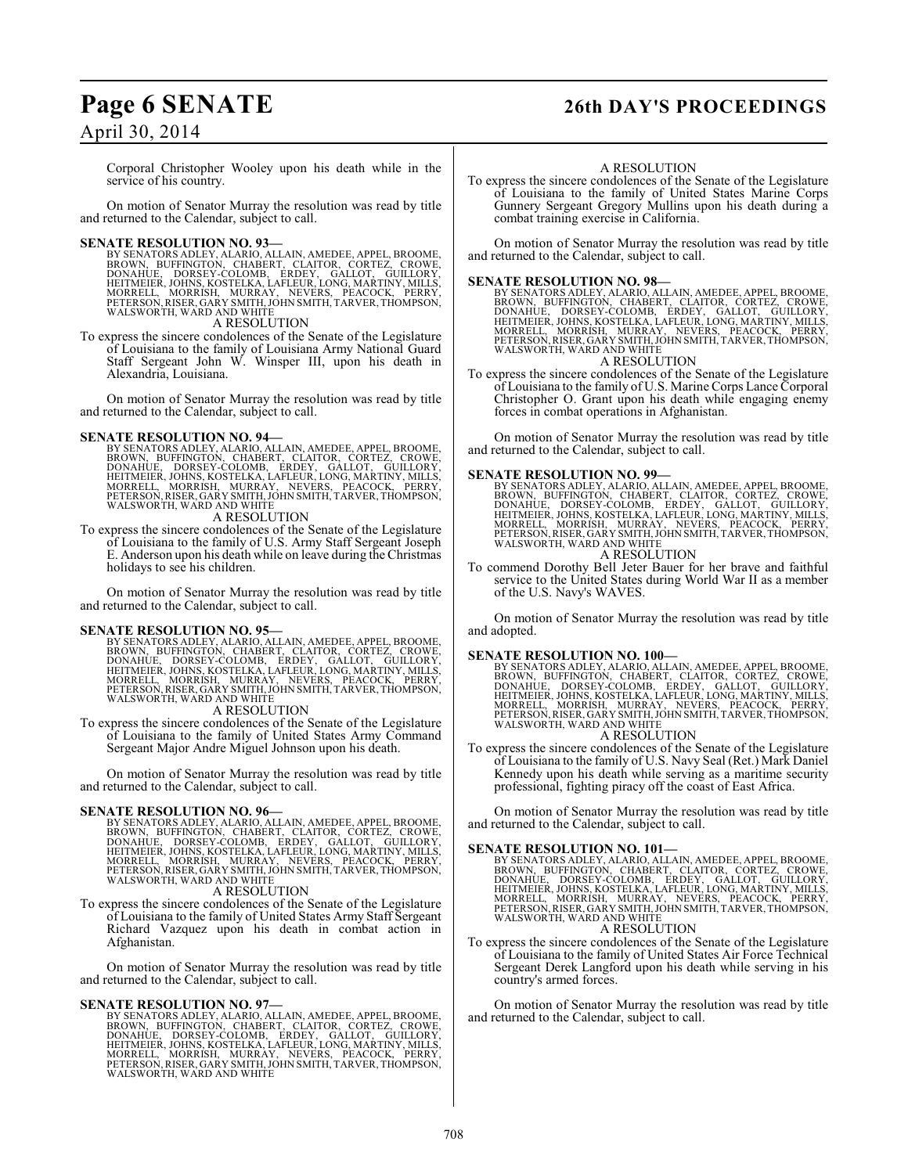Corporal Christopher Wooley upon his death while in the service of his country.

On motion of Senator Murray the resolution was read by title and returned to the Calendar, subject to call.

SENATE RESOLUTION NO. 93—<br>
BY SENATORS ADLEY, ALARNO, ALLAIN, AMEDEE, APPEL, BROOME, BROWN, BUFFINGTON, CHABERT, CLAITOR, CORTEZ, CROWE,<br>
BOOWN, BUFFINGTON, CHABERT, CLAITOR, CORTEZ, CROWE,<br>
DONAHUE, DORSEY-COLOMB, ERDEY, WALSWORTH, WARD AND WHITE

A RESOLUTION

To express the sincere condolences of the Senate of the Legislature of Louisiana to the family of Louisiana Army National Guard Staff Sergeant John W. Winsper III, upon his death in Alexandria, Louisiana.

On motion of Senator Murray the resolution was read by title and returned to the Calendar, subject to call.

**SENATE RESOLUTION NO. 94—**<br>BY SENATORS ADLEY, ALARIO, ALLAIN, AMEDEE, APPEL, BROOME, BROWN, BUFFINGTON, CHABERT, CLAITOR, CORTEZ, CROWE,<br>DONAHUE, DORSEY-COLOMB, ERDEY, GALLOT, GUILLORY,<br>HEITMEIER, JOHNS, KOSTELKA, LAFLEUR

A RESOLUTION

To express the sincere condolences of the Senate of the Legislature of Louisiana to the family of U.S. Army Staff Sergeant Joseph E. Anderson upon his death while on leave during the Christmas holidays to see his children.

On motion of Senator Murray the resolution was read by title and returned to the Calendar, subject to call.

**SENATE RESOLUTION NO. 95—**<br>BY SENATORS ADLEY, ALARIO, ALLAIN, AMEDEE, APPEL, BROOME, BROOM, UFFINGTON, CHABERT, CLAITOR, CORTEZ, CROWE,<br>DONAHUE, DORSEY-COLOMB, ERDEY, GALLOT, GUILLORY,<br>HEITMEIER, JOHNS, KOSTELKA, LAFLEUR,

A RESOLUTION

To express the sincere condolences of the Senate of the Legislature of Louisiana to the family of United States Army Command Sergeant Major Andre Miguel Johnson upon his death.

On motion of Senator Murray the resolution was read by title and returned to the Calendar, subject to call.

- SENATE RESOLUTION NO. 96—<br>
BY SENATORS ADLEY, ALARIO, ALLAIN, AMEDEE, APPEL, BROOME, BROWN, BUFFINGTON, CHABERT, CLAITOR, CORTEZ, CROWE,<br>
BROWN, BUFFINGTON, CHABERT, CLAITOR, CORTEZ, CROWE,<br>
DONAHUE, DORSEY-COLOMB, ERDEY, WALSWORTH, WARD AND WHITE A RESOLUTION
- To express the sincere condolences of the Senate of the Legislature of Louisiana to the family of United States Army Staff Sergeant Richard Vazquez upon his death in combat action in Afghanistan.

On motion of Senator Murray the resolution was read by title and returned to the Calendar, subject to call.

**SENATE RESOLUTION NO. 97—**<br>BY SENATORS ADLEY, ALARIO, ALLAIN, AMEDEE, APPEL, BROOME, BROWN, BUFFINGTON, CHABERT, CLAITOR, CORTEZ, CROWE,<br>DONAHUE, DORSEY-COLOMB, ERDEY, GALLOT, GUILLORY,<br>HEITMEIER, JOHNS, KOSTELKA, LAFLEUR

# **Page 6 SENATE 26th DAY'S PROCEEDINGS**

#### A RESOLUTION

To express the sincere condolences of the Senate of the Legislature of Louisiana to the family of United States Marine Corps Gunnery Sergeant Gregory Mullins upon his death during a combat training exercise in California.

On motion of Senator Murray the resolution was read by title and returned to the Calendar, subject to call.

#### **SENATE RESOLUTION NO. 98—**

BY SENATORS ADLEY, ALARIO, ALLAIN, AMEDEE, APPEL, BROOME,<br>BROWN, BUFFINGTON, CHABERT, CLAITOR, CORTEZ, CROWE,<br>DONAHUE, DORSEY-COLOMB, ERDEY, GALLOT, GUILLORY,<br>HEITMEIER, JOHNS, KOSTELKA, LAFLEUR, LONG, MARTINY, MILLS,<br>MORR A RESOLUTION

To express the sincere condolences of the Senate of the Legislature of Louisiana to the family of U.S. Marine Corps Lance Corporal Christopher O. Grant upon his death while engaging enemy forces in combat operations in Afghanistan.

On motion of Senator Murray the resolution was read by title and returned to the Calendar, subject to call.

**SENATE RESOLUTION NO. 99—**<br>BY SENATORS ADLEY, ALARIO, ALLAIN, AMEDEE, APPEL, BROOME, BROOM, UFFINGTON, CHABERT, CLAITOR, CORTEZ, CROWE,<br>DONAHUE, DORSEY-COLOMB, ERDEY, GALLOT, GUILLORY,<br>HEITMEIER, JOHNS, KOSTELKA, LAFLEUR, A RESOLUTION

To commend Dorothy Bell Jeter Bauer for her brave and faithful service to the United States during World War II as a member of the U.S. Navy's WAVES.

On motion of Senator Murray the resolution was read by title and adopted.

**SENATE RESOLUTION NO. 100—**<br>BY SENATORS ADLEY, ALARIO, ALLAIN, AMEDEE, APPEL, BROOME, BROWN, BUFFINGTON, CHABERT, CLAITOR, CORTEZ, CROWE,<br>DONAHUE, DORSEY-COLOMB, ERDEY, GALLOT, GUILLORY,<br>HEITMEIER, JOHNS, KOSTELKA, LAFLEU

## A RESOLUTION

To express the sincere condolences of the Senate of the Legislature of Louisiana to the family of U.S. Navy Seal (Ret.) Mark Daniel Kennedy upon his death while serving as a maritime security professional, fighting piracy off the coast of East Africa.

On motion of Senator Murray the resolution was read by title and returned to the Calendar, subject to call.

**SENATE RESOLUTION NO. 101—**<br>BY SENATORS ADLEY, ALARIO, ALLAIN, AMEDEE, APPEL, BROOME, BROOM, UFFINGTON, CHABERT, CLAITOR, CORTEZ, CROWE,<br>DONAHUE, DORSEY-COLOMB, ERDEY, GALLOT, GUILLORY,<br>HEITMEIER, JOHNS, KOSTELKA, LAFLEUR

## A RESOLUTION

To express the sincere condolences of the Senate of the Legislature of Louisiana to the family of United States Air Force Technical Sergeant Derek Langford upon his death while serving in his country's armed forces.

On motion of Senator Murray the resolution was read by title and returned to the Calendar, subject to call.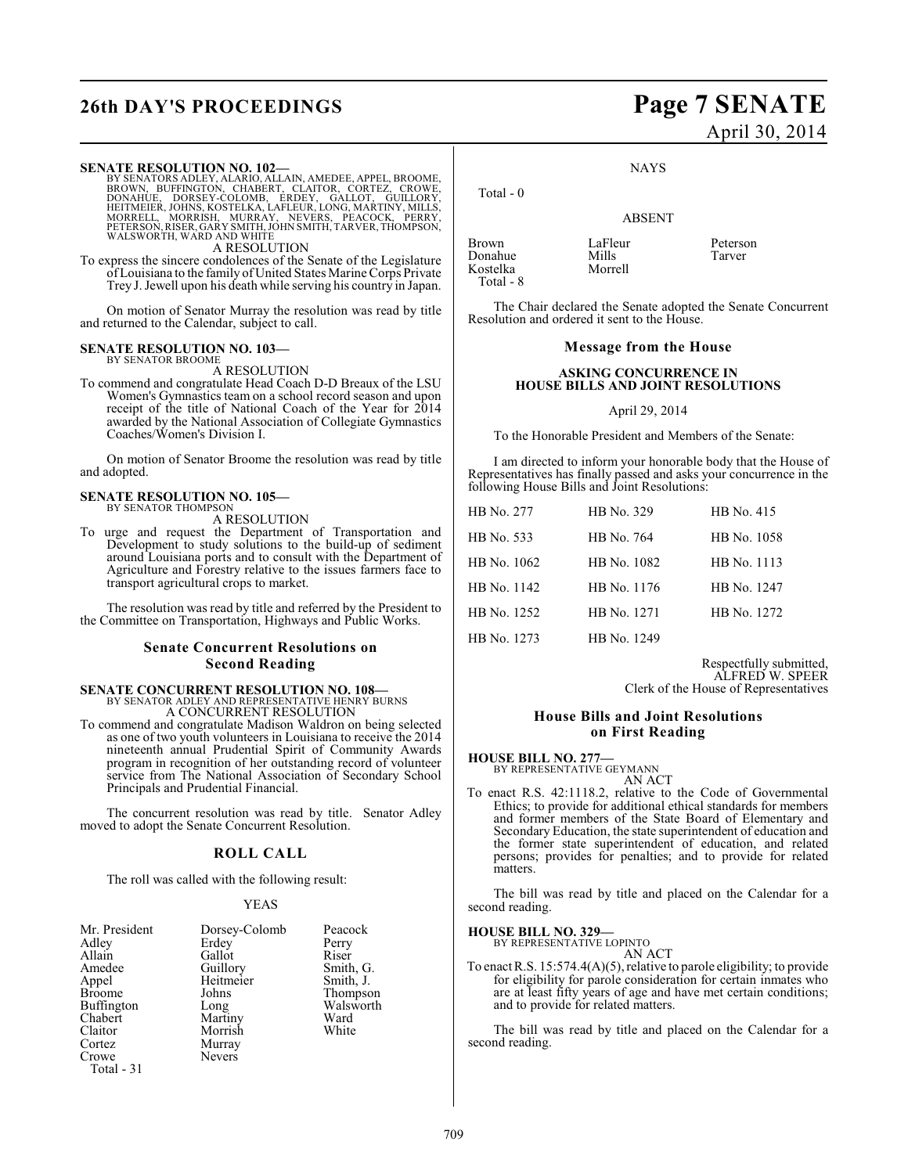# **26th DAY'S PROCEEDINGS Page 7 SENATE**

#### **SENATE RESOLUTION NO. 102—**

BY SENATORS ADLEY, ALARIO, ALLAIN, AMEDEE, APPEL, BROOME,<br>BROWN, BUFFINGTON, CHABERT, CLAITOR, CORTEZ, CROWE,<br>DONAHUE, DORSEY-COLOMB, ERDEY, GALLOT, GUILLORY,<br>HEITMEIER, JOHNS, KOSTELKA, LAFLEUR, LONG, MARTINY, MILLS,<br>MORR

A RESOLUTION

To express the sincere condolences of the Senate of the Legislature of Louisiana to the family of United States Marine Corps Private Trey J. Jewell upon his death while serving his country in Japan.

On motion of Senator Murray the resolution was read by title and returned to the Calendar, subject to call.

#### **SENATE RESOLUTION NO. 103—** BY SENATOR BROOME

A RESOLUTION

To commend and congratulate Head Coach D-D Breaux of the LSU Women's Gymnastics team on a school record season and upon receipt of the title of National Coach of the Year for 2014 awarded by the National Association of Collegiate Gymnastics Coaches/Women's Division I.

On motion of Senator Broome the resolution was read by title and adopted.

#### **SENATE RESOLUTION NO. 105—** BY SENATOR THOMPSON

A RESOLUTION

To urge and request the Department of Transportation and Development to study solutions to the build-up of sediment around Louisiana ports and to consult with the Department of Agriculture and Forestry relative to the issues farmers face to transport agricultural crops to market.

The resolution was read by title and referred by the President to the Committee on Transportation, Highways and Public Works.

#### **Senate Concurrent Resolutions on Second Reading**

## **SENATE CONCURRENT RESOLUTION NO. 108—** BY SENATOR ADLEY AND REPRESENTATIVE HENRY BURNS A CONCURRENT RESOLUTION

To commend and congratulate Madison Waldron on being selected as one of two youth volunteers in Louisiana to receive the 2014 nineteenth annual Prudential Spirit of Community Awards program in recognition of her outstanding record of volunteer service from The National Association of Secondary School

The concurrent resolution was read by title. Senator Adley moved to adopt the Senate Concurrent Resolution.

#### **ROLL CALL**

The roll was called with the following result:

Principals and Prudential Financial.

#### YEAS

| Mr. President<br>Adley<br>Allain<br>Amedee<br>Appel<br><b>Broome</b><br><b>Buffington</b><br>Chabert<br>Claitor<br>Cortez<br>Crowe | Dorsey-Colomb<br>Erdey<br>Gallot<br>Guillory<br>Heitmeier<br>Johns<br>Long<br>Martiny<br>Morrish<br>Murray<br><b>Nevers</b> | Peacock<br>Perry<br>Riser<br>Smith, G.<br>Smith, J.<br>Thompson<br>Walsworth<br>Ward<br>White |
|------------------------------------------------------------------------------------------------------------------------------------|-----------------------------------------------------------------------------------------------------------------------------|-----------------------------------------------------------------------------------------------|
| Total - 31                                                                                                                         |                                                                                                                             |                                                                                               |

# April 30, 2014

**NAYS** 

ABSENT

Brown LaFleur Peterson<br>
Donahue Mills Tarver Donahue Mills Tarver Kostelka Total - 8

Total - 0

The Chair declared the Senate adopted the Senate Concurrent Resolution and ordered it sent to the House.

#### **Message from the House**

#### **ASKING CONCURRENCE IN HOUSE BILLS AND JOINT RESOLUTIONS**

#### April 29, 2014

To the Honorable President and Members of the Senate:

I am directed to inform your honorable body that the House of Representatives has finally passed and asks your concurrence in the following House Bills and Joint Resolutions:

| HB No. 277  | HB No. 329  | HB No. 415  |
|-------------|-------------|-------------|
| HB No. 533  | HB No. 764  | HB No. 1058 |
| HB No. 1062 | HB No. 1082 | HB No. 1113 |
| HB No. 1142 | HB No. 1176 | HB No. 1247 |
| HB No. 1252 | HB No. 1271 | HB No. 1272 |
| HB No. 1273 | HB No. 1249 |             |

Respectfully submitted, ALFRED W. SPEER Clerk of the House of Representatives

## **House Bills and Joint Resolutions on First Reading**

#### **HOUSE BILL NO. 277—**

BY REPRESENTATIVE GEYMANN

- AN ACT
- To enact R.S. 42:1118.2, relative to the Code of Governmental Ethics; to provide for additional ethical standards for members and former members of the State Board of Elementary and Secondary Education, the state superintendent of education and the former state superintendent of education, and related persons; provides for penalties; and to provide for related matters.

The bill was read by title and placed on the Calendar for a second reading.

#### **HOUSE BILL NO. 329—**

BY REPRESENTATIVE LOPINTO AN ACT

To enactR.S. 15:574.4(A)(5), relative to parole eligibility; to provide for eligibility for parole consideration for certain inmates who are at least fifty years of age and have met certain conditions; and to provide for related matters.

The bill was read by title and placed on the Calendar for a second reading.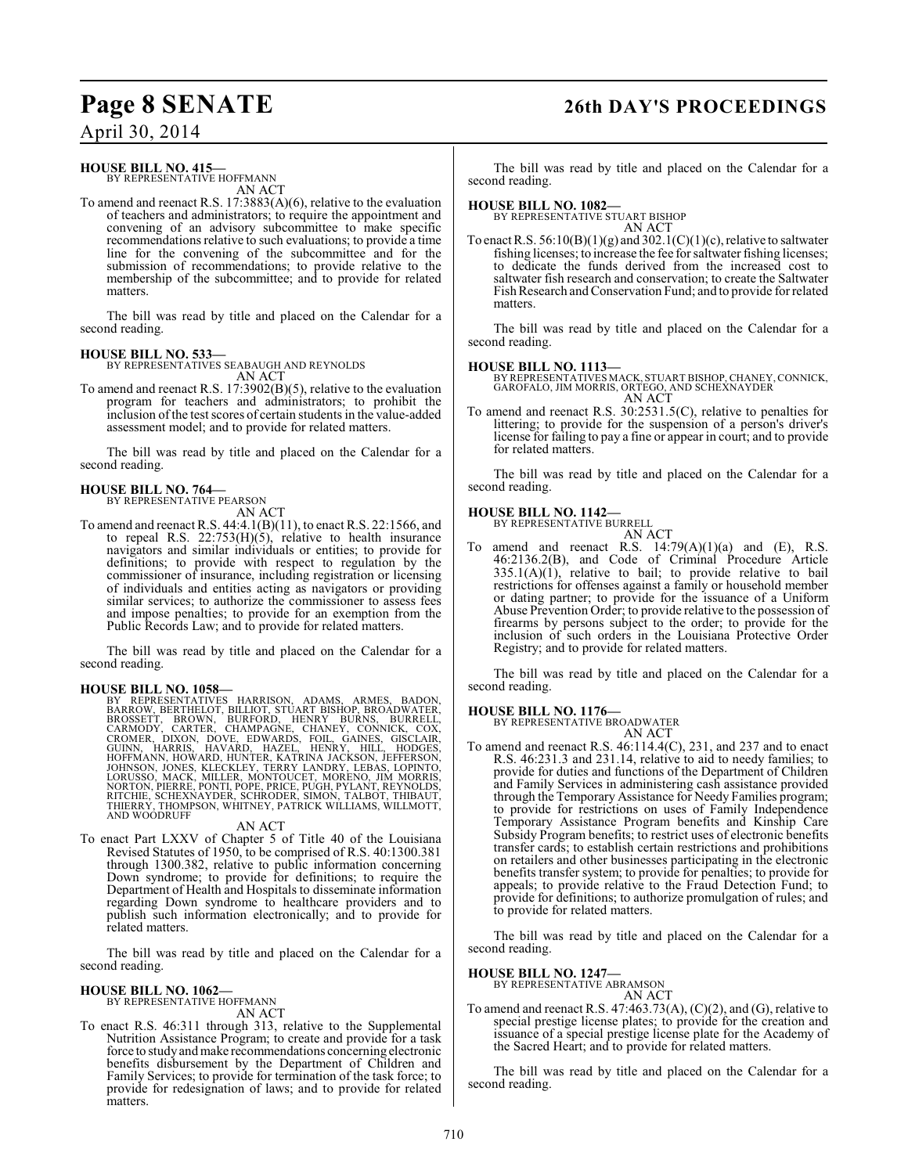# **Page 8 SENATE 26th DAY'S PROCEEDINGS**

April 30, 2014

## **HOUSE BILL NO. 415—**

BY REPRESENTATIVE HOFFMANN AN ACT

To amend and reenact R.S. 17:3883(A)(6), relative to the evaluation of teachers and administrators; to require the appointment and convening of an advisory subcommittee to make specific recommendations relative to such evaluations; to provide a time line for the convening of the subcommittee and for the submission of recommendations; to provide relative to the membership of the subcommittee; and to provide for related matters.

The bill was read by title and placed on the Calendar for a second reading.

#### **HOUSE BILL NO. 533—**

BY REPRESENTATIVES SEABAUGH AND REYNOLDS AN ACT

To amend and reenact R.S. 17:3902(B)(5), relative to the evaluation program for teachers and administrators; to prohibit the inclusion of the test scores of certain students in the value-added assessment model; and to provide for related matters.

The bill was read by title and placed on the Calendar for a second reading.

#### **HOUSE BILL NO. 764—** BY REPRESENTATIVE PEARSON

AN ACT

To amend and reenact R.S. 44:4.1(B)(11), to enact R.S. 22:1566, and to repeal R.S. 22:753(H)(5), relative to health insurance navigators and similar individuals or entities; to provide for definitions; to provide with respect to regulation by the commissioner of insurance, including registration or licensing of individuals and entities acting as navigators or providing similar services; to authorize the commissioner to assess fees and impose penalties; to provide for an exemption from the Public Records Law; and to provide for related matters.

The bill was read by title and placed on the Calendar for a second reading.

HOUSE BILL NO. 1058—<br>
BY REPRESENTATIVES HARRISON, ADAMS, ARMES, BADON, BARROW, BERTHELOT, BILLIOT, STUART BISHOP, BROADWATER, BROSSETT, BROWN, BURFORD, HENRY BURNS, BURRELL, CARMODY, CARTER, CHAMPAGNE, CHANEY, CONNICK, CO

#### AN ACT

To enact Part LXXV of Chapter 5 of Title 40 of the Louisiana Revised Statutes of 1950, to be comprised of R.S. 40:1300.381 through 1300.382, relative to public information concerning Down syndrome; to provide for definitions; to require the Department of Health and Hospitals to disseminate information regarding Down syndrome to healthcare providers and to publish such information electronically; and to provide for related matters.

The bill was read by title and placed on the Calendar for a second reading.

#### **HOUSE BILL NO. 1062—** BY REPRESENTATIVE HOFFMANN

AN ACT

To enact R.S. 46:311 through 313, relative to the Supplemental Nutrition Assistance Program; to create and provide for a task force to study and make recommendations concerning electronic benefits disbursement by the Department of Children and Family Services; to provide for termination of the task force; to provide for redesignation of laws; and to provide for related matters.

The bill was read by title and placed on the Calendar for a second reading.

#### **HOUSE BILL NO. 1082—**

BY REPRESENTATIVE STUART BISHOP AN ACT

To enact R.S.  $56:10(B)(1)(g)$  and  $302.1(C)(1)(c)$ , relative to saltwater fishing licenses; to increase the fee for saltwater fishing licenses; to dedicate the funds derived from the increased cost to saltwater fish research and conservation; to create the Saltwater Fish Research and Conservation Fund; and to provide for related matters.

The bill was read by title and placed on the Calendar for a second reading.

#### **HOUSE BILL NO. 1113—**

BY REPRESENTATIVES MACK, STUART BISHOP, CHANEY, CONNICK, GAROFALO, JIM MORRIS, ORTEGO, AND SCHEXNAYDER AN ACT

To amend and reenact R.S. 30:2531.5(C), relative to penalties for littering; to provide for the suspension of a person's driver's license for failing to pay a fine or appear in court; and to provide for related matters.

The bill was read by title and placed on the Calendar for a second reading.

#### **HOUSE BILL NO. 1142—**

BY REPRESENTATIVE BURRELL AN ACT

To amend and reenact R.S.  $14:79(A)(1)(a)$  and  $(E)$ , R.S. 46:2136.2(B), and Code of Criminal Procedure Article  $335.1(A)(1)$ , relative to bail; to provide relative to bail restrictions for offenses against a family or household member or dating partner; to provide for the issuance of a Uniform Abuse Prevention Order; to provide relative to the possession of firearms by persons subject to the order; to provide for the inclusion of such orders in the Louisiana Protective Order Registry; and to provide for related matters.

The bill was read by title and placed on the Calendar for a second reading.

**HOUSE BILL NO. 1176—** BY REPRESENTATIVE BROADWATER

AN ACT

To amend and reenact R.S. 46:114.4(C), 231, and 237 and to enact R.S. 46:231.3 and 231.14, relative to aid to needy families; to provide for duties and functions of the Department of Children and Family Services in administering cash assistance provided through the Temporary Assistance for Needy Families program; to provide for restrictions on uses of Family Independence Temporary Assistance Program benefits and Kinship Care Subsidy Program benefits; to restrict uses of electronic benefits transfer cards; to establish certain restrictions and prohibitions on retailers and other businesses participating in the electronic benefits transfer system; to provide for penalties; to provide for appeals; to provide relative to the Fraud Detection Fund; to provide for definitions; to authorize promulgation of rules; and to provide for related matters.

The bill was read by title and placed on the Calendar for a second reading.

#### **HOUSE BILL NO. 1247—**

BY REPRESENTATIVE ABRAMSON AN ACT

To amend and reenact R.S.  $47:463.73(A)$ ,  $(C)(2)$ , and  $(G)$ , relative to special prestige license plates; to provide for the creation and issuance of a special prestige license plate for the Academy of the Sacred Heart; and to provide for related matters.

The bill was read by title and placed on the Calendar for a second reading.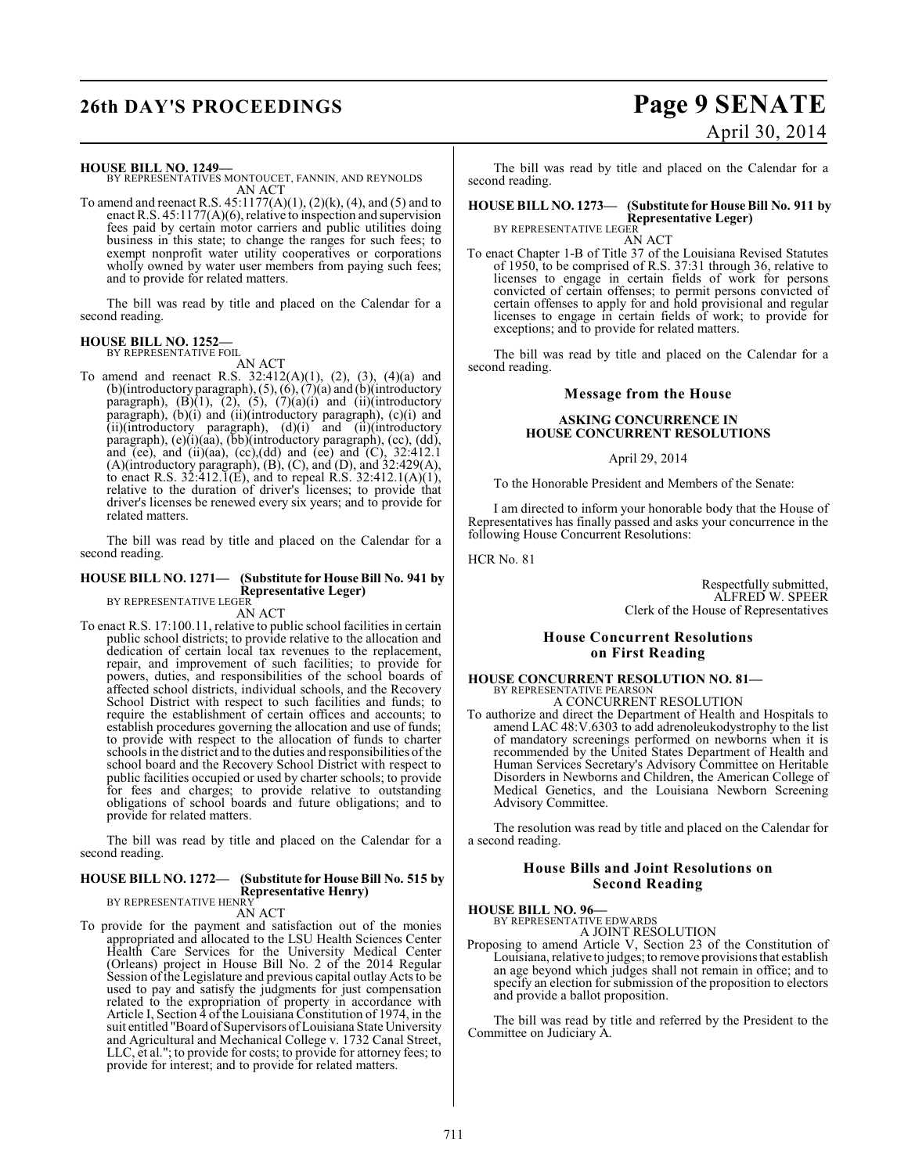# **26th DAY'S PROCEEDINGS Page 9 SENATE**

#### **HOUSE BILL NO. 1249—**

BY REPRESENTATIVES MONTOUCET, FANNIN, AND REYNOLDS AN ACT

To amend and reenact R.S.  $45:1177(A)(1)$ ,  $(2)(k)$ ,  $(4)$ , and  $(5)$  and to enact R.S. 45:1177(A)(6), relative to inspection and supervision fees paid by certain motor carriers and public utilities doing business in this state; to change the ranges for such fees; to exempt nonprofit water utility cooperatives or corporations wholly owned by water user members from paying such fees; and to provide for related matters.

The bill was read by title and placed on the Calendar for a second reading.

#### **HOUSE BILL NO. 1252—** BY REPRESENTATIVE FOIL

AN ACT

To amend and reenact R.S. 32:412(A)(1), (2), (3), (4)(a) and (b)(introductory paragraph), (5), (6), (7)(a) and (b)(introductory paragraph),  $(B)(1)$ ,  $(2)$ ,  $(5)$ ,  $(7)(a)(i)$  and  $(ii)(introductory)$ paragraph), (b)(i) and (ii)(introductory paragraph), (c)(i) and (ii)(introductory paragraph), (d)(i) and (ii)(introductory paragraph), (e)(i)(aa), (bb)(introductory paragraph), (cc), (dd), and (ee), and (ii)(aa), (cc),(dd) and (ee) and (C),  $32:412.1$ (A)(introductory paragraph), (B), (C), and (D), and 32:429(A), to enact R.S.  $32:412.\overline{1}(E)$ , and to repeal R.S.  $32:412.1(A)(1)$ , relative to the duration of driver's licenses; to provide that driver's licenses be renewed every six years; and to provide for related matters.

The bill was read by title and placed on the Calendar for a second reading.

#### **HOUSE BILL NO. 1271— (Substitute for House Bill No. 941 by Representative Leger)** BY REPRESENTATIVE LEGER

AN ACT

To enact R.S. 17:100.11, relative to public school facilities in certain public school districts; to provide relative to the allocation and dedication of certain local tax revenues to the replacement, repair, and improvement of such facilities; to provide for powers, duties, and responsibilities of the school boards of affected school districts, individual schools, and the Recovery School District with respect to such facilities and funds; to require the establishment of certain offices and accounts; to establish procedures governing the allocation and use of funds; to provide with respect to the allocation of funds to charter schools in the district and to the duties and responsibilities of the school board and the Recovery School District with respect to public facilities occupied or used by charter schools; to provide for fees and charges; to provide relative to outstanding obligations of school boards and future obligations; and to provide for related matters.

The bill was read by title and placed on the Calendar for a second reading.

#### **HOUSE BILL NO. 1272— (Substitute for House Bill No. 515 by Representative Henry)** BY REPRESENTATIVE HENRY

AN ACT

To provide for the payment and satisfaction out of the monies appropriated and allocated to the LSU Health Sciences Center Health Care Services for the University Medical Center (Orleans) project in House Bill No. 2 of the 2014 Regular Session of the Legislature and previous capital outlay Acts to be used to pay and satisfy the judgments for just compensation related to the expropriation of property in accordance with Article I, Section 4 of the Louisiana Constitution of 1974, in the suit entitled "Board of Supervisors of Louisiana State University and Agricultural and Mechanical College v. 1732 Canal Street, LLC, et al."; to provide for costs; to provide for attorney fees; to provide for interest; and to provide for related matters.

# April 30, 2014

The bill was read by title and placed on the Calendar for a second reading.

**HOUSE BILL NO. 1273— (Substitute for House Bill No. 911 by Representative Leger)** BY REPRESENTATIVE LEGER

AN ACT

To enact Chapter 1-B of Title 37 of the Louisiana Revised Statutes of 1950, to be comprised of R.S. 37:31 through 36, relative to licenses to engage in certain fields of work for persons convicted of certain offenses; to permit persons convicted of certain offenses to apply for and hold provisional and regular licenses to engage in certain fields of work; to provide for exceptions; and to provide for related matters.

The bill was read by title and placed on the Calendar for a second reading.

#### **Message from the House**

#### **ASKING CONCURRENCE IN HOUSE CONCURRENT RESOLUTIONS**

#### April 29, 2014

To the Honorable President and Members of the Senate:

I am directed to inform your honorable body that the House of Representatives has finally passed and asks your concurrence in the following House Concurrent Resolutions:

HCR No. 81

Respectfully submitted, ALFRED W. SPEER Clerk of the House of Representatives

#### **House Concurrent Resolutions on First Reading**

#### **HOUSE CONCURRENT RESOLUTION NO. 81—** BY REPRESENTATIVE PEARSON

- A CONCURRENT RESOLUTION To authorize and direct the Department of Health and Hospitals to amend LAC 48:V.6303 to add adrenoleukodystrophy to the list of mandatory screenings performed on newborns when it is recommended by the United States Department of Health and
	- Human Services Secretary's Advisory Committee on Heritable Disorders in Newborns and Children, the American College of Medical Genetics, and the Louisiana Newborn Screening Advisory Committee.

The resolution was read by title and placed on the Calendar for a second reading.

#### **House Bills and Joint Resolutions on Second Reading**

#### **HOUSE BILL NO. 96—**

BY REPRESENTATIVE EDWARDS

A JOINT RESOLUTION

Proposing to amend Article V, Section 23 of the Constitution of Louisiana, relative to judges; to remove provisions that establish an age beyond which judges shall not remain in office; and to specify an election for submission of the proposition to electors and provide a ballot proposition.

The bill was read by title and referred by the President to the Committee on Judiciary A.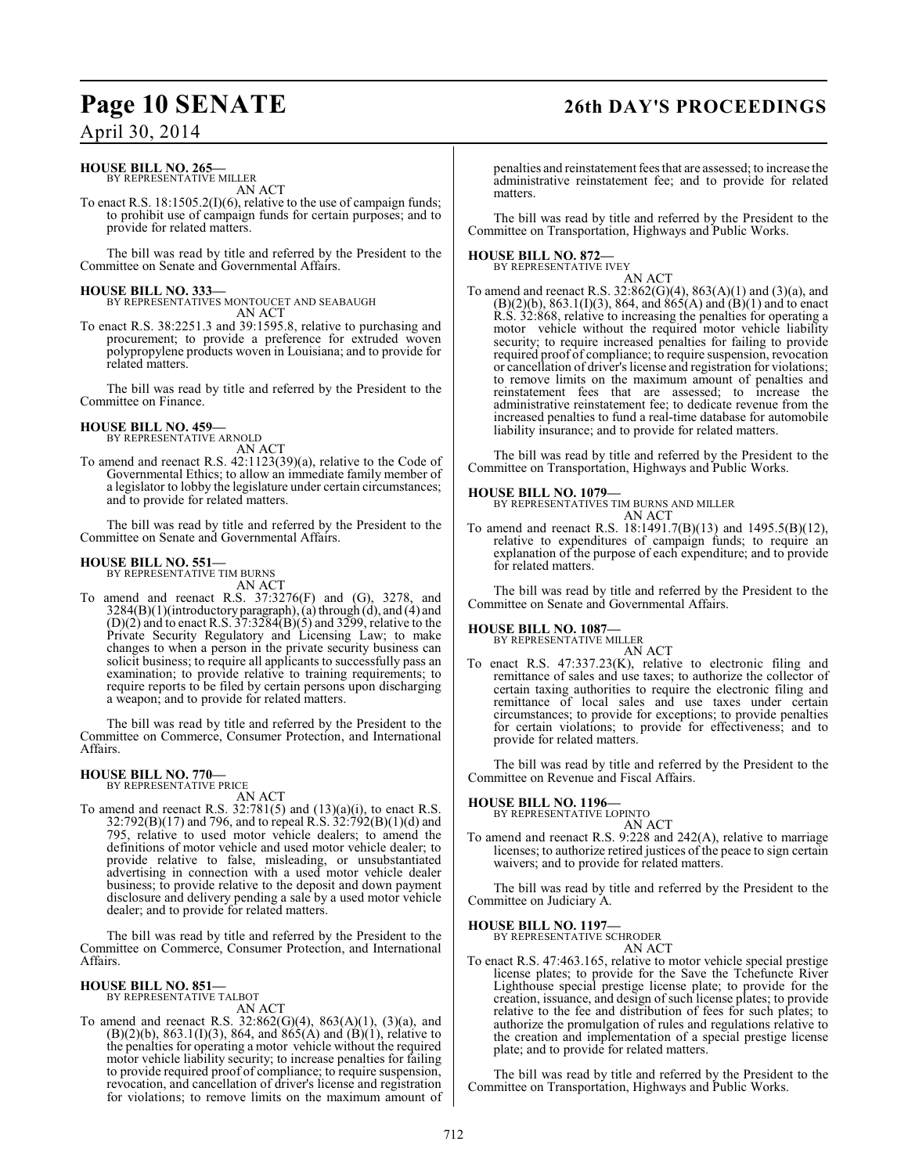# **Page 10 SENATE 26th DAY'S PROCEEDINGS**

## April 30, 2014

#### **HOUSE BILL NO. 265—** BY REPRESENTATIVE MILLER

AN ACT

To enact R.S. 18:1505.2(I)(6), relative to the use of campaign funds; to prohibit use of campaign funds for certain purposes; and to provide for related matters.

The bill was read by title and referred by the President to the Committee on Senate and Governmental Affairs.

**HOUSE BILL NO. 333—** BY REPRESENTATIVES MONTOUCET AND SEABAUGH AN ACT

To enact R.S. 38:2251.3 and 39:1595.8, relative to purchasing and procurement; to provide a preference for extruded woven polypropylene products woven in Louisiana; and to provide for related matters.

The bill was read by title and referred by the President to the Committee on Finance.

#### **HOUSE BILL NO. 459—**

BY REPRESENTATIVE ARNOLD AN ACT

To amend and reenact R.S. 42:1123(39)(a), relative to the Code of Governmental Ethics; to allow an immediate family member of a legislator to lobby the legislature under certain circumstances; and to provide for related matters.

The bill was read by title and referred by the President to the Committee on Senate and Governmental Affairs.

#### **HOUSE BILL NO. 551—**

BY REPRESENTATIVE TIM BURNS AN ACT

To amend and reenact R.S. 37:3276(F) and (G), 3278, and 3284(B)(1)(introductory paragraph), (a) through (d), and (4) and  $(D)(2)$  and to enact R.S.  $37:3284(B)(5)$  and  $3299$ , relative to the Private Security Regulatory and Licensing Law; to make changes to when a person in the private security business can solicit business; to require all applicants to successfully pass an examination; to provide relative to training requirements; to require reports to be filed by certain persons upon discharging a weapon; and to provide for related matters.

The bill was read by title and referred by the President to the Committee on Commerce, Consumer Protection, and International Affairs.

#### **HOUSE BILL NO. 770—** BY REPRESENTATIVE PRICE

AN ACT

To amend and reenact R.S.  $32:781(5)$  and  $(13)(a)(i)$ , to enact R.S. 32:792(B)(17) and 796, and to repeal R.S. 32:792(B)(1)(d) and 795, relative to used motor vehicle dealers; to amend the definitions of motor vehicle and used motor vehicle dealer; to provide relative to false, misleading, or unsubstantiated advertising in connection with a used motor vehicle dealer business; to provide relative to the deposit and down payment disclosure and delivery pending a sale by a used motor vehicle dealer; and to provide for related matters.

The bill was read by title and referred by the President to the Committee on Commerce, Consumer Protection, and International Affairs.

#### **HOUSE BILL NO. 851—** BY REPRESENTATIVE TALBOT

AN ACT

To amend and reenact R.S. 32:862(G)(4), 863(A)(1), (3)(a), and (B)(2)(b), 863.1(I)(3), 864, and 865(A) and (B)(1), relative to the penalties for operating a motor vehicle without the required motor vehicle liability security; to increase penalties for failing to provide required proof of compliance; to require suspension, revocation, and cancellation of driver's license and registration for violations; to remove limits on the maximum amount of

penalties and reinstatement fees that are assessed; to increase the administrative reinstatement fee; and to provide for related matters.

The bill was read by title and referred by the President to the Committee on Transportation, Highways and Public Works.

## **HOUSE BILL NO. 872—**

BY REPRESENTATIVE IVEY AN ACT

To amend and reenact R.S. 32:862(G)(4), 863(A)(1) and (3)(a), and  $(B)(2)(b)$ , 863.1(I)(3), 864, and 865(A) and (B)(1) and to enact R.S. 32:868, relative to increasing the penalties for operating a motor vehicle without the required motor vehicle liability security; to require increased penalties for failing to provide required proof of compliance; to require suspension, revocation or cancellation of driver's license and registration for violations; to remove limits on the maximum amount of penalties and reinstatement fees that are assessed; to increase the administrative reinstatement fee; to dedicate revenue from the increased penalties to fund a real-time database for automobile liability insurance; and to provide for related matters.

The bill was read by title and referred by the President to the Committee on Transportation, Highways and Public Works.

#### **HOUSE BILL NO. 1079—**

BY REPRESENTATIVES TIM BURNS AND MILLER AN ACT

To amend and reenact R.S. 18:1491.7(B)(13) and 1495.5(B)(12), relative to expenditures of campaign funds; to require an explanation of the purpose of each expenditure; and to provide for related matters.

The bill was read by title and referred by the President to the Committee on Senate and Governmental Affairs.

#### **HOUSE BILL NO. 1087—** BY REPRESENTATIVE MILLER

AN ACT

To enact R.S. 47:337.23(K), relative to electronic filing and remittance of sales and use taxes; to authorize the collector of certain taxing authorities to require the electronic filing and remittance of local sales and use taxes under certain circumstances; to provide for exceptions; to provide penalties for certain violations; to provide for effectiveness; and to provide for related matters.

The bill was read by title and referred by the President to the Committee on Revenue and Fiscal Affairs.

## **HOUSE BILL NO. 1196—**

BY REPRESENTATIVE LOPINTO AN ACT

To amend and reenact R.S. 9:228 and 242(A), relative to marriage licenses; to authorize retired justices of the peace to sign certain waivers; and to provide for related matters.

The bill was read by title and referred by the President to the Committee on Judiciary A.

#### **HOUSE BILL NO. 1197—**

BY REPRESENTATIVE SCHRODER AN ACT

To enact R.S. 47:463.165, relative to motor vehicle special prestige license plates; to provide for the Save the Tchefuncte River Lighthouse special prestige license plate; to provide for the creation, issuance, and design of such license plates; to provide relative to the fee and distribution of fees for such plates; to authorize the promulgation of rules and regulations relative to the creation and implementation of a special prestige license plate; and to provide for related matters.

The bill was read by title and referred by the President to the Committee on Transportation, Highways and Public Works.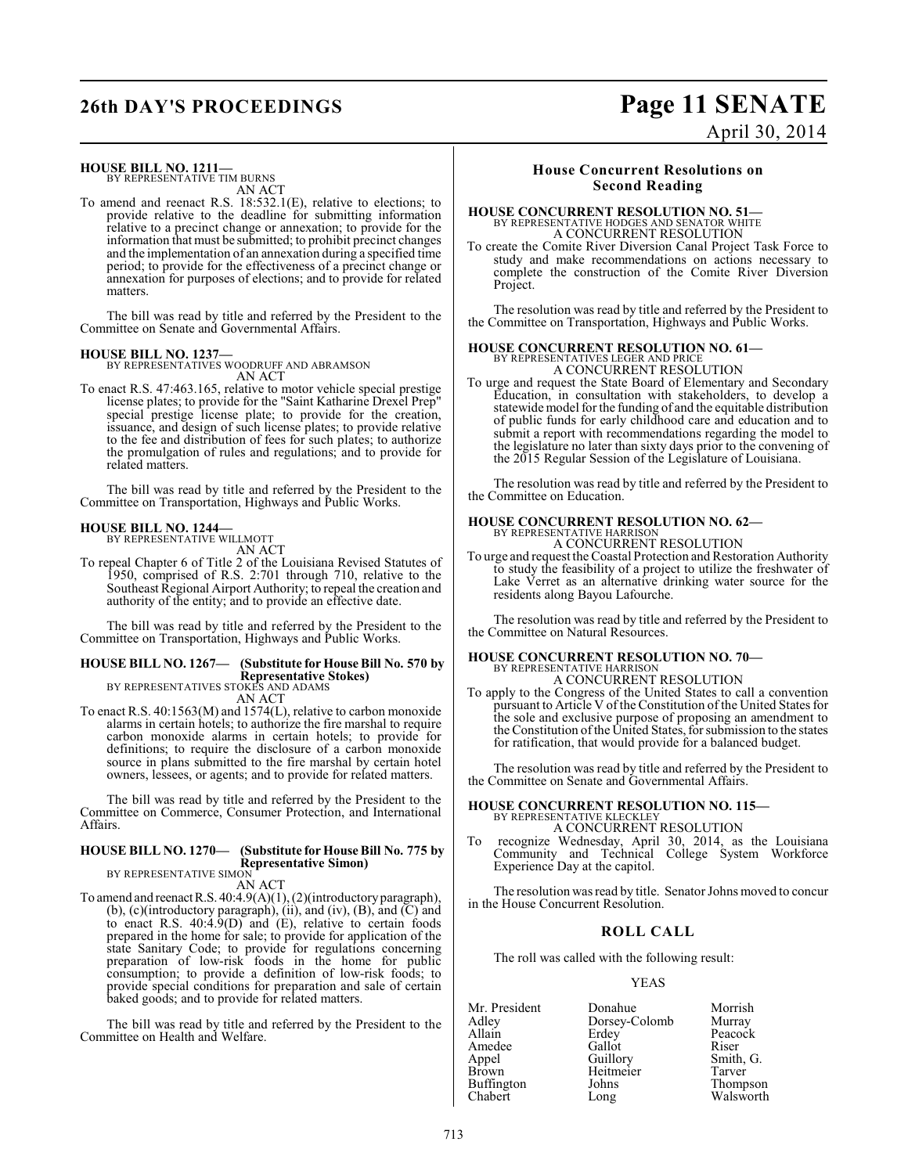#### **HOUSE BILL NO. 1211—**

BY REPRESENTATIVE TIM BURNS AN ACT

To amend and reenact R.S. 18:532.1(E), relative to elections; to provide relative to the deadline for submitting information relative to a precinct change or annexation; to provide for the information that must be submitted; to prohibit precinct changes and the implementation of an annexation during a specified time period; to provide for the effectiveness of a precinct change or annexation for purposes of elections; and to provide for related matters.

The bill was read by title and referred by the President to the Committee on Senate and Governmental Affairs.

**HOUSE BILL NO. 1237—** BY REPRESENTATIVES WOODRUFF AND ABRAMSON AN ACT

To enact R.S. 47:463.165, relative to motor vehicle special prestige license plates; to provide for the "Saint Katharine Drexel Prep" special prestige license plate; to provide for the creation, issuance, and design of such license plates; to provide relative to the fee and distribution of fees for such plates; to authorize the promulgation of rules and regulations; and to provide for related matters.

The bill was read by title and referred by the President to the Committee on Transportation, Highways and Public Works.

#### **HOUSE BILL NO. 1244—** BY REPRESENTATIVE WILLMOTT

AN ACT

To repeal Chapter 6 of Title 2 of the Louisiana Revised Statutes of 1950, comprised of R.S. 2:701 through 710, relative to the Southeast Regional Airport Authority; to repeal the creation and authority of the entity; and to provide an effective date.

The bill was read by title and referred by the President to the Committee on Transportation, Highways and Public Works.

#### **HOUSE BILL NO. 1267— (Substitute for House Bill No. 570 by Representative Stokes)** BY REPRESENTATIVES STOKES AND ADAMS

AN ACT

To enact R.S. 40:1563(M) and 1574(L), relative to carbon monoxide alarms in certain hotels; to authorize the fire marshal to require carbon monoxide alarms in certain hotels; to provide for definitions; to require the disclosure of a carbon monoxide source in plans submitted to the fire marshal by certain hotel owners, lessees, or agents; and to provide for related matters.

The bill was read by title and referred by the President to the Committee on Commerce, Consumer Protection, and International Affairs.

#### **HOUSE BILL NO. 1270— (Substitute for House Bill No. 775 by Representative Simon)**

BY REPRESENTATIVE SIMON

AN ACT

To amend and reenact R.S. 40:4.9(A)(1), (2)(introductory paragraph), (b), (c)(introductory paragraph), (ii), and (iv), (B), and (C) and to enact R.S. 40:4.9(D) and (E), relative to certain foods prepared in the home for sale; to provide for application of the state Sanitary Code; to provide for regulations concerning preparation of low-risk foods in the home for public consumption; to provide a definition of low-risk foods; to provide special conditions for preparation and sale of certain baked goods; and to provide for related matters.

The bill was read by title and referred by the President to the Committee on Health and Welfare.

## **House Concurrent Resolutions on Second Reading**

## **HOUSE CONCURRENT RESOLUTION NO. 51—** BY REPRESENTATIVE HODGES AND SENATOR WHITE A CONCURRENT RESOLUTION

To create the Comite River Diversion Canal Project Task Force to study and make recommendations on actions necessary to complete the construction of the Comite River Diversion Project.

The resolution was read by title and referred by the President to the Committee on Transportation, Highways and Public Works.

#### **HOUSE CONCURRENT RESOLUTION NO. 61—**

BY REPRESENTATIVES LEGER AND PRICE A CONCURRENT RESOLUTION

To urge and request the State Board of Elementary and Secondary Education, in consultation with stakeholders, to develop a statewide model for the funding of and the equitable distribution of public funds for early childhood care and education and to submit a report with recommendations regarding the model to the legislature no later than sixty days prior to the convening of the 2015 Regular Session of the Legislature of Louisiana.

The resolution was read by title and referred by the President to the Committee on Education.

# **HOUSE CONCURRENT RESOLUTION NO. 62—** BY REPRESENTATIVE HARRISON

A CONCURRENT RESOLUTION

To urge and request the Coastal Protection and Restoration Authority to study the feasibility of a project to utilize the freshwater of Lake Verret as an alternative drinking water source for the residents along Bayou Lafourche.

The resolution was read by title and referred by the President to the Committee on Natural Resources.

#### **HOUSE CONCURRENT RESOLUTION NO. 70—** BY REPRESENTATIVE HARRISON

A CONCURRENT RESOLUTION

To apply to the Congress of the United States to call a convention pursuant to Article V of the Constitution of the United States for the sole and exclusive purpose of proposing an amendment to the Constitution of the United States, for submission to the states for ratification, that would provide for a balanced budget.

The resolution was read by title and referred by the President to the Committee on Senate and Governmental Affairs.

#### **HOUSE CONCURRENT RESOLUTION NO. 115—** BY REPRESENTATIVE KLECKLEY A CONCURRENT RESOLUTION

recognize Wednesday, April 30, 2014, as the Louisiana Community and Technical College System Workforce Experience Day at the capitol.

The resolution was read by title. Senator Johns moved to concur in the House Concurrent Resolution.

#### **ROLL CALL**

The roll was called with the following result:

#### YEAS

| Mr. President | Donahue       | Morrish   |
|---------------|---------------|-----------|
| Adley         | Dorsey-Colomb | Murray    |
| Allain        | Erdey         | Peacock   |
| Amedee        | Gallot        | Riser     |
| Appel         | Guillory      | Smith, G. |
| <b>Brown</b>  | Heitmeier     | Tarver    |
| Buffington    | Johns         | Thompson  |
| Chabert       | Long          | Walsworth |

**26th DAY'S PROCEEDINGS Page 11 SENATE** April 30, 2014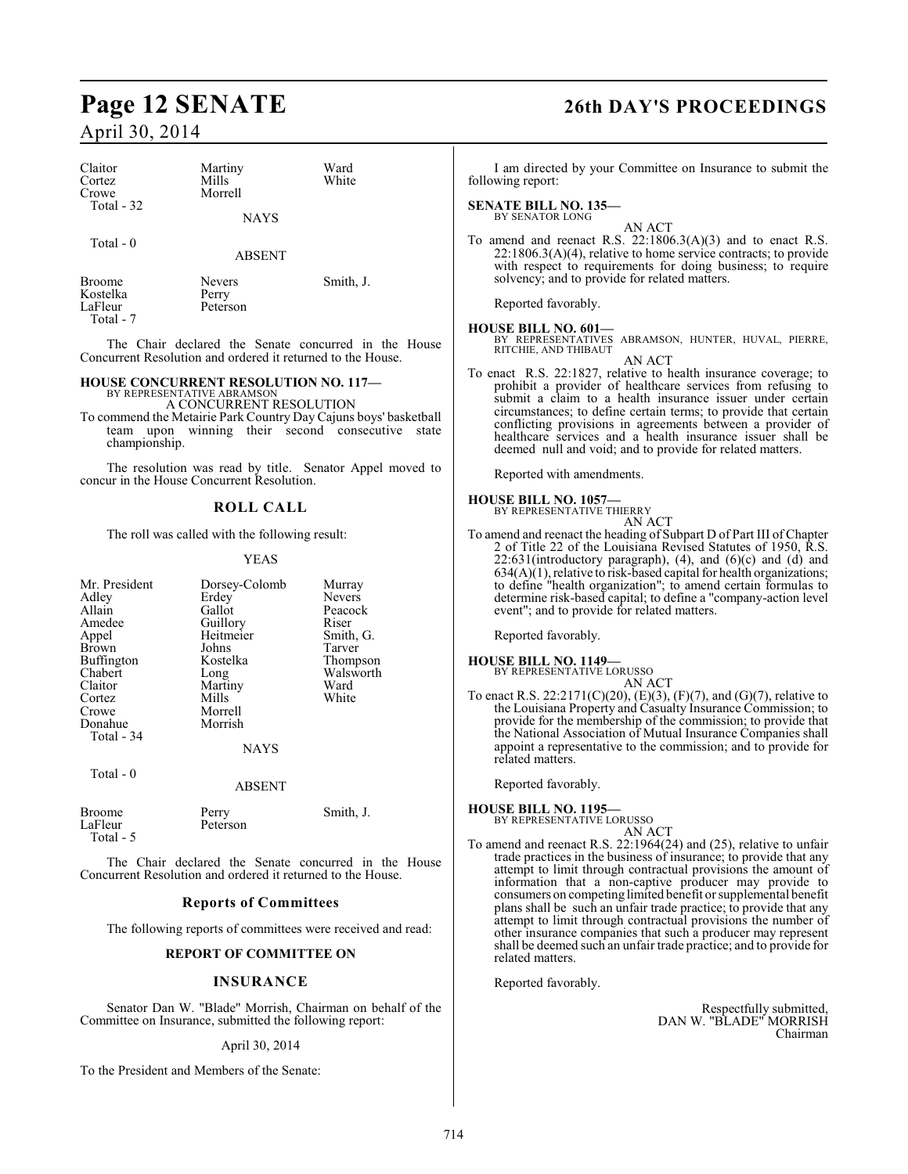| Claitor<br>Cortez<br>Crowe<br>Total - 32 | Martiny<br>Mills<br>Morrell | Ward<br>White |
|------------------------------------------|-----------------------------|---------------|
|                                          | <b>NAYS</b>                 |               |
| Total - 0                                | <b>ABSENT</b>               |               |

Broome Nevers Smith, J.<br>Kostelka Perry Kostelka<br>LaFleur Peterson Total - 7

The Chair declared the Senate concurred in the House Concurrent Resolution and ordered it returned to the House.

#### **HOUSE CONCURRENT RESOLUTION NO. 117—**

BY REPRESENTATIVE ABRAMSON A CONCURRENT RESOLUTION

To commend the Metairie Park Country Day Cajuns boys' basketball team upon winning their second consecutive state championship.

The resolution was read by title. Senator Appel moved to concur in the House Concurrent Resolution.

#### **ROLL CALL**

The roll was called with the following result:

#### YEAS

| Mr. President<br>Adley<br>Allain<br>Amedee<br>Appel<br>Brown<br>Buffington<br>Chabert<br>Claitor<br>Cortez<br>Crowe<br>Donahue<br>Total - 34<br>Total - 0 | Dorsey-Colomb<br>Erdey<br>Gallot<br>Guillory<br>Heitmeier<br>Johns<br>Kostelka<br>Long<br>Martiny<br>Mills<br>Morrell<br>Morrish<br><b>NAYS</b><br><b>ABSENT</b> | Murray<br><b>Nevers</b><br>Peacock<br>Riser<br>Smith, G.<br>Tarver<br>Thompson<br>Walsworth<br>Ward<br>White |
|-----------------------------------------------------------------------------------------------------------------------------------------------------------|------------------------------------------------------------------------------------------------------------------------------------------------------------------|--------------------------------------------------------------------------------------------------------------|
| <b>Broome</b><br>LaFleur<br>Total - 5                                                                                                                     | Perry<br>Peterson                                                                                                                                                | Smith, J.                                                                                                    |

The Chair declared the Senate concurred in the House Concurrent Resolution and ordered it returned to the House.

#### **Reports of Committees**

The following reports of committees were received and read:

#### **REPORT OF COMMITTEE ON**

#### **INSURANCE**

Senator Dan W. "Blade" Morrish, Chairman on behalf of the Committee on Insurance, submitted the following report:

#### April 30, 2014

To the President and Members of the Senate:

# **Page 12 SENATE 26th DAY'S PROCEEDINGS**

I am directed by your Committee on Insurance to submit the following report:

# **SENATE BILL NO. 135—**<br>BY SENATOR LONG

AN ACT To amend and reenact R.S. 22:1806.3(A)(3) and to enact R.S. 22:1806.3(A)(4), relative to home service contracts; to provide with respect to requirements for doing business; to require solvency; and to provide for related matters.

Reported favorably.

**HOUSE BILL NO. 601—** BY REPRESENTATIVES ABRAMSON, HUNTER, HUVAL, PIERRE, RITCHIE, AND THIBAUT AN ACT

To enact R.S. 22:1827, relative to health insurance coverage; to prohibit a provider of healthcare services from refusing to submit a claim to a health insurance issuer under certain circumstances; to define certain terms; to provide that certain conflicting provisions in agreements between a provider of healthcare services and a health insurance issuer shall be deemed null and void; and to provide for related matters.

Reported with amendments.

#### **HOUSE BILL NO. 1057—**

BY REPRESENTATIVE THIERRY AN ACT

To amend and reenact the heading of Subpart D of Part III of Chapter 2 of Title 22 of the Louisiana Revised Statutes of 1950, R.S.  $22:631$ (introductory paragraph), (4), and  $(6)(c)$  and  $(d)$  and  $634(A)(1)$ , relative to risk-based capital for health organizations; to define "health organization"; to amend certain formulas to determine risk-based capital; to define a "company-action level event"; and to provide for related matters.

Reported favorably.

**HOUSE BILL NO. 1149—** BY REPRESENTATIVE LORUSSO

AN ACT To enact R.S. 22:2171(C)(20), (E)(3), (F)(7), and (G)(7), relative to the Louisiana Property and Casualty Insurance Commission; to provide for the membership of the commission; to provide that the National Association of Mutual Insurance Companies shall appoint a representative to the commission; and to provide for related matters.

Reported favorably.

**HOUSE BILL NO. 1195—** BY REPRESENTATIVE LORUSSO

#### AN ACT

To amend and reenact R.S. 22:1964(24) and (25), relative to unfair trade practices in the business of insurance; to provide that any attempt to limit through contractual provisions the amount of information that a non-captive producer may provide to consumers on competing limited benefit or supplemental benefit plans shall be such an unfair trade practice; to provide that any attempt to limit through contractual provisions the number of other insurance companies that such a producer may represent shall be deemed such an unfair trade practice; and to provide for related matters.

Reported favorably.

Respectfully submitted, DAN W. "BLADE" MORRISH Chairman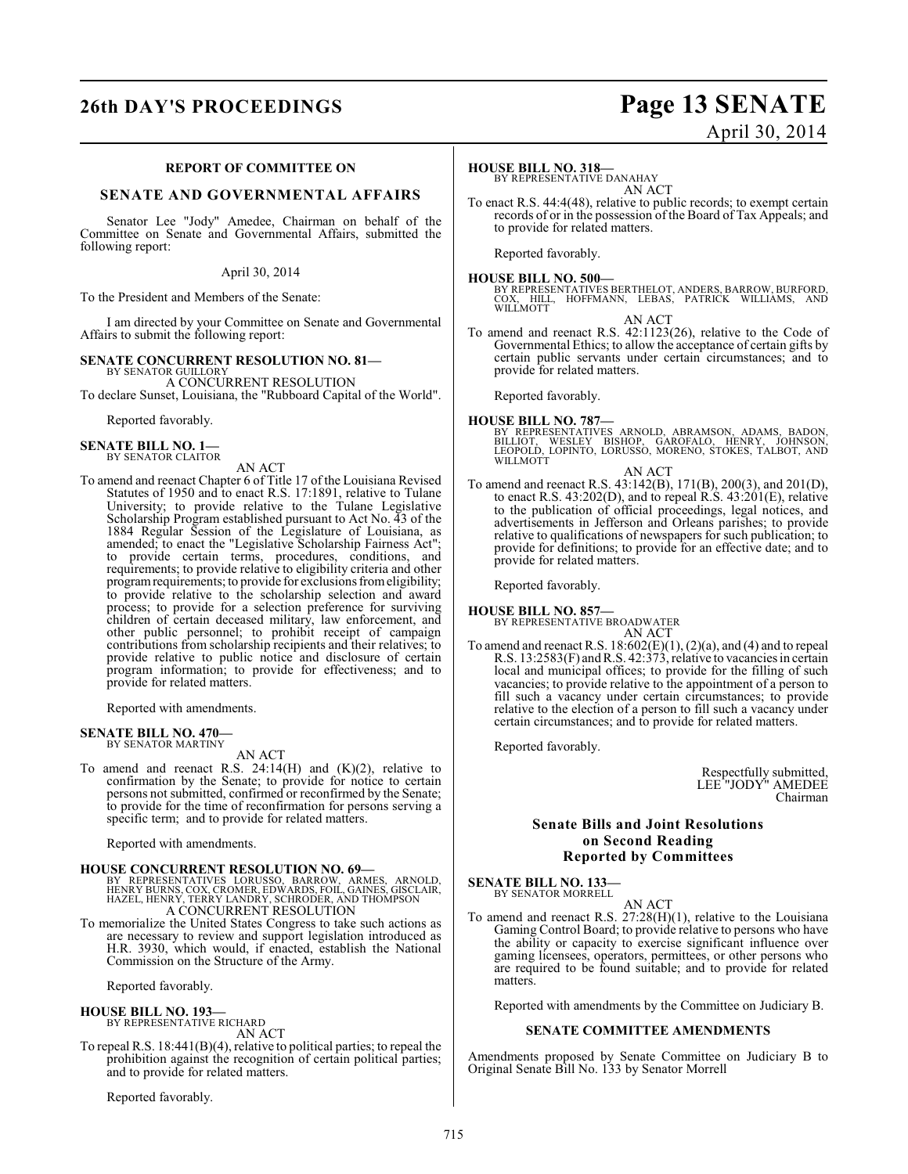# **26th DAY'S PROCEEDINGS Page 13 SENATE**

# April 30, 2014

#### **REPORT OF COMMITTEE ON**

### **SENATE AND GOVERNMENTAL AFFAIRS**

Senator Lee "Jody" Amedee, Chairman on behalf of the Committee on Senate and Governmental Affairs, submitted the following report:

#### April 30, 2014

To the President and Members of the Senate:

I am directed by your Committee on Senate and Governmental Affairs to submit the following report:

# **SENATE CONCURRENT RESOLUTION NO. 81—** BY SENATOR GUILLORY

A CONCURRENT RESOLUTION

To declare Sunset, Louisiana, the "Rubboard Capital of the World".

Reported favorably.

#### **SENATE BILL NO. 1—** BY SENATOR CLAITOR

AN ACT

To amend and reenact Chapter 6 of Title 17 of the Louisiana Revised Statutes of 1950 and to enact R.S. 17:1891, relative to Tulane University; to provide relative to the Tulane Legislative Scholarship Program established pursuant to Act No. 43 of the 1884 Regular Session of the Legislature of Louisiana, as amended; to enact the "Legislative Scholarship Fairness Act"; to provide certain terms, procedures, conditions, and requirements; to provide relative to eligibility criteria and other program requirements; to provide for exclusions from eligibility; to provide relative to the scholarship selection and award process; to provide for a selection preference for surviving children of certain deceased military, law enforcement, and other public personnel; to prohibit receipt of campaign contributions from scholarship recipients and their relatives; to provide relative to public notice and disclosure of certain program information; to provide for effectiveness; and to provide for related matters.

Reported with amendments.

# **SENATE BILL NO. 470—** BY SENATOR MARTINY

AN ACT

To amend and reenact R.S.  $24:14(H)$  and  $(K)(2)$ , relative to confirmation by the Senate; to provide for notice to certain persons not submitted, confirmed or reconfirmed by the Senate; to provide for the time of reconfirmation for persons serving a specific term; and to provide for related matters.

Reported with amendments.

#### **HOUSE CONCURRENT RESOLUTION NO. 69—**

BY REPRESENTATIVES LORUSSO, BARROW, ARMES, ARNOLD,<br>HENRYBURNS, COX, CROMER, EDWARDS, FOIL, GAINES, GISCLAIR,<br>HAZEL, HENRY, TERRY LANDRY, SCHRODER, AND THOMPSON<br>A CONCURRENT RESOLUTION

To memorialize the United States Congress to take such actions as are necessary to review and support legislation introduced as H.R. 3930, which would, if enacted, establish the National Commission on the Structure of the Army.

Reported favorably.

#### **HOUSE BILL NO. 193—**

BY REPRESENTATIVE RICHARD

AN ACT

To repeal R.S. 18:441(B)(4), relative to political parties; to repeal the prohibition against the recognition of certain political parties; and to provide for related matters.

Reported favorably.

#### **HOUSE BILL NO. 318—**

BY REPRESENTATIVE DANAHAY AN ACT

To enact R.S. 44:4(48), relative to public records; to exempt certain records of or in the possession of the Board of Tax Appeals; and to provide for related matters.

Reported favorably.

#### **HOUSE BILL NO. 500—**

BY REPRESENTATIVES BERTHELOT, ANDERS, BARROW, BURFORD,<br>COX, HILL, HOFFMANN, LEBAS, PATRICK WILLIAMS, AND<br>WILLMOTT

AN ACT

To amend and reenact R.S. 42:1123(26), relative to the Code of Governmental Ethics; to allow the acceptance of certain gifts by certain public servants under certain circumstances; and to provide for related matters.

Reported favorably.

#### **HOUSE BILL NO. 787—**

BY REPRESENTATIVES ARNOLD, ABRAMSON, ADAMS, BADON,<br>BILLIOT, WESLEY BISHOP, GAROFALO, HENRY, JOHNSON,<br>LEOPOLD, LOPINTO, LORUSSO, MORENO, STOKES, TALBOT, AND WILLMOTT AN ACT

To amend and reenact R.S. 43:142(B), 171(B), 200(3), and 201(D), to enact R.S. 43:202(D), and to repeal R.S. 43:201(E), relative to the publication of official proceedings, legal notices, and advertisements in Jefferson and Orleans parishes; to provide relative to qualifications of newspapers for such publication; to provide for definitions; to provide for an effective date; and to provide for related matters.

Reported favorably.

**HOUSE BILL NO. 857—** BY REPRESENTATIVE BROADWATER AN ACT

To amend and reenact R.S.  $18:602(E)(1)$ ,  $(2)(a)$ , and  $(4)$  and to repeal R.S. 13:2583(F) and R.S. 42:373, relative to vacancies in certain local and municipal offices; to provide for the filling of such vacancies; to provide relative to the appointment of a person to fill such a vacancy under certain circumstances; to provide relative to the election of a person to fill such a vacancy under certain circumstances; and to provide for related matters.

Reported favorably.

Respectfully submitted, LEE "JODY" AMEDEE Chairman

#### **Senate Bills and Joint Resolutions on Second Reading Reported by Committees**

**SENATE BILL NO. 133—** BY SENATOR MORRELL

AN ACT

To amend and reenact R.S.  $27:28(H)(1)$ , relative to the Louisiana Gaming Control Board; to provide relative to persons who have the ability or capacity to exercise significant influence over gaming licensees, operators, permittees, or other persons who are required to be found suitable; and to provide for related matters.

Reported with amendments by the Committee on Judiciary B.

#### **SENATE COMMITTEE AMENDMENTS**

Amendments proposed by Senate Committee on Judiciary B to Original Senate Bill No. 133 by Senator Morrell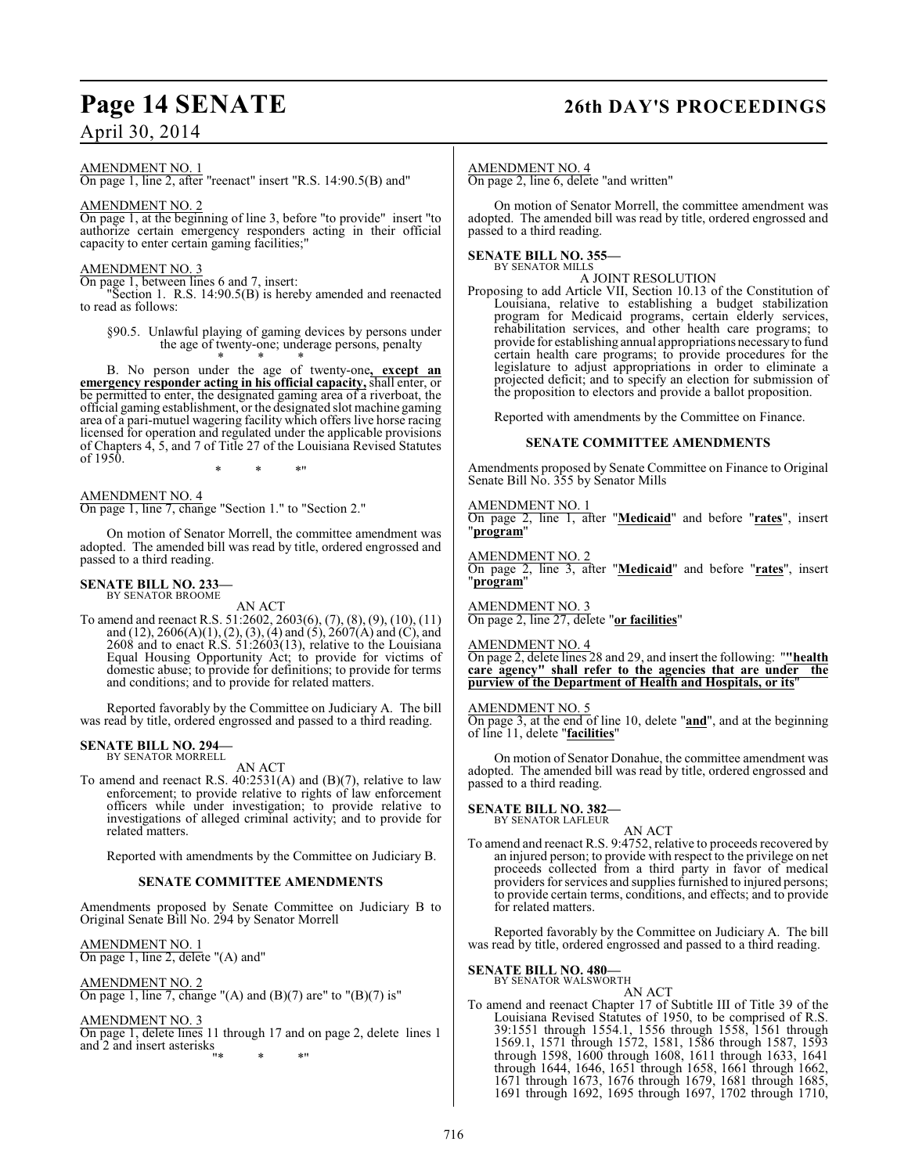# **Page 14 SENATE 26th DAY'S PROCEEDINGS**

# April 30, 2014

AMENDMENT NO. 1

On page 1, line 2, after "reenact" insert "R.S. 14:90.5(B) and"

#### AMENDMENT NO. 2

On page 1, at the beginning of line 3, before "to provide" insert "to authorize certain emergency responders acting in their official capacity to enter certain gaming facilities;"

#### AMENDMENT NO. 3

On page 1, between lines 6 and 7, insert:

"Section 1. R.S. 14:90.5(B) is hereby amended and reenacted to read as follows:

§90.5. Unlawful playing of gaming devices by persons under the age of twenty-one; underage persons, penalty \* \* \*

B. No person under the age of twenty-one**, except an emergency responder acting in his official capacity,** shall enter, or be permitted to enter, the designated gaming area of a riverboat, the official gaming establishment, or the designated slot machine gaming area of a pari-mutuel wagering facility which offers live horse racing licensed for operation and regulated under the applicable provisions of Chapters 4, 5, and 7 of Title 27 of the Louisiana Revised Statutes of 1950.

\* \* \*"

AMENDMENT NO. 4 On page 1, line 7, change "Section 1." to "Section 2."

On motion of Senator Morrell, the committee amendment was adopted. The amended bill was read by title, ordered engrossed and passed to a third reading.

# **SENATE BILL NO. 233—** BY SENATOR BROOME

AN ACT To amend and reenact R.S. 51:2602, 2603(6), (7), (8), (9), (10), (11) and (12), 2606(A)(1), (2), (3), (4) and (5), 2607(A) and (C), and  $2608$  and to enact R.S.  $51:2603(13)$ , relative to the Louisiana Equal Housing Opportunity Act; to provide for victims of domestic abuse; to provide for definitions; to provide for terms and conditions; and to provide for related matters.

Reported favorably by the Committee on Judiciary A. The bill was read by title, ordered engrossed and passed to a third reading.

#### **SENATE BILL NO. 294—** BY SENATOR MORRELL

AN ACT

To amend and reenact R.S.  $40:2531(A)$  and  $(B)(7)$ , relative to law enforcement; to provide relative to rights of law enforcement officers while under investigation; to provide relative to investigations of alleged criminal activity; and to provide for related matters.

Reported with amendments by the Committee on Judiciary B.

#### **SENATE COMMITTEE AMENDMENTS**

Amendments proposed by Senate Committee on Judiciary B to Original Senate Bill No. 294 by Senator Morrell

AMENDMENT NO. 1 On page 1, line 2, delete "(A) and"

AMENDMENT NO. 2 On page 1, line 7, change "(A) and (B)(7) are" to "(B)(7) is"

AMENDMENT NO. 3 On page 1, delete lines 11 through 17 and on page 2, delete lines 1 and 2 and insert asterisks "\* \* \*"

AMENDMENT NO. 4

On page 2, line 6, delete "and written"

On motion of Senator Morrell, the committee amendment was adopted. The amended bill was read by title, ordered engrossed and passed to a third reading.

#### **SENATE BILL NO. 355—** BY SENATOR MILLS

A JOINT RESOLUTION

Proposing to add Article VII, Section 10.13 of the Constitution of Louisiana, relative to establishing a budget stabilization program for Medicaid programs, certain elderly services, rehabilitation services, and other health care programs; to provide for establishing annual appropriations necessary to fund certain health care programs; to provide procedures for the legislature to adjust appropriations in order to eliminate a projected deficit; and to specify an election for submission of the proposition to electors and provide a ballot proposition.

Reported with amendments by the Committee on Finance.

#### **SENATE COMMITTEE AMENDMENTS**

Amendments proposed by Senate Committee on Finance to Original Senate Bill No. 355 by Senator Mills

## AMENDMENT NO. 1

On page 2, line 1, after "**Medicaid**" and before "**rates**", insert "**program**"

AMENDMENT NO. 2

On page 2, line 3, after "**Medicaid**" and before "**rates**", insert "**program**"

AMENDMENT NO. 3 On page 2, line 27, delete "**or facilities**"

#### AMENDMENT NO. 4

On page 2, delete lines 28 and 29, and insert the following: "**"health care agency" shall refer to the agencies that are under the purview of the Department of Health and Hospitals, or its**"

#### AMENDMENT NO. 5

On page 3, at the end of line 10, delete "**and**", and at the beginning of line 11, delete "**facilities**"

On motion of Senator Donahue, the committee amendment was adopted. The amended bill was read by title, ordered engrossed and passed to a third reading.

**SENATE BILL NO. 382—** BY SENATOR LAFLEUR

AN ACT

To amend and reenact R.S. 9:4752, relative to proceeds recovered by an injured person; to provide with respect to the privilege on net proceeds collected from a third party in favor of medical providers for services and supplies furnished to injured persons; to provide certain terms, conditions, and effects; and to provide for related matters.

Reported favorably by the Committee on Judiciary A. The bill was read by title, ordered engrossed and passed to a third reading.

#### **SENATE BILL NO. 480—**

BY SENATOR WALSWORTH

AN ACT To amend and reenact Chapter 17 of Subtitle III of Title 39 of the Louisiana Revised Statutes of 1950, to be comprised of R.S. 39:1551 through 1554.1, 1556 through 1558, 1561 through 1569.1, 1571 through 1572, 1581, 1586 through 1587, 1593 through 1598, 1600 through 1608, 1611 through 1633, 1641 through 1644, 1646, 1651 through 1658, 1661 through 1662, 1671 through 1673, 1676 through 1679, 1681 through 1685, 1691 through 1692, 1695 through 1697, 1702 through 1710,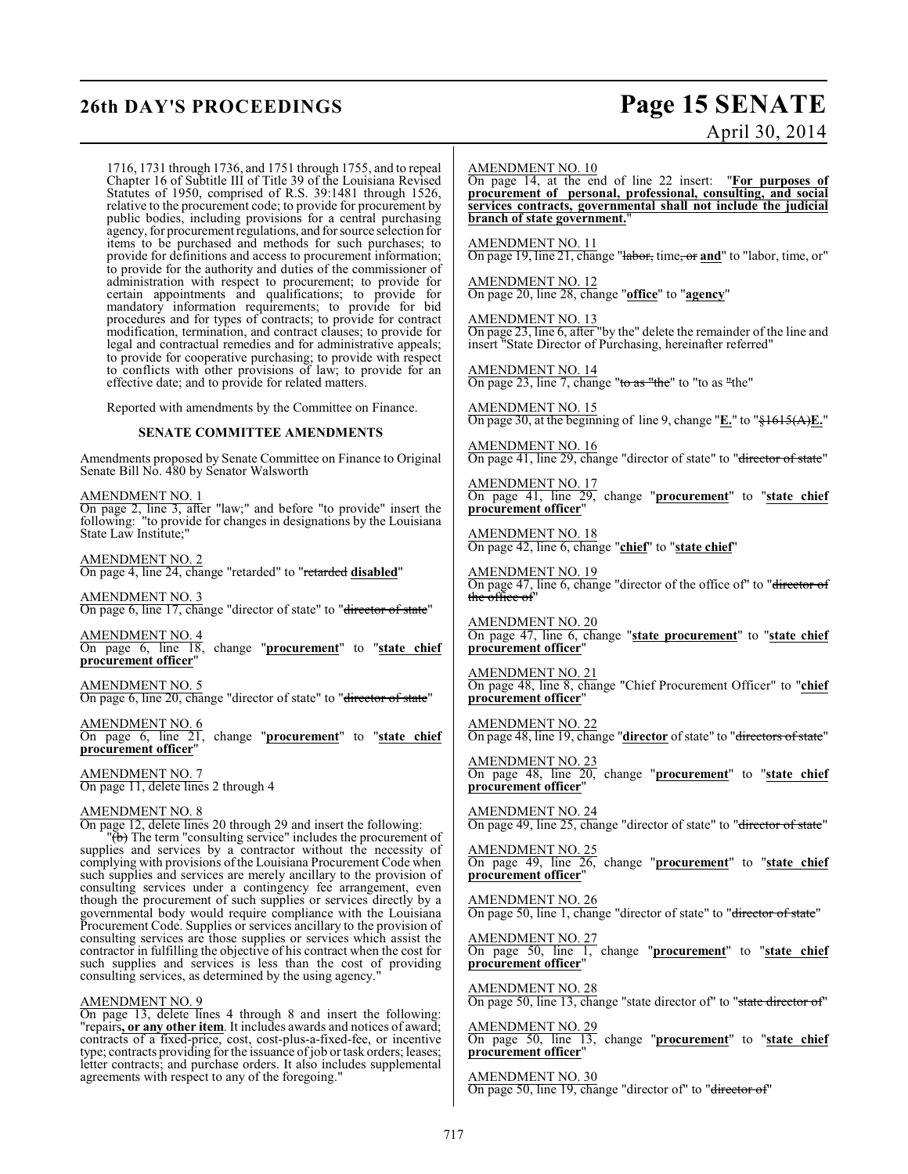# **26th DAY'S PROCEEDINGS Page 15 SENATE** April 30, 2014

1716, 1731 through 1736, and 1751 through 1755, and to repeal Chapter 16 of Subtitle III of Title 39 of the Louisiana Revised Statutes of 1950, comprised of R.S. 39:1481 through 1526, relative to the procurement code; to provide for procurement by public bodies, including provisions for a central purchasing agency, for procurement regulations, and for source selection for items to be purchased and methods for such purchases; to provide for definitions and access to procurement information; to provide for the authority and duties of the commissioner of administration with respect to procurement; to provide for certain appointments and qualifications; to provide for mandatory information requirements; to provide for bid procedures and for types of contracts; to provide for contract modification, termination, and contract clauses; to provide for legal and contractual remedies and for administrative appeals; to provide for cooperative purchasing; to provide with respect to conflicts with other provisions of law; to provide for an effective date; and to provide for related matters.

Reported with amendments by the Committee on Finance.

#### **SENATE COMMITTEE AMENDMENTS**

Amendments proposed by Senate Committee on Finance to Original Senate Bill No. 480 by Senator Walsworth

AMENDMENT NO. 1

On page 2, line 3, after "law;" and before "to provide" insert the following: "to provide for changes in designations by the Louisiana State Law Institute;"

AMENDMENT NO. 2 On page 4, line 24, change "retarded" to "retarded **disabled**"

AMENDMENT NO. 3 On page 6, line 17, change "director of state" to "director of state"

AMENDMENT NO. 4 On page 6, line 18, change "**procurement**" to "**state chief procurement officer**"

AMENDMENT NO. 5 On page 6, line 20, change "director of state" to "director of state"

AMENDMENT NO. 6 On page 6, line 21, change "**procurement**" to "**state chief procurement officer**"

AMENDMENT NO. 7 On page 11, delete lines 2 through 4

#### AMENDMENT NO. 8

On page 12, delete lines 20 through 29 and insert the following:

 $\overline{b}$ ) The term "consulting service" includes the procurement of supplies and services by a contractor without the necessity of complying with provisions of the Louisiana Procurement Code when such supplies and services are merely ancillary to the provision of consulting services under a contingency fee arrangement, even though the procurement of such supplies or services directly by a governmental body would require compliance with the Louisiana Procurement Code. Supplies or services ancillary to the provision of consulting services are those supplies or services which assist the contractor in fulfilling the objective of his contract when the cost for such supplies and services is less than the cost of providing consulting services, as determined by the using agency.

#### AMENDMENT NO. 9

On page 13, delete lines 4 through 8 and insert the following: "repairs**, or any other item**. It includes awards and notices of award; contracts of a fixed-price, cost, cost-plus-a-fixed-fee, or incentive type; contracts providing for the issuance of job or task orders; leases; letter contracts; and purchase orders. It also includes supplemental agreements with respect to any of the foregoing."

#### AMENDMENT NO. 10

On page 14, at the end of line 22 insert: "**For purposes of procurement of personal, professional, consulting, and social services contracts, governmental shall not include the judicial branch of state government.**"

AMENDMENT NO. 11 On page 19, line 21, change "labor, time, or **and**" to "labor, time, or"

AMENDMENT NO. 12 On page 20, line 28, change "**office**" to "**agency**"

AMENDMENT NO. 13

On page 23, line 6, after "by the" delete the remainder of the line and insert "State Director of Purchasing, hereinafter referred"

AMENDMENT NO. 14 On page 23, line 7, change "to as "the" to "to as "the"

AMENDMENT NO. 15 On page 30, at the beginning of line 9, change "**E.**" to "§1615(A)**E.**"

AMENDMENT NO. 16 On page 41, line 29, change "director of state" to "<del>director of state</del>"

AMENDMENT NO. 17 On page 41, line 29, change "**procurement**" to "**state chief procurement officer**"

AMENDMENT NO. 18 On page 42, line 6, change "**chief**" to "**state chief**"

AMENDMENT NO. 19 On page 47, line 6, change "director of the office of" to "<del>director of</del> the office of"

AMENDMENT NO. 20 On page 47, line 6, change "**state procurement**" to "**state chief procurement officer**"

AMENDMENT NO. 21 On page 48, line 8, change "Chief Procurement Officer" to "**chief procurement officer**"

AMENDMENT NO. 22 On page 48, line 19, change "**director** of state" to "directors of state"

AMENDMENT NO. 23 On page 48, line 20, change "**procurement**" to "**state chief procurement officer**"

AMENDMENT NO. 24 On page 49, line 25, change "director of state" to "director of state"

AMENDMENT NO. 25 On page 49, line 26, change "**procurement**" to "**state chief procurement officer**"

AMENDMENT NO. 26 On page 50, line 1, change "director of state" to "<del>director of state</del>"

AMENDMENT NO. 27 On page 50, line 1, change "**procurement**" to "**state chief procurement officer**"

AMENDMENT NO. 28 On page 50, line 13, change "state director of" to "state director of"

AMENDMENT NO. 29 On page 50, line 13, change "**procurement**" to "**state chief procurement officer**"

AMENDMENT NO. 30 On page 50, line 19, change "director of" to "director of"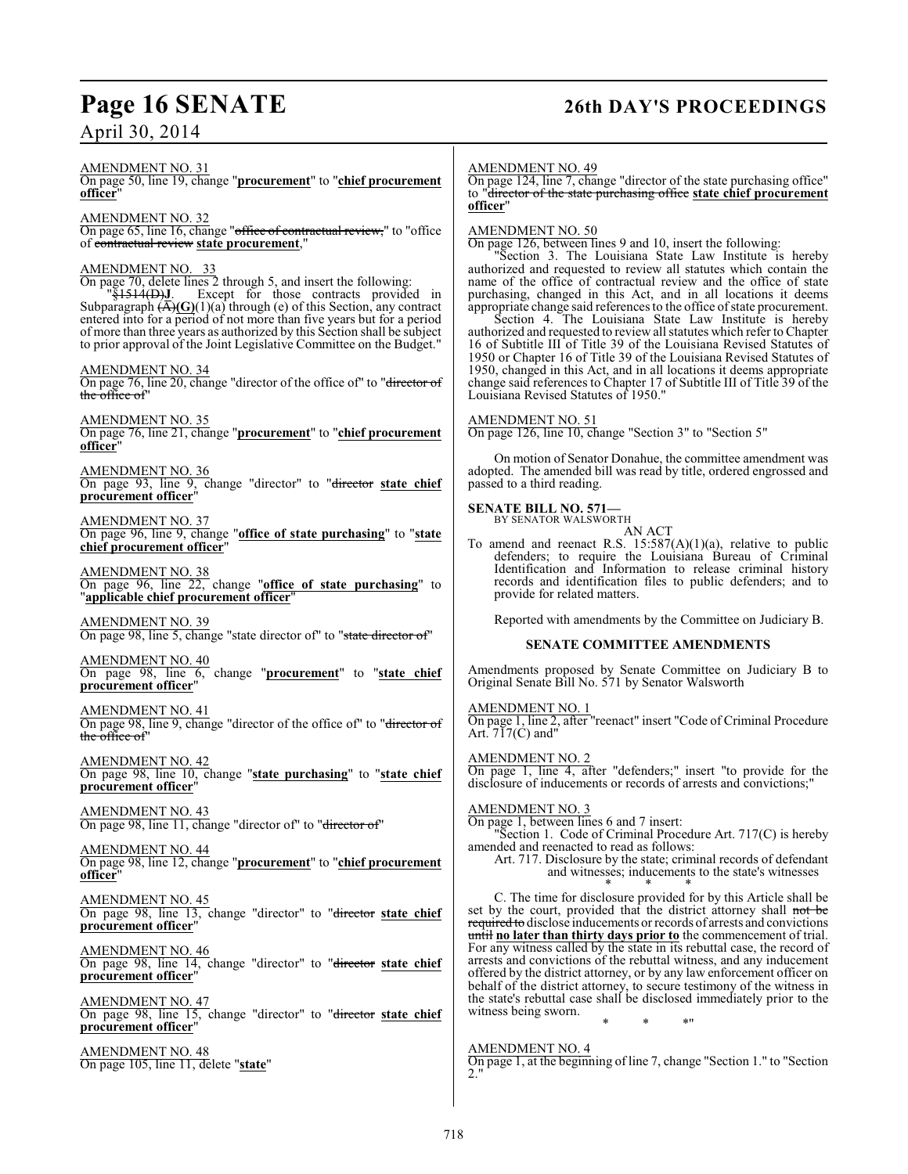# **Page 16 SENATE 26th DAY'S PROCEEDINGS**

April 30, 2014

AMENDMENT NO. 31

On page 50, line 19, change "**procurement**" to "**chief procurement officer**"

AMENDMENT NO. 32

On page 65, line 16, change "office of contractual review," to "office of contractual review **state procurement**,"

#### AMENDMENT NO. 33

On page 70, delete lines 2 through 5, and insert the following:

"§1514(D)**J**. Except for those contracts provided in Subparagraph (A)**(G)**(1)(a) through (e) of this Section, any contract entered into for a period of not more than five years but for a period of more than three years as authorized by this Section shall be subject to prior approval of the Joint Legislative Committee on the Budget."

#### AMENDMENT NO. 34

On page 76, line 20, change "director of the office of" to "director of the office of"

AMENDMENT NO. 35 On page 76, line 21, change "**procurement**" to "**chief procurement officer**"

AMENDMENT NO. 36 On page 93, line 9, change "director" to "director **state chief procurement officer**"

AMENDMENT NO. 37 On page 96, line 9, change "**office of state purchasing**" to "**state chief procurement officer**"

#### AMENDMENT NO. 38

On page 96, line 22, change "**office of state purchasing**" to "**applicable chief procurement officer**"

AMENDMENT NO. 39 On page 98, line 5, change "state director of" to "state director of"

AMENDMENT NO. 40 On page 98, line 6, change "**procurement**" to "**state chief procurement officer**"

#### AMENDMENT NO. 41

On page 98, line 9, change "director of the office of" to "director of the office of"

AMENDMENT NO. 42 On page 98, line 10, change "**state purchasing**" to "**state chief procurement officer**"

AMENDMENT NO. 43 On page 98, line 11, change "director of" to "director of"

AMENDMENT NO. 44 On page 98, line 12, change "**procurement**" to "**chief procurement officer**"

AMENDMENT NO. 45 On page 98, line 13, change "director" to "director **state chief procurement officer**"

AMENDMENT NO. 46 On page 98, line 14, change "director" to "director **state chief procurement officer**"

AMENDMENT NO. 47 On page 98, line 15, change "director" to "director **state chief procurement officer**"

AMENDMENT NO. 48 On page 105, line 11, delete "**state**"

#### AMENDMENT NO. 49

On page 124, line 7, change "director of the state purchasing office" to "director of the state purchasing office **state chief procurement officer**"

#### AMENDMENT NO. 50

On page 126, between lines 9 and 10, insert the following:

"Section 3. The Louisiana State Law Institute is hereby authorized and requested to review all statutes which contain the name of the office of contractual review and the office of state purchasing, changed in this Act, and in all locations it deems appropriate change said references to the office of state procurement.

Section 4. The Louisiana State Law Institute is hereby authorized and requested to review all statutes which refer to Chapter 16 of Subtitle III of Title 39 of the Louisiana Revised Statutes of 1950 or Chapter 16 of Title 39 of the Louisiana Revised Statutes of 1950, changed in this Act, and in all locations it deems appropriate change said references to Chapter 17 of Subtitle III of Title 39 of the Louisiana Revised Statutes of 1950."

#### AMENDMENT NO. 51

On page 126, line 10, change "Section 3" to "Section 5"

On motion of Senator Donahue, the committee amendment was adopted. The amended bill was read by title, ordered engrossed and passed to a third reading.

# **SENATE BILL NO. 571—**<br>BY SENATOR WALSWORTH

AN ACT

To amend and reenact R.S.  $15:587(A)(1)(a)$ , relative to public defenders; to require the Louisiana Bureau of Criminal Identification and Information to release criminal history records and identification files to public defenders; and to provide for related matters.

Reported with amendments by the Committee on Judiciary B.

#### **SENATE COMMITTEE AMENDMENTS**

Amendments proposed by Senate Committee on Judiciary B to Original Senate Bill No. 571 by Senator Walsworth

#### AMENDMENT NO. 1

On page 1, line 2, after "reenact" insert "Code of Criminal Procedure Art. 717(C) and"

#### AMENDMENT NO. 2

On page 1, line 4, after "defenders;" insert "to provide for the disclosure of inducements or records of arrests and convictions;"

AMENDMENT NO. 3

On page 1, between lines 6 and 7 insert:

"Section 1. Code of Criminal Procedure Art. 717(C) is hereby amended and reenacted to read as follows:

Art. 717. Disclosure by the state; criminal records of defendant and witnesses; inducements to the state's witnesses \* \* \*

C. The time for disclosure provided for by this Article shall be set by the court, provided that the district attorney shall not be required to disclose inducements or records of arrests and convictions until **no later than thirty days prior to** the commencement of trial. For any witness called by the state in its rebuttal case, the record of arrests and convictions of the rebuttal witness, and any inducement offered by the district attorney, or by any law enforcement officer on behalf of the district attorney, to secure testimony of the witness in the state's rebuttal case shall be disclosed immediately prior to the witness being sworn.

\* \* \*"

### AMENDMENT NO. 4

On page 1, at the beginning of line 7, change "Section 1." to "Section 2."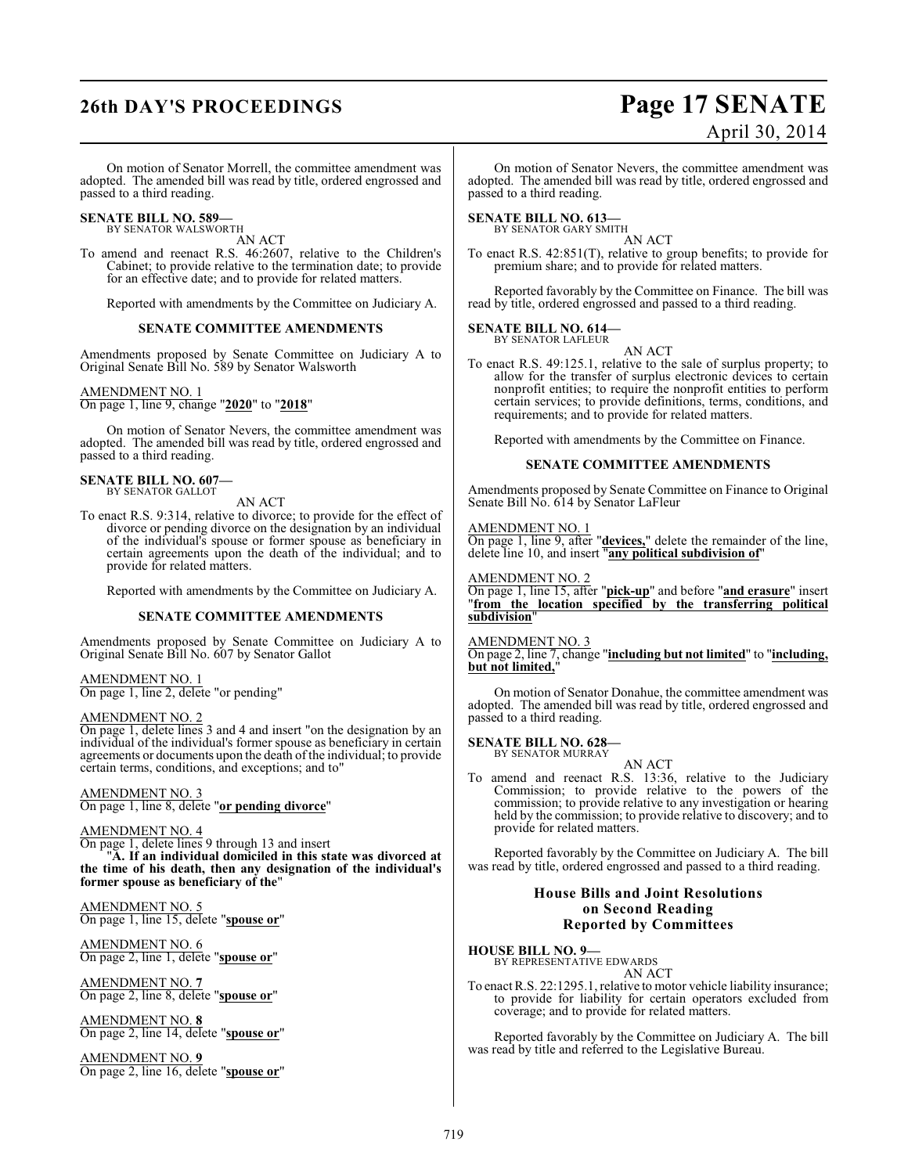# **26th DAY'S PROCEEDINGS Page 17 SENATE**

# April 30, 2014

On motion of Senator Morrell, the committee amendment was adopted. The amended bill was read by title, ordered engrossed and passed to a third reading.

## **SENATE BILL NO. 589—**

BY SENATOR WALSWORTH AN ACT

To amend and reenact R.S. 46:2607, relative to the Children's Cabinet; to provide relative to the termination date; to provide for an effective date; and to provide for related matters.

Reported with amendments by the Committee on Judiciary A.

#### **SENATE COMMITTEE AMENDMENTS**

Amendments proposed by Senate Committee on Judiciary A to Original Senate Bill No. 589 by Senator Walsworth

#### AMENDMENT NO. 1

On page 1, line 9, change "**2020**" to "**2018**"

On motion of Senator Nevers, the committee amendment was adopted. The amended bill was read by title, ordered engrossed and passed to a third reading.

### **SENATE BILL NO. 607—**

BY SENATOR GALLOT

- AN ACT
- To enact R.S. 9:314, relative to divorce; to provide for the effect of divorce or pending divorce on the designation by an individual of the individual's spouse or former spouse as beneficiary in certain agreements upon the death of the individual; and to provide for related matters.

Reported with amendments by the Committee on Judiciary A.

#### **SENATE COMMITTEE AMENDMENTS**

Amendments proposed by Senate Committee on Judiciary A to Original Senate Bill No. 607 by Senator Gallot

#### AMENDMENT NO. 1 On page 1, line 2, delete "or pending"

AMENDMENT NO. 2

On page 1, delete lines 3 and 4 and insert "on the designation by an individual of the individual's former spouse as beneficiary in certain agreements or documents upon the death of the individual; to provide certain terms, conditions, and exceptions; and to"

#### AMENDMENT NO. 3

On page 1, line 8, delete "**or pending divorce**"

#### AMENDMENT NO. 4

On page 1, delete lines 9 through 13 and insert

"**A. If an individual domiciled in this state was divorced at the time of his death, then any designation of the individual's former spouse as beneficiary of the**"

AMENDMENT NO. 5 On page 1, line 15, delete "**spouse or**"

AMENDMENT NO. 6 On page 2, line 1, delete "**spouse or**"

AMENDMENT NO. **7** On page 2, line 8, delete "**spouse or**"

AMENDMENT NO. **8** On page 2, line 14, delete "**spouse or**"

AMENDMENT NO. **9** On page 2, line 16, delete "**spouse or**"

On motion of Senator Nevers, the committee amendment was adopted. The amended bill was read by title, ordered engrossed and passed to a third reading.

#### **SENATE BILL NO. 613—**

BY SENATOR GARY SMITH AN ACT

To enact R.S. 42:851(T), relative to group benefits; to provide for premium share; and to provide for related matters.

Reported favorably by the Committee on Finance. The bill was read by title, ordered engrossed and passed to a third reading.

#### **SENATE BILL NO. 614—** BY SENATOR LAFLEUR

AN ACT

To enact R.S. 49:125.1, relative to the sale of surplus property; to allow for the transfer of surplus electronic devices to certain nonprofit entities; to require the nonprofit entities to perform certain services; to provide definitions, terms, conditions, and requirements; and to provide for related matters.

Reported with amendments by the Committee on Finance.

#### **SENATE COMMITTEE AMENDMENTS**

Amendments proposed by Senate Committee on Finance to Original Senate Bill No. 614 by Senator LaFleur

#### AMENDMENT NO. 1

On page 1, line 9, after "**devices,**" delete the remainder of the line, delete line 10, and insert "**any political subdivision of**"

#### AMENDMENT NO. 2

On page 1, line 15, after "**pick-up**" and before "**and erasure**" insert "**from the location specified by the transferring political subdivision**"

AMENDMENT NO. 3

On page 2, line 7, change "**including but not limited**" to "**including, but not limited,**"

On motion of Senator Donahue, the committee amendment was adopted. The amended bill was read by title, ordered engrossed and passed to a third reading.

**SENATE BILL NO. 628—** BY SENATOR MURRAY

AN ACT

To amend and reenact R.S. 13:36, relative to the Judiciary Commission; to provide relative to the powers of the commission; to provide relative to any investigation or hearing held by the commission; to provide relative to discovery; and to provide for related matters.

Reported favorably by the Committee on Judiciary A. The bill was read by title, ordered engrossed and passed to a third reading.

#### **House Bills and Joint Resolutions on Second Reading Reported by Committees**

**HOUSE BILL NO. 9—**

BY REPRESENTATIVE EDWARDS AN ACT

To enact R.S. 22:1295.1, relative to motor vehicle liability insurance; to provide for liability for certain operators excluded from coverage; and to provide for related matters.

Reported favorably by the Committee on Judiciary A. The bill was read by title and referred to the Legislative Bureau.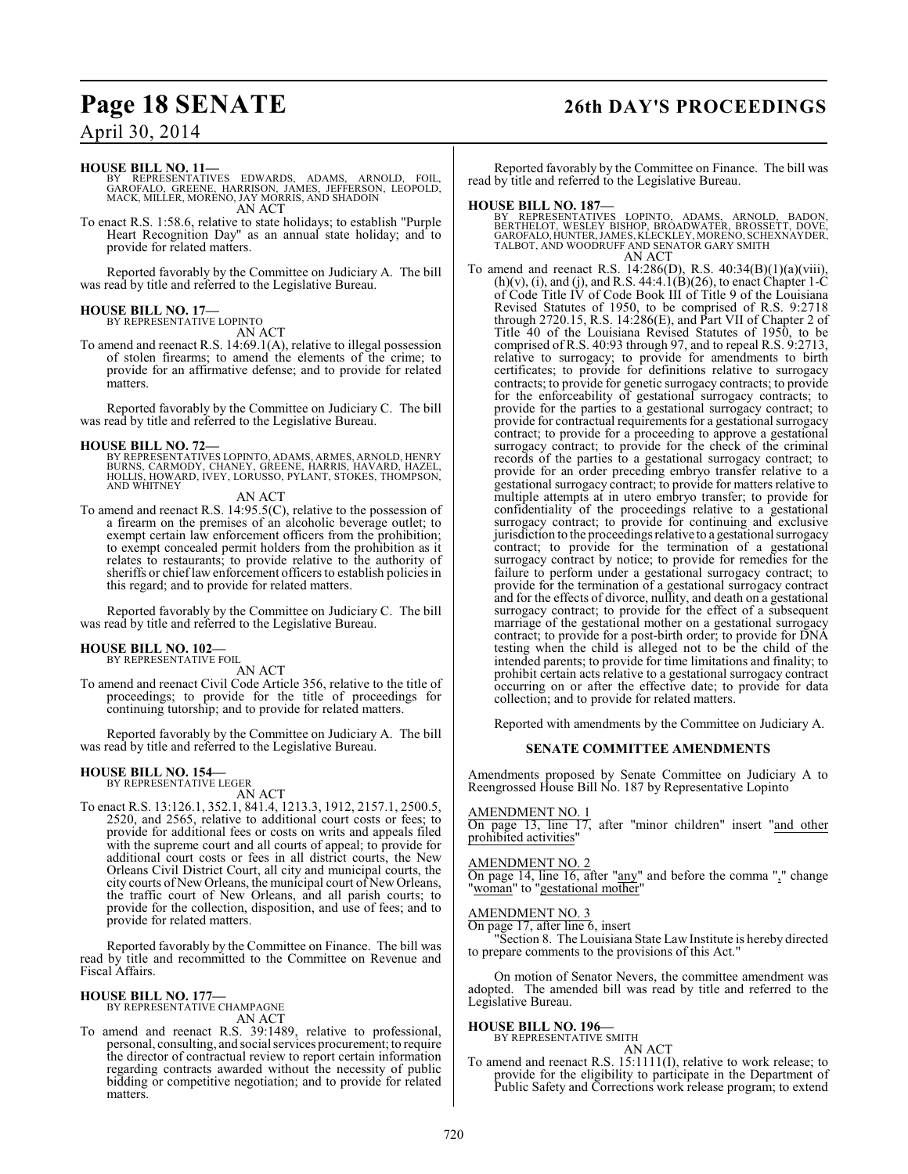# **Page 18 SENATE 26th DAY'S PROCEEDINGS**

## April 30, 2014

#### **HOUSE BILL NO. 11—**

BY REPRESENTATIVES EDWARDS, ADAMS, ARNOLD, FOIL,<br>GAROFALO, GREENE, HARRISON, JAMES, JEFFERSON, LEOPOLD,<br>MACK,MILLER,MORENO,JAYMORRIS,AND SHADOIN AN ACT

To enact R.S. 1:58.6, relative to state holidays; to establish "Purple Heart Recognition Day" as an annual state holiday; and to provide for related matters.

Reported favorably by the Committee on Judiciary A. The bill was read by title and referred to the Legislative Bureau.

#### **HOUSE BILL NO. 17—** BY REPRESENTATIVE LOPINTO

AN ACT

To amend and reenact R.S. 14:69.1(A), relative to illegal possession of stolen firearms; to amend the elements of the crime; to provide for an affirmative defense; and to provide for related matters.

Reported favorably by the Committee on Judiciary C. The bill was read by title and referred to the Legislative Bureau.

**HOUSE BILL NO. 72—**<br>BY REPRESENTATIVES LOPINTO, ADAMS, ARMES, ARNOLD, HENRY<br>BURNS, CARMODY, CHANEY, GREENE, HARRIS, HAVARD, HAZEL,<br>HOLLIS, HOWARD, IVEY, LORUSSO, PYLANT, STOKES, THOMPSON,<br>AND WHITNEY

### AN ACT

To amend and reenact R.S. 14:95.5(C), relative to the possession of a firearm on the premises of an alcoholic beverage outlet; to exempt certain law enforcement officers from the prohibition; to exempt concealed permit holders from the prohibition as it relates to restaurants; to provide relative to the authority of sheriffs or chief law enforcement officers to establish policies in this regard; and to provide for related matters.

Reported favorably by the Committee on Judiciary C. The bill was read by title and referred to the Legislative Bureau.

# **HOUSE BILL NO. 102—** BY REPRESENTATIVE FOIL

AN ACT

To amend and reenact Civil Code Article 356, relative to the title of proceedings; to provide for the title of proceedings for continuing tutorship; and to provide for related matters.

Reported favorably by the Committee on Judiciary A. The bill was read by title and referred to the Legislative Bureau.

## **HOUSE BILL NO. 154—**

BY REPRESENTATIVE LEGER AN ACT

To enact R.S. 13:126.1, 352.1, 841.4, 1213.3, 1912, 2157.1, 2500.5, 2520, and 2565, relative to additional court costs or fees; to provide for additional fees or costs on writs and appeals filed with the supreme court and all courts of appeal; to provide for additional court costs or fees in all district courts, the New Orleans Civil District Court, all city and municipal courts, the city courts of New Orleans, the municipal court of New Orleans, the traffic court of New Orleans, and all parish courts; to provide for the collection, disposition, and use of fees; and to provide for related matters.

Reported favorably by the Committee on Finance. The bill was read by title and recommitted to the Committee on Revenue and Fiscal Affairs.

#### **HOUSE BILL NO. 177—** BY REPRESENTATIVE CHAMPAGNE

AN ACT

To amend and reenact R.S. 39:1489, relative to professional, personal, consulting, and social services procurement; to require the director of contractual review to report certain information regarding contracts awarded without the necessity of public bidding or competitive negotiation; and to provide for related matters.

Reported favorably by the Committee on Finance. The bill was read by title and referred to the Legislative Bureau.

**HOUSE BILL NO. 187—** BY REPRESENTATIVES LOPINTO, ADAMS, ARNOLD, BADON, BERTHELOT, WESLEY BISHOP, BROADWATER, BROSSETT, DOVE, GAROFALO, HUNTER, JAMES, KLECKLEY, MORENO, SCHEXNAYDER, TALBOT, AND WOODRUFF AND SENATOR GARY SMITH AN ACT

To amend and reenact R.S. 14:286(D), R.S. 40:34(B)(1)(a)(viii),  $(h)(v)$ , (i), and (j), and R.S. 44:4.1(B)(26), to enact Chapter 1-C of Code Title IV of Code Book III of Title 9 of the Louisiana Revised Statutes of 1950, to be comprised of R.S. 9:2718 through 2720.15, R.S.  $14:286(E)$ , and Part VII of Chapter 2 of Title 40 of the Louisiana Revised Statutes of 1950, to be comprised of R.S. 40:93 through 97, and to repeal R.S. 9:2713, relative to surrogacy; to provide for amendments to birth certificates; to provide for definitions relative to surrogacy contracts; to provide for genetic surrogacy contracts; to provide for the enforceability of gestational surrogacy contracts; to provide for the parties to a gestational surrogacy contract; to provide for contractual requirements for a gestational surrogacy contract; to provide for a proceeding to approve a gestational surrogacy contract; to provide for the check of the criminal records of the parties to a gestational surrogacy contract; to provide for an order preceding embryo transfer relative to a gestational surrogacy contract; to provide for matters relative to multiple attempts at in utero embryo transfer; to provide for confidentiality of the proceedings relative to a gestational surrogacy contract; to provide for continuing and exclusive jurisdiction to the proceedings relative to a gestational surrogacy contract; to provide for the termination of a gestational surrogacy contract by notice; to provide for remedies for the failure to perform under a gestational surrogacy contract; to provide for the termination of a gestational surrogacy contract and for the effects of divorce, nullity, and death on a gestational surrogacy contract; to provide for the effect of a subsequent marriage of the gestational mother on a gestational surrogacy contract; to provide for a post-birth order; to provide for DNA testing when the child is alleged not to be the child of the intended parents; to provide for time limitations and finality; to prohibit certain acts relative to a gestational surrogacy contract occurring on or after the effective date; to provide for data collection; and to provide for related matters.

Reported with amendments by the Committee on Judiciary A.

#### **SENATE COMMITTEE AMENDMENTS**

Amendments proposed by Senate Committee on Judiciary A to Reengrossed House Bill No. 187 by Representative Lopinto

#### AMENDMENT NO. 1

On page 13, line 17, after "minor children" insert "and other prohibited activities"

#### AMENDMENT NO. 2

On page 14, line 16, after "any" and before the comma "," change "woman" to "gestational mother"

#### AMENDMENT NO. 3

On page 17, after line 6, insert

"Section 8. The Louisiana State Law Institute is hereby directed to prepare comments to the provisions of this Act."

On motion of Senator Nevers, the committee amendment was adopted. The amended bill was read by title and referred to the Legislative Bureau.

#### **HOUSE BILL NO. 196—**

BY REPRESENTATIVE SMITH AN ACT

To amend and reenact R.S. 15:1111(I), relative to work release; to provide for the eligibility to participate in the Department of Public Safety and Corrections work release program; to extend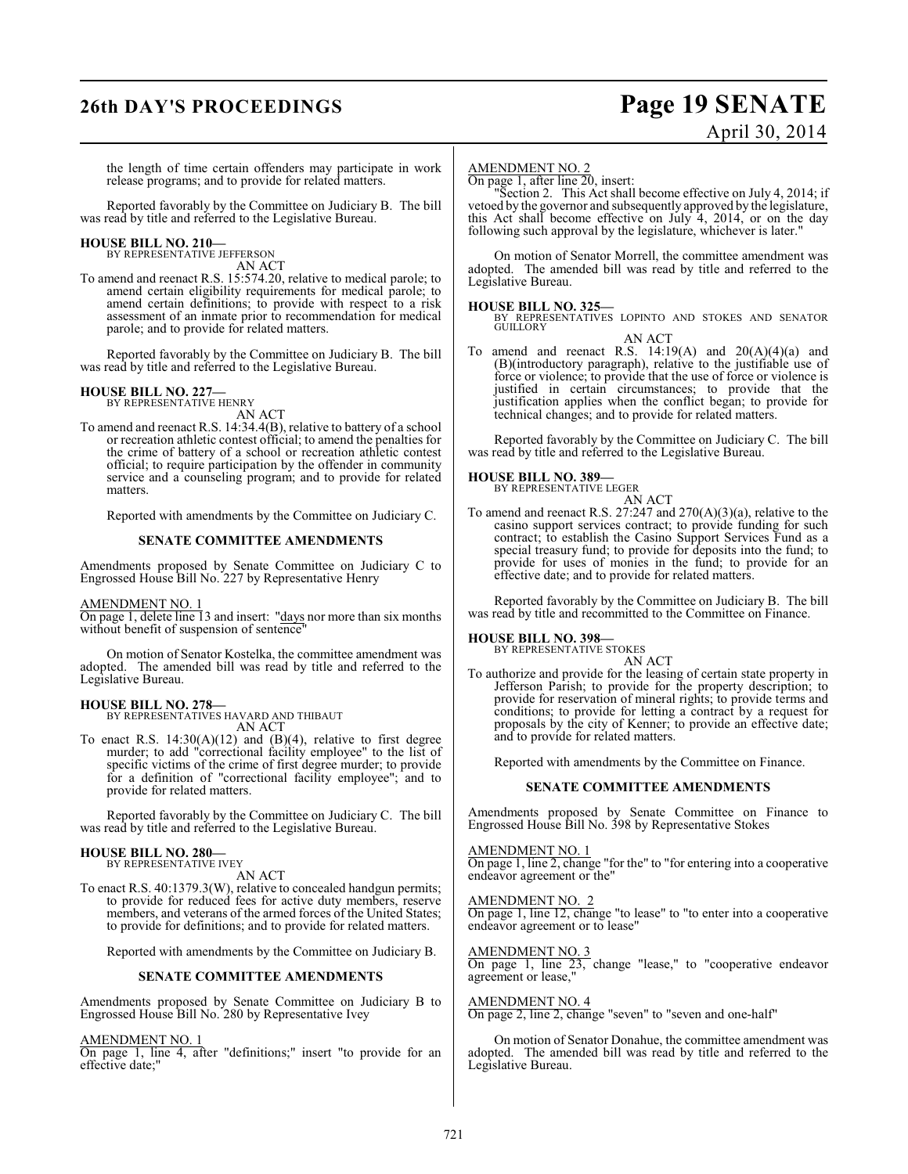# **26th DAY'S PROCEEDINGS Page 19 SENATE**

# April 30, 2014

the length of time certain offenders may participate in work release programs; and to provide for related matters.

Reported favorably by the Committee on Judiciary B. The bill was read by title and referred to the Legislative Bureau.

# **HOUSE BILL NO. 210—** BY REPRESENTATIVE JEFFERSON

AN ACT

To amend and reenact R.S. 15:574.20, relative to medical parole; to amend certain eligibility requirements for medical parole; to amend certain definitions; to provide with respect to a risk assessment of an inmate prior to recommendation for medical parole; and to provide for related matters.

Reported favorably by the Committee on Judiciary B. The bill was read by title and referred to the Legislative Bureau.

# **HOUSE BILL NO. 227—** BY REPRESENTATIVE HENRY

AN ACT

To amend and reenact R.S. 14:34.4(B), relative to battery of a school or recreation athletic contest official; to amend the penalties for the crime of battery of a school or recreation athletic contest official; to require participation by the offender in community service and a counseling program; and to provide for related matters.

Reported with amendments by the Committee on Judiciary C.

#### **SENATE COMMITTEE AMENDMENTS**

Amendments proposed by Senate Committee on Judiciary C to Engrossed House Bill No. 227 by Representative Henry

#### AMENDMENT NO. 1

On page 1, delete line 13 and insert: "days nor more than six months without benefit of suspension of sentence"

On motion of Senator Kostelka, the committee amendment was adopted. The amended bill was read by title and referred to the Legislative Bureau.

## **HOUSE BILL NO. 278—**

BY REPRESENTATIVES HAVARD AND THIBAUT AN ACT

To enact R.S.  $14:30(A)(12)$  and  $(B)(4)$ , relative to first degree murder; to add "correctional facility employee" to the list of specific victims of the crime of first degree murder; to provide for a definition of "correctional facility employee"; and to provide for related matters.

Reported favorably by the Committee on Judiciary C. The bill was read by title and referred to the Legislative Bureau.

# **HOUSE BILL NO. 280—** BY REPRESENTATIVE IVEY

AN ACT

To enact R.S. 40:1379.3(W), relative to concealed handgun permits; to provide for reduced fees for active duty members, reserve members, and veterans of the armed forces of the United States; to provide for definitions; and to provide for related matters.

Reported with amendments by the Committee on Judiciary B.

#### **SENATE COMMITTEE AMENDMENTS**

Amendments proposed by Senate Committee on Judiciary B to Engrossed House Bill No. 280 by Representative Ivey

#### AMENDMENT NO. 1

On page 1, line 4, after "definitions;" insert "to provide for an effective date;"

#### AMENDMENT NO. 2

On page 1, after line 20, insert:

"Section 2. This Act shall become effective on July 4, 2014; if vetoed by the governor and subsequently approved by the legislature, this Act shall become effective on July 4, 2014, or on the day following such approval by the legislature, whichever is later."

On motion of Senator Morrell, the committee amendment was adopted. The amended bill was read by title and referred to the Legislative Bureau.

**HOUSE BILL NO. 325—** BY REPRESENTATIVES LOPINTO AND STOKES AND SENATOR **GUILLORY** AN ACT

To amend and reenact R.S.  $14:19(A)$  and  $20(A)(4)(a)$  and (B)(introductory paragraph), relative to the justifiable use of force or violence; to provide that the use of force or violence is justified in certain circumstances; to provide that the justification applies when the conflict began; to provide for technical changes; and to provide for related matters.

Reported favorably by the Committee on Judiciary C. The bill was read by title and referred to the Legislative Bureau.



To amend and reenact R.S. 27:247 and 270(A)(3)(a), relative to the casino support services contract; to provide funding for such contract; to establish the Casino Support Services Fund as a special treasury fund; to provide for deposits into the fund; to provide for uses of monies in the fund; to provide for an effective date; and to provide for related matters.

Reported favorably by the Committee on Judiciary B. The bill was read by title and recommitted to the Committee on Finance.

#### **HOUSE BILL NO. 398—**

BY REPRESENTATIVE STOKES AN ACT

To authorize and provide for the leasing of certain state property in Jefferson Parish; to provide for the property description; to provide for reservation of mineral rights; to provide terms and conditions; to provide for letting a contract by a request for proposals by the city of Kenner; to provide an effective date; and to provide for related matters.

Reported with amendments by the Committee on Finance.

#### **SENATE COMMITTEE AMENDMENTS**

Amendments proposed by Senate Committee on Finance to Engrossed House Bill No. 398 by Representative Stokes

AMENDMENT NO. 1 On page 1, line 2, change "for the" to "for entering into a cooperative endeavor agreement or the"

AMENDMENT NO. 2

On page 1, line 12, change "to lease" to "to enter into a cooperative endeavor agreement or to lease"

AMENDMENT NO. 3 On page 1, line 23, change "lease," to "cooperative endeavor agreement or lease,"

AMENDMENT NO. 4

On page 2, line 2, change "seven" to "seven and one-half"

On motion of Senator Donahue, the committee amendment was adopted. The amended bill was read by title and referred to the Legislative Bureau.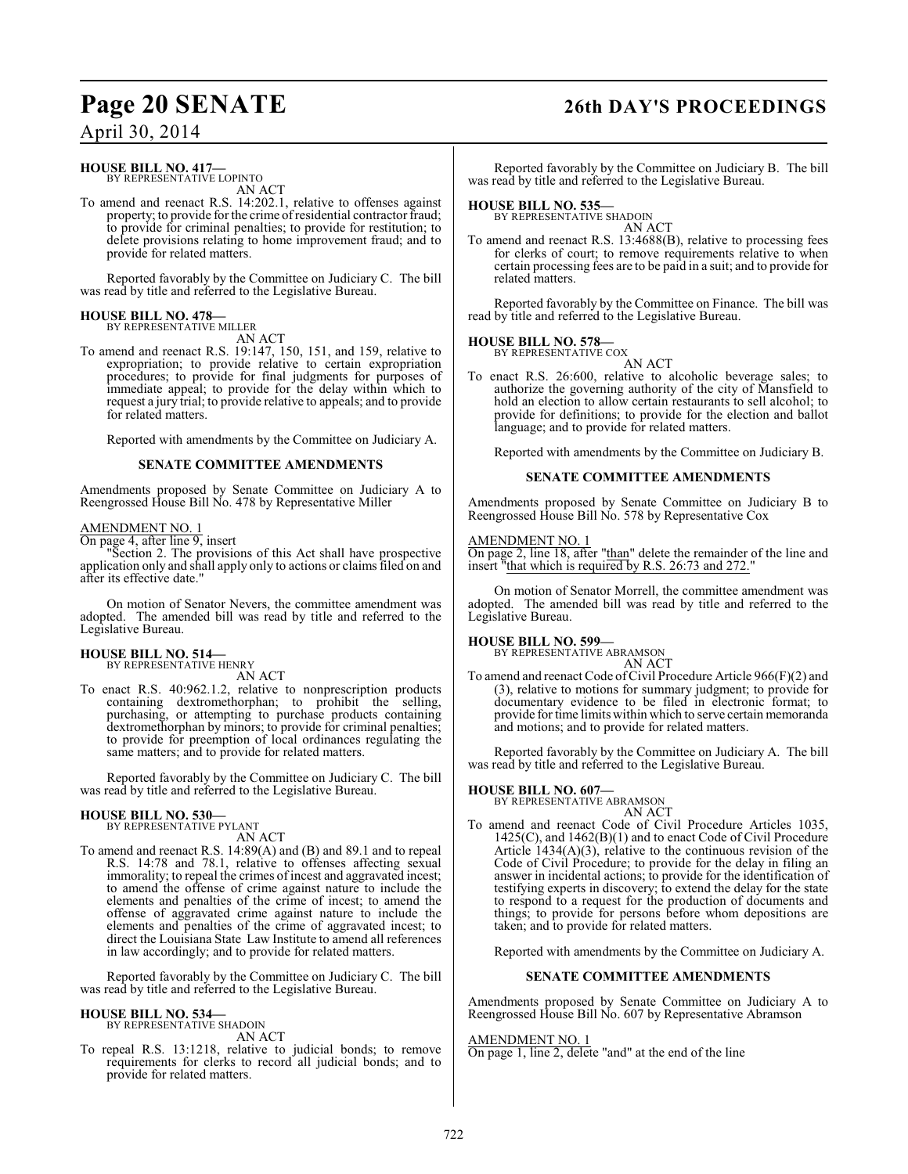# **Page 20 SENATE 26th DAY'S PROCEEDINGS**

#### **HOUSE BILL NO. 417—** BY REPRESENTATIVE LOPINTO

AN ACT

To amend and reenact R.S. 14:202.1, relative to offenses against property; to provide for the crime of residential contractor fraud; to provide for criminal penalties; to provide for restitution; to delete provisions relating to home improvement fraud; and to provide for related matters.

Reported favorably by the Committee on Judiciary C. The bill was read by title and referred to the Legislative Bureau.

### **HOUSE BILL NO. 478—**

BY REPRESENTATIVE MILLER AN ACT

To amend and reenact R.S. 19:147, 150, 151, and 159, relative to expropriation; to provide relative to certain expropriation procedures; to provide for final judgments for purposes of immediate appeal; to provide for the delay within which to request a jury trial; to provide relative to appeals; and to provide for related matters.

Reported with amendments by the Committee on Judiciary A.

#### **SENATE COMMITTEE AMENDMENTS**

Amendments proposed by Senate Committee on Judiciary A to Reengrossed House Bill No. 478 by Representative Miller

#### AMENDMENT NO. 1

On page 4, after line 9, insert

"Section 2. The provisions of this Act shall have prospective application only and shall apply only to actions or claims filed on and after its effective date."

On motion of Senator Nevers, the committee amendment was adopted. The amended bill was read by title and referred to the Legislative Bureau.

## **HOUSE BILL NO. 514—**

BY REPRESENTATIVE HENRY AN ACT

To enact R.S. 40:962.1.2, relative to nonprescription products containing dextromethorphan; to prohibit the selling, purchasing, or attempting to purchase products containing dextromethorphan by minors; to provide for criminal penalties; to provide for preemption of local ordinances regulating the same matters; and to provide for related matters.

Reported favorably by the Committee on Judiciary C. The bill was read by title and referred to the Legislative Bureau.

#### **HOUSE BILL NO. 530—**

BY REPRESENTATIVE PYLANT AN ACT

To amend and reenact R.S. 14:89(A) and (B) and 89.1 and to repeal R.S. 14:78 and 78.1, relative to offenses affecting sexual immorality; to repeal the crimes of incest and aggravated incest; to amend the offense of crime against nature to include the elements and penalties of the crime of incest; to amend the offense of aggravated crime against nature to include the elements and penalties of the crime of aggravated incest; to direct the Louisiana State Law Institute to amend all references in law accordingly; and to provide for related matters.

Reported favorably by the Committee on Judiciary C. The bill was read by title and referred to the Legislative Bureau.

#### **HOUSE BILL NO. 534—**

BY REPRESENTATIVE SHADOIN AN ACT

To repeal R.S. 13:1218, relative to judicial bonds; to remove requirements for clerks to record all judicial bonds; and to provide for related matters.

Reported favorably by the Committee on Judiciary B. The bill was read by title and referred to the Legislative Bureau.

# **HOUSE BILL NO. 535—** BY REPRESENTATIVE SHADOIN

AN ACT

To amend and reenact R.S. 13:4688(B), relative to processing fees for clerks of court; to remove requirements relative to when certain processing fees are to be paid in a suit; and to provide for related matters.

Reported favorably by the Committee on Finance. The bill was read by title and referred to the Legislative Bureau.

#### **HOUSE BILL NO. 578—**

BY REPRESENTATIVE COX AN ACT

To enact R.S. 26:600, relative to alcoholic beverage sales; to authorize the governing authority of the city of Mansfield to hold an election to allow certain restaurants to sell alcohol; to provide for definitions; to provide for the election and ballot language; and to provide for related matters.

Reported with amendments by the Committee on Judiciary B.

#### **SENATE COMMITTEE AMENDMENTS**

Amendments proposed by Senate Committee on Judiciary B to Reengrossed House Bill No. 578 by Representative Cox

#### AMENDMENT NO. 1

On page 2, line 18, after "than" delete the remainder of the line and insert "that which is required by R.S. 26:73 and 272.

On motion of Senator Morrell, the committee amendment was adopted. The amended bill was read by title and referred to the Legislative Bureau.

#### **HOUSE BILL NO. 599—**

BY REPRESENTATIVE ABRAMSON

#### AN ACT

To amend and reenact Code of Civil Procedure Article 966(F)(2) and (3), relative to motions for summary judgment; to provide for documentary evidence to be filed in electronic format; to provide for time limits within which to serve certain memoranda and motions; and to provide for related matters.

Reported favorably by the Committee on Judiciary A. The bill was read by title and referred to the Legislative Bureau.

## **HOUSE BILL NO. 607—**

BY REPRESENTATIVE ABRAMSON

AN ACT To amend and reenact Code of Civil Procedure Articles 1035, 1425(C), and 1462(B)(1) and to enact Code of Civil Procedure Article  $(1434(A)(3))$ , relative to the continuous revision of the Code of Civil Procedure; to provide for the delay in filing an answer in incidental actions; to provide for the identification of testifying experts in discovery; to extend the delay for the state to respond to a request for the production of documents and things; to provide for persons before whom depositions are taken; and to provide for related matters.

Reported with amendments by the Committee on Judiciary A.

#### **SENATE COMMITTEE AMENDMENTS**

Amendments proposed by Senate Committee on Judiciary A to Reengrossed House Bill No. 607 by Representative Abramson

#### AMENDMENT NO. 1

On page 1, line 2, delete "and" at the end of the line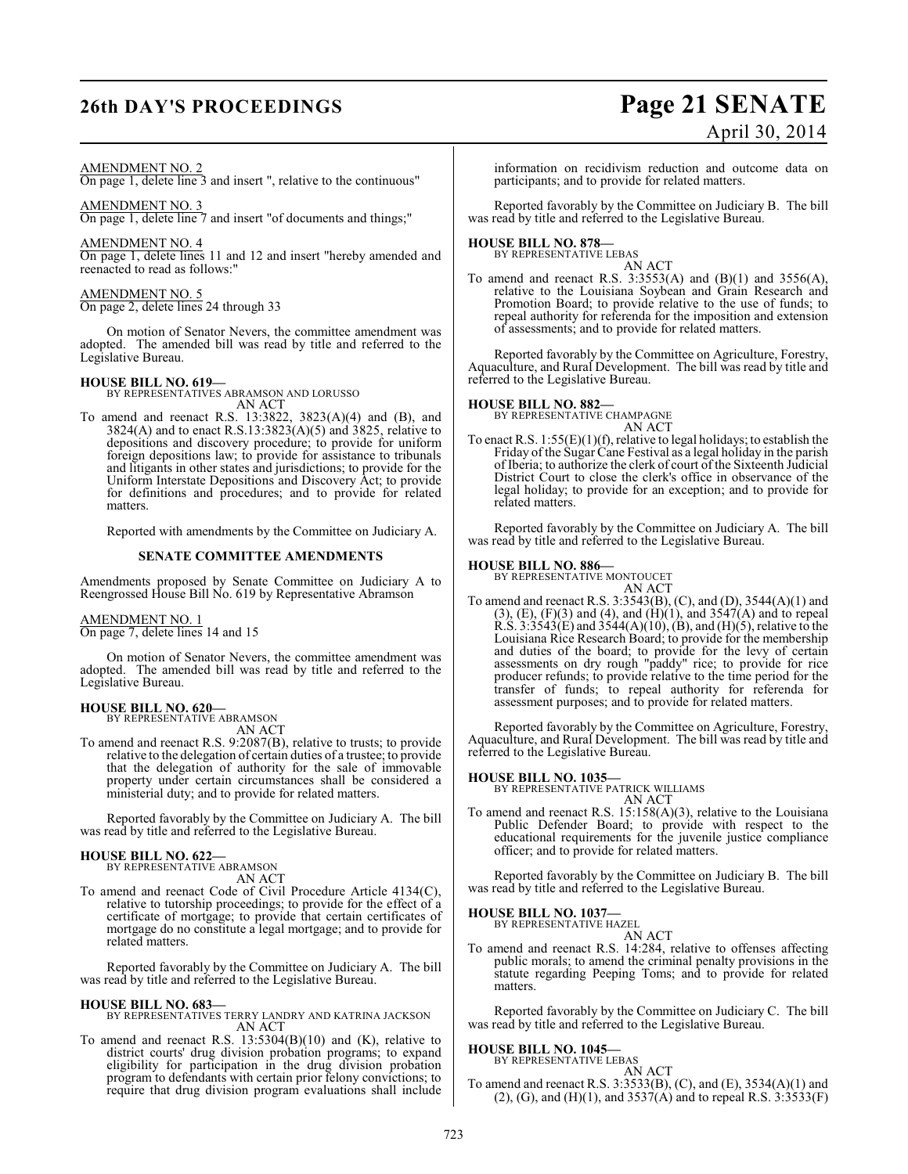# **26th DAY'S PROCEEDINGS Page 21 SENATE**

# April 30, 2014

#### AMENDMENT NO. 2

On page 1, delete line 3 and insert ", relative to the continuous"

## AMENDMENT NO. 3

On page 1, delete line 7 and insert "of documents and things;"

AMENDMENT NO. 4

On page 1, delete lines 11 and 12 and insert "hereby amended and reenacted to read as follows:"

## AMENDMENT NO. 5

On page 2, delete lines 24 through 33

On motion of Senator Nevers, the committee amendment was adopted. The amended bill was read by title and referred to the Legislative Bureau.

**HOUSE BILL NO. 619—** BY REPRESENTATIVES ABRAMSON AND LORUSSO

AN ACT To amend and reenact R.S. 13:3822, 3823(A)(4) and (B), and 3824(A) and to enact R.S.13:3823(A)(5) and 3825, relative to depositions and discovery procedure; to provide for uniform foreign depositions law; to provide for assistance to tribunals and litigants in other states and jurisdictions; to provide for the Uniform Interstate Depositions and Discovery Act; to provide for definitions and procedures; and to provide for related matters.

Reported with amendments by the Committee on Judiciary A.

#### **SENATE COMMITTEE AMENDMENTS**

Amendments proposed by Senate Committee on Judiciary A to Reengrossed House Bill No. 619 by Representative Abramson

#### AMENDMENT NO. 1

On page 7, delete lines 14 and 15

On motion of Senator Nevers, the committee amendment was adopted. The amended bill was read by title and referred to the Legislative Bureau.

## **HOUSE BILL NO. 620—**

BY REPRESENTATIVE ABRAMSON AN ACT

To amend and reenact R.S. 9:2087(B), relative to trusts; to provide relative to the delegation of certain duties of a trustee; to provide that the delegation of authority for the sale of immovable property under certain circumstances shall be considered a ministerial duty; and to provide for related matters.

Reported favorably by the Committee on Judiciary A. The bill was read by title and referred to the Legislative Bureau.

# **HOUSE BILL NO. 622—** BY REPRESENTATIVE ABRAMSON

- AN ACT
- To amend and reenact Code of Civil Procedure Article 4134(C), relative to tutorship proceedings; to provide for the effect of a certificate of mortgage; to provide that certain certificates of mortgage do no constitute a legal mortgage; and to provide for related matters.

Reported favorably by the Committee on Judiciary A. The bill was read by title and referred to the Legislative Bureau.

#### **HOUSE BILL NO. 683—**

BY REPRESENTATIVES TERRY LANDRY AND KATRINA JACKSON AN ACT

To amend and reenact R.S. 13:5304(B)(10) and (K), relative to district courts' drug division probation programs; to expand eligibility for participation in the drug division probation program to defendants with certain prior felony convictions; to require that drug division program evaluations shall include

information on recidivism reduction and outcome data on participants; and to provide for related matters.

Reported favorably by the Committee on Judiciary B. The bill was read by title and referred to the Legislative Bureau.

# **HOUSE BILL NO. 878—** BY REPRESENTATIVE LEBAS

AN ACT To amend and reenact R.S. 3:3553(A) and  $(B)(1)$  and 3556(A), relative to the Louisiana Soybean and Grain Research and Promotion Board; to provide relative to the use of funds; to repeal authority for referenda for the imposition and extension of assessments; and to provide for related matters.

Reported favorably by the Committee on Agriculture, Forestry, Aquaculture, and Rural Development. The bill was read by title and referred to the Legislative Bureau.

**HOUSE BILL NO. 882—** BY REPRESENTATIVE CHAMPAGNE AN ACT

To enact R.S. 1:55(E)(1)(f), relative to legal holidays; to establish the Friday of the Sugar Cane Festival as a legal holiday in the parish of Iberia; to authorize the clerk of court of the Sixteenth Judicial District Court to close the clerk's office in observance of the legal holiday; to provide for an exception; and to provide for related matters.

Reported favorably by the Committee on Judiciary A. The bill was read by title and referred to the Legislative Bureau.

#### **HOUSE BILL NO. 886—**

BY REPRESENTATIVE MONTOUCET

AN ACT To amend and reenact R.S. 3:3543(B), (C), and (D), 3544(A)(1) and  $(3)$ ,  $(E)$ ,  $(F)(3)$  and  $(4)$ , and  $(H)(1)$ , and  $3547(A)$  and to repeal R.S. 3:3543(E) and 3544(A)(10), (B), and (H)(5), relative to the Louisiana Rice Research Board; to provide for the membership and duties of the board; to provide for the levy of certain assessments on dry rough "paddy" rice; to provide for rice producer refunds; to provide relative to the time period for the transfer of funds; to repeal authority for referenda for assessment purposes; and to provide for related matters.

Reported favorably by the Committee on Agriculture, Forestry, Aquaculture, and Rural Development. The bill was read by title and referred to the Legislative Bureau.

#### **HOUSE BILL NO. 1035—**

BY REPRESENTATIVE PATRICK WILLIAMS AN ACT

To amend and reenact R.S. 15:158(A)(3), relative to the Louisiana Public Defender Board; to provide with respect to the educational requirements for the juvenile justice compliance officer; and to provide for related matters.

Reported favorably by the Committee on Judiciary B. The bill was read by title and referred to the Legislative Bureau.

# **HOUSE BILL NO. 1037—**

BY REPRESENTATIVE HAZEL

#### AN ACT

To amend and reenact R.S. 14:284, relative to offenses affecting public morals; to amend the criminal penalty provisions in the statute regarding Peeping Toms; and to provide for related matters.

Reported favorably by the Committee on Judiciary C. The bill was read by title and referred to the Legislative Bureau.

# **HOUSE BILL NO. 1045—** BY REPRESENTATIVE LEBAS

AN ACT

To amend and reenact R.S. 3:3533(B), (C), and (E), 3534(A)(1) and  $(2)$ ,  $(G)$ , and  $(H)(1)$ , and 3537 $(A)$  and to repeal R.S. 3:3533 $(F)$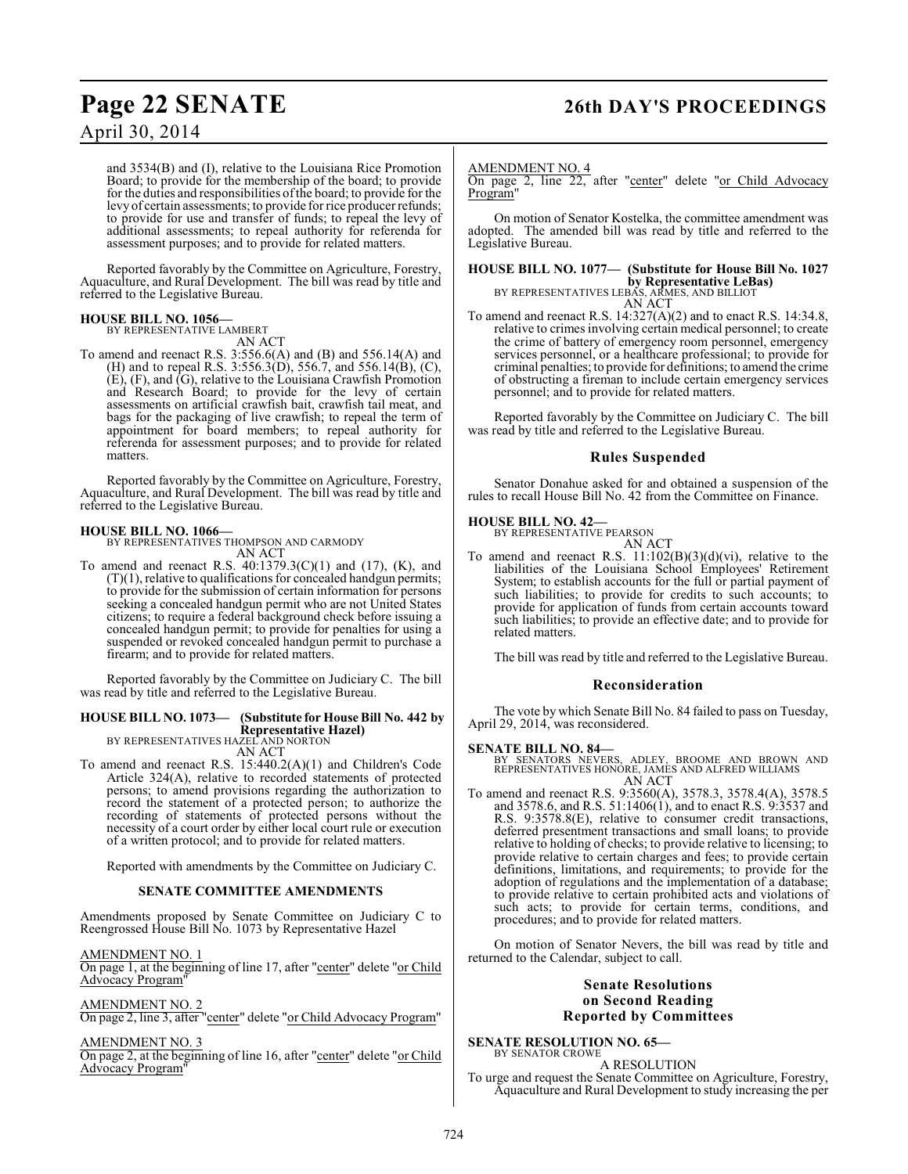# **Page 22 SENATE 26th DAY'S PROCEEDINGS**

# April 30, 2014

and 3534(B) and (I), relative to the Louisiana Rice Promotion Board; to provide for the membership of the board; to provide for the duties and responsibilities ofthe board; to provide for the levy of certain assessments; to provide for rice producer refunds; to provide for use and transfer of funds; to repeal the levy of additional assessments; to repeal authority for referenda for assessment purposes; and to provide for related matters.

Reported favorably by the Committee on Agriculture, Forestry, Aquaculture, and Rural Development. The bill was read by title and referred to the Legislative Bureau.

**HOUSE BILL NO. 1056—** BY REPRESENTATIVE LAMBERT AN ACT

To amend and reenact R.S. 3:556.6(A) and (B) and 556.14(A) and (H) and to repeal R.S. 3:556.3(D), 556.7, and 556.14(B), (C), (E), (F), and (G), relative to the Louisiana Crawfish Promotion and Research Board; to provide for the levy of certain assessments on artificial crawfish bait, crawfish tail meat, and bags for the packaging of live crawfish; to repeal the term of appointment for board members; to repeal authority for referenda for assessment purposes; and to provide for related matters.

Reported favorably by the Committee on Agriculture, Forestry, Aquaculture, and Rural Development. The bill was read by title and referred to the Legislative Bureau.

**HOUSE BILL NO. 1066—** BY REPRESENTATIVES THOMPSON AND CARMODY AN ACT

To amend and reenact R.S. 40:1379.3(C)(1) and (17), (K), and  $(T)(1)$ , relative to qualifications for concealed handgun permits; to provide for the submission of certain information for persons seeking a concealed handgun permit who are not United States citizens; to require a federal background check before issuing a concealed handgun permit; to provide for penalties for using a suspended or revoked concealed handgun permit to purchase a firearm; and to provide for related matters.

Reported favorably by the Committee on Judiciary C. The bill was read by title and referred to the Legislative Bureau.

## **HOUSE BILL NO. 1073— (Substitute for House Bill No. 442 by Representative Hazel)** BY REPRESENTATIVES HAZEL AND NORTON

- AN ACT
- To amend and reenact R.S. 15:440.2(A)(1) and Children's Code Article 324(A), relative to recorded statements of protected persons; to amend provisions regarding the authorization to record the statement of a protected person; to authorize the recording of statements of protected persons without the necessity of a court order by either local court rule or execution of a written protocol; and to provide for related matters.

Reported with amendments by the Committee on Judiciary C.

## **SENATE COMMITTEE AMENDMENTS**

Amendments proposed by Senate Committee on Judiciary C to Reengrossed House Bill No. 1073 by Representative Hazel

AMENDMENT NO. 1

On page 1, at the beginning of line 17, after "center" delete "or Child Advocacy Program"

AMENDMENT NO. 2

On page 2, line 3, after "center" delete "or Child Advocacy Program"

#### AMENDMENT NO. 3

On page 2, at the beginning of line 16, after "center" delete "or Child Advocacy Program"

#### AMENDMENT NO. 4

On page 2, line 22, after "center" delete "or Child Advocacy Program"

On motion of Senator Kostelka, the committee amendment was adopted. The amended bill was read by title and referred to the Legislative Bureau.

## **HOUSE BILL NO. 1077— (Substitute for House Bill No. 1027 by Representative LeBas)** BY REPRESENTATIVES LEBAS, ARMES, AND BILLIOT

AN ACT To amend and reenact R.S. 14:327(A)(2) and to enact R.S. 14:34.8, relative to crimes involving certain medical personnel; to create the crime of battery of emergency room personnel, emergency services personnel, or a healthcare professional; to provide for criminal penalties; to provide for definitions; to amend the crime of obstructing a fireman to include certain emergency services personnel; and to provide for related matters.

Reported favorably by the Committee on Judiciary C. The bill was read by title and referred to the Legislative Bureau.

#### **Rules Suspended**

Senator Donahue asked for and obtained a suspension of the rules to recall House Bill No. 42 from the Committee on Finance.

#### **HOUSE BILL NO. 42—**

BY REPRESENTATIVE PEARSON

AN ACT To amend and reenact R.S.  $11:102(B)(3)(d)(vi)$ , relative to the liabilities of the Louisiana School Employees' Retirement System; to establish accounts for the full or partial payment of such liabilities; to provide for credits to such accounts; to provide for application of funds from certain accounts toward such liabilities; to provide an effective date; and to provide for related matters.

The bill was read by title and referred to the Legislative Bureau.

#### **Reconsideration**

The vote by which Senate Bill No. 84 failed to pass on Tuesday, April 29, 2014, was reconsidered.

**SENATE BILL NO. 84—**<br>BY SENATORS NEVERS, ADLEY, BROOME AND BROWN AND<br>REPRESENTATIVES HONORE, JAMES AND ALFRED WILLIAMS<br>AN ACT

To amend and reenact R.S. 9:3560(A), 3578.3, 3578.4(A), 3578.5 and 3578.6, and R.S. 51:1406(1), and to enact R.S. 9:3537 and R.S. 9:3578.8(E), relative to consumer credit transactions, deferred presentment transactions and small loans; to provide relative to holding of checks; to provide relative to licensing; to provide relative to certain charges and fees; to provide certain definitions, limitations, and requirements; to provide for the adoption of regulations and the implementation of a database; to provide relative to certain prohibited acts and violations of such acts; to provide for certain terms, conditions, and procedures; and to provide for related matters.

On motion of Senator Nevers, the bill was read by title and returned to the Calendar, subject to call.

#### **Senate Resolutions on Second Reading Reported by Committees**

#### **SENATE RESOLUTION NO. 65—** BY SENATOR CROWE

A RESOLUTION To urge and request the Senate Committee on Agriculture, Forestry, Aquaculture and Rural Development to study increasing the per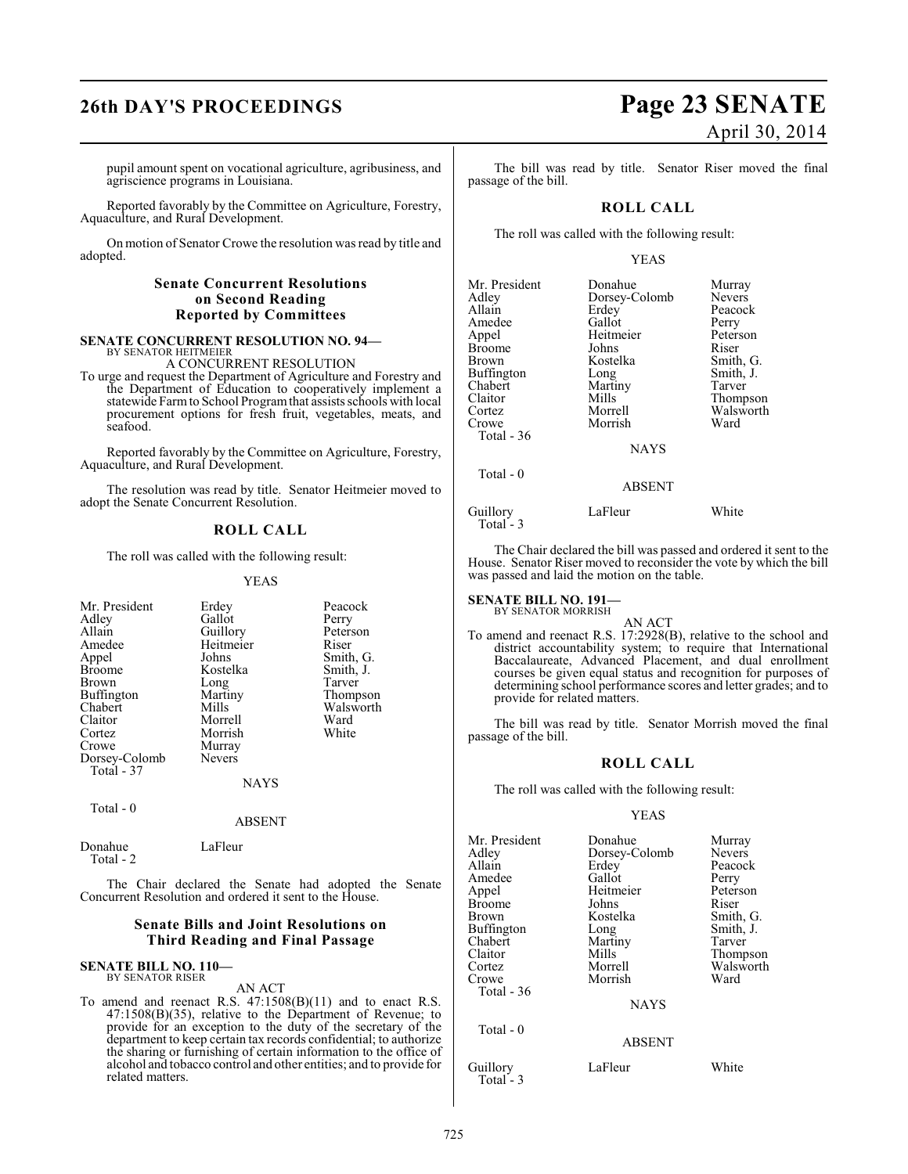# **26th DAY'S PROCEEDINGS Page 23 SENATE**

pupil amount spent on vocational agriculture, agribusiness, and agriscience programs in Louisiana.

Reported favorably by the Committee on Agriculture, Forestry, Aquaculture, and Rural Development.

On motion of Senator Crowe the resolution was read by title and adopted.

#### **Senate Concurrent Resolutions on Second Reading Reported by Committees**

#### **SENATE CONCURRENT RESOLUTION NO. 94—** BY SENATOR HEITMEIER

A CONCURRENT RESOLUTION

To urge and request the Department of Agriculture and Forestry and the Department of Education to cooperatively implement a statewide Farm to School Program that assists schools with local procurement options for fresh fruit, vegetables, meats, and seafood.

Reported favorably by the Committee on Agriculture, Forestry, Aquaculture, and Rural Development.

The resolution was read by title. Senator Heitmeier moved to adopt the Senate Concurrent Resolution.

### **ROLL CALL**

The roll was called with the following result:

#### YEAS

| Mr. President | Erdey         | Peacock   |
|---------------|---------------|-----------|
| Adley         | Gallot        | Perry     |
| Allain        | Guillory      | Peterson  |
| Amedee        | Heitmeier     | Riser     |
| Appel         | Johns         | Smith, G. |
| <b>Broome</b> | Kostelka      | Smith, J. |
| <b>Brown</b>  | Long          | Tarver    |
| Buffington    | Martiny       | Thompson  |
| Chabert       | Mills         | Walsworth |
| Claitor       | Morrell       | Ward      |
| Cortez        | Morrish       | White     |
| Crowe         | Murray        |           |
| Dorsey-Colomb | <b>Nevers</b> |           |
| Total - 37    |               |           |
|               | <b>NAYS</b>   |           |
| Total $-0$    |               |           |
|               | ABSENT        |           |

Donahue LaFleur Total - 2

The Chair declared the Senate had adopted the Senate Concurrent Resolution and ordered it sent to the House.

### **Senate Bills and Joint Resolutions on Third Reading and Final Passage**

#### **SENATE BILL NO. 110—** BY SENATOR RISER

#### AN ACT

To amend and reenact R.S. 47:1508(B)(11) and to enact R.S. 47:1508(B)(35), relative to the Department of Revenue; to provide for an exception to the duty of the secretary of the department to keep certain tax records confidential; to authorize the sharing or furnishing of certain information to the office of alcohol and tobacco control and other entities; and to provide for related matters.

# April 30, 2014

The bill was read by title. Senator Riser moved the final passage of the bill.

## **ROLL CALL**

The roll was called with the following result:

#### YEAS

| Mr. President<br>Adley<br>Allain<br>Amedee<br>Appel<br>Broome<br>Brown<br>Buffington<br>Chabert<br>Claitor<br>Cortez<br>Crowe<br>Total - 36<br>Total $-0$ | Donahue<br>Dorsey-Colomb<br>Erdey<br>Gallot<br>Heitmeier<br>Johns<br>Kostelka<br>Long<br>Martiny<br>Mills<br>Morrell<br>Morrish<br><b>NAYS</b><br><b>ABSENT</b> | Murray<br><b>Nevers</b><br>Peacock<br>Perry<br>Peterson<br>Riser<br>Smith, G.<br>Smith, J.<br>Tarver<br>Thompson<br>Walsworth<br>Ward |
|-----------------------------------------------------------------------------------------------------------------------------------------------------------|-----------------------------------------------------------------------------------------------------------------------------------------------------------------|---------------------------------------------------------------------------------------------------------------------------------------|
|                                                                                                                                                           |                                                                                                                                                                 |                                                                                                                                       |
| Guillory<br>Total - 3                                                                                                                                     | LaFleur                                                                                                                                                         | White                                                                                                                                 |

The Chair declared the bill was passed and ordered it sent to the House. Senator Riser moved to reconsider the vote by which the bill was passed and laid the motion on the table.

# **SENATE BILL NO. 191—** BY SENATOR MORRISH

- AN ACT
- To amend and reenact R.S. 17:2928(B), relative to the school and district accountability system; to require that International Baccalaureate, Advanced Placement, and dual enrollment courses be given equal status and recognition for purposes of determining school performance scores and letter grades; and to provide for related matters.

The bill was read by title. Senator Morrish moved the final passage of the bill.

#### **ROLL CALL**

The roll was called with the following result:

| Mr. President | Donahue       | Murray        |
|---------------|---------------|---------------|
| Adlev         | Dorsey-Colomb | <b>Nevers</b> |
| Allain        | Erdey         | Peacock       |
| Amedee        | Gallot        | Perry         |
| Appel         | Heitmeier     | Peterson      |
| Broome        | Johns         | Riser         |
| Brown         | Kostelka      | Smith, G.     |
| Buffington    | Long          | Smith, J.     |
| Chabert       | Martiny       | Tarver        |
| Claitor       | Mills         | Thompson      |
| Cortez        | Morrell       | Walsworth     |
| Crowe         | Morrish       | Ward          |
| Total - 36    |               |               |
|               | <b>NAYS</b>   |               |
| Total $-0$    |               |               |
|               | <b>ABSENT</b> |               |
|               |               |               |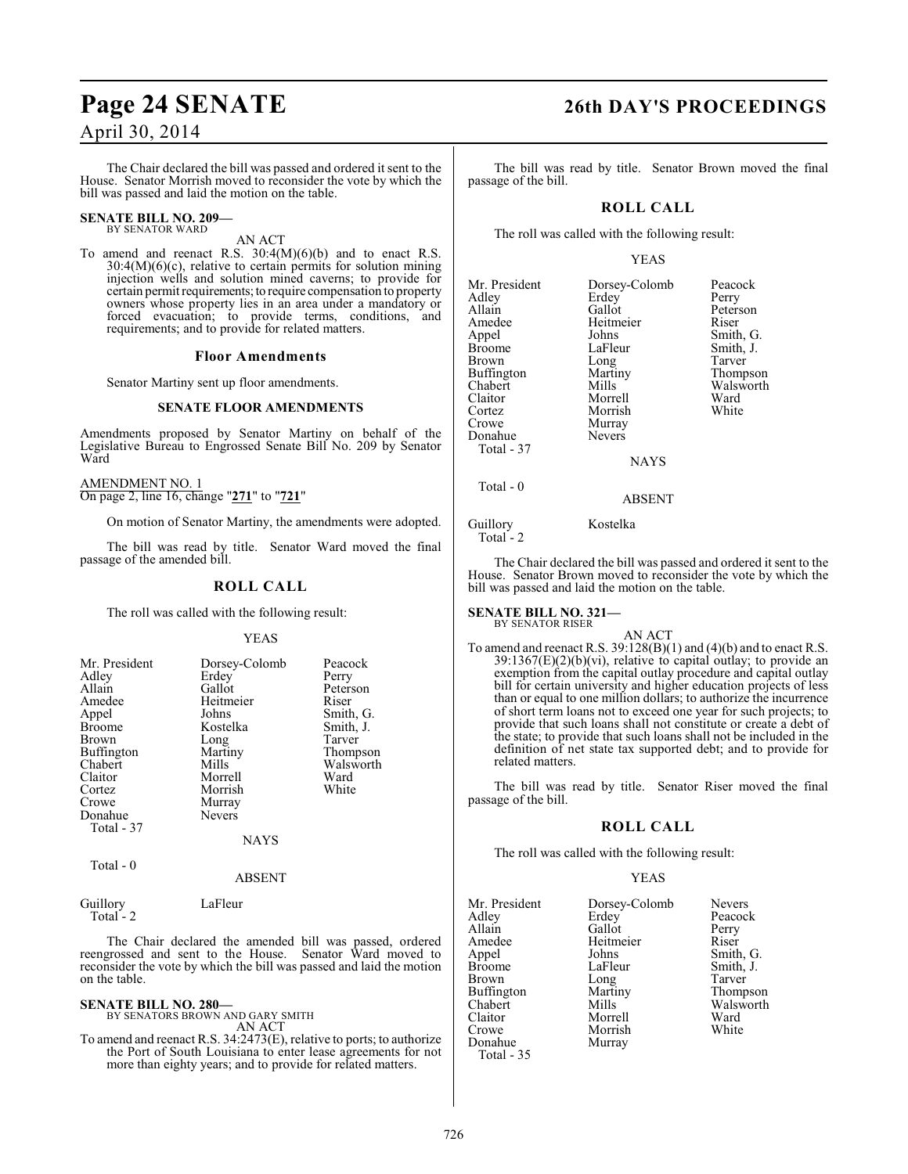The Chair declared the bill was passed and ordered it sent to the House. Senator Morrish moved to reconsider the vote by which the bill was passed and laid the motion on the table.

#### **SENATE BILL NO. 209—** BY SENATOR WARD

AN ACT

To amend and reenact R.S.  $30:4(M)(6)(b)$  and to enact R.S. 30:4(M)(6)(c), relative to certain permits for solution mining injection wells and solution mined caverns; to provide for certain permit requirements; to require compensation to property owners whose property lies in an area under a mandatory or forced evacuation; to provide terms, conditions, and requirements; and to provide for related matters.

#### **Floor Amendments**

Senator Martiny sent up floor amendments.

## **SENATE FLOOR AMENDMENTS**

Amendments proposed by Senator Martiny on behalf of the Legislative Bureau to Engrossed Senate Bill No. 209 by Senator Ward

AMENDMENT NO. 1 On page 2, line 16, change "**271**" to "**721**"

On motion of Senator Martiny, the amendments were adopted.

The bill was read by title. Senator Ward moved the final passage of the amended bill.

#### **ROLL CALL**

The roll was called with the following result:

#### YEAS

| Mr. President<br>Adley<br>Allain<br>Amedee<br>Appel<br><b>Broome</b><br><b>Brown</b><br>Buffington<br>Chabert<br>Claitor<br>Cortez<br>Crowe<br>Donahue<br>Total - 37 | Dorsey-Colomb<br>Erdey<br>Gallot<br>Heitmeier<br>Johns<br>Kostelka<br>Long<br>Martiny<br>Mills<br>Morrell<br>Morrish<br>Murray<br><b>Nevers</b><br><b>NAYS</b> | Peacock<br>Perry<br>Peterson<br>Riser<br>Smith, G.<br>Smith, J.<br>Tarver<br>Thompson<br>Walsworth<br>Ward<br>White |
|----------------------------------------------------------------------------------------------------------------------------------------------------------------------|----------------------------------------------------------------------------------------------------------------------------------------------------------------|---------------------------------------------------------------------------------------------------------------------|
|                                                                                                                                                                      |                                                                                                                                                                |                                                                                                                     |

Total - 0

ABSENT

Guillory LaFleur Total<sup>-</sup>2

The Chair declared the amended bill was passed, ordered reengrossed and sent to the House. Senator Ward moved to reconsider the vote by which the bill was passed and laid the motion on the table.

**SENATE BILL NO. 280—** BY SENATORS BROWN AND GARY SMITH AN ACT

To amend and reenact R.S. 34:2473(E), relative to ports; to authorize the Port of South Louisiana to enter lease agreements for not more than eighty years; and to provide for related matters.

# **Page 24 SENATE 26th DAY'S PROCEEDINGS**

The bill was read by title. Senator Brown moved the final passage of the bill.

#### **ROLL CALL**

The roll was called with the following result:

#### YEAS

| Mr. President<br>Adlev<br>Allain<br>Amedee<br>Appel<br>Broome<br>Brown<br>Buffington<br>Chabert<br>Claitor<br>Cortez<br>Crowe<br>Donahue<br>Total - 37 | Dorsey-Colomb<br>Erdey<br>Gallot<br>Heitmeier<br>Johns<br>LaFleur<br>Long<br>Martiny<br>Mills<br>Morrell<br>Morrish<br>Murray<br><b>Nevers</b><br><b>NAYS</b> | Peacock<br>Perry<br>Peterson<br>Riser<br>Smith, G.<br>Smith, J.<br>Tarver<br>Thompson<br>Walsworth<br>Ward<br>White |
|--------------------------------------------------------------------------------------------------------------------------------------------------------|---------------------------------------------------------------------------------------------------------------------------------------------------------------|---------------------------------------------------------------------------------------------------------------------|
| Total - 0                                                                                                                                              | ABSENT                                                                                                                                                        |                                                                                                                     |

Guillory Kostelka Total - 2

The Chair declared the bill was passed and ordered it sent to the House. Senator Brown moved to reconsider the vote by which the bill was passed and laid the motion on the table.

**SENATE BILL NO. 321—** BY SENATOR RISER

AN ACT

To amend and reenact R.S. 39:128(B)(1) and (4)(b) and to enact R.S.  $39:1367(E)(2)(b)(vi)$ , relative to capital outlay; to provide an exemption from the capital outlay procedure and capital outlay bill for certain university and higher education projects of less than or equal to one million dollars; to authorize the incurrence of short term loans not to exceed one year for such projects; to provide that such loans shall not constitute or create a debt of the state; to provide that such loans shall not be included in the definition of net state tax supported debt; and to provide for related matters.

The bill was read by title. Senator Riser moved the final passage of the bill.

#### **ROLL CALL**

The roll was called with the following result:

| Mr. President | Dorsey-Colomb | <b>Nevers</b> |
|---------------|---------------|---------------|
| Adley         | Erdey         | Peacock       |
| Allain        | Gallot        | Perry         |
| Amedee        | Heitmeier     | Riser         |
| Appel         | Johns         | Smith, G.     |
| Broome        | LaFleur       | Smith, J.     |
| Brown         | Long          | Tarver        |
| Buffington    | Martiny       | Thompson      |
| Chabert       | Mills         | Walsworth     |
| Claitor       | Morrell       | Ward          |
| Crowe         | Morrish       | White         |
| Donahue       | Murray        |               |
| Total - 35    |               |               |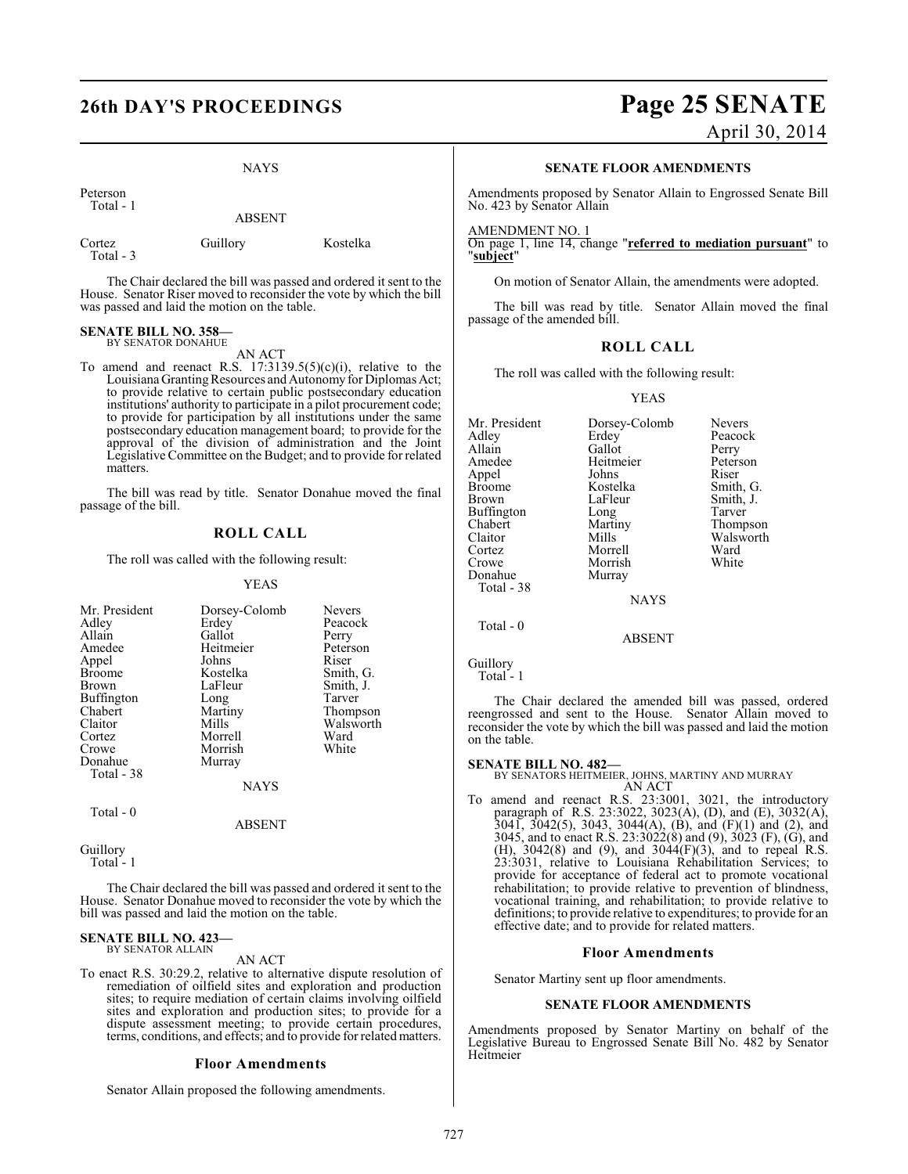NAYS

Peterson Total - 1

Total - 3

ABSENT

Cortez Guillory Kostelka

The Chair declared the bill was passed and ordered it sent to the House. Senator Riser moved to reconsider the vote by which the bill was passed and laid the motion on the table.

#### **SENATE BILL NO. 358—** BY SENATOR DONAHUE

AN ACT To amend and reenact R.S.  $17:3139.5(5)(c)(i)$ , relative to the Louisiana Granting Resources and Autonomy for Diplomas Act; to provide relative to certain public postsecondary education institutions' authority to participate in a pilot procurement code; to provide for participation by all institutions under the same postsecondary education management board; to provide for the approval of the division of administration and the Joint Legislative Committee on the Budget; and to provide for related matters.

The bill was read by title. Senator Donahue moved the final passage of the bill.

### **ROLL CALL**

The roll was called with the following result:

#### YEAS

| Mr. President | Dorsey-Colomb | <b>Nevers</b> |
|---------------|---------------|---------------|
| Adley         | Erdey         | Peacock       |
| Allain        | Gallot        | Perry         |
| Amedee        | Heitmeier     | Peterson      |
| Appel         | Johns         | Riser         |
| <b>Broome</b> | Kostelka      | Smith, G.     |
| Brown         | LaFleur       | Smith, J.     |
| Buffington    | Long          | Tarver        |
| Chabert       | Martiny       | Thompson      |
| Claitor       | Mills         | Walsworth     |
| Cortez        | Morrell       | Ward          |
| Crowe         | Morrish       | White         |
| Donahue       | Murray        |               |
| Total - 38    |               |               |
|               | <b>NAYS</b>   |               |
| Total - 0     |               |               |

Guillory

Total - 1

The Chair declared the bill was passed and ordered it sent to the House. Senator Donahue moved to reconsider the vote by which the bill was passed and laid the motion on the table.

ABSENT

#### **SENATE BILL NO. 423—** BY SENATOR ALLAIN

AN ACT

To enact R.S. 30:29.2, relative to alternative dispute resolution of remediation of oilfield sites and exploration and production sites; to require mediation of certain claims involving oilfield sites and exploration and production sites; to provide for a dispute assessment meeting; to provide certain procedures, terms, conditions, and effects; and to provide for related matters.

#### **Floor Amendments**

Senator Allain proposed the following amendments.

# **26th DAY'S PROCEEDINGS Page 25 SENATE**

April 30, 2014

#### **SENATE FLOOR AMENDMENTS**

Amendments proposed by Senator Allain to Engrossed Senate Bill No. 423 by Senator Allain

#### AMENDMENT NO. 1

On page 1, line 14, change "**referred to mediation pursuant**" to "**subject**"

On motion of Senator Allain, the amendments were adopted.

The bill was read by title. Senator Allain moved the final passage of the amended bill.

### **ROLL CALL**

The roll was called with the following result:

#### YEAS

| Mr. President<br>Adley<br>Allain<br>Amedee<br>Appel<br>Broome<br>Brown<br>Buffington<br>Chabert<br>Claitor<br>Cortez<br>Crowe<br>Donahue<br>Total - 38 | Dorsey-Colomb<br>Erdey<br>Gallot<br>Heitmeier<br>Johns<br>Kostelka<br>LaFleur<br>Long<br>Martiny<br>Mills<br>Morrell<br>Morrish<br>Murray<br><b>NAYS</b> | <b>Nevers</b><br>Peacock<br>Perry<br>Peterson<br>Riser<br>Smith, G.<br>Smith, J.<br>Tarver<br>Thompson<br>Walsworth<br>Ward<br>White |
|--------------------------------------------------------------------------------------------------------------------------------------------------------|----------------------------------------------------------------------------------------------------------------------------------------------------------|--------------------------------------------------------------------------------------------------------------------------------------|
| Total - 0                                                                                                                                              | ABSENT                                                                                                                                                   |                                                                                                                                      |

Guillory

Total<sup>-1</sup>

The Chair declared the amended bill was passed, ordered reengrossed and sent to the House. Senator Allain moved to reconsider the vote by which the bill was passed and laid the motion on the table.

**SENATE BILL NO. 482—** BY SENATORS HEITMEIER, JOHNS, MARTINY AND MURRAY AN ACT

To amend and reenact R.S. 23:3001, 3021, the introductory paragraph of R.S. 23:3022, 3023(A), (D), and (E), 3032(A), 3041, 3042(5), 3043, 3044(A), (B), and (F)(1) and (2), and 3045, and to enact R.S. 23:3022(8) and (9), 3023 (F), (G), and (H), 3042(8) and (9), and 3044(F)(3), and to repeal R.S. 23:3031, relative to Louisiana Rehabilitation Services; to provide for acceptance of federal act to promote vocational rehabilitation; to provide relative to prevention of blindness, vocational training, and rehabilitation; to provide relative to definitions; to provide relative to expenditures; to provide for an effective date; and to provide for related matters.

#### **Floor Amendments**

Senator Martiny sent up floor amendments.

#### **SENATE FLOOR AMENDMENTS**

Amendments proposed by Senator Martiny on behalf of the Legislative Bureau to Engrossed Senate Bill No. 482 by Senator Heitmeier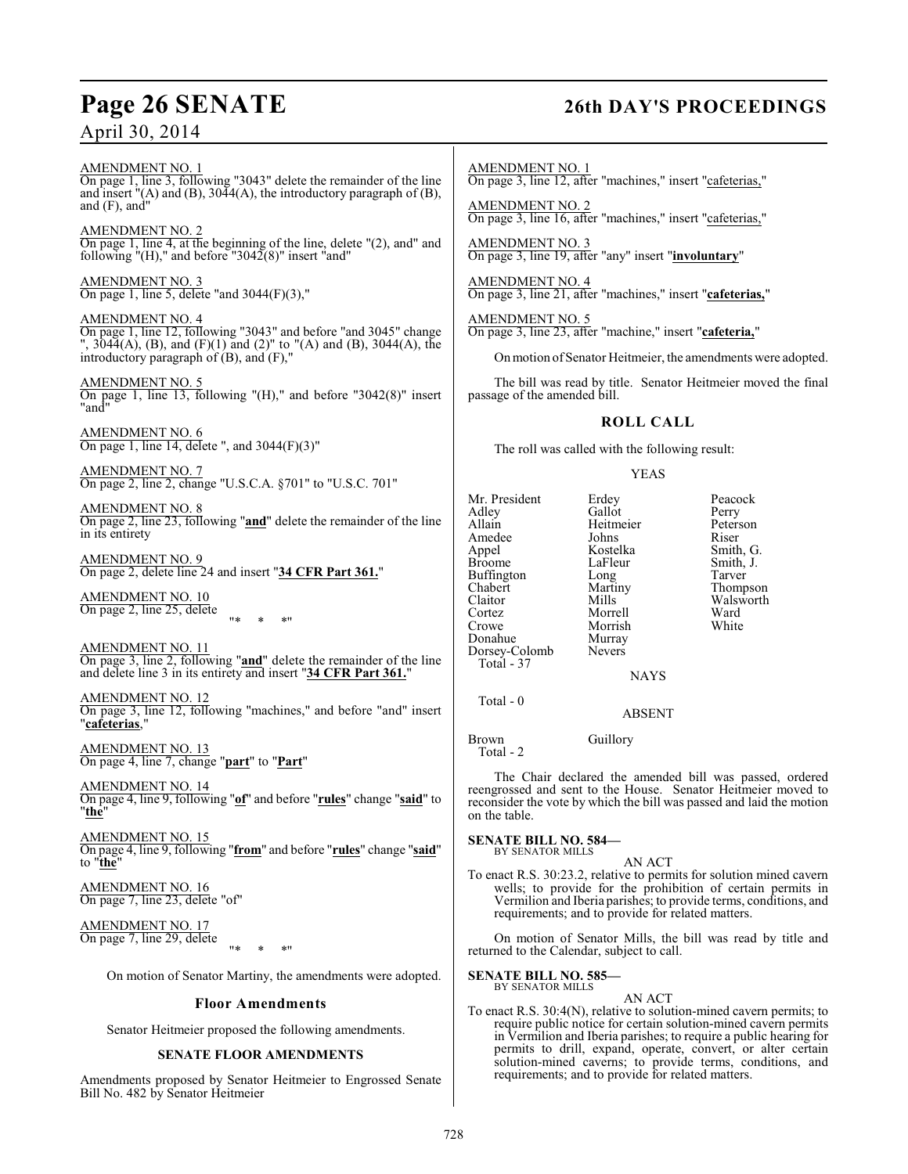# **Page 26 SENATE 26th DAY'S PROCEEDINGS**

AMENDMENT NO. 1 On page 1, line 3, following "3043" delete the remainder of the line and insert  $''(A)$  and  $(B)$ , 3044 $(A)$ , the introductory paragraph of  $(B)$ , and (F), and"

AMENDMENT NO. 2 On page 1, line 4, at the beginning of the line, delete "(2), and" and following "(H)," and before "3042 $(8)$ " insert "and"

AMENDMENT NO. 3 On page 1, line 5, delete "and 3044(F)(3),"

AMENDMENT NO. 4 On page 1, line 12, following "3043" and before "and 3045" change ", 3044(A), (B), and (F)(1) and (2)" to "(A) and (B), 3044(A), the introductory paragraph of (B), and (F),"

AMENDMENT NO. 5 On page 1, line 13, following "(H)," and before "3042(8)" insert "and"

AMENDMENT NO. 6 On page 1, line 14, delete ", and 3044(F)(3)"

AMENDMENT NO. 7 On page 2, line 2, change "U.S.C.A. §701" to "U.S.C. 701"

AMENDMENT NO. 8 On page 2, line 23, following "**and**" delete the remainder of the line in its entirety

AMENDMENT NO. 9 On page 2, delete line 24 and insert "**34 CFR Part 361.**"

AMENDMENT NO. 10 On page 2, line 25, delete "\* \* \*"

AMENDMENT NO. 11 On page 3, line 2, following "**and**" delete the remainder of the line and delete line 3 in its entirety and insert "**34 CFR Part 361.**"

AMENDMENT NO. 12 On page 3, line 12, following "machines," and before "and" insert "**cafeterias**,"

AMENDMENT NO. 13 On page 4, line 7, change "**part**" to "**Part**"

AMENDMENT NO. 14 On page 4, line 9, following "**of**" and before "**rules**" change "**said**" to "**the**"

AMENDMENT NO. 15 On page 4, line 9, following "**from**" and before "**rules**" change "**said**" to "**the**"

AMENDMENT NO. 16 On page 7, line 23, delete "of"

AMENDMENT NO. 17 On page 7, line 29, delete "\* \* \*"

On motion of Senator Martiny, the amendments were adopted.

## **Floor Amendments**

Senator Heitmeier proposed the following amendments.

## **SENATE FLOOR AMENDMENTS**

Amendments proposed by Senator Heitmeier to Engrossed Senate Bill No. 482 by Senator Heitmeier

AMENDMENT NO. 1 On page 3, line 12, after "machines," insert "cafeterias,"

AMENDMENT NO. 2 On page 3, line 16, after "machines," insert "cafeterias,"

AMENDMENT NO. 3 On page 3, line 19, after "any" insert "**involuntary**"

AMENDMENT NO. 4 On page 3, line 21, after "machines," insert "**cafeterias,**"

AMENDMENT NO. 5 On page 3, line 23, after "machine," insert "**cafeteria,**"

On motion ofSenator Heitmeier, the amendments were adopted.

The bill was read by title. Senator Heitmeier moved the final passage of the amended bill.

## **ROLL CALL**

The roll was called with the following result:

### YEAS

| Mr. President | Erdey         | Peacock   |
|---------------|---------------|-----------|
| Adley         | Gallot        | Perry     |
| Allain        | Heitmeier     | Peterson  |
| Amedee        | Johns         | Riser     |
| Appel         | Kostelka      | Smith, G. |
| <b>Broome</b> | LaFleur       | Smith, J. |
| Buffington    | Long          | Tarver    |
| Chabert       | Martiny       | Thompson  |
| Claitor       | Mills         | Walsworth |
| Cortez        | Morrell       | Ward      |
| Crowe         | Morrish       | White     |
| Donahue       | Murray        |           |
| Dorsey-Colomb | <b>Nevers</b> |           |
| Total - 37    |               |           |
|               | NAYS          |           |

NAYS

ABSENT

Brown Guillory Total - 2

Total - 0

The Chair declared the amended bill was passed, ordered reengrossed and sent to the House. Senator Heitmeier moved to reconsider the vote by which the bill was passed and laid the motion on the table.

**SENATE BILL NO. 584—** BY SENATOR MILLS

AN ACT

To enact R.S. 30:23.2, relative to permits for solution mined cavern wells; to provide for the prohibition of certain permits in Vermilion and Iberia parishes; to provide terms, conditions, and requirements; and to provide for related matters.

On motion of Senator Mills, the bill was read by title and returned to the Calendar, subject to call.

#### **SENATE BILL NO. 585—** BY SENATOR MILLS

AN ACT

To enact R.S. 30:4(N), relative to solution-mined cavern permits; to require public notice for certain solution-mined cavern permits in Vermilion and Iberia parishes; to require a public hearing for permits to drill, expand, operate, convert, or alter certain solution-mined caverns; to provide terms, conditions, and requirements; and to provide for related matters.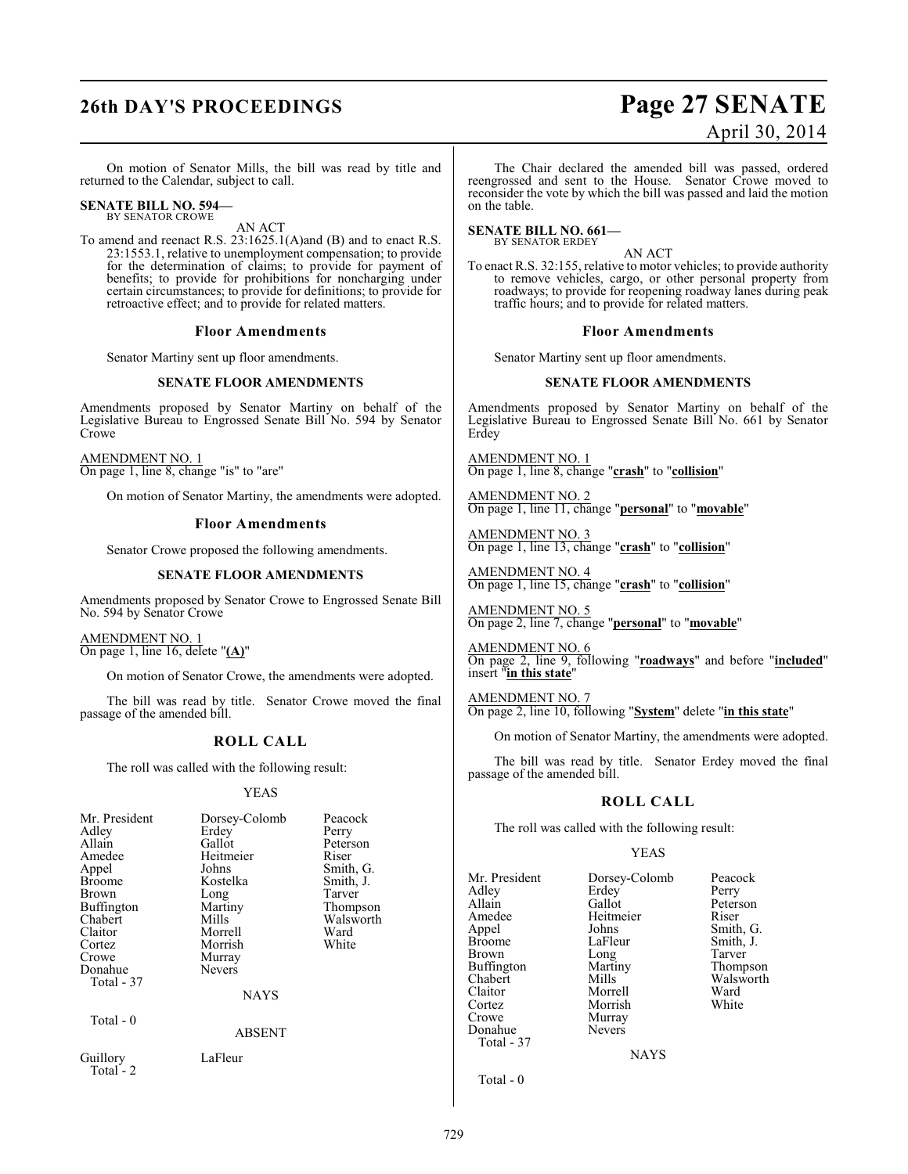# **26th DAY'S PROCEEDINGS Page 27 SENATE** April 30, 2014

On motion of Senator Mills, the bill was read by title and returned to the Calendar, subject to call.

# **SENATE BILL NO. 594—** BY SENATOR CROWE

AN ACT

To amend and reenact R.S. 23:1625.1(A)and (B) and to enact R.S. 23:1553.1, relative to unemployment compensation; to provide for the determination of claims; to provide for payment of benefits; to provide for prohibitions for noncharging under certain circumstances; to provide for definitions; to provide for retroactive effect; and to provide for related matters.

#### **Floor Amendments**

Senator Martiny sent up floor amendments.

#### **SENATE FLOOR AMENDMENTS**

Amendments proposed by Senator Martiny on behalf of the Legislative Bureau to Engrossed Senate Bill No. 594 by Senator Crowe

AMENDMENT NO. 1 On page 1, line 8, change "is" to "are"

On motion of Senator Martiny, the amendments were adopted.

#### **Floor Amendments**

Senator Crowe proposed the following amendments.

#### **SENATE FLOOR AMENDMENTS**

Amendments proposed by Senator Crowe to Engrossed Senate Bill No. 594 by Senator Crowe

AMENDMENT NO. 1 On page 1, line 16, delete "**(A)**"

On motion of Senator Crowe, the amendments were adopted.

The bill was read by title. Senator Crowe moved the final passage of the amended bill.

#### **ROLL CALL**

The roll was called with the following result:

#### YEAS

| Mr. President<br>Adley<br>Allain<br>Amedee<br>Appel<br><b>Broome</b><br>Brown<br>Buffington<br>Chabert<br>Claitor<br>Cortez<br>Crowe<br>Donahue<br>Total - 37<br>Total - 0 | Dorsey-Colomb<br>Erdey<br>Gallot<br>Heitmeier<br>Johns<br>Kostelka<br>Long<br>Martiny<br>Mills<br>Morrell<br>Morrish<br>Murray<br><b>Nevers</b><br><b>NAYS</b><br><b>ABSENT</b> | Peacock<br>Perry<br>Peterson<br>Riser<br>Smith, G.<br>Smith, J.<br>Tarver<br>Thompson<br>Walsworth<br>Ward<br>White |
|----------------------------------------------------------------------------------------------------------------------------------------------------------------------------|---------------------------------------------------------------------------------------------------------------------------------------------------------------------------------|---------------------------------------------------------------------------------------------------------------------|
| Guillory<br>Total - 2                                                                                                                                                      | LaFleur                                                                                                                                                                         |                                                                                                                     |

The Chair declared the amended bill was passed, ordered reengrossed and sent to the House. Senator Crowe moved to reconsider the vote by which the bill was passed and laid the motion on the table.

#### **SENATE BILL NO. 661—** BY SENATOR ERDEY

AN ACT

To enact R.S. 32:155, relative to motor vehicles; to provide authority to remove vehicles, cargo, or other personal property from roadways; to provide for reopening roadway lanes during peak traffic hours; and to provide for related matters.

#### **Floor Amendments**

Senator Martiny sent up floor amendments.

#### **SENATE FLOOR AMENDMENTS**

Amendments proposed by Senator Martiny on behalf of the Legislative Bureau to Engrossed Senate Bill No. 661 by Senator Erdey

AMENDMENT NO. 1 On page 1, line 8, change "**crash**" to "**collision**"

AMENDMENT NO. 2 On page 1, line 11, change "**personal**" to "**movable**"

AMENDMENT NO. 3 On page 1, line 13, change "**crash**" to "**collision**"

AMENDMENT NO. 4 On page 1, line 15, change "**crash**" to "**collision**"

AMENDMENT NO. 5 On page 2, line 7, change "**personal**" to "**movable**"

AMENDMENT NO. 6 On page 2, line 9, following "**roadways**" and before "**included**" insert "**in this state**"

AMENDMENT NO. 7 On page 2, line 10, following "**System**" delete "**in this state**"

On motion of Senator Martiny, the amendments were adopted.

The bill was read by title. Senator Erdey moved the final passage of the amended bill.

#### **ROLL CALL**

The roll was called with the following result:

#### YEAS

| Mr. President<br>Adley<br>Allain<br>Amedee<br>Appel<br><b>Broome</b><br><b>Brown</b><br>Buffington<br>Chabert<br>Claitor<br>Cortez<br>Crowe | Dorsey-Colomb<br>Erdey<br>Gallot<br>Heitmeier<br>Johns<br>LaFleur<br>Long<br>Martiny<br>Mills<br>Morrell<br>Morrish<br>Murray | Peacock<br>Perry<br>Peterson<br>Riser<br>Smith, G.<br>Smith, J.<br>Tarver<br>Thompson<br>Walsworth<br>Ward<br>White |
|---------------------------------------------------------------------------------------------------------------------------------------------|-------------------------------------------------------------------------------------------------------------------------------|---------------------------------------------------------------------------------------------------------------------|
| Donahue                                                                                                                                     | <b>Nevers</b>                                                                                                                 |                                                                                                                     |
| Total - 37                                                                                                                                  | <b>NAYS</b>                                                                                                                   |                                                                                                                     |

Total - 0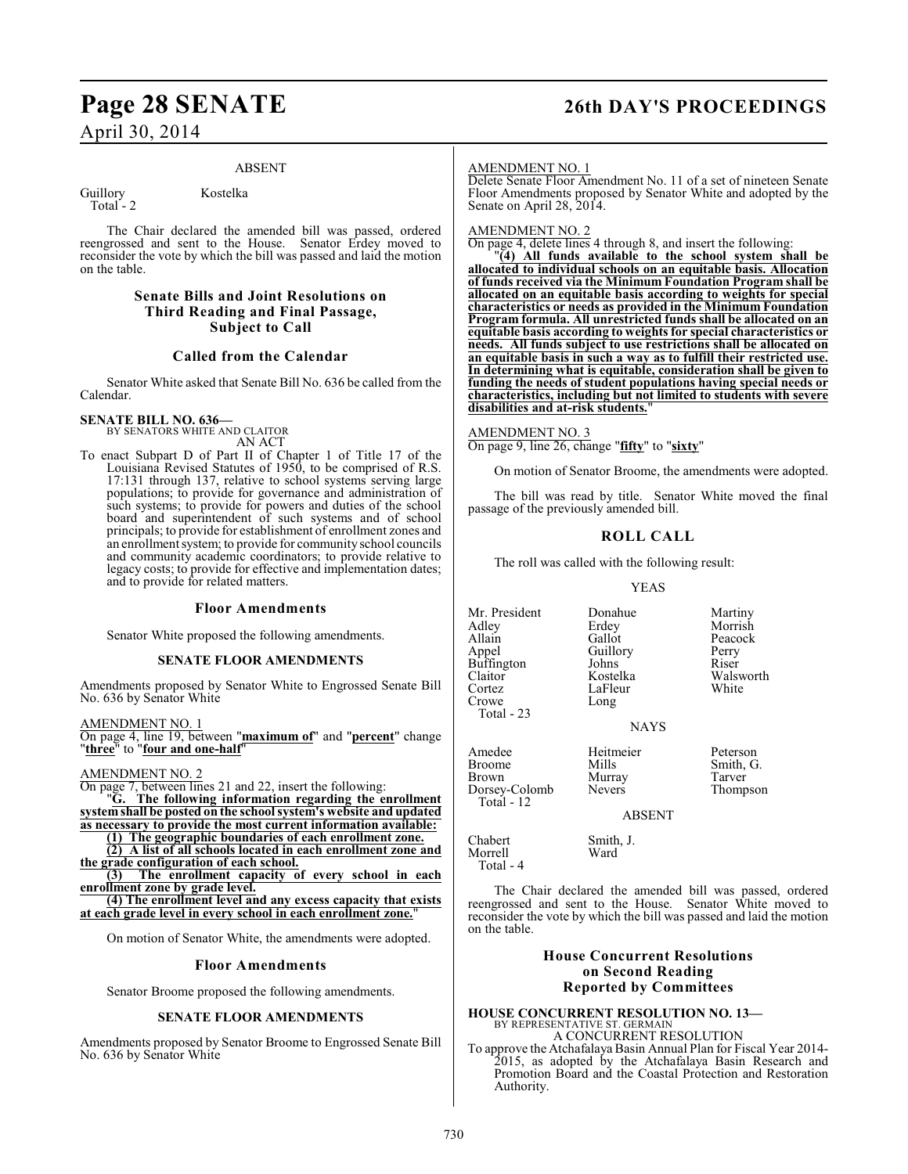# **Page 28 SENATE 26th DAY'S PROCEEDINGS**

# April 30, 2014

#### ABSENT

Total  $-2$ 

Guillory Kostelka

The Chair declared the amended bill was passed, ordered reengrossed and sent to the House. Senator Erdey moved to reconsider the vote by which the bill was passed and laid the motion on the table.

### **Senate Bills and Joint Resolutions on Third Reading and Final Passage, Subject to Call**

## **Called from the Calendar**

Senator White asked that Senate Bill No. 636 be called from the Calendar.

**SENATE BILL NO. 636—** BY SENATORS WHITE AND CLAITOR AN ACT

To enact Subpart D of Part II of Chapter 1 of Title 17 of the Louisiana Revised Statutes of 1950, to be comprised of R.S. 17:131 through 137, relative to school systems serving large populations; to provide for governance and administration of such systems; to provide for powers and duties of the school board and superintendent of such systems and of school principals; to provide for establishment of enrollment zones and an enrollment system; to provide for community school councils and community academic coordinators; to provide relative to legacy costs; to provide for effective and implementation dates; and to provide for related matters.

#### **Floor Amendments**

Senator White proposed the following amendments.

#### **SENATE FLOOR AMENDMENTS**

Amendments proposed by Senator White to Engrossed Senate Bill No. 636 by Senator White

AMENDMENT NO. 1

On page 4, line 19, between "**maximum of**" and "**percent**" change "**three**" to "**four and one-half**"

AMENDMENT NO. 2

On page 7, between lines 21 and 22, insert the following: "**G. The following information regarding the enrollment system shall be posted on the school system's website and updated as necessary to provide the most current information available:**

**(1) The geographic boundaries of each enrollment zone.**

**(2) A list of all schools located in each enrollment zone and the grade configuration of each school.**

**(3) The enrollment capacity of every school in each enrollment zone by grade level.**

**(4) The enrollment level and any excess capacity that exists at each grade level in every school in each enrollment zone.**"

On motion of Senator White, the amendments were adopted.

#### **Floor Amendments**

Senator Broome proposed the following amendments.

#### **SENATE FLOOR AMENDMENTS**

Amendments proposed by Senator Broome to Engrossed Senate Bill No. 636 by Senator White

#### AMENDMENT NO. 1

Delete Senate Floor Amendment No. 11 of a set of nineteen Senate Floor Amendments proposed by Senator White and adopted by the Senate on April 28, 2014.

#### AMENDMENT NO. 2

On page 4, delete lines 4 through 8, and insert the following:

"**(4) All funds available to the school system shall be allocated to individual schools on an equitable basis. Allocation of funds received via the Minimum Foundation Program shall be allocated on an equitable basis according to weights for special characteristics or needs as provided in the Minimum Foundation Program formula. All unrestricted funds shall be allocated on an equitable basis according to weights for special characteristics or needs. All funds subject to use restrictions shall be allocated on an equitable basis in such a way as to fulfill their restricted use. In determining what is equitable, consideration shall be given to funding the needs of student populations having special needs or characteristics, including but not limited to students with severe disabilities and at-risk students.**"

#### AMENDMENT NO. 3

On page 9, line 26, change "**fifty**" to "**sixty**"

On motion of Senator Broome, the amendments were adopted.

The bill was read by title. Senator White moved the final passage of the previously amended bill.

## **ROLL CALL**

The roll was called with the following result:

LaFleur

YEAS

Mr. President Donahue Martiny<br>Adley Erdey Morrish Adley Erdey Morrish<br>Allain Gallot Peacock Allain Gallot Peacock<br>
Appel Guillory Perry Buffington Johns<br>Claitor Kostelka Claitor **Kostelka** Walsworth<br>Cortez LaFleur White Crowe Long

Total - 23

Amedee Heitmeier Peterson<br>Broome Mills – Smith G Broome Mills Smith, G.<br>Brown Murray Tarver Dorsey-Colomb Total - 12

Murray Tarver<br>
Nevers Thompson

ABSENT

NAYS

Chabert Smith, J. Morrell Total - 4

The Chair declared the amended bill was passed, ordered reengrossed and sent to the House. Senator White moved to reconsider the vote by which the bill was passed and laid the motion on the table.

### **House Concurrent Resolutions on Second Reading Reported by Committees**

## **HOUSE CONCURRENT RESOLUTION NO. 13—** BY REPRESENTATIVE ST. GERMAIN A CONCURRENT RESOLUTION

To approve the Atchafalaya Basin Annual Plan for Fiscal Year 2014- 2015, as adopted by the Atchafalaya Basin Research and Promotion Board and the Coastal Protection and Restoration Authority.

Guillory Perry<br>Johns Riser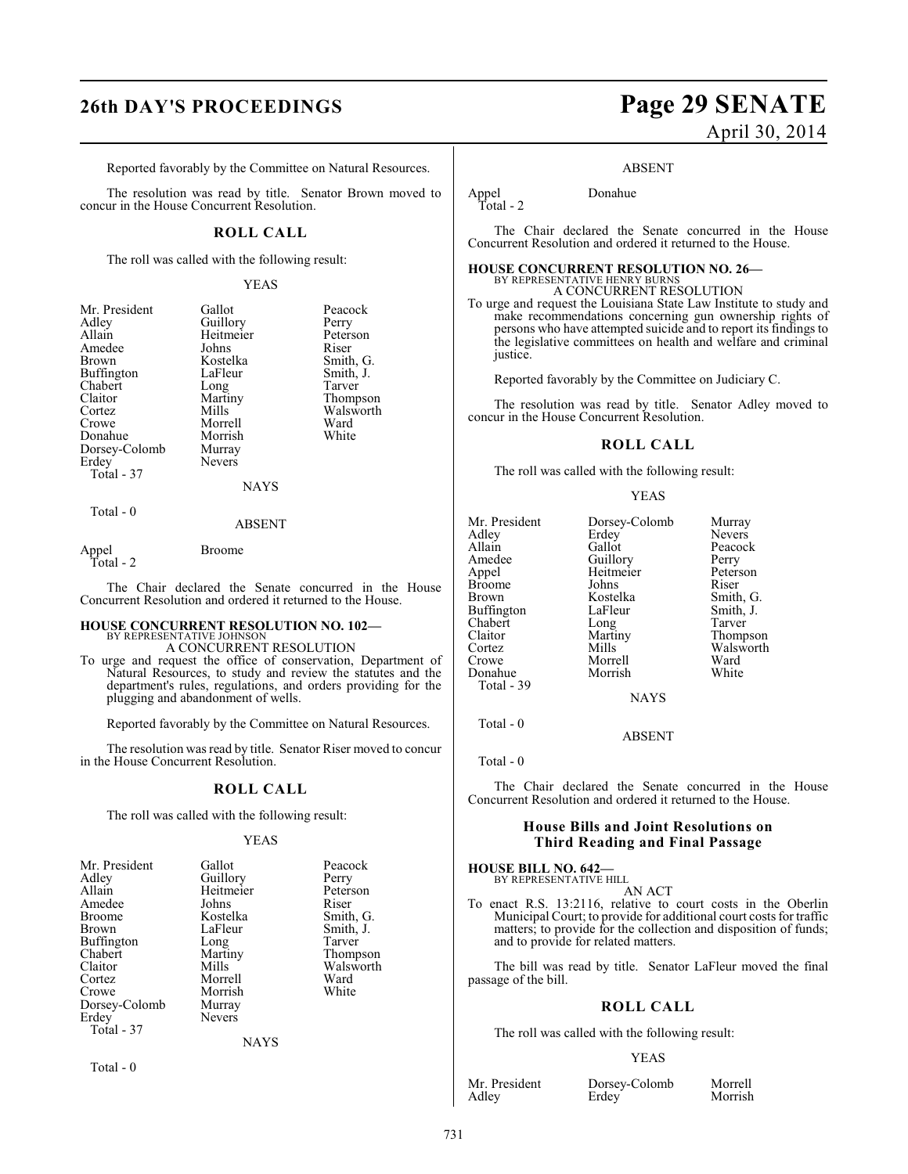Reported favorably by the Committee on Natural Resources.

The resolution was read by title. Senator Brown moved to concur in the House Concurrent Resolution.

## **ROLL CALL**

The roll was called with the following result:

#### YEAS

| Mr. President | Gallot        | Peacock   |
|---------------|---------------|-----------|
| Adley         | Guillory      | Perry     |
| Allain        | Heitmeier     | Peterson  |
| Amedee        | Johns         | Riser     |
| Brown         | Kostelka      | Smith, G. |
| Buffington    | LaFleur       | Smith, J. |
| Chabert       | Long          | Tarver    |
| Claitor       | Martiny       | Thompson  |
| Cortez        | Mills         | Walsworth |
| Crowe         | Morrell       | Ward      |
| Donahue       | Morrish       | White     |
| Dorsey-Colomb | Murray        |           |
| Erdey         | <b>Nevers</b> |           |
| Total - 37    |               |           |
|               | NAYS          |           |
|               |               |           |

#### Total - 0

#### ABSENT

Appel Broome Total - 2

The Chair declared the Senate concurred in the House Concurrent Resolution and ordered it returned to the House.

#### **HOUSE CONCURRENT RESOLUTION NO. 102—** BY REPRESENTATIVE JOHNSON

A CONCURRENT RESOLUTION

To urge and request the office of conservation, Department of Natural Resources, to study and review the statutes and the department's rules, regulations, and orders providing for the plugging and abandonment of wells.

Reported favorably by the Committee on Natural Resources.

The resolution was read by title. Senator Riser moved to concur in the House Concurrent Resolution.

#### **ROLL CALL**

The roll was called with the following result:

#### YEAS

| Mr. President | Gallot        | Peacock   |
|---------------|---------------|-----------|
| Adley         | Guillory      | Perry     |
| Allain        | Heitmeier     | Peterson  |
| Amedee        | Johns         | Riser     |
| Broome        | Kostelka      | Smith, G. |
| Brown         | LaFleur       | Smith, J. |
| Buffington    | Long          | Tarver    |
| Chabert       | Martiny       | Thompson  |
| Claitor       | Mills         | Walsworth |
| Cortez        | Morrell       | Ward      |
| Crowe         | Morrish       | White     |
| Dorsey-Colomb | Murray        |           |
| Erdey         | <b>Nevers</b> |           |
| Total - 37    |               |           |
|               | $\cdots$      |           |

NAYS

Total - 0

# **26th DAY'S PROCEEDINGS Page 29 SENATE** April 30, 2014

#### ABSENT

Appel Donahue Total - 2

The Chair declared the Senate concurred in the House Concurrent Resolution and ordered it returned to the House.

#### **HOUSE CONCURRENT RESOLUTION NO. 26—** BY REPRESENTATIVE HENRY BURNS

A CONCURRENT RESOLUTION

To urge and request the Louisiana State Law Institute to study and make recommendations concerning gun ownership rights of persons who have attempted suicide and to report its findings to the legislative committees on health and welfare and criminal justice.

Reported favorably by the Committee on Judiciary C.

The resolution was read by title. Senator Adley moved to concur in the House Concurrent Resolution.

#### **ROLL CALL**

The roll was called with the following result:

#### YEAS

| Mr. President | Dorsey-Colomb | Murray        |
|---------------|---------------|---------------|
| Adley         | Erdey         | <b>Nevers</b> |
| Allain        | Gallot        | Peacock       |
| Amedee        | Guillory      | Perry         |
| Appel         | Heitmeier     | Peterson      |
| Broome        | Johns         | Riser         |
| Brown         | Kostelka      | Smith, G.     |
| Buffington    | LaFleur       | Smith, J.     |
| Chabert       | Long          | Tarver        |
| Claitor       | Martiny       | Thompson      |
| Cortez        | Mills         | Walsworth     |
| Crowe         | Morrell       | Ward          |
| Donahue       | Morrish       | White         |
| Total - 39    |               |               |
|               | <b>NAYS</b>   |               |
|               |               |               |

Total - 0

Total - 0

The Chair declared the Senate concurred in the House Concurrent Resolution and ordered it returned to the House.

ABSENT

#### **House Bills and Joint Resolutions on Third Reading and Final Passage**

#### **HOUSE BILL NO. 642—**

BY REPRESENTATIVE HILL AN ACT

To enact R.S. 13:2116, relative to court costs in the Oberlin Municipal Court; to provide for additional court costs for traffic matters; to provide for the collection and disposition of funds; and to provide for related matters.

The bill was read by title. Senator LaFleur moved the final passage of the bill.

#### **ROLL CALL**

The roll was called with the following result:

#### YEAS

Mr. President Dorsey-Colomb Morrell<br>Adley Erdey Morrish

Morrish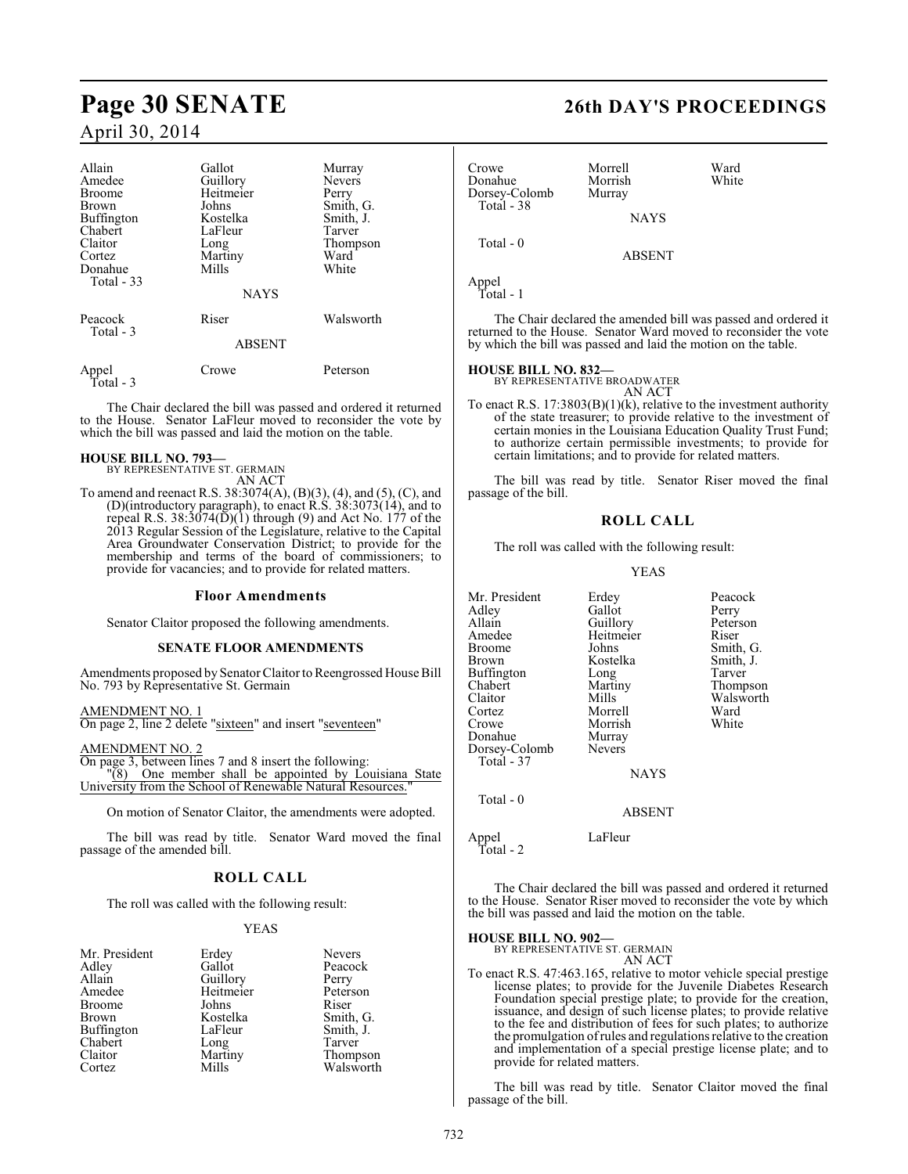| Allain<br>Amedee<br><b>Broome</b><br>Brown<br><b>Buffington</b><br>Chabert<br>Claitor<br>Cortez<br>Donahue<br>Total $-33$ | Gallot<br>Guillory<br>Heitmeier<br>Johns<br>Kostelka<br>LaFleur<br>Long<br>Martiny<br>Mills<br><b>NAYS</b> | Murray<br><b>Nevers</b><br>Perry<br>Smith, G.<br>Smith, J.<br>Tarver<br>Thompson<br>Ward<br>White |
|---------------------------------------------------------------------------------------------------------------------------|------------------------------------------------------------------------------------------------------------|---------------------------------------------------------------------------------------------------|
| Peacock<br>Total - 3                                                                                                      | Riser<br><b>ABSENT</b>                                                                                     | Walsworth                                                                                         |
| Appel<br>Total - 3                                                                                                        | Crowe                                                                                                      | Peterson                                                                                          |

The Chair declared the bill was passed and ordered it returned to the House. Senator LaFleur moved to reconsider the vote by which the bill was passed and laid the motion on the table.

#### **HOUSE BILL NO. 793—**

BY REPRESENTATIVE ST. GERMAIN AN ACT

To amend and reenact R.S. 38:3074(A), (B)(3), (4), and (5), (C), and (D)(introductory paragraph), to enact R.S. 38:3073(14), and to repeal R.S. 38:3074(D)(1) through (9) and Act No. 177 of the 2013 Regular Session of the Legislature, relative to the Capital Area Groundwater Conservation District; to provide for the membership and terms of the board of commissioners; to provide for vacancies; and to provide for related matters.

#### **Floor Amendments**

Senator Claitor proposed the following amendments.

#### **SENATE FLOOR AMENDMENTS**

Amendments proposed by Senator Claitor to Reengrossed House Bill No. 793 by Representative St. Germain

AMENDMENT NO. 1

On page 2, line 2 delete "sixteen" and insert "seventeen"

AMENDMENT NO. 2

On page 3, between lines 7 and 8 insert the following: "(8) One member shall be appointed by Louisiana State University from the School of Renewable Natural Resources."

On motion of Senator Claitor, the amendments were adopted.

The bill was read by title. Senator Ward moved the final passage of the amended bill.

## **ROLL CALL**

The roll was called with the following result:

#### YEAS

| Mr. President     | Erdey     | <b>Nevers</b> |
|-------------------|-----------|---------------|
| Adley             | Gallot    | Peacock       |
| Allain            | Guillory  | Perry         |
| Amedee            | Heitmeier | Peterson      |
| <b>Broome</b>     | Johns     | Riser         |
| Brown             | Kostelka  | Smith, G.     |
| <b>Buffington</b> | LaFleur   | Smith, J.     |
| Chabert           | Long      | Tarver        |
| Claitor           | Martiny   | Thompson      |
| Cortez            | Mills     | Walsworth     |

# **Page 30 SENATE 26th DAY'S PROCEEDINGS**

| Crowe<br>Donahue<br>Dorsey-Colomb<br>Total - 38 | Morrell<br>Morrish<br>Murray | Ward<br>White |
|-------------------------------------------------|------------------------------|---------------|
|                                                 | <b>NAYS</b>                  |               |
| Total - 0                                       | <b>ABSENT</b>                |               |
| Appel                                           |                              |               |

Total - 1

The Chair declared the amended bill was passed and ordered it returned to the House. Senator Ward moved to reconsider the vote by which the bill was passed and laid the motion on the table.

**HOUSE BILL NO. 832—** BY REPRESENTATIVE BROADWATER

AN ACT To enact R.S. 17:3803(B)(1)(k), relative to the investment authority of the state treasurer; to provide relative to the investment of certain monies in the Louisiana Education Quality Trust Fund; to authorize certain permissible investments; to provide for certain limitations; and to provide for related matters.

The bill was read by title. Senator Riser moved the final passage of the bill.

#### **ROLL CALL**

The roll was called with the following result:

#### YEAS

| Mr. President | Erdey         | Peacock   |
|---------------|---------------|-----------|
| Adlev         | Gallot        | Perry     |
| Allain        | Guillory      | Peterson  |
| Amedee        | Heitmeier     | Riser     |
| Broome        | Johns         | Smith, G. |
| Brown         | Kostelka      | Smith, J. |
| Buffington    | Long          | Tarver    |
| Chabert       | Martiny       | Thompson  |
| Claitor       | Mills         | Walsworth |
| Cortez        | Morrell       | Ward      |
| Crowe         | Morrish       | White     |
| Donahue       | Murray        |           |
| Dorsey-Colomb | <b>Nevers</b> |           |
| Total - 37    |               |           |
|               | <b>NAYS</b>   |           |
| Total - 0     |               |           |

ABSENT

Appel LaFleur

Total - 2

The Chair declared the bill was passed and ordered it returned to the House. Senator Riser moved to reconsider the vote by which the bill was passed and laid the motion on the table.

#### **HOUSE BILL NO. 902—**

BY REPRESENTATIVE ST. GERMAIN

AN ACT To enact R.S. 47:463.165, relative to motor vehicle special prestige license plates; to provide for the Juvenile Diabetes Research Foundation special prestige plate; to provide for the creation, issuance, and design of such license plates; to provide relative to the fee and distribution of fees for such plates; to authorize the promulgation of rules and regulations relative to the creation and implementation of a special prestige license plate; and to provide for related matters.

The bill was read by title. Senator Claitor moved the final passage of the bill.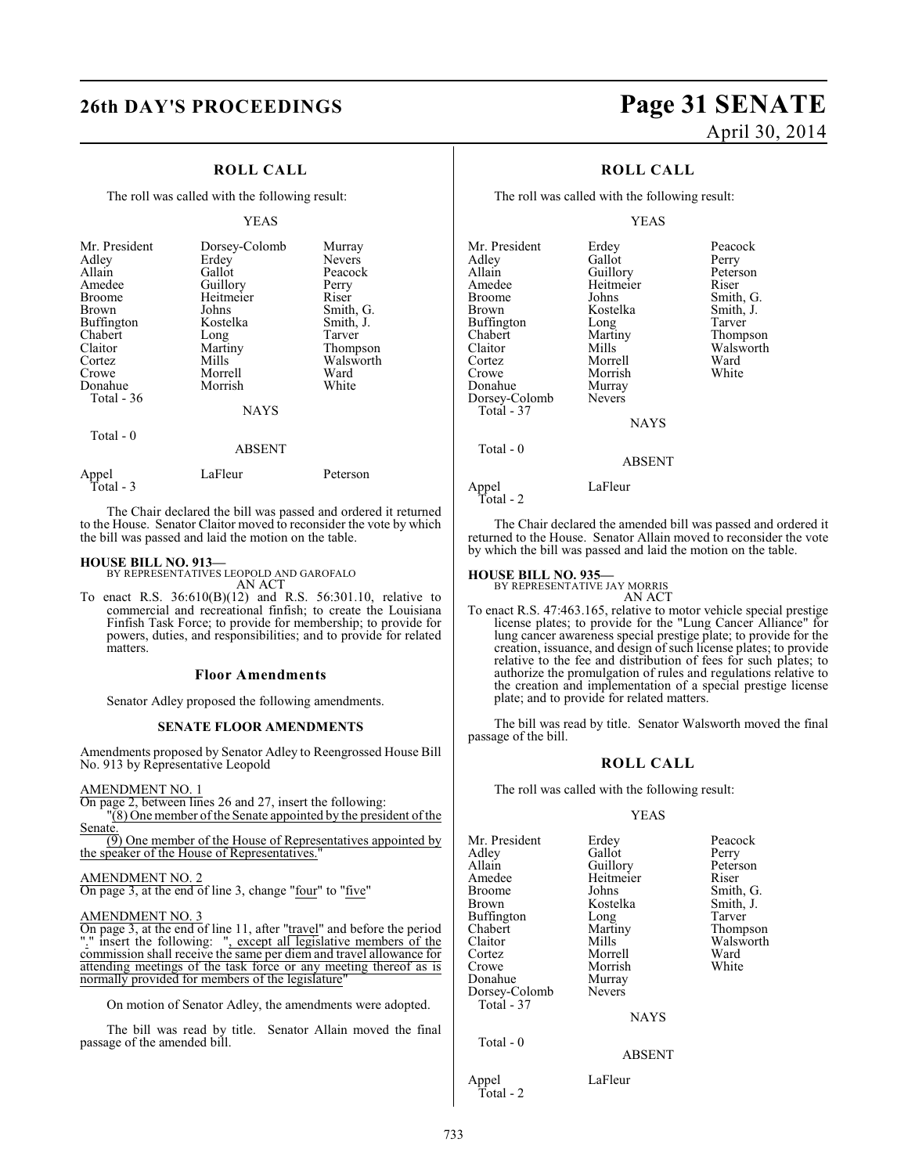## **ROLL CALL**

The roll was called with the following result:

#### YEAS

| Mr. President<br>Adley<br>Allain<br>Amedee<br><b>Broome</b><br><b>Brown</b><br><b>Buffington</b><br>Chabert<br>Claitor<br>Cortez<br>Crowe<br>Donahue<br>Total $-36$ | Dorsey-Colomb<br>Erdey<br>Gallot<br>Guillory<br>Heitmeier<br>Johns<br>Kostelka<br>Long<br>Martiny<br>Mills<br>Morrell<br>Morrish | Murray<br><b>Nevers</b><br>Peacock<br>Perry<br>Riser<br>Smith, G.<br>Smith, J.<br>Tarver<br>Thompson<br>Walsworth<br>Ward<br>White |
|---------------------------------------------------------------------------------------------------------------------------------------------------------------------|----------------------------------------------------------------------------------------------------------------------------------|------------------------------------------------------------------------------------------------------------------------------------|
|                                                                                                                                                                     | <b>NAYS</b>                                                                                                                      |                                                                                                                                    |
| Total $-0$                                                                                                                                                          | <b>ABSENT</b>                                                                                                                    |                                                                                                                                    |

|                    | 111111  |          |
|--------------------|---------|----------|
| Appel<br>Total - 3 | LaFleur | Peterson |

The Chair declared the bill was passed and ordered it returned to the House. Senator Claitor moved to reconsider the vote by which the bill was passed and laid the motion on the table.

#### **HOUSE BILL NO. 913—**

BY REPRESENTATIVES LEOPOLD AND GAROFALO AN ACT

To enact R.S. 36:610(B)(12) and R.S. 56:301.10, relative to commercial and recreational finfish; to create the Louisiana Finfish Task Force; to provide for membership; to provide for powers, duties, and responsibilities; and to provide for related matters.

#### **Floor Amendments**

Senator Adley proposed the following amendments.

#### **SENATE FLOOR AMENDMENTS**

Amendments proposed by Senator Adley to Reengrossed House Bill No. 913 by Representative Leopold

#### AMENDMENT NO. 1

On page 2, between lines 26 and 27, insert the following: "(8) One member of the Senate appointed by the president of the Senate.

(9) One member of the House of Representatives appointed by the speaker of the House of Representatives.

#### AMENDMENT NO. 2 On page 3, at the end of line 3, change "four" to "five"

## AMENDMENT NO. 3

On page 3, at the end of line 11, after "travel" and before the period "." insert the following: ", except all legislative members of the commission shall receive the same per diem and travel allowance for attending meetings of the task force or any meeting thereof as is normally provided for members of the legislature'

On motion of Senator Adley, the amendments were adopted.

The bill was read by title. Senator Allain moved the final passage of the amended bill.

# **26th DAY'S PROCEEDINGS Page 31 SENATE** April 30, 2014

## **ROLL CALL**

The roll was called with the following result:

#### YEAS

| Mr. President | Erdey         | Peacock   |
|---------------|---------------|-----------|
| Adley         | Gallot        | Perry     |
| Allain        | Guillory      | Peterson  |
| Amedee        | Heitmeier     | Riser     |
| <b>Broome</b> | Johns         | Smith, G. |
| Brown         | Kostelka      | Smith, J. |
| Buffington    | Long          | Tarver    |
| Chabert       | Martiny       | Thompson  |
| Claitor       | Mills         | Walsworth |
| Cortez        | Morrell       | Ward      |
| Crowe         | Morrish       | White     |
| Donahue       | Murray        |           |
| Dorsey-Colomb | <b>Nevers</b> |           |
| Total - 37    |               |           |
|               | <b>NAYS</b>   |           |
| Total $-0$    |               |           |
|               | ABSENT        |           |

Appel LaFleur Total - 2

The Chair declared the amended bill was passed and ordered it returned to the House. Senator Allain moved to reconsider the vote by which the bill was passed and laid the motion on the table.

#### **HOUSE BILL NO. 935—**

BY REPRESENTATIVE JAY MORRIS AN ACT

To enact R.S. 47:463.165, relative to motor vehicle special prestige license plates; to provide for the "Lung Cancer Alliance" for lung cancer awareness special prestige plate; to provide for the creation, issuance, and design of such license plates; to provide relative to the fee and distribution of fees for such plates; to authorize the promulgation of rules and regulations relative to the creation and implementation of a special prestige license plate; and to provide for related matters.

The bill was read by title. Senator Walsworth moved the final passage of the bill.

#### **ROLL CALL**

The roll was called with the following result:

#### YEAS

| Mr. President<br>Adley | Erdey<br>Gallot | Peacock<br>Perry |
|------------------------|-----------------|------------------|
| Allain                 | Guillory        | Peterson         |
| Amedee                 | Heitmeier       | Riser            |
| Broome                 | Johns           | Smith, G.        |
| Brown                  | Kostelka        | Smith, J.        |
| Buffington             | Long            | Tarver           |
| Chabert                | Martiny         | Thompson         |
| Claitor                | Mills           | Walsworth        |
| Cortez                 | Morrell         | Ward             |
| Crowe                  | Morrish         | White            |
| Donahue                | Murray          |                  |
| Dorsey-Colomb          | <b>Nevers</b>   |                  |
| Total - 37             |                 |                  |
|                        | <b>NAYS</b>     |                  |
| Total - 0              |                 |                  |
|                        | <b>ABSENT</b>   |                  |
|                        |                 |                  |

Appel LaFleur Total - 2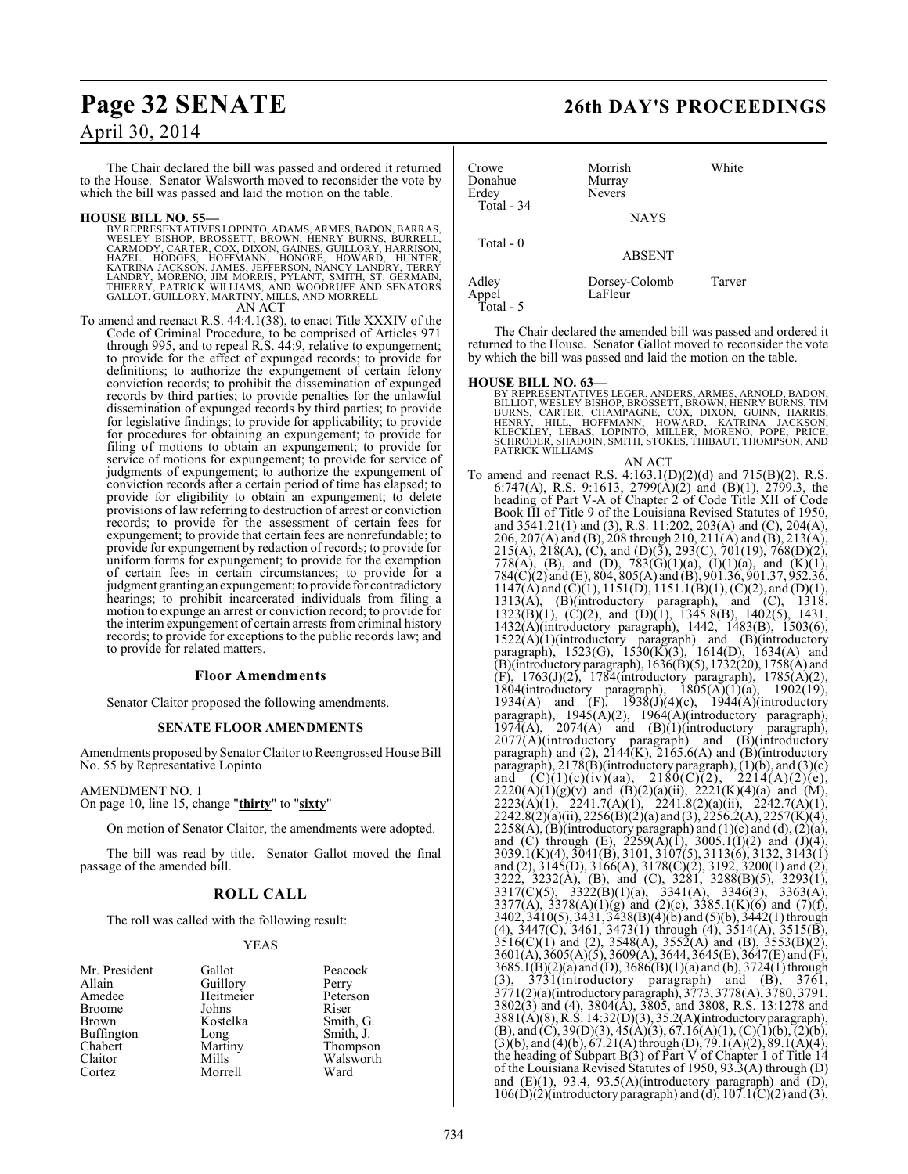# **Page 32 SENATE 26th DAY'S PROCEEDINGS** April 30, 2014

The Chair declared the bill was passed and ordered it returned to the House. Senator Walsworth moved to reconsider the vote by which the bill was passed and laid the motion on the table.

#### **HOUSE BILL NO. 55—**

BY REPRESENTATIVES LOPINTO, ADAMS, ARMES, BADON, BARRAS, WESLEY BISHOP, FARONI, HENRY BURNS, BURRELL, CARMODY, CARTEL, CARNODY, CARTEL, CARNODY, CARTEL, HARRISON, KATRING, KATRING, KATRING, KATRING, KATRING, KATRING, KATRI AN ACT

To amend and reenact R.S. 44:4.1(38), to enact Title XXXIV of the Code of Criminal Procedure, to be comprised of Articles 971 through 995, and to repeal R.S. 44:9, relative to expungement; to provide for the effect of expunged records; to provide for definitions; to authorize the expungement of certain felony conviction records; to prohibit the dissemination of expunged records by third parties; to provide penalties for the unlawful dissemination of expunged records by third parties; to provide for legislative findings; to provide for applicability; to provide for procedures for obtaining an expungement; to provide for filing of motions to obtain an expungement; to provide for service of motions for expungement; to provide for service of judgments of expungement; to authorize the expungement of conviction records after a certain period of time has elapsed; to provide for eligibility to obtain an expungement; to delete provisions of law referring to destruction of arrest or conviction records; to provide for the assessment of certain fees for expungement; to provide that certain fees are nonrefundable; to provide for expungement by redaction of records; to provide for uniform forms for expungement; to provide for the exemption of certain fees in certain circumstances; to provide for a judgment granting an expungement; to provide for contradictory hearings; to prohibit incarcerated individuals from filing a motion to expunge an arrest or conviction record; to provide for the interim expungement of certain arrests from criminal history records; to provide for exceptions to the public records law; and to provide for related matters.

#### **Floor Amendments**

Senator Claitor proposed the following amendments.

#### **SENATE FLOOR AMENDMENTS**

Amendments proposed by Senator Claitor to Reengrossed House Bill No. 55 by Representative Lopinto

#### AMENDMENT NO. 1

On page 10, line 15, change "**thirty**" to "**sixty**"

On motion of Senator Claitor, the amendments were adopted.

The bill was read by title. Senator Gallot moved the final passage of the amended bill.

#### **ROLL CALL**

The roll was called with the following result:

#### YEAS

| Mr. President     | Gallot    | Peacock   |
|-------------------|-----------|-----------|
| Allain            | Guillory  | Perry     |
| Amedee            | Heitmeier | Peterson  |
| <b>Broome</b>     | Johns     | Riser     |
| Brown             | Kostelka  | Smith, G. |
| <b>Buffington</b> | Long      | Smith, J. |
| Chabert           | Martiny   | Thompson  |
| Claitor           | Mills     | Walsworth |
| Cortez            | Morrell   | Ward      |

| Crowe<br>Donahue<br>Erdey<br>Total - 34 | Morrish<br>Murray<br><b>Nevers</b> | White  |
|-----------------------------------------|------------------------------------|--------|
|                                         | <b>NAYS</b>                        |        |
| Total $-0$                              | <b>ABSENT</b>                      |        |
| Adley<br>Appel<br>Total - 5             | Dorsey-Colomb<br>LaFleur           | Tarver |

The Chair declared the amended bill was passed and ordered it returned to the House. Senator Gallot moved to reconsider the vote by which the bill was passed and laid the motion on the table.

**HOUSE BILL NO. 63—**<br>BY REPRESENTATIVES LEGER, ANDERS, ARMES, ARNOLD, BADON, BULIOT, WESLEY BISHOP, BROSSETT, BROWN, HENRY BURNS, TIM<br>BURNS, CARTER, CHAMPAGNE, COX, DIXON, GUINN, HARRIS,<br>HENRY, HILL, HOFFMANN, HOWARD, KATR

## AN ACT

To amend and reenact R.S. 4:163.1(D)(2)(d) and 715(B)(2), R.S. 6:747(A), R.S. 9:1613, 2799(A)(2) and (B)(1), 2799.3, the heading of Part V-A of Chapter 2 of Code Title XII of Code Book III of Title 9 of the Louisiana Revised Statutes of 1950, and 3541.21(1) and (3), R.S. 11:202, 203(A) and (C), 204(A), 206, 207(A) and (B), 208 through 210, 211(A) and (B), 213(A), 215(A), 218(A), (C), and (D)(3), 293(C), 701(19), 768(D)(2), 778(A), (B), and (D), 783(G)(1)(a), (I)(1)(a), and (K)(1), 784(C)(2) and (E), 804, 805(A) and (B), 901.36, 901.37, 952.36,  $1147(A)$  and  $(\dot{C})(1)$ ,  $1151(D)$ ,  $1151.1(B)(1)$ ,  $(C)(2)$ , and  $(D)(1)$ , 1313(A), (B)(introductory paragraph), and (C), 1318, 1323(B)(1), (C)(2), and (D)(1), 1345.8(B), 1402(5), 1431, 1432(A)(introductory paragraph), 1442, 1483(B), 1503(6),  $1522(A)(1)(introducing paragraph)$  and  $(B)(introducing$ paragraph), 1523(G), 1530(K)(3), 1614(D), 1634(A) and (B)(introductory paragraph), 1636(B)(5), 1732(20), 1758(A) and (F), 1763(J)(2), 1784(introductory paragraph), 1785(A)(2), 1804(introductory paragraph),  $1805(A)(1)(a)$ ,  $1902(19)$ , 1934(A) and  $(F)$ , 1938(J)(4)(c), 1944(A)(introductory paragraph), 1945(A)(2), 1964(A)(introductory paragraph),  $1974(A)$ ,  $2074(A)$  and  $(B)(1)(introductory$  paragraph), 2077(A)(introductory paragraph) and (B)(introductory paragraph) and (2),  $2144(K)$ ,  $2165.6(A)$  and  $(B)$ (introductory paragraph), 2178(B)(introductory paragraph), (1)(b), and (3)(c) and  $(C)(1)(c)(iv)(aa), 2180(C)(2), 2214(A)(2)(e),$  $2220(A)(1)(g)(v)$  and  $(B)(2)(a)(ii)$ ,  $2221(K)(4)(a)$  and  $(M)$ , 2223(A)(1), 2241.7(A)(1), 2241.8(2)(a)(ii), 2242.7(A)(1),  $2242.8(2)(a)(ii)$ ,  $2256(B)(2)(a)$  and  $(3)$ ,  $2256.2(A)$ ,  $2257(K)(4)$ ,  $2258(A)$ , (B)(introductory paragraph) and (1)(c) and (d), (2)(a), and (C) through (E),  $2259(\text{\AA})(1)$ ,  $3005.1(\text{\AA})(2)$  and  $(\text{\AA})(4)$ , 3039.1(K)(4), 3041(B), 3101, 3107(5), 3113(6), 3132, 3143(1) and (2), 3145(D), 3166(A), 3178(C)(2), 3192, 3200(1) and (2), 3222, 3232(A), (B), and (C), 3281, 3288(B)(5), 3293(1), 3317(C)(5), 3322(B)(1)(a), 3341(A), 3346(3), 3363(A), 3377(A), 3378(A)(1)(g) and (2)(c), 3385.1(K)(6) and (7)(f), 3402, 3410(5), 3431, 3438(B)(4)(b) and (5)(b), 3442(1) through (4), 3447(C), 3461, 3473(1) through (4), 3514(A), 3515(B),  $3516(C)(1)$  and (2),  $3548(A)$ ,  $3552(A)$  and (B),  $3553(B)(2)$ , 3601(A), 3605(A)(5), 3609(A), 3644, 3645(E), 3647(E) and (F), 3685.1(B)(2)(a) and (D), 3686(B)(1)(a) and (b), 3724(1) through (3), 3731(introductory paragraph) and (B), 3761, 3771(2)(a)(introductory paragraph), 3773, 3778(A), 3780, 3791, 3802(3) and (4), 3804(A), 3805, and 3808, R.S. 13:1278 and 3881(A)(8), R.S. 14:32(D)(3), 35.2(A)(introductory paragraph),  $(B)$ , and  $(C)$ , 39 $(D)(3)$ , 45 $(A)(3)$ , 67.16 $(A)(1)$ ,  $(C)(1)(b)$ ,  $(2)(b)$ ,  $(3)(b)$ , and  $(4)(b)$ ,  $67.21(A)$  through  $(D)$ ,  $79.1(A)(2)$ ,  $89.1(A)(4)$ , the heading of Subpart  $\hat{B}(3)$  of Part V of Chapter 1 of Title 14 of the Louisiana Revised Statutes of 1950, 93.3(A) through (D) and  $(E)(1)$ , 93.4, 93.5(A)(introductory paragraph) and  $(D)$ ,  $106(D)(2)$ (introductory paragraph) and (d),  $107.1(C)(2)$  and (3),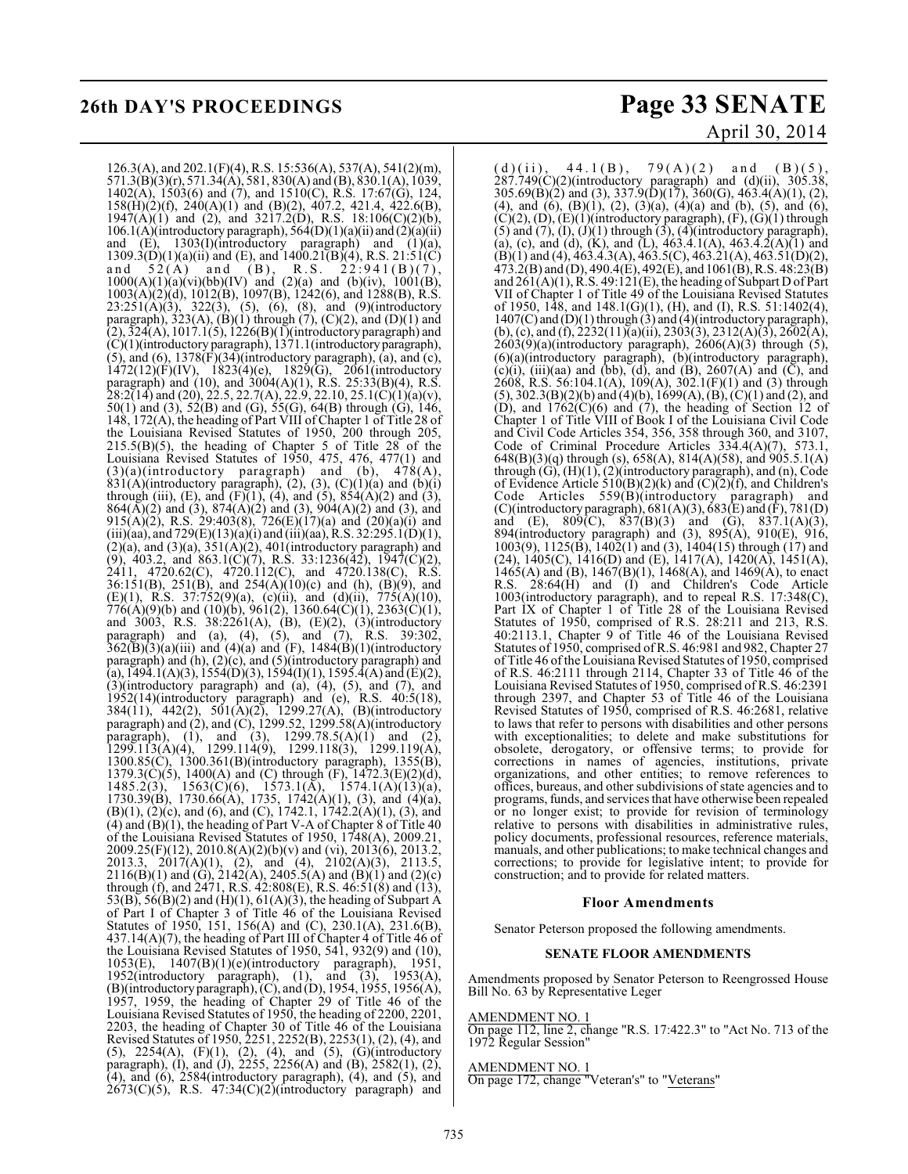126.3(A), and 202.1(F)(4), R.S. 15:536(A), 537(A), 541(2)(m), 571.3(B)(3)(r), 571.34(A), 581, 830(A) and (B), 830.1(A), 1039, 1402(A), 1503(6) and (7), and 1510(C), R.S. 17:67(G), 124, 158(H)(2)(f), 240(A)(1) and (B)(2), 407.2, 421.4, 422.6(B),  $1947(A)(1)$  and (2), and  $3217.2(D)$ , R.S.  $18:106(C)(2)(b)$ , 106.1(A)(introductory paragraph),  $\frac{364(D)(1)}{(a)(ii)}$  and  $\frac{2}{(2)(a)(ii)}$ and  $(E)$ , 1303(I)(introductory paragraph) and  $(1)(a)$ ,  $1309.3(D)(1)(a)(ii)$  and  $(E)$ , and  $1400.21(B)(4)$ , R.S.  $21:51(C)$ and  $52(A)$  and  $(B)$ , R.S.  $22:941(B)(7)$ ,  $1000(A)(1)(a)(vi)(bb)(IV)$  and  $(2)(a)$  and  $(b)(iv)$ ,  $1001(B)$ , 1003(A)(2)(d), 1012(B), 1097(B), 1242(6), and 1288(B), R.S.  $23:251(A)(3)$ ,  $322(3)$ ,  $(5)$ ,  $(6)$ ,  $(8)$ , and  $(9)$ (introductory paragraph), 323(A),  $(B)(1)$  through  $(7)$ ,  $(C)(2)$ , and  $(D)(1)$  and  $(2), 324(A), 1017.1(5), 1226(B)(1)$ (introductory paragraph) and (C)(1)(introductory paragraph), 1371.1(introductory paragraph),  $(5)$ , and  $(6)$ , 1378 $(F)(34)$ (introductory paragraph),  $(a)$ , and  $(c)$ ,  $1472(12)(F)(IV)$ ,  $1823(4)(e)$ ,  $1829(G)$ ,  $2061(introductor)$ paragraph) and (10), and 3004(A)(1), R.S. 25:33(B)(4), R.S.  $28:2(14)$  and (20), 22.5, 22.7(A), 22.9, 22.10, 25.1(C)(1)(a)(v), 50(1) and (3), 52(B) and (G), 55(G), 64(B) through (G), 146, 148, 172(A), the heading of Part VIII of Chapter 1 of Title 28 of the Louisiana Revised Statutes of 1950, 200 through 205,  $215.5(B)(5)$ , the heading of Chapter 5 of Title 28 of the Louisiana Revised Statutes of 1950, 475, 476, 477(1) and  $(3)(a)$ (introductory paragraph) and (b),  $478(A)$ ,  $831(A)$ (introductory paragraph), (2), (3), (C)(1)(a) and (b)(i) through (iii), (E), and (F)(1), (4), and (5),  $854(A)(2)$  and (3),  $864(\overline{A})(2)$  and (3),  $874(\overline{A})(2)$  and (3),  $904(\overline{A})(2)$  and (3), and 915(A)(2), R.S. 29:403(8), 726(E)(17)(a) and (20)(a)(i) and (iii)(aa), and 729(E)(13)(a)(i) and (iii)(aa), R.S. 32:295.1(D)(1),  $(2)(a)$ , and  $(3)(a)$ ,  $351(A)(2)$ ,  $401($ introductory paragraph) and (9), 403.2, and 863.1(C)(7), R.S. 33:1236(42), 1947(C)(2), 2411, 4720.62(C), 4720.112(C), and 4720.138(C), R.S. 36:151(B), 251(B), and 254(A)(10)(c) and (h), (B)(9), and (E)(1), R.S.  $37:752(9)(a)$ , (c)(ii), and (d)(ii),  $775(A)(10)$ ,  $776(A)(9)(b)$  and  $(10)(b)$ ,  $961(2)$ ,  $1360.64(C)(1)$ ,  $2363(C)(1)$ , and 3003, R.S. 38:2261(A), (B), (E)(2), (3)(introductory paragraph) and (a), (4), (5), and (7), R.S. 39:302,  $362(\overline{B})(3)(a)(iii)$  and  $(4)(a)$  and  $(F)$ ,  $1484(\overline{B})(1)(introductory)$ paragraph) and (h), (2)(c), and (5)(introductory paragraph) and (a), 1494.1(A)(3), 1554(D)(3), 1594(I)(1), 1595.4(A) and (E)(2),  $(3)$ (introductory paragraph) and  $(a)$ ,  $(4)$ ,  $(5)$ , and  $(7)$ , and 1952(14)(introductory paragraph) and (e), R.S. 40:5(18), 384(11), 442(2), 501(A)(2), 1299.27(A), (B)(introductory paragraph) and (2), and (C), 1299.52, 1299.58(A)(introductory paragraph), (1), and (3),  $1299.78.5(A)(1)$  and (2), 1299.113(A)(4), 1299.114(9), 1299.118(3), 1299.119(A), 1300.85(C), 1300.361(B)(introductory paragraph), 1355(B), 1379.3(C)(5), 1400(A) and (C) through  $(F)$ , 1472.3(E)(2)(d), 1485.2(3), 1563(C)(6), 1573.1(A), 1574.1(A)(13)(a), 1730.39 $(B)$ , 1730.66 $(A)$ , 1735, 1742 $(A)(1)$ , (3), and  $(A)(a)$ , (B)(1), (2)(c), and (6), and (C), 1742.1, 1742.2(A)(1), (3), and (4) and  $(B)(1)$ , the heading of Part V-A of Chapter 8 of Title 40 of the Louisiana Revised Statutes of 1950, 1748(A), 2009.21, 2009.25(F)(12), 2010.8(A)(2)(b)(v) and (vi), 2013(6), 2013.2, 2013.3, 2017(A)(1), (2), and (4), 2102(A)(3), 2113.5,  $2116(B)(1)$  and  $(G)$ ,  $2142(A)$ ,  $2405.5(A)$  and  $(B)(1)$  and  $(2)(c)$ through (f), and 2471, R.S. 42:808(E), R.S. 46:51(8) and (13), 53(B), 56(B)(2) and (H)(1), 61(A)(3), the heading of Subpart A of Part I of Chapter 3 of Title 46 of the Louisiana Revised Statutes of 1950, 151, 156(A) and (C), 230.1(A), 231.6(B),  $437.14(A)(7)$ , the heading of Part III of Chapter 4 of Title 46 of the Louisiana Revised Statutes of 1950, 541, 932(9) and (10), 1053(E), 1407(B)(1)(e)(introductory paragraph), 1951, 1952(introductory paragraph), (1), and (3), 1953(A), (B)(introductory paragraph), (C), and (D), 1954, 1955, 1956(A), 1957, 1959, the heading of Chapter 29 of Title 46 of the Louisiana Revised Statutes of 1950, the heading of 2200, 2201, 2203, the heading of Chapter 30 of Title 46 of the Louisiana Revised Statutes of 1950, 2251, 2252(B), 2253(1), (2), (4), and (5), 2254(A), (F)(1), (2), (4), and (5), (G)(introductory paragraph), (I), and (J), 2255, 2256(A) and (B), 2582(1), (2), (4), and (6), 2584(introductory paragraph), (4), and (5), and  $2673(C)(5)$ , R.S.  $47:34(C)(2)$ (introductory paragraph) and

# **26th DAY'S PROCEEDINGS Page 33 SENATE** April 30, 2014

 $(d)(ii), 44.1(B), 79(A)(2) and (B)(5),$  $287.749(C)(2)$ (introductory paragraph) and  $(d)(ii)$ ,  $305.38$ ,  $305.69(B)(2)$  and  $(3)$ ,  $337.9(D)(17)$ ,  $360(G)$ ,  $463.4(A)(1)$ ,  $(2)$ , (4), and (6),  $(B)(1)$ ,  $(2)$ ,  $(3)(a)$ ,  $(4)(a)$  and (b),  $(5)$ , and (6),  $(C)(2)$ ,  $(D)$ ,  $(E)(1)$ (introductory paragraph),  $(F)$ ,  $(G)(1)$  through (5) and (7), (I), (J)(1) through (3), (4)(introductory paragraph), (a), (c), and (d), (K), and (L),  $463.4.1(A)$ ,  $463.4.2(A)(1)$  and  $(B)(1)$  and (4), 463.4.3(A), 463.5(C), 463.21(A), 463.51(D)(2),  $473.2(B)$  and (D),  $490.4(E)$ ,  $492(E)$ , and  $1061(B)$ , R.S.  $48.23(B)$ and 261(A)(1), R.S. 49:121(E), the heading of Subpart D of Part VII of Chapter 1 of Title 49 of the Louisiana Revised Statutes of 1950, 148, and 148.1(G)(1), (H), and (I), R.S. 51:1402(4), 1407(C) and (D)(1) through (3) and (4)(introductory paragraph), (b), (c), and (f),  $\overline{2232(11)}$ (a)(ii),  $\overline{2303(3)}$ ,  $\overline{2312(A)}$ (3),  $\overline{2602(A)}$ ,  $2603(9)(a)$ (introductory paragraph),  $2606(A)(3)$  through (5), (6)(a)(introductory paragraph), (b)(introductory paragraph),  $(c)(i)$ ,  $(iii)(aa)$  and  $(bb)$ ,  $(d)$ , and  $(B)$ , 2607 $(A)$  and  $(\overline{C})$ , and 2608, R.S. 56:104.1(A), 109(A), 302.1(F)(1) and (3) through (5), 302.3(B)(2)(b) and (4)(b), 1699(A), (B), (C)(1) and (2), and (D), and  $1762(C)(6)$  and (7), the heading of Section 12 of Chapter 1 of Title VIII of Book I of the Louisiana Civil Code and Civil Code Articles 354, 356, 358 through 360, and 3107, Code of Criminal Procedure Articles  $334.4(A)(7)$ ,  $573.1$ ,  $648(B)(3)(q)$  through (s),  $658(A)$ ,  $814(A)(58)$ , and  $905.5.1(A)$ 648(B)(3)(q) through (s), 658(A), 814(A)(58), and 905.5.1(A) through  $(G)$ ,  $(H)(1)$ ,  $(2)$  (introductory paragraph), and  $(n)$ , Code of Evidence Article 510(B)(2)(k) and  $(C)$ (2)(f), and Children's Code Articles 559(B)(introductory paragraph) and (C)(introductory paragraph),  $681(A)(3)$ ,  $683(E)$  and  $(F)$ ,  $781(D)$ and (E),  $809(C)$ ,  $837(B)(3)$  and (G),  $837.1(A)(3)$ , 894(introductory paragraph) and (3), 895(A), 910(E), 916, 1003(9), 1125(B), 1402(1) and (3), 1404(15) through (17) and (24),  $1405(C)$ ,  $1416(D)$  and (E),  $1417(A)$ ,  $1420(A)$ ,  $1451(A)$ , 1465(A) and (B),  $1467(B)(1)$ ,  $1468(A)$ , and  $1469(A)$ , to enact R.S. 28:64(H) and (I) and Children's Code Article 1003(introductory paragraph), and to repeal R.S. 17:348(C), Part IX of Chapter 1 of Title 28 of the Louisiana Revised Statutes of 1950, comprised of R.S. 28:211 and 213, R.S. 40:2113.1, Chapter 9 of Title 46 of the Louisiana Revised Statutes of 1950, comprised ofR.S. 46:981 and 982, Chapter 27 of Title 46 of the Louisiana Revised Statutes of 1950, comprised of R.S. 46:2111 through 2114, Chapter 33 of Title 46 of the Louisiana Revised Statutes of 1950, comprised of R.S. 46:2391 through 2397, and Chapter 53 of Title 46 of the Louisiana Revised Statutes of 1950, comprised of R.S. 46:2681, relative to laws that refer to persons with disabilities and other persons with exceptionalities; to delete and make substitutions for obsolete, derogatory, or offensive terms; to provide for corrections in names of agencies, institutions, private organizations, and other entities; to remove references to offices, bureaus, and other subdivisions of state agencies and to programs, funds, and services that have otherwise been repealed or no longer exist; to provide for revision of terminology relative to persons with disabilities in administrative rules, policy documents, professional resources, reference materials, manuals, and other publications; to make technical changes and corrections; to provide for legislative intent; to provide for construction; and to provide for related matters.

#### **Floor Amendments**

Senator Peterson proposed the following amendments.

#### **SENATE FLOOR AMENDMENTS**

Amendments proposed by Senator Peterson to Reengrossed House Bill No. 63 by Representative Leger

#### AMENDMENT NO. 1

On page 112, line 2, change "R.S. 17:422.3" to "Act No. 713 of the 1972 Regular Session"

#### AMENDMENT NO. 1

On page 172, change "Veteran's" to "Veterans"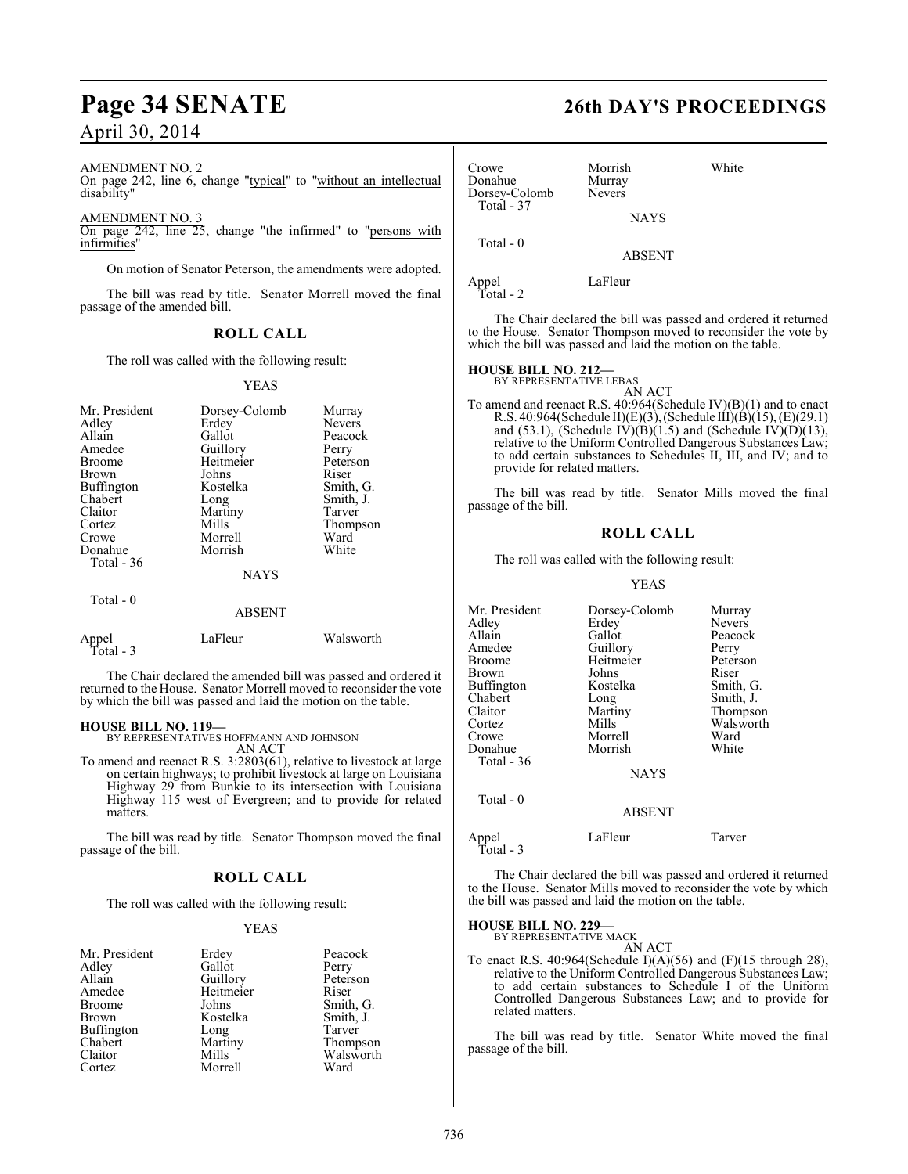# **Page 34 SENATE 26th DAY'S PROCEEDINGS**

## April 30, 2014

#### AMENDMENT NO. 2

On page 242, line 6, change "typical" to "without an intellectual disability"

AMENDMENT NO. 3

On page 242, line 25, change "the infirmed" to "persons with infirmities"

On motion of Senator Peterson, the amendments were adopted.

The bill was read by title. Senator Morrell moved the final passage of the amended bill.

### **ROLL CALL**

The roll was called with the following result:

#### YEAS

| Mr. President<br>Adley<br>Allain<br>Amedee<br><b>Broome</b><br><b>Brown</b><br>Buffington<br>Chabert<br>Claitor<br>Cortez<br>Crowe<br>Donahue<br>Total $-36$ | Dorsey-Colomb<br>Erdey<br>Gallot<br>Guillory<br>Heitmeier<br>Johns<br>Kostelka<br>Long<br>Martiny<br>Mills<br>Morrell<br>Morrish<br><b>NAYS</b> | Murray<br><b>Nevers</b><br>Peacock<br>Perry<br>Peterson<br>Riser<br>Smith, G.<br>Smith, J.<br>Tarver<br>Thompson<br>Ward<br>White |
|--------------------------------------------------------------------------------------------------------------------------------------------------------------|-------------------------------------------------------------------------------------------------------------------------------------------------|-----------------------------------------------------------------------------------------------------------------------------------|
| Total $-0$                                                                                                                                                   | <b>ABSENT</b>                                                                                                                                   |                                                                                                                                   |

| Appel     | LaFleur | Walsworth |
|-----------|---------|-----------|
| Total - 3 |         |           |

The Chair declared the amended bill was passed and ordered it returned to the House. Senator Morrell moved to reconsider the vote by which the bill was passed and laid the motion on the table.

#### **HOUSE BILL NO. 119—**

BY REPRESENTATIVES HOFFMANN AND JOHNSON AN ACT

To amend and reenact R.S. 3:2803(61), relative to livestock at large on certain highways; to prohibit livestock at large on Louisiana Highway 29 from Bunkie to its intersection with Louisiana Highway 115 west of Evergreen; and to provide for related matters.

The bill was read by title. Senator Thompson moved the final passage of the bill.

#### **ROLL CALL**

The roll was called with the following result:

#### YEAS

| Mr. President     | Erdey     | Peacock   |
|-------------------|-----------|-----------|
| Adley             | Gallot    | Perry     |
| Allain            | Guillory  | Peterson  |
| Amedee            | Heitmeier | Riser     |
| <b>Broome</b>     | Johns     | Smith, G. |
| Brown             | Kostelka  | Smith, J. |
| <b>Buffington</b> | Long      | Tarver    |
| Chabert           | Martiny   | Thompson  |
| Claitor           | Mills     | Walsworth |
| Cortez            | Morrell   | Ward      |

| Crowe<br>Donahue<br>Dorsey-Colomb | Morrish<br>Murray<br><b>Nevers</b> | White |
|-----------------------------------|------------------------------------|-------|
| Total - 37                        | <b>NAYS</b>                        |       |
| Total $-0$                        | <b>ABSENT</b>                      |       |
| Appel<br>Total - 2                | LaFleur                            |       |

The Chair declared the bill was passed and ordered it returned to the House. Senator Thompson moved to reconsider the vote by which the bill was passed and laid the motion on the table.

# **HOUSE BILL NO. 212—** BY REPRESENTATIVE LEBAS

AN ACT To amend and reenact R.S. 40:964(Schedule IV)(B)(1) and to enact R.S. 40:964(Schedule II)(E)(3), (Schedule III)(B)(15), (E)(29.1) and (53.1), (Schedule IV)( $\hat{B}$ )(1.5) and (Schedule IV)( $\hat{D}$ )(13), relative to the Uniform Controlled Dangerous Substances Law; to add certain substances to Schedules II, III, and IV; and to provide for related matters.

The bill was read by title. Senator Mills moved the final passage of the bill.

#### **ROLL CALL**

The roll was called with the following result:

#### YEAS

| Mr. President | Dorsey-Colomb | Murray        |
|---------------|---------------|---------------|
| Adlev         | Erdey         | <b>Nevers</b> |
| Allain        | Gallot        | Peacock       |
| Amedee        | Guillory      | Perry         |
| Broome        | Heitmeier     | Peterson      |
| Brown         | Johns         | Riser         |
| Buffington    | Kostelka      | Smith, G.     |
| Chabert       | Long          | Smith, J.     |
| Claitor       | Martiny       | Thompson      |
| Cortez        | Mills         | Walsworth     |
| Crowe         | Morrell       | Ward          |
| Donahue       | Morrish       | White         |
| Total - 36    |               |               |
|               | <b>NAYS</b>   |               |
| Total $-0$    |               |               |
|               | <b>ABSENT</b> |               |

Appel LaFleur Tarver Total - 3

The Chair declared the bill was passed and ordered it returned to the House. Senator Mills moved to reconsider the vote by which the bill was passed and laid the motion on the table.

## **HOUSE BILL NO. 229—**

BY REPRESENTATIVE MACK AN ACT

To enact R.S. 40:964(Schedule I)(A)(56) and (F)(15 through 28), relative to the Uniform Controlled Dangerous Substances Law; to add certain substances to Schedule I of the Uniform Controlled Dangerous Substances Law; and to provide for related matters.

The bill was read by title. Senator White moved the final passage of the bill.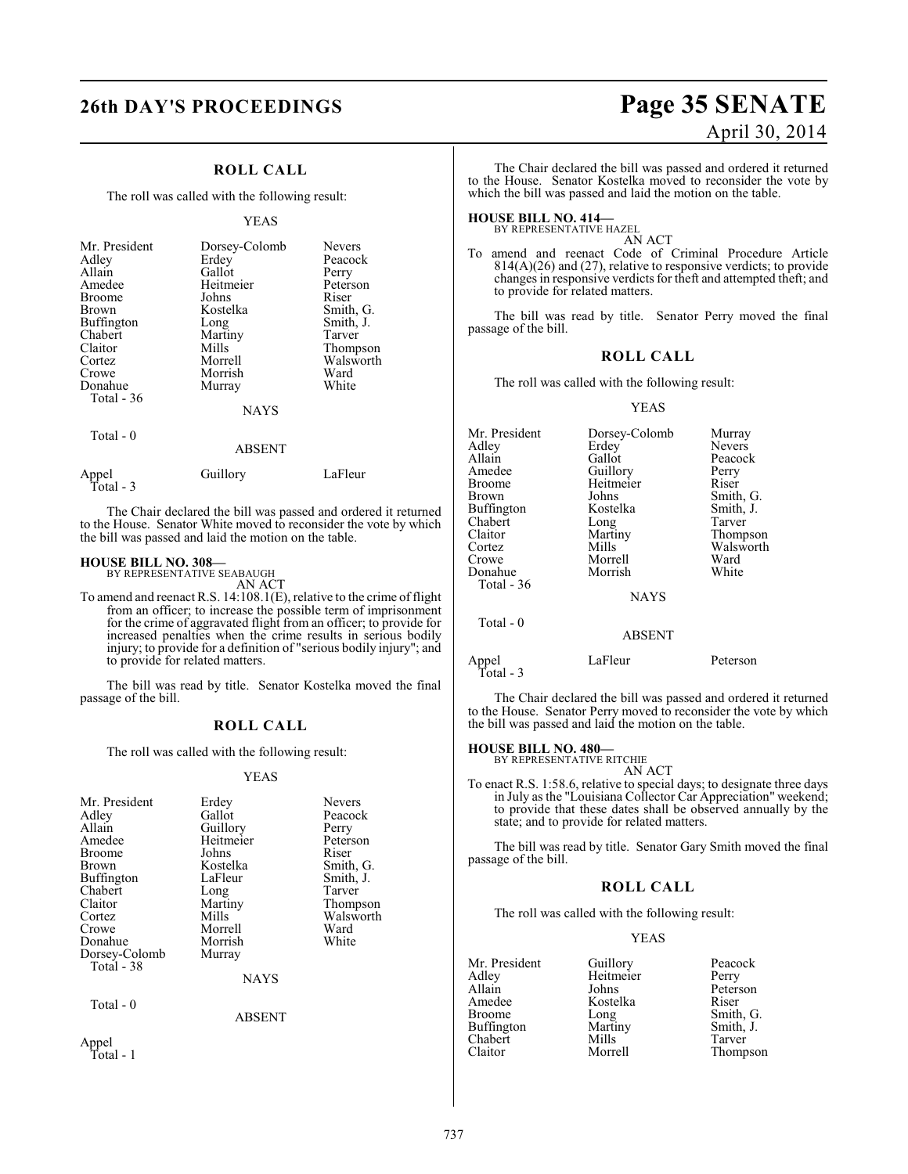## **ROLL CALL**

The roll was called with the following result:

#### YEAS

| Mr. President         | Dorsey-Colomb | Nevers    |
|-----------------------|---------------|-----------|
| Adley                 | Erdey         | Peacock   |
| Allain                | Gallot        | Perry     |
| Amedee                | Heitmeier     | Peterson  |
| <b>Broome</b>         | Johns         | Riser     |
| Brown                 | Kostelka      | Smith, G. |
| Buffington            | Long          | Smith, J. |
| Chabert               | Martiny       | Tarver    |
| Claitor               | Mills         | Thompson  |
| Cortez                | Morrell       | Walsworth |
| Crowe                 | Morrish       | Ward      |
| Donahue<br>Total - 36 | Murray        | White     |
| $Total - 0$           | <b>NAYS</b>   |           |

#### ABSENT

| Appel     | Guillory | LaFleur |
|-----------|----------|---------|
| Total - 3 |          |         |

The Chair declared the bill was passed and ordered it returned to the House. Senator White moved to reconsider the vote by which the bill was passed and laid the motion on the table.

**HOUSE BILL NO. 308—** BY REPRESENTATIVE SEABAUGH

AN ACT To amend and reenact R.S. 14:108.1(E), relative to the crime of flight from an officer; to increase the possible term of imprisonment for the crime of aggravated flight from an officer; to provide for increased penalties when the crime results in serious bodily injury; to provide for a definition of "serious bodily injury"; and to provide for related matters.

The bill was read by title. Senator Kostelka moved the final passage of the bill.

## **ROLL CALL**

The roll was called with the following result:

#### YEAS

| Mr. President     | Erdey         | Nevers    |
|-------------------|---------------|-----------|
|                   |               |           |
| Adley             | Gallot        | Peacock   |
| Allain            | Guillory      | Perry     |
| Amedee            | Heitmeier     | Peterson  |
| Broome            | Johns         | Riser     |
| Brown             | Kostelka      | Smith, G. |
| <b>Buffington</b> | LaFleur       | Smith, J. |
| Chabert           | Long          | Tarver    |
| Claitor           | Martiny       | Thompson  |
| Cortez            | Mills         | Walsworth |
| Crowe             | Morrell       | Ward      |
| Donahue           | Morrish       | White     |
| Dorsey-Colomb     | Murray        |           |
| Total - 38        |               |           |
|                   | <b>NAYS</b>   |           |
| Total - 0         |               |           |
|                   | <b>ABSENT</b> |           |
| Appel             |               |           |
| Total - 1         |               |           |

# **26th DAY'S PROCEEDINGS Page 35 SENATE** April 30, 2014

The Chair declared the bill was passed and ordered it returned to the House. Senator Kostelka moved to reconsider the vote by which the bill was passed and laid the motion on the table.

#### **HOUSE BILL NO. 414—** BY REPRESENTATIVE HAZEL

AN ACT

To amend and reenact Code of Criminal Procedure Article 814(A)(26) and (27), relative to responsive verdicts; to provide changes in responsive verdicts for theft and attempted theft; and to provide for related matters.

The bill was read by title. Senator Perry moved the final passage of the bill.

#### **ROLL CALL**

The roll was called with the following result:

#### YEAS

| Mr. President      | Dorsey-Colomb | Murray        |
|--------------------|---------------|---------------|
| Adlev              | Erdey         | <b>Nevers</b> |
| Allain             | Gallot        | Peacock       |
| Amedee             | Guillory      | Perry         |
| Broome             | Heitmeier     | Riser         |
| Brown              | Johns         | Smith, G.     |
| Buffington         | Kostelka      | Smith, J.     |
| Chabert            | Long          | Tarver        |
| Claitor            | Martiny       | Thompson      |
| Cortez             | Mills         | Walsworth     |
| Crowe              | Morrell       | Ward          |
| Donahue            | Morrish       | White         |
| Total - 36         |               |               |
|                    | <b>NAYS</b>   |               |
| Total $-0$         |               |               |
|                    | <b>ABSENT</b> |               |
| Appel<br>Total - 3 | LaFleur       | Peterson      |

The Chair declared the bill was passed and ordered it returned to the House. Senator Perry moved to reconsider the vote by which the bill was passed and laid the motion on the table.

# **HOUSE BILL NO. 480—** BY REPRESENTATIVE RITCHIE

AN ACT

To enact R.S. 1:58.6, relative to special days; to designate three days in July as the "Louisiana Collector Car Appreciation" weekend; to provide that these dates shall be observed annually by the state; and to provide for related matters.

The bill was read by title. Senator Gary Smith moved the final passage of the bill.

#### **ROLL CALL**

The roll was called with the following result:

#### YEAS

Mr. President Guillory Peacock<br>Adley Heitmeier Perry Adley Heitmeier<br>Allain Johns Allain Johns Peterson<br>Amedee Kostelka Riser Amedee Kostelka<br>Broome Long Long Smith, G.<br>Martiny Smith, J. Buffington Martiny Smith,<br>
Chabert Mills Tarver Chabert Mills<br>Claitor Morrell Thompson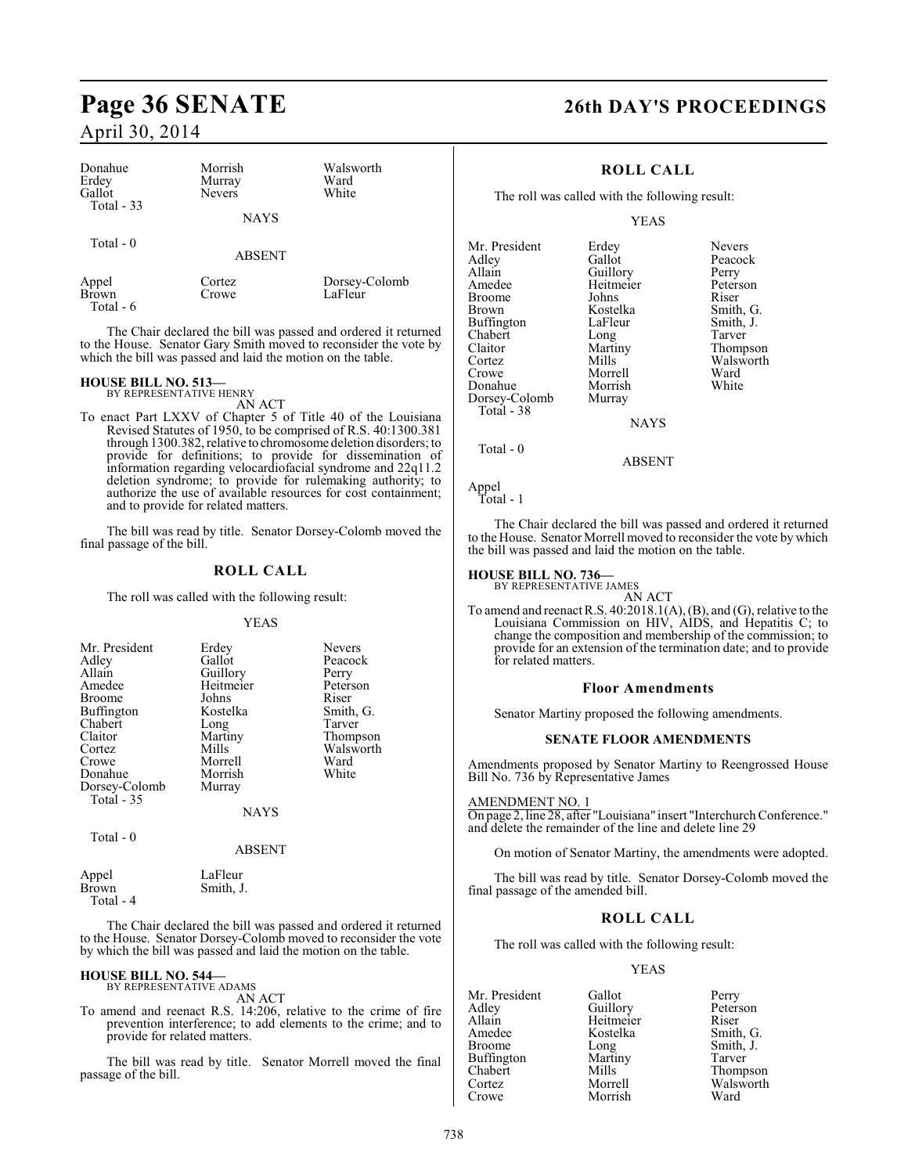| Donahue<br>Erdey<br>Gallot<br>Total - 33 | Morrish<br>Murray<br><b>Nevers</b><br><b>NAYS</b> | Walsworth<br>Ward<br>White |
|------------------------------------------|---------------------------------------------------|----------------------------|
| Total $-0$                               | <b>ABSENT</b>                                     |                            |
| Appel<br><b>Brown</b>                    | Cortez<br>Crowe                                   | Dorsey-Colomb<br>LaFleur   |

Total - 6

The Chair declared the bill was passed and ordered it returned to the House. Senator Gary Smith moved to reconsider the vote by which the bill was passed and laid the motion on the table.

# **HOUSE BILL NO. 513—** BY REPRESENTATIVE HENRY

AN ACT

To enact Part LXXV of Chapter 5 of Title 40 of the Louisiana Revised Statutes of 1950, to be comprised of R.S. 40:1300.381 through 1300.382, relative to chromosome deletion disorders; to provide for definitions; to provide for dissemination of information regarding velocardiofacial syndrome and 22q11.2 deletion syndrome; to provide for rulemaking authority; to authorize the use of available resources for cost containment; and to provide for related matters.

The bill was read by title. Senator Dorsey-Colomb moved the final passage of the bill.

## **ROLL CALL**

The roll was called with the following result:

#### YEAS

| Mr. President | Erdey       | <b>Nevers</b> |
|---------------|-------------|---------------|
| Adley         | Gallot      | Peacock       |
| Allain        | Guillory    | Perry         |
| Amedee        | Heitmeier   | Peterson      |
| Broome        | Johns       | Riser         |
| Buffington    | Kostelka    | Smith, G.     |
| Chabert       | Long        | Tarver        |
| Claitor       | Martiny     | Thompson      |
| Cortez        | Mills       | Walsworth     |
| Crowe         | Morrell     | Ward          |
| Donahue       | Morrish     | White         |
| Dorsey-Colomb | Murray      |               |
| Total - 35    |             |               |
|               | <b>NAYS</b> |               |

Total - 0

ABSENT

| Appel     | LaFleur   |
|-----------|-----------|
| Brown     | Smith, J. |
| Total - 4 |           |

The Chair declared the bill was passed and ordered it returned to the House. Senator Dorsey-Colomb moved to reconsider the vote by which the bill was passed and laid the motion on the table.

# **HOUSE BILL NO. 544—** BY REPRESENTATIVE ADAMS

AN ACT

To amend and reenact R.S. 14:206, relative to the crime of fire prevention interference; to add elements to the crime; and to provide for related matters.

The bill was read by title. Senator Morrell moved the final passage of the bill.

# **Page 36 SENATE 26th DAY'S PROCEEDINGS**

## **ROLL CALL**

The roll was called with the following result:

#### YEAS

| Mr. President     | Erdey           | <b>Nevers</b> |
|-------------------|-----------------|---------------|
| Adley             | Gallot          | Peacock       |
| Allain            | Guillory        | Perry         |
| Amedee            | Heitmeier       | Peterson      |
| <b>Broome</b>     | Johns           | Riser         |
| Brown             | Kostelka        | Smith, G.     |
| <b>Buffington</b> | LaFleur         | Smith, J.     |
| Chabert           | Long            | Tarver        |
| Claitor           | Martiny         | Thompson      |
| Cortez            | Mills           | Walsworth     |
| Crowe             | Morrell         | Ward          |
| Donahue           | Morrish         | White         |
| Dorsey-Colomb     | Murray          |               |
| Total - 38        |                 |               |
|                   | <b>NI A VZC</b> |               |

**NAYS** 

Total - 0

ABSENT

Appel Total - 1

The Chair declared the bill was passed and ordered it returned to the House. Senator Morrell moved to reconsider the vote by which the bill was passed and laid the motion on the table.

#### **HOUSE BILL NO. 736—**

BY REPRESENTATIVE JAMES

AN ACT To amend and reenact R.S.  $40:2018.1(A), (B)$ , and  $(G)$ , relative to the Louisiana Commission on HIV, AIDS, and Hepatitis C; to change the composition and membership of the commission; to provide for an extension of the termination date; and to provide for related matters.

#### **Floor Amendments**

Senator Martiny proposed the following amendments.

#### **SENATE FLOOR AMENDMENTS**

Amendments proposed by Senator Martiny to Reengrossed House Bill No. 736 by Representative James

AMENDMENT NO. 1 On page 2, line 28, after "Louisiana" insert "Interchurch Conference." and delete the remainder of the line and delete line 29

On motion of Senator Martiny, the amendments were adopted.

The bill was read by title. Senator Dorsey-Colomb moved the final passage of the amended bill.

## **ROLL CALL**

The roll was called with the following result:

Morrish

#### YEAS

Mr. President Gallot Perry<br>Adley Guillory Peterson Adley Guillory Peters<br>Allain Heitmeier Riser Allain Heitmeier<br>
Amedee Kostelka Amedee Kostelka Smith, G.<br>Broome Long Smith, J. Buffington Martin<br>Chabert Mills Chabert Mills Thompson Cortez Morrell Walsworth

Long Smith, J.<br>Martiny Tarver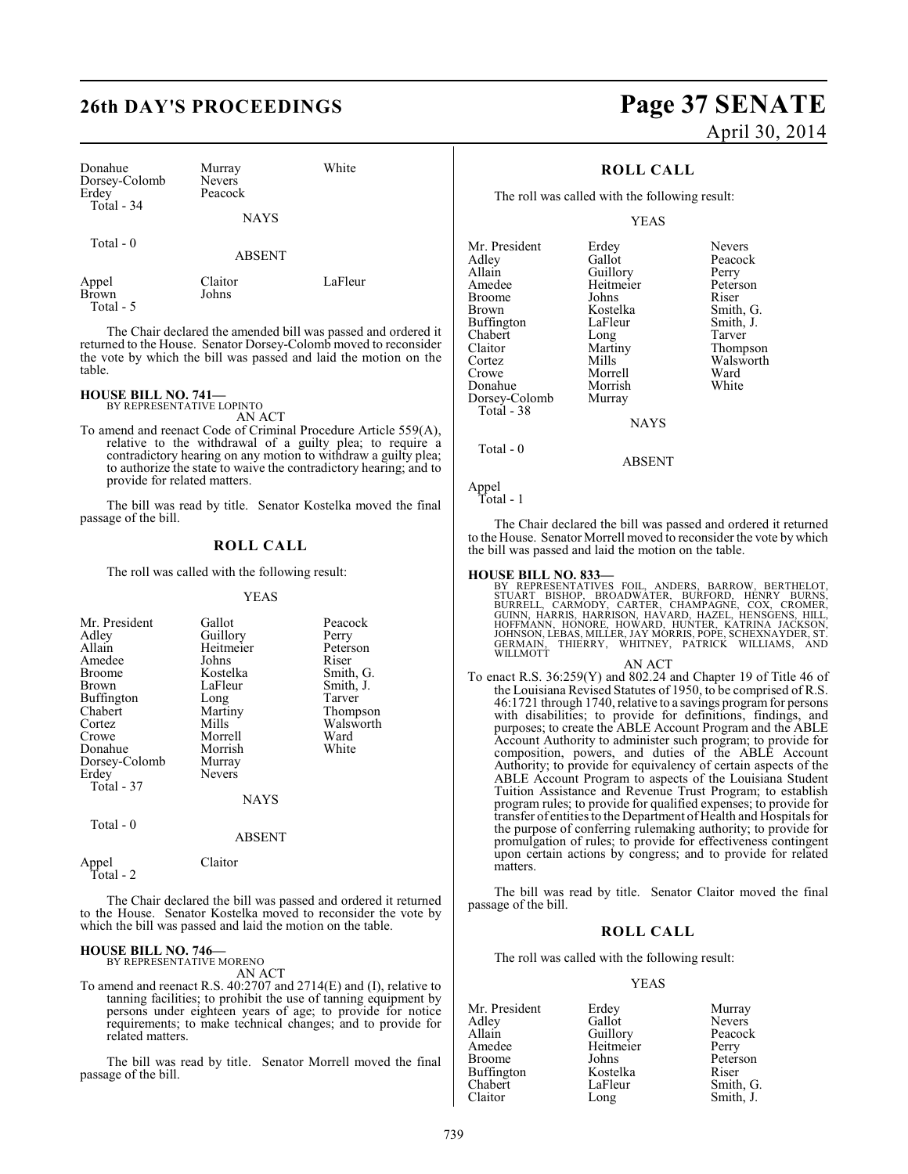| Donahue<br>Dorsey-Colomb<br>Erdey | Murray<br><b>Nevers</b><br>Peacock | White   |
|-----------------------------------|------------------------------------|---------|
| Total - 34                        | NAYS                               |         |
| Total - 0                         | <b>ABSENT</b>                      |         |
| Appel<br>Brown<br>Total - 5       | Claitor<br>Johns                   | LaFleur |

The Chair declared the amended bill was passed and ordered it returned to the House. Senator Dorsey-Colomb moved to reconsider the vote by which the bill was passed and laid the motion on the table.

## **HOUSE BILL NO. 741—**

BY REPRESENTATIVE LOPINTO AN ACT

To amend and reenact Code of Criminal Procedure Article 559(A), relative to the withdrawal of a guilty plea; to require a contradictory hearing on any motion to withdraw a guilty plea; to authorize the state to waive the contradictory hearing; and to provide for related matters.

The bill was read by title. Senator Kostelka moved the final passage of the bill.

## **ROLL CALL**

The roll was called with the following result:

#### YEAS

| Mr. President                              | Gallot      | Peacock   |
|--------------------------------------------|-------------|-----------|
| Adley                                      | Guillory    | Perry     |
| Allain                                     | Heitmeier   | Peterson  |
| Amedee                                     | Johns       | Riser     |
| <b>Broome</b>                              | Kostelka    | Smith, G. |
| <b>Brown</b>                               | LaFleur     | Smith, J. |
| <b>Buffington</b>                          | Long        | Tarver    |
| Chabert                                    | Martiny     | Thompson  |
| Cortez                                     | Mills       | Walsworth |
| Crowe                                      | Morrell     | Ward      |
| Donahue                                    | Morrish     | White     |
| Dorsey-Colomb                              | Murray      |           |
| Erdey                                      | Nevers      |           |
| Total - 37                                 |             |           |
|                                            | <b>NAYS</b> |           |
| $T_{\alpha \uparrow \alpha}1 \quad \Omega$ |             |           |

Total - 0

Appel Claitor

Total - 2

The Chair declared the bill was passed and ordered it returned to the House. Senator Kostelka moved to reconsider the vote by which the bill was passed and laid the motion on the table.

ABSENT

#### **HOUSE BILL NO. 746—**

BY REPRESENTATIVE MORENO AN ACT

To amend and reenact R.S. 40:2707 and 2714(E) and (I), relative to tanning facilities; to prohibit the use of tanning equipment by persons under eighteen years of age; to provide for notice requirements; to make technical changes; and to provide for related matters.

The bill was read by title. Senator Morrell moved the final passage of the bill.

# **26th DAY'S PROCEEDINGS Page 37 SENATE** April 30, 2014

## **ROLL CALL**

The roll was called with the following result:

#### YEAS

Mr. President Erdey Nevers<br>Adley Gallot Peacock Adley Gallot Peacock Allain Guillory Perry<br>Amedee Heitmeier Peterson Broome Johns<br>Brown Kostelka Buffington LaFleur Smith,<br>
Chabert Long Tarver Chabert Long<br>Claitor Martiny Claitor Martiny Thompson Cortez Mills Walsworth<br>Crowe Morrell Ward Donahue Morrish<br>Dorsey-Colomb Murray Dorsey-Colomb Total - 38

Heitmeier Peters<br>Johns Riser Kostelka Smith, G.<br>LaFleur Smith, J. Morrell Ward<br>
Morrish White

NAYS

Total - 0

ABSENT

Appel Total - 1

The Chair declared the bill was passed and ordered it returned to the House. Senator Morrell moved to reconsider the vote by which the bill was passed and laid the motion on the table.

**HOUSE BILL NO. 833—**<br>BY REPRESENTATIVES FOIL, ANDERS, BARROW, BERTHELOT,<br>STUART BISHOP, BROADWATER, BURFORD, HENRY BURNS,<br>BURRELL, CARMODY, CARTER, CHAMPAGNE, COX, CROMER,<br>GUINN, HARRIS, HARRISON, HAVARD, HAZEL, HENSGENS,

#### AN ACT

To enact R.S. 36:259(Y) and 802.24 and Chapter 19 of Title 46 of the Louisiana Revised Statutes of 1950, to be comprised of R.S. 46:1721 through 1740, relative to a savings program for persons with disabilities; to provide for definitions, findings, and purposes; to create the ABLE Account Program and the ABLE Account Authority to administer such program; to provide for composition, powers, and duties of the ABLE Account Authority; to provide for equivalency of certain aspects of the ABLE Account Program to aspects of the Louisiana Student Tuition Assistance and Revenue Trust Program; to establish program rules; to provide for qualified expenses; to provide for transfer of entitiesto the Department of Health and Hospitals for the purpose of conferring rulemaking authority; to provide for promulgation of rules; to provide for effectiveness contingent upon certain actions by congress; and to provide for related matters.

The bill was read by title. Senator Claitor moved the final passage of the bill.

#### **ROLL CALL**

The roll was called with the following result:

#### YEAS

Mr. President Erdey Murray<br>Adley Gallot Nevers Adley Gallot Nevers Guillory Amedee Heitmeier Perry<br>Broome Johns Peters Johns Peterson<br>Kostelka Riser Buffington Kostelka<br>Chabert LaFleur Chabert LaFleur Smith, G.

Smith, J.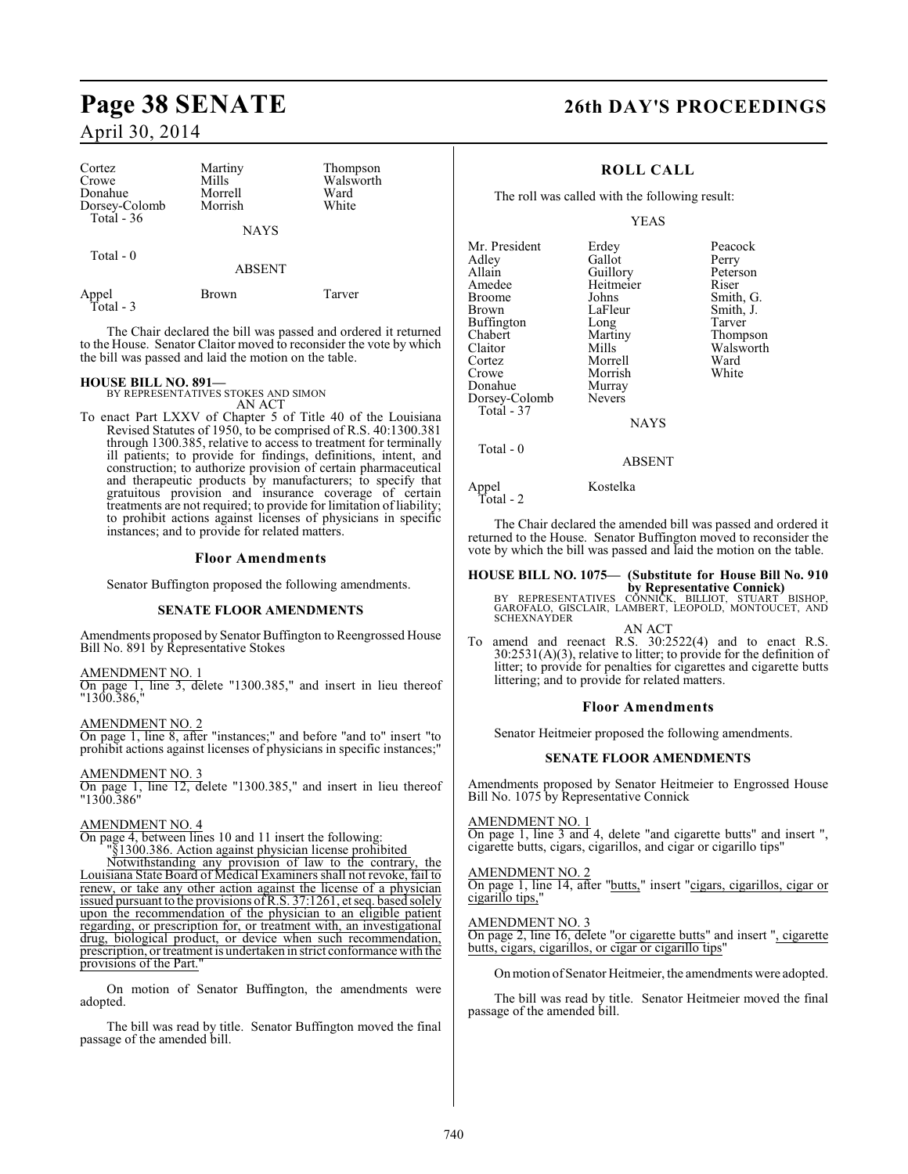| Cortez<br>Crowe<br>Donahue<br>Dorsey-Colomb | Martiny<br>Mills<br>Morrell<br>Morrish | Thompson<br>Walsworth<br>Ward<br>White |
|---------------------------------------------|----------------------------------------|----------------------------------------|
| Total - 36                                  | NAYS                                   |                                        |
| Total - 0                                   | <b>ABSENT</b>                          |                                        |
| Appel<br>Total - 3                          | Brown                                  | Tarver                                 |

The Chair declared the bill was passed and ordered it returned to the House. Senator Claitor moved to reconsider the vote by which the bill was passed and laid the motion on the table.

#### **HOUSE BILL NO. 891—**

BY REPRESENTATIVES STOKES AND SIMON AN ACT

To enact Part LXXV of Chapter 5 of Title 40 of the Louisiana Revised Statutes of 1950, to be comprised of R.S. 40:1300.381 through 1300.385, relative to access to treatment for terminally ill patients; to provide for findings, definitions, intent, and construction; to authorize provision of certain pharmaceutical and therapeutic products by manufacturers; to specify that gratuitous provision and insurance coverage of certain treatments are not required; to provide for limitation of liability; to prohibit actions against licenses of physicians in specific instances; and to provide for related matters.

#### **Floor Amendments**

Senator Buffington proposed the following amendments.

#### **SENATE FLOOR AMENDMENTS**

Amendments proposed by Senator Buffington to Reengrossed House Bill No. 891 by Representative Stokes

#### AMENDMENT NO. 1

On page 1, line 3, delete "1300.385," and insert in lieu thereof "1300.386,"

#### AMENDMENT NO. 2

On page 1, line 8, after "instances;" and before "and to" insert "to prohibit actions against licenses of physicians in specific instances;"

#### AMENDMENT NO. 3

On page 1, line 12, delete "1300.385," and insert in lieu thereof "1300.386"

#### AMENDMENT NO. 4

On page 4, between lines 10 and 11 insert the following:

"§1300.386. Action against physician license prohibited

Notwithstanding any provision of law to the contrary, the Louisiana State Board of Medical Examiners shall not revoke, fail to renew, or take any other action against the license of a physician issued pursuant to the provisions of R.S. 37:1261, et seq. based solely upon the recommendation of the physician to an eligible patient regarding, or prescription for, or treatment with, an investigational drug, biological product, or device when such recommendation, prescription, or treatment is undertaken in strict conformance with the provisions of the Part."

On motion of Senator Buffington, the amendments were adopted.

The bill was read by title. Senator Buffington moved the final passage of the amended bill.

# **Page 38 SENATE 26th DAY'S PROCEEDINGS**

### **ROLL CALL**

The roll was called with the following result:

#### YEAS

| Mr. President | Erdey         | Peacock   |
|---------------|---------------|-----------|
| Adley         | Gallot        | Perry     |
| Allain        | Guillory      | Peterson  |
| Amedee        | Heitmeier     | Riser     |
| <b>Broome</b> | Johns         | Smith, G. |
| Brown         | LaFleur       | Smith, J. |
| Buffington    | Long          | Tarver    |
| Chabert       | Martiny       | Thompson  |
| Claitor       | Mills         | Walswort  |
| Cortez        | Morrell       | Ward      |
| Crowe         | Morrish       | White     |
| Donahue       | Murray        |           |
| Dorsey-Colomb | <b>Nevers</b> |           |
| Total - 37    |               |           |
|               | <b>BTATTO</b> |           |

Thompson Walsworth<br>Ward

NAYS

ABSENT

Total - 0

Appel Kostelka

Total - 2

The Chair declared the amended bill was passed and ordered it

returned to the House. Senator Buffington moved to reconsider the vote by which the bill was passed and laid the motion on the table.

# **HOUSE BILL NO. 1075— (Substitute for House Bill No. 910**

**by Representative Connick)**<br>BY REPRESENTATIVES CONNICK, BILLIOT, STUART BISHOP,<br>GAROFALO, GISCLAIR, LAMBERT, LEOPOLD, MONTOUCET, AND SCHEXNAYDER

AN ACT To amend and reenact R.S. 30:2522(4) and to enact R.S. 30:2531(A)(3), relative to litter; to provide for the definition of litter; to provide for penalties for cigarettes and cigarette butts

#### **Floor Amendments**

littering; and to provide for related matters.

Senator Heitmeier proposed the following amendments.

#### **SENATE FLOOR AMENDMENTS**

Amendments proposed by Senator Heitmeier to Engrossed House Bill No. 1075 by Representative Connick

#### AMENDMENT NO. 1

On page 1, line 3 and 4, delete "and cigarette butts" and insert ", cigarette butts, cigars, cigarillos, and cigar or cigarillo tips"

#### AMENDMENT NO. 2

On page 1, line 14, after "butts," insert "cigars, cigarillos, cigar or cigarillo tips,

#### AMENDMENT NO. 3

On page 2, line 16, delete "or cigarette butts" and insert ", cigarette butts, cigars, cigarillos, or cigar or cigarillo tips"

On motion of Senator Heitmeier, the amendments were adopted.

The bill was read by title. Senator Heitmeier moved the final passage of the amended bill.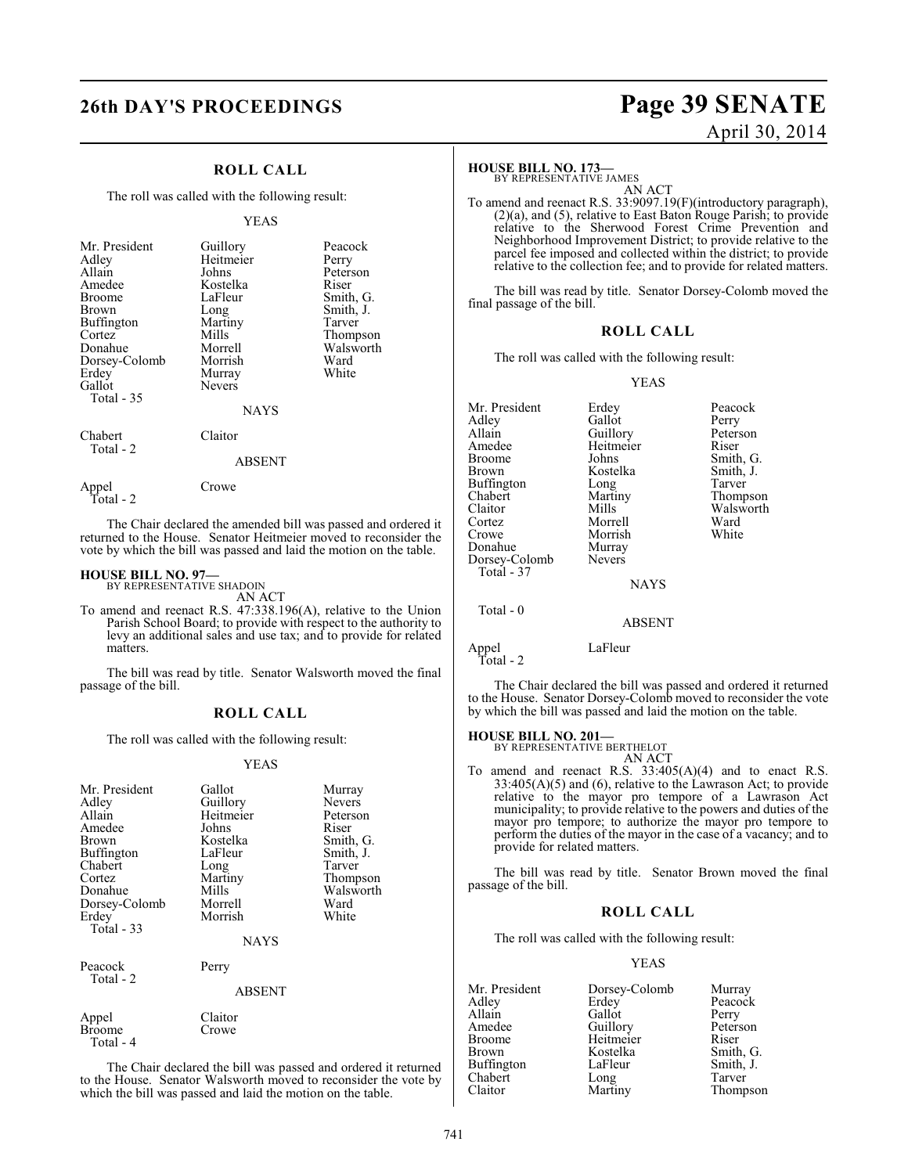## **ROLL CALL**

The roll was called with the following result:

#### YEAS

| Mr. President<br>Adley<br>Allain<br>Amedee<br><b>Broome</b><br>Brown<br><b>Buffington</b><br>Cortez<br>Donahue<br>Dorsey-Colomb<br>Erdey<br>Gallot<br>Total - 35 | Guillory<br>Heitmeier<br>Johns<br>Kostelka<br>LaFleur<br>Long<br>Martiny<br>Mills<br>Morrell<br>Morrish<br>Murray<br><b>Nevers</b><br><b>NAYS</b> | Peacock<br>Perry<br>Peterson<br>Riser<br>Smith, G.<br>Smith, J.<br>Tarver<br>Thompson<br>Walsworth<br>Ward<br>White |
|------------------------------------------------------------------------------------------------------------------------------------------------------------------|---------------------------------------------------------------------------------------------------------------------------------------------------|---------------------------------------------------------------------------------------------------------------------|
| Chabert                                                                                                                                                          | laitor                                                                                                                                            |                                                                                                                     |

#### ABSENT

The Chair declared the amended bill was passed and ordered it returned to the House. Senator Heitmeier moved to reconsider the vote by which the bill was passed and laid the motion on the table.

#### **HOUSE BILL NO. 97—** BY REPRESENTATIVE SHADOIN

Appel Crowe

Total - 2

Total - 2

AN ACT

To amend and reenact R.S. 47:338.196(A), relative to the Union Parish School Board; to provide with respect to the authority to levy an additional sales and use tax; and to provide for related matters.

The bill was read by title. Senator Walsworth moved the final passage of the bill.

#### **ROLL CALL**

The roll was called with the following result:

#### YEAS

| Mr. President<br>Adley<br>Allain<br>Amedee<br>Brown<br>Buffington<br>Chabert<br>Cortez<br>Donahue<br>Dorsey-Colomb<br>Erdey<br>Total $-33$ | Gallot<br>Guillory<br>Heitmeier<br>Johns<br>Kostelka<br>LaFleur<br>Long<br>Martiny<br>Mills<br>Morrell<br>Morrish<br><b>NAYS</b> | Murray<br>Nevers<br>Peterson<br>Riser<br>Smith, G.<br>Smith, J.<br>Tarver<br>Thompson<br>Walsworth<br>Ward<br>White |
|--------------------------------------------------------------------------------------------------------------------------------------------|----------------------------------------------------------------------------------------------------------------------------------|---------------------------------------------------------------------------------------------------------------------|
| Peacock<br>Total - 2                                                                                                                       | Perry<br><b>ABSENT</b>                                                                                                           |                                                                                                                     |
| Appel<br>Broome<br>Total - 4                                                                                                               | Claitor<br>Crowe                                                                                                                 |                                                                                                                     |

The Chair declared the bill was passed and ordered it returned to the House. Senator Walsworth moved to reconsider the vote by which the bill was passed and laid the motion on the table.

# **26th DAY'S PROCEEDINGS Page 39 SENATE** April 30, 2014

#### **HOUSE BILL NO. 173—**

BY REPRESENTATIVE JAMES

AN ACT To amend and reenact R.S. 33:9097.19(F)(introductory paragraph), (2)(a), and (5), relative to East Baton Rouge Parish; to provide relative to the Sherwood Forest Crime Prevention and Neighborhood Improvement District; to provide relative to the parcel fee imposed and collected within the district; to provide relative to the collection fee; and to provide for related matters.

The bill was read by title. Senator Dorsey-Colomb moved the final passage of the bill.

#### **ROLL CALL**

The roll was called with the following result:

#### YEAS

| Erdey         | Peacock   |
|---------------|-----------|
| Gallot        | Perry     |
|               | Peterson  |
| Heitmeier     | Riser     |
| Johns         | Smith, G. |
| Kostelka      | Smith, J. |
| Long          | Tarver    |
| Martiny       | Thompson  |
| Mills         | Walsworth |
| Morrell       | Ward      |
| Morrish       | White     |
| Murray        |           |
| <b>Nevers</b> |           |
|               |           |
| <b>NAYS</b>   |           |
|               |           |
| <b>ABSENT</b> |           |
|               | Guillory  |

Appel LaFleur Total - 2

The Chair declared the bill was passed and ordered it returned to the House. Senator Dorsey-Colomb moved to reconsider the vote by which the bill was passed and laid the motion on the table.

#### **HOUSE BILL NO. 201—**

BY REPRESENTATIVE BERTHELOT AN ACT

To amend and reenact R.S. 33:405(A)(4) and to enact R.S.  $33:405(A)(5)$  and  $(6)$ , relative to the Lawrason Act; to provide relative to the mayor pro tempore of a Lawrason Act municipality; to provide relative to the powers and duties of the mayor pro tempore; to authorize the mayor pro tempore to perform the duties of the mayor in the case of a vacancy; and to provide for related matters.

The bill was read by title. Senator Brown moved the final passage of the bill.

#### **ROLL CALL**

The roll was called with the following result:

| Mr. President     | Dorsey-Colomb | Murray    |
|-------------------|---------------|-----------|
| Adley             | Erdey         | Peacock   |
| Allain            | Gallot        | Perry     |
| Amedee            | Guillory      | Peterson  |
| <b>Broome</b>     | Heitmeier     | Riser     |
| Brown             | Kostelka      | Smith, G. |
| <b>Buffington</b> | LaFleur       | Smith, J. |
| Chabert           | Long          | Tarver    |
| Claitor           | Martiny       | Thompson  |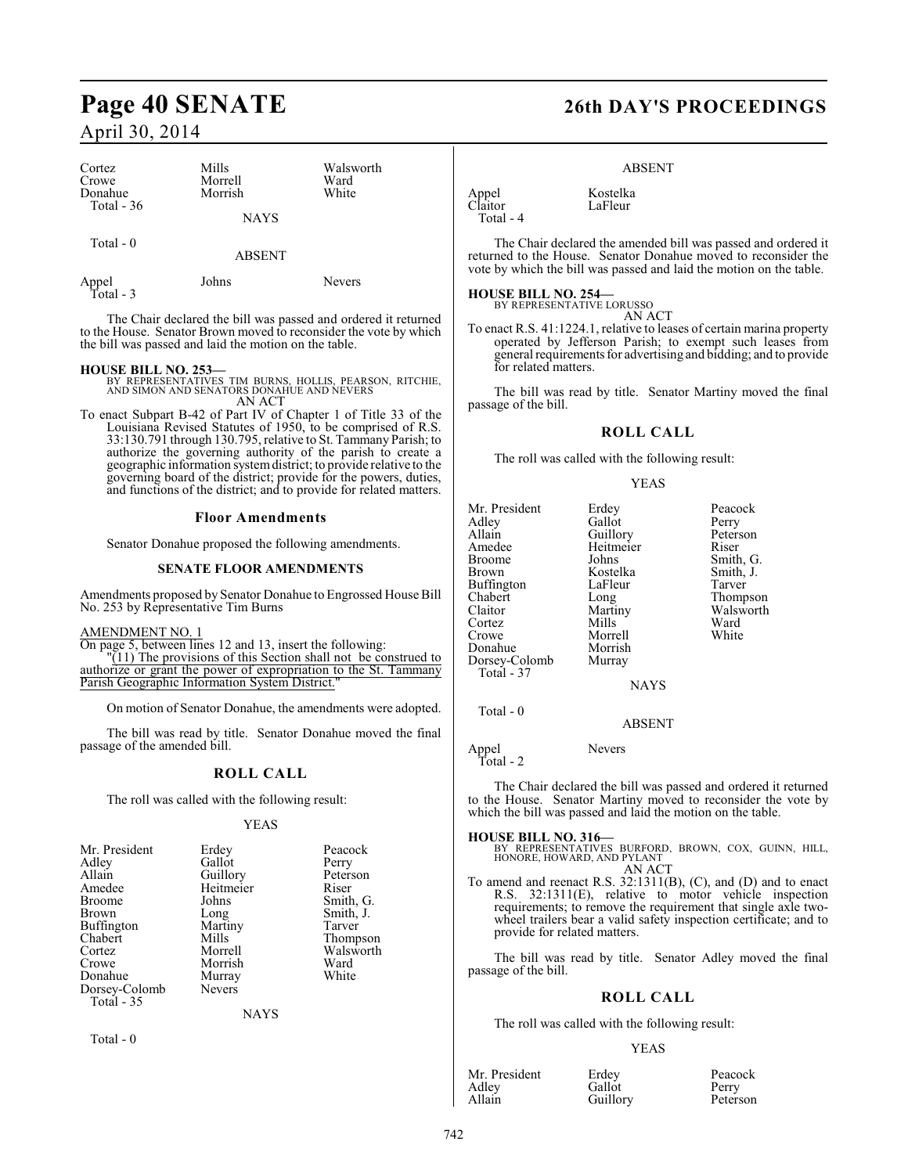| Cortez<br>Crowe<br>Donahue<br>Total $-36$ | Mills<br>Morrell<br>Morrish | Walsworth<br>Ward<br>White |
|-------------------------------------------|-----------------------------|----------------------------|
|                                           | <b>NAYS</b>                 |                            |
| Total $-0$                                | <b>ABSENT</b>               |                            |
| Appel<br>Total - 3                        | Johns                       | <b>Nevers</b>              |

The Chair declared the bill was passed and ordered it returned to the House. Senator Brown moved to reconsider the vote by which the bill was passed and laid the motion on the table.

#### **HOUSE BILL NO. 253—**

- BY REPRESENTATIVES TIM BURNS, HOLLIS, PEARSON, RITCHIE, AND SIMON AND SENATORS DONAHUE AND NEVERS AN ACT
- To enact Subpart B-42 of Part IV of Chapter 1 of Title 33 of the Louisiana Revised Statutes of 1950, to be comprised of R.S. 33:130.791 through 130.795, relative to St. Tammany Parish; to authorize the governing authority of the parish to create a geographic information system district; to provide relative to the governing board of the district; provide for the powers, duties, and functions of the district; and to provide for related matters.

#### **Floor Amendments**

Senator Donahue proposed the following amendments.

#### **SENATE FLOOR AMENDMENTS**

Amendments proposed by Senator Donahue to Engrossed House Bill No. 253 by Representative Tim Burns

AMENDMENT NO. 1

On page 5, between lines 12 and 13, insert the following:

"(11) The provisions of this Section shall not be construed to authorize or grant the power of expropriation to the St. Tammany Parish Geographic Information System District."

On motion of Senator Donahue, the amendments were adopted.

The bill was read by title. Senator Donahue moved the final passage of the amended bill.

#### **ROLL CALL**

The roll was called with the following result:

#### YEAS

| Mr. President     | Erdey         | Peacock   |
|-------------------|---------------|-----------|
| Adley             | Gallot        | Perry     |
| Allain            | Guillory      | Peterson  |
| Amedee            | Heitmeier     | Riser     |
| Broome            | Johns         | Smith, G. |
| Brown             | Long          | Smith, J. |
| Buffington        | Martiny       | Tarver    |
| Chabert           | Mills         | Thompson  |
| Cortez            | Morrell       | Walsworth |
| Crowe             | Morrish       | Ward      |
| Donahue           | Murray        | White     |
| Dorsey-Colomb     | <b>Nevers</b> |           |
| <b>Total - 35</b> |               |           |

NAYS

Total - 0

# **Page 40 SENATE 26th DAY'S PROCEEDINGS**

#### ABSENT

LaFleur

Appel Kostelka<br>Claitor LaFleur Total - 4

The Chair declared the amended bill was passed and ordered it returned to the House. Senator Donahue moved to reconsider the vote by which the bill was passed and laid the motion on the table.

#### **HOUSE BILL NO. 254—**

BY REPRESENTATIVE LORUSSO AN ACT

To enact R.S. 41:1224.1, relative to leases of certain marina property operated by Jefferson Parish; to exempt such leases from general requirements for advertising and bidding; and to provide for related matters.

The bill was read by title. Senator Martiny moved the final passage of the bill.

### **ROLL CALL**

The roll was called with the following result:

#### YEAS

| Mr. President | Erdey       | Peacock   |
|---------------|-------------|-----------|
| Adley         | Gallot      | Perry     |
| Allain        | Guillory    | Peterson  |
| Amedee        | Heitmeier   | Riser     |
| <b>Broome</b> | Johns       | Smith, G. |
| <b>Brown</b>  | Kostelka    | Smith, J. |
| Buffington    | LaFleur     | Tarver    |
| Chabert       | Long        | Thompson  |
| Claitor       | Martiny     | Walsworth |
| Cortez        | Mills       | Ward      |
| Crowe         | Morrell     | White     |
| Donahue       | Morrish     |           |
| Dorsey-Colomb | Murray      |           |
| Total - 37    |             |           |
|               | <b>NAYS</b> |           |

ABSENT

Appel Nevers Total - 2

Total - 0

The Chair declared the bill was passed and ordered it returned to the House. Senator Martiny moved to reconsider the vote by which the bill was passed and laid the motion on the table.

#### **HOUSE BILL NO. 316—**

BY REPRESENTATIVES BURFORD, BROWN, COX, GUINN, HILL, HONORE, HOWARD, AND PYLANT AN ACT

To amend and reenact R.S. 32:1311(B), (C), and (D) and to enact R.S. 32:1311(E), relative to motor vehicle inspection requirements; to remove the requirement that single axle twowheel trailers bear a valid safety inspection certificate; and to provide for related matters.

The bill was read by title. Senator Adley moved the final passage of the bill.

#### **ROLL CALL**

The roll was called with the following result:

| Mr. President | Erdey    | Peacock  |
|---------------|----------|----------|
| Adley         | Gallot   | Perry    |
| Allain        | Guillory | Peterson |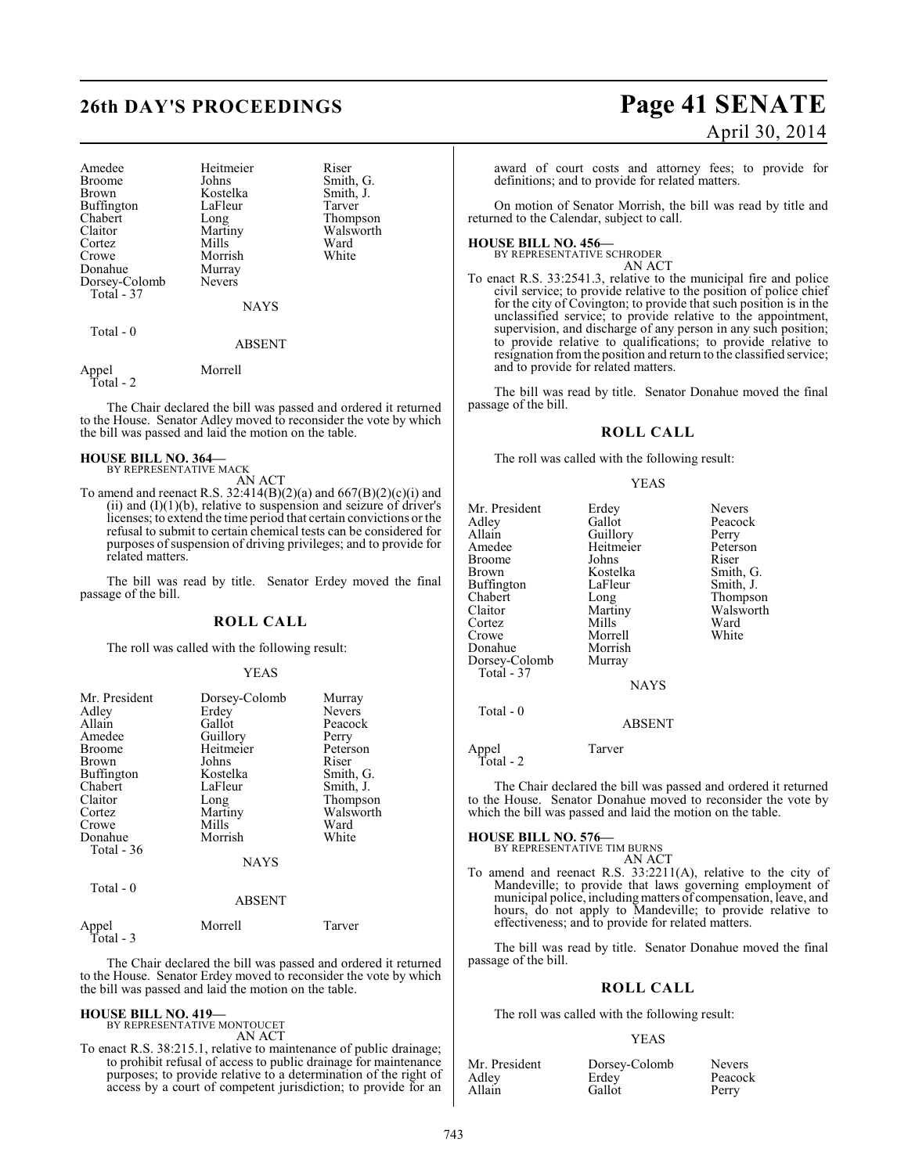| Amedee<br><b>Broome</b><br><b>Brown</b><br>Buffington<br>Chabert<br>Claitor<br>Cortez<br>Crowe<br>Donahue<br>Dorsey-Colomb<br>Total - 37 | Heitmeier<br>Johns<br>Kostelka<br>LaFleur<br>Long<br>Martiny<br>Mills<br>Morrish<br>Murray<br><b>Nevers</b><br><b>NAYS</b> | Riser<br>Smith, G.<br>Smith, J.<br>Tarver<br>Thompson<br>Walsworth<br>Ward<br>White |
|------------------------------------------------------------------------------------------------------------------------------------------|----------------------------------------------------------------------------------------------------------------------------|-------------------------------------------------------------------------------------|
| Total - 0                                                                                                                                | <b>ABSENT</b>                                                                                                              |                                                                                     |

Appel Morrell

Total - 2

The Chair declared the bill was passed and ordered it returned to the House. Senator Adley moved to reconsider the vote by which the bill was passed and laid the motion on the table.

#### **HOUSE BILL NO. 364—** BY REPRESENTATIVE MACK

AN ACT

To amend and reenact R.S. 32:414(B)(2)(a) and 667(B)(2)(c)(i) and  $(ii)$  and  $(I)(1)(b)$ , relative to suspension and seizure of driver's licenses; to extend the time period that certain convictions or the refusal to submit to certain chemical tests can be considered for purposes of suspension of driving privileges; and to provide for related matters.

The bill was read by title. Senator Erdey moved the final passage of the bill.

#### **ROLL CALL**

The roll was called with the following result:

#### YEAS

| Mr. President<br>Adley | Dorsey-Colomb<br>Erdey | Murray<br><b>Nevers</b> |
|------------------------|------------------------|-------------------------|
| Allain                 | Gallot                 | Peacock                 |
| Amedee                 | Guillory               | Perry                   |
| <b>Broome</b>          | Heitmeier              | Peterson                |
| <b>Brown</b>           | Johns                  | Riser                   |
| Buffington             | Kostelka               | Smith, G.               |
| Chabert                | LaFleur                | Smith, J.               |
| Claitor                | Long                   | Thompson                |
| Cortez                 | Martiny                | Walsworth               |
| Crowe                  | Mills                  | Ward                    |
| Donahue<br>Total $-36$ | Morrish                | White                   |
|                        | <b>NAYS</b>            |                         |
| Total - 0              | 1.72.0222.772          |                         |

## ABSENT

Appel Morrell Tarver Total - 3

The Chair declared the bill was passed and ordered it returned to the House. Senator Erdey moved to reconsider the vote by which the bill was passed and laid the motion on the table.

#### **HOUSE BILL NO. 419—**

BY REPRESENTATIVE MONTOUCET AN ACT

To enact R.S. 38:215.1, relative to maintenance of public drainage; to prohibit refusal of access to public drainage for maintenance purposes; to provide relative to a determination of the right of access by a court of competent jurisdiction; to provide for an

# **26th DAY'S PROCEEDINGS Page 41 SENATE** April 30, 2014

award of court costs and attorney fees; to provide for definitions; and to provide for related matters.

On motion of Senator Morrish, the bill was read by title and returned to the Calendar, subject to call.

**HOUSE BILL NO. 456—** BY REPRESENTATIVE SCHRODER

AN ACT

To enact R.S. 33:2541.3, relative to the municipal fire and police civil service; to provide relative to the position of police chief for the city of Covington; to provide that such position is in the unclassified service; to provide relative to the appointment, supervision, and discharge of any person in any such position; to provide relative to qualifications; to provide relative to resignation from the position and return to the classified service; and to provide for related matters.

The bill was read by title. Senator Donahue moved the final passage of the bill.

### **ROLL CALL**

The roll was called with the following result:

#### YEAS

| Mr. President | Erdey       | <b>Nevers</b> |
|---------------|-------------|---------------|
| Adlev         | Gallot      | Peacock       |
| Allain        | Guillory    | Perry         |
| Amedee        | Heitmeier   | Peterson      |
| Broome        | Johns       | Riser         |
| Brown         | Kostelka    | Smith, G.     |
| Buffington    | LaFleur     | Smith, J.     |
| Chabert       | Long        | Thompson      |
| Claitor       | Martiny     | Walsworth     |
| Cortez        | Mills       | Ward          |
| Crowe         | Morrell     | White         |
| Donahue       | Morrish     |               |
| Dorsey-Colomb | Murray      |               |
| Total - 37    |             |               |
|               | <b>NAYS</b> |               |
| Total - 0     |             |               |
|               | ABSENT      |               |

Appel Tarver Total - 2

The Chair declared the bill was passed and ordered it returned to the House. Senator Donahue moved to reconsider the vote by which the bill was passed and laid the motion on the table.

**HOUSE BILL NO. 576—** BY REPRESENTATIVE TIM BURNS

## AN ACT

To amend and reenact R.S. 33:2211(A), relative to the city of Mandeville; to provide that laws governing employment of municipal police, includingmatters of compensation, leave, and hours, do not apply to Mandeville; to provide relative to effectiveness; and to provide for related matters.

The bill was read by title. Senator Donahue moved the final passage of the bill.

## **ROLL CALL**

The roll was called with the following result:

| Mr. President | Dorsey-Colomb | <b>Nevers</b> |
|---------------|---------------|---------------|
| Adley         | Erdey         | Peacock       |
| Allain        | Gallot        | Perry         |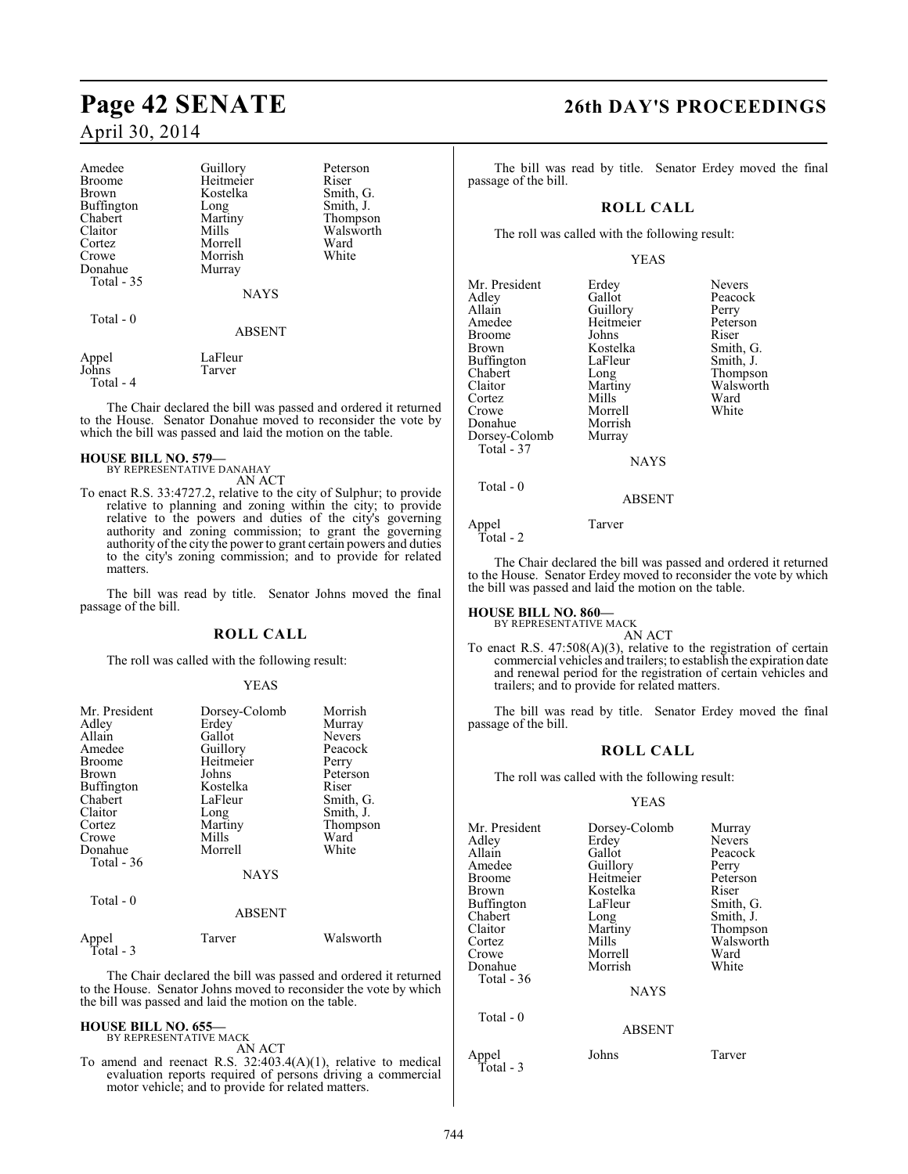| Amedee            | Guillory      | Peterson  |
|-------------------|---------------|-----------|
| <b>Broome</b>     | Heitmeier     | Riser     |
| Brown             | Kostelka      | Smith, G. |
| <b>Buffington</b> | Long          | Smith, J. |
| Chabert           | Martiny       | Thompson  |
| Claitor           | Mills         | Walsworth |
| Cortez            | Morrell       | Ward      |
| Crowe             | Morrish       | White     |
| Donahue           | Murray        |           |
| <b>Total - 35</b> |               |           |
|                   | <b>NAYS</b>   |           |
| Total - 0         |               |           |
|                   | <b>ABSENT</b> |           |
| Appel             | LaFleur       |           |
| Johns             | Tarver        |           |

Total - 4

The Chair declared the bill was passed and ordered it returned to the House. Senator Donahue moved to reconsider the vote by which the bill was passed and laid the motion on the table.

#### **HOUSE BILL NO. 579—** BY REPRESENTATIVE DANAHAY

AN ACT

To enact R.S. 33:4727.2, relative to the city of Sulphur; to provide relative to planning and zoning within the city; to provide relative to the powers and duties of the city's governing authority and zoning commission; to grant the governing authority of the city the power to grant certain powers and duties to the city's zoning commission; and to provide for related matters.

The bill was read by title. Senator Johns moved the final passage of the bill.

#### **ROLL CALL**

The roll was called with the following result:

#### YEAS

| Mr. President<br>Adley<br>Allain<br>Amedee<br><b>Broome</b><br>Brown<br>Buffington<br>Chabert<br>Claitor<br>Cortez<br>Crowe<br>Donahue<br>Total $-36$ | Dorsey-Colomb<br>Erdey<br>Gallot<br>Guillory<br>Heitmeier<br>Johns<br>Kostelka<br>LaFleur<br>Long<br>Martiny<br>Mills<br>Morrell<br><b>NAYS</b> | Morrish<br>Murray<br><b>Nevers</b><br>Peacock<br>Perry<br>Peterson<br>Riser<br>Smith, G.<br>Smith, J.<br>Thompson<br>Ward<br>White |
|-------------------------------------------------------------------------------------------------------------------------------------------------------|-------------------------------------------------------------------------------------------------------------------------------------------------|------------------------------------------------------------------------------------------------------------------------------------|
| Total - 0                                                                                                                                             | <b>ABSENT</b>                                                                                                                                   |                                                                                                                                    |
| Appel<br>Total - 3                                                                                                                                    | Tarver                                                                                                                                          | Walsworth                                                                                                                          |

The Chair declared the bill was passed and ordered it returned to the House. Senator Johns moved to reconsider the vote by which the bill was passed and laid the motion on the table.

# **HOUSE BILL NO. 655—** BY REPRESENTATIVE MACK

AN ACT

To amend and reenact R.S. 32:403.4(A)(1), relative to medical evaluation reports required of persons driving a commercial motor vehicle; and to provide for related matters.

# **Page 42 SENATE 26th DAY'S PROCEEDINGS**

The bill was read by title. Senator Erdey moved the final passage of the bill.

## **ROLL CALL**

The roll was called with the following result:

#### YEAS

| Mr. President<br>Adley<br>Allain<br>Amedee<br><b>Broome</b><br><b>Brown</b><br>Buffington<br>Chabert<br>Claitor<br>Cortez<br>Crowe<br>Donahue<br>Dorsey-Colomb<br>Total - 37 | Erdey<br>Gallot<br>Guillory<br>Heitmeier<br>Johns<br>Kostelka<br>LaFleur<br>Long<br>Martiny<br>Mills<br>Morrell<br>Morrish<br>Murray<br><b>NAYS</b> | <b>Nevers</b><br>Peacock<br>Perry<br>Peterson<br>Riser<br>Smith, G<br>Smith, J.<br>Thompso<br>Walswor<br>Ward<br>White |
|------------------------------------------------------------------------------------------------------------------------------------------------------------------------------|-----------------------------------------------------------------------------------------------------------------------------------------------------|------------------------------------------------------------------------------------------------------------------------|
| Total - 0                                                                                                                                                                    |                                                                                                                                                     |                                                                                                                        |

Smith, G. Smith, J. Thompson Walsworth<br>Ward

## ABSENT

#### Appel Tarver Total - 2

The Chair declared the bill was passed and ordered it returned to the House. Senator Erdey moved to reconsider the vote by which the bill was passed and laid the motion on the table.

# **HOUSE BILL NO. 860—** BY REPRESENTATIVE MACK

AN ACT

To enact R.S. 47:508(A)(3), relative to the registration of certain commercial vehicles and trailers; to establish the expiration date and renewal period for the registration of certain vehicles and trailers; and to provide for related matters.

The bill was read by title. Senator Erdey moved the final passage of the bill.

## **ROLL CALL**

The roll was called with the following result:

| Mr. President<br>Adley<br>Allain<br>Amedee<br>Broome<br>Brown<br>Buffington<br>Chabert<br>Claitor<br>Cortez<br>Crowe<br>Donahue<br>Total - 36 | Dorsey-Colomb<br>Erdey<br>Gallot<br>Guillory<br>Heitmeier<br>Kostelka<br>LaFleur<br>Long<br>Martiny<br>Mills<br>Morrell<br>Morrish | Murray<br><b>Nevers</b><br>Peacock<br>Perry<br>Peterson<br>Riser<br>Smith, G.<br>Smith, J.<br>Thompson<br>Walsworth<br>Ward<br>White |
|-----------------------------------------------------------------------------------------------------------------------------------------------|------------------------------------------------------------------------------------------------------------------------------------|--------------------------------------------------------------------------------------------------------------------------------------|
|                                                                                                                                               | <b>NAYS</b>                                                                                                                        |                                                                                                                                      |
| Total $-0$                                                                                                                                    | <b>ABSENT</b>                                                                                                                      |                                                                                                                                      |
| Appel<br>Total - 3                                                                                                                            | Johns                                                                                                                              | Tarver                                                                                                                               |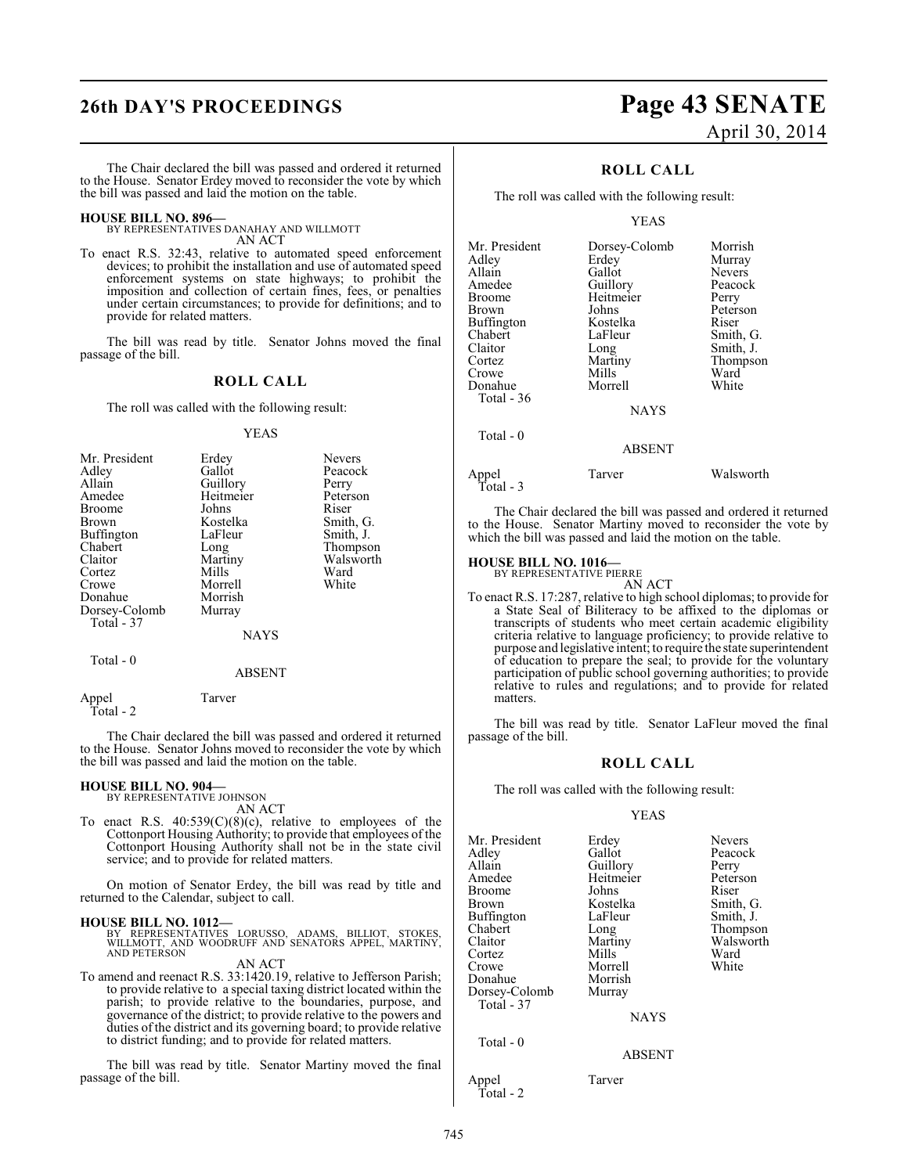The Chair declared the bill was passed and ordered it returned to the House. Senator Erdey moved to reconsider the vote by which the bill was passed and laid the motion on the table.

**HOUSE BILL NO. 896—** BY REPRESENTATIVES DANAHAY AND WILLMOTT AN ACT

To enact R.S. 32:43, relative to automated speed enforcement devices; to prohibit the installation and use of automated speed enforcement systems on state highways; to prohibit the imposition and collection of certain fines, fees, or penalties under certain circumstances; to provide for definitions; and to provide for related matters.

The bill was read by title. Senator Johns moved the final passage of the bill.

#### **ROLL CALL**

The roll was called with the following result:

#### YEAS

| Mr. President | Erdey     | <b>Nevers</b> |
|---------------|-----------|---------------|
| Adley         | Gallot    | Peacock       |
| Allain        | Guillory  | Perry         |
| Amedee        | Heitmeier | Peterson      |
| <b>Broome</b> | Johns     | Riser         |
| <b>Brown</b>  | Kostelka  | Smith, G.     |
| Buffington    | LaFleur   | Smith, J.     |
| Chabert       | Long      | Thompson      |
| Claitor       | Martiny   | Walsworth     |
| Cortez        | Mills     | Ward          |
| Crowe         | Morrell   | White         |
| Donahue       | Morrish   |               |
| Dorsey-Colomb | Murray    |               |
| Total - 37    |           |               |
|               | NAYS      |               |

#### Total - 0

ABSENT

Appel Tarver Total - 2

The Chair declared the bill was passed and ordered it returned to the House. Senator Johns moved to reconsider the vote by which the bill was passed and laid the motion on the table.

#### **HOUSE BILL NO. 904—**

BY REPRESENTATIVE JOHNSON AN ACT

To enact R.S.  $40:539(C)(8)(c)$ , relative to employees of the Cottonport Housing Authority; to provide that employees of the Cottonport Housing Authority shall not be in the state civil service; and to provide for related matters.

On motion of Senator Erdey, the bill was read by title and returned to the Calendar, subject to call.

#### **HOUSE BILL NO. 1012—**

BY REPRESENTATIVES LORUSSO, ADAMS, BILLIOT, STOKES, WILLMOTT, AND WOODRUFF AND SENATORS APPEL, MARTINY, AND PETERSON

AN ACT To amend and reenact R.S. 33:1420.19, relative to Jefferson Parish; to provide relative to a special taxing district located within the parish; to provide relative to the boundaries, purpose, and governance of the district; to provide relative to the powers and duties of the district and its governing board; to provide relative

to district funding; and to provide for related matters.

The bill was read by title. Senator Martiny moved the final passage of the bill.

# **26th DAY'S PROCEEDINGS Page 43 SENATE** April 30, 2014

## **ROLL CALL**

The roll was called with the following result:

#### YEAS

| Mr. President | Dorsey-Colomb | Morrish       |
|---------------|---------------|---------------|
| Adley         | Erdey         | Murray        |
| Allain        | Gallot        | <b>Nevers</b> |
| Amedee        | Guillory      | Peacock       |
| <b>Broome</b> | Heitmeier     | Perry         |
| Brown         | Johns         | Peterson      |
| Buffington    | Kostelka      | Riser         |
| Chabert       | LaFleur       | Smith, G.     |
| Claitor       | Long          | Smith, J.     |
| Cortez        | Martiny       | Thompson      |
| Crowe         | Mills         | Ward          |
| Donahue       | Morrell       | White         |
| Total - 36    |               |               |
|               | <b>NAYS</b>   |               |
| Total - 0     |               |               |

Appel Tarver Walsworth Total - 3

The Chair declared the bill was passed and ordered it returned to the House. Senator Martiny moved to reconsider the vote by which the bill was passed and laid the motion on the table.

ABSENT

#### **HOUSE BILL NO. 1016—**

BY REPRESENTATIVE PIERRE AN ACT

To enact R.S. 17:287, relative to high school diplomas; to provide for a State Seal of Biliteracy to be affixed to the diplomas or transcripts of students who meet certain academic eligibility criteria relative to language proficiency; to provide relative to purpose and legislative intent; to require the state superintendent of education to prepare the seal; to provide for the voluntary participation of public school governing authorities; to provide relative to rules and regulations; and to provide for related matters.

The bill was read by title. Senator LaFleur moved the final passage of the bill.

#### **ROLL CALL**

The roll was called with the following result:

#### YEAS

| Mr. President<br>Adley<br>Allain<br>Amedee<br>Broome | Erdey<br>Gallot<br>Guillory<br>Heitmeier<br>Johns | <b>Nevers</b><br>Peacock<br>Perry<br>Peterson<br>Riser |
|------------------------------------------------------|---------------------------------------------------|--------------------------------------------------------|
| Brown                                                | Kostelka                                          | Smith, G.                                              |
| Buffington                                           | LaFleur                                           | Smith, J.                                              |
| Chabert                                              | Long                                              | Thompson                                               |
| Claitor                                              | Martiny                                           | Walsworth                                              |
| Cortez                                               | Mills                                             | Ward                                                   |
| Crowe                                                | Morrell                                           | White                                                  |
| Donahue                                              | Morrish                                           |                                                        |
| Dorsey-Colomb                                        | Murray                                            |                                                        |
| Total - 37                                           |                                                   |                                                        |
|                                                      | <b>NAYS</b>                                       |                                                        |
| Total - 0                                            | <b>ABSENT</b>                                     |                                                        |
| $A = -1$                                             | T.                                                |                                                        |

Appel Tarver Total - 2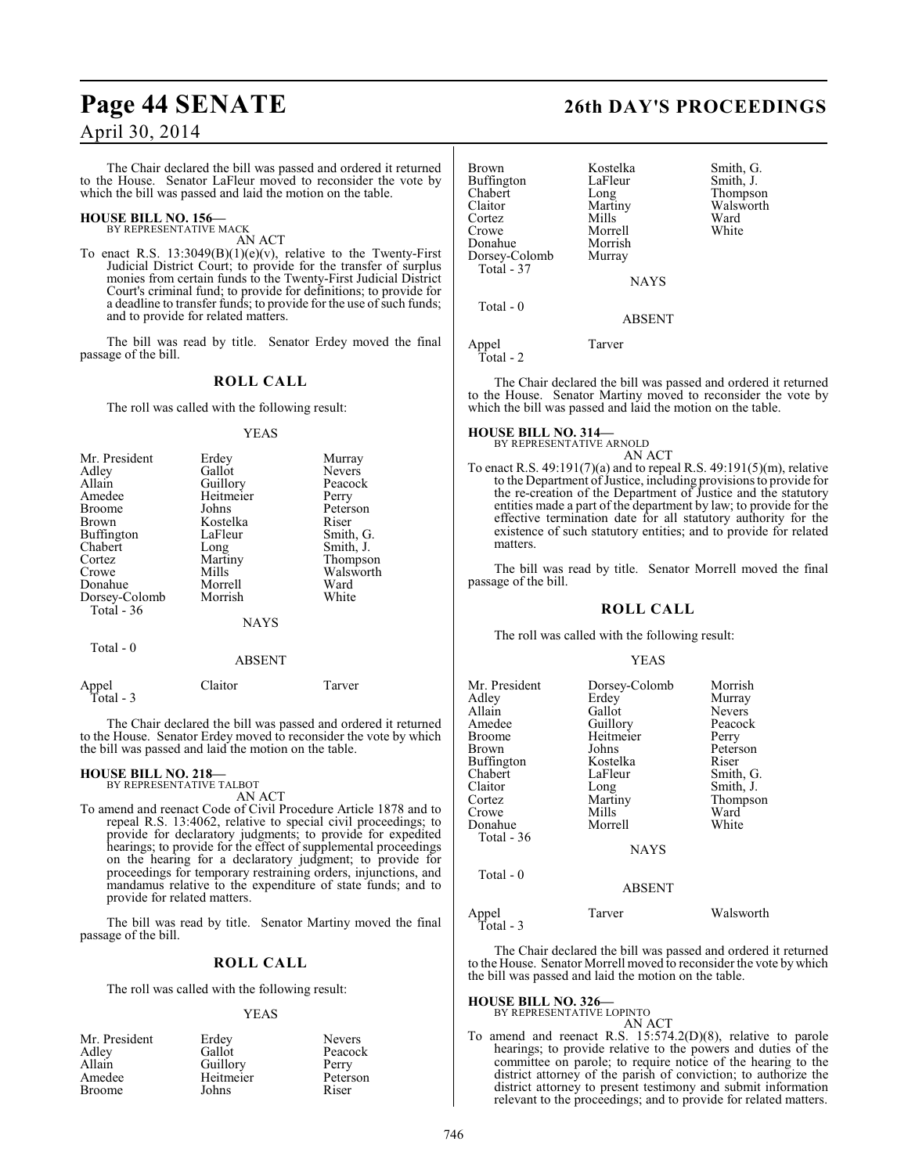The Chair declared the bill was passed and ordered it returned to the House. Senator LaFleur moved to reconsider the vote by which the bill was passed and laid the motion on the table.

# **HOUSE BILL NO. 156—** BY REPRESENTATIVE MACK

AN ACT

To enact R.S.  $13:3049(B)(1)(e)(v)$ , relative to the Twenty-First Judicial District Court; to provide for the transfer of surplus monies from certain funds to the Twenty-First Judicial District Court's criminal fund; to provide for definitions; to provide for a deadline to transfer funds; to provide for the use of such funds; and to provide for related matters.

The bill was read by title. Senator Erdey moved the final passage of the bill.

## **ROLL CALL**

The roll was called with the following result:

#### YEAS

| Mr. President | Erdey       | Murray        |
|---------------|-------------|---------------|
| Adley         | Gallot      | <b>Nevers</b> |
| Allain        | Guillory    | Peacock       |
| Amedee        | Heitmeier   | Perry         |
| <b>Broome</b> | Johns       | Peterson      |
| Brown         | Kostelka    | Riser         |
| Buffington    | LaFleur     | Smith, G.     |
| Chabert       | Long        | Smith, J.     |
| Cortez        | Martiny     | Thompson      |
| Crowe         | Mills       | Walsworth     |
| Donahue       | Morrell     | Ward          |
| Dorsey-Colomb | Morrish     | White         |
| Total - 36    |             |               |
|               | <b>NAYS</b> |               |

Total - 0

ABSENT

| Appel<br>Total - 3 | Claitor | Tarver |
|--------------------|---------|--------|
|                    |         |        |

The Chair declared the bill was passed and ordered it returned to the House. Senator Erdey moved to reconsider the vote by which the bill was passed and laid the motion on the table.

# **HOUSE BILL NO. 218—** BY REPRESENTATIVE TALBOT

- AN ACT
- To amend and reenact Code of Civil Procedure Article 1878 and to repeal R.S. 13:4062, relative to special civil proceedings; to provide for declaratory judgments; to provide for expedited hearings; to provide for the effect of supplemental proceedings on the hearing for a declaratory judgment; to provide for proceedings for temporary restraining orders, injunctions, and mandamus relative to the expenditure of state funds; and to provide for related matters.

The bill was read by title. Senator Martiny moved the final passage of the bill.

## **ROLL CALL**

The roll was called with the following result:

#### YEAS

| Mr. President | Erdey     | <b>Nevers</b> |
|---------------|-----------|---------------|
| Adley         | Gallot    | Peacock       |
| Allain        | Guillory  | Perry         |
| Amedee        | Heitmeier | Peterson      |
| <b>Broome</b> | Johns     | Riser         |

# **Page 44 SENATE 26th DAY'S PROCEEDINGS**

| <b>Brown</b><br><b>Buffington</b><br>Chabert<br>Claitor<br>Cortez<br>Crowe<br>Donahue<br>Dorsey-Colomb<br>Total - 37 | Kostelka<br>LaFleur<br>Long<br>Martiny<br>Mills<br>Morrell<br>Morrish<br>Murray<br><b>NAYS</b> | Smith, G.<br>Smith, J.<br>Thompson<br>Walsworth<br>Ward<br>White |
|----------------------------------------------------------------------------------------------------------------------|------------------------------------------------------------------------------------------------|------------------------------------------------------------------|
|----------------------------------------------------------------------------------------------------------------------|------------------------------------------------------------------------------------------------|------------------------------------------------------------------|

ABSENT

Appel Tarver Total - 2

Total - 0

The Chair declared the bill was passed and ordered it returned to the House. Senator Martiny moved to reconsider the vote by which the bill was passed and laid the motion on the table.

#### **HOUSE BILL NO. 314—**

BY REPRESENTATIVE ARNOLD AN ACT

To enact R.S. 49:191(7)(a) and to repeal R.S. 49:191(5)(m), relative to the Department of Justice, including provisions to provide for the re-creation of the Department of Justice and the statutory entities made a part of the department by law; to provide for the effective termination date for all statutory authority for the existence of such statutory entities; and to provide for related matters.

The bill was read by title. Senator Morrell moved the final passage of the bill.

#### **ROLL CALL**

The roll was called with the following result:

#### YEAS

| Mr. President<br>Adley<br>Allain<br>Amedee<br>Broome<br>Brown<br>Buffington<br>Chabert<br>Claitor<br>Cortez<br>Crowe | Dorsey-Colomb<br>Erdey<br>Gallot<br>Guillory<br>Heitmeier<br>Johns<br>Kostelka<br>LaFleur<br>Long<br>Martiny<br>Mills | Morrish<br>Murray<br><b>Nevers</b><br>Peacock<br>Perry<br>Peterson<br>Riser<br>Smith, G.<br>Smith, J.<br>Thompson<br>Ward |
|----------------------------------------------------------------------------------------------------------------------|-----------------------------------------------------------------------------------------------------------------------|---------------------------------------------------------------------------------------------------------------------------|
| Donahue<br>Total - 36                                                                                                | Morrell<br><b>NAYS</b>                                                                                                | White                                                                                                                     |
| Total $-0$                                                                                                           | <b>ABSENT</b>                                                                                                         |                                                                                                                           |
| Appel<br>Total - 3                                                                                                   | Tarver                                                                                                                | Walsworth                                                                                                                 |

The Chair declared the bill was passed and ordered it returned to the House. Senator Morrell moved to reconsider the vote by which the bill was passed and laid the motion on the table.

## **HOUSE BILL NO. 326—**

BY REPRESENTATIVE LOPINTO AN ACT

To amend and reenact R.S. 15:574.2(D)(8), relative to parole hearings; to provide relative to the powers and duties of the committee on parole; to require notice of the hearing to the district attorney of the parish of conviction; to authorize the district attorney to present testimony and submit information relevant to the proceedings; and to provide for related matters.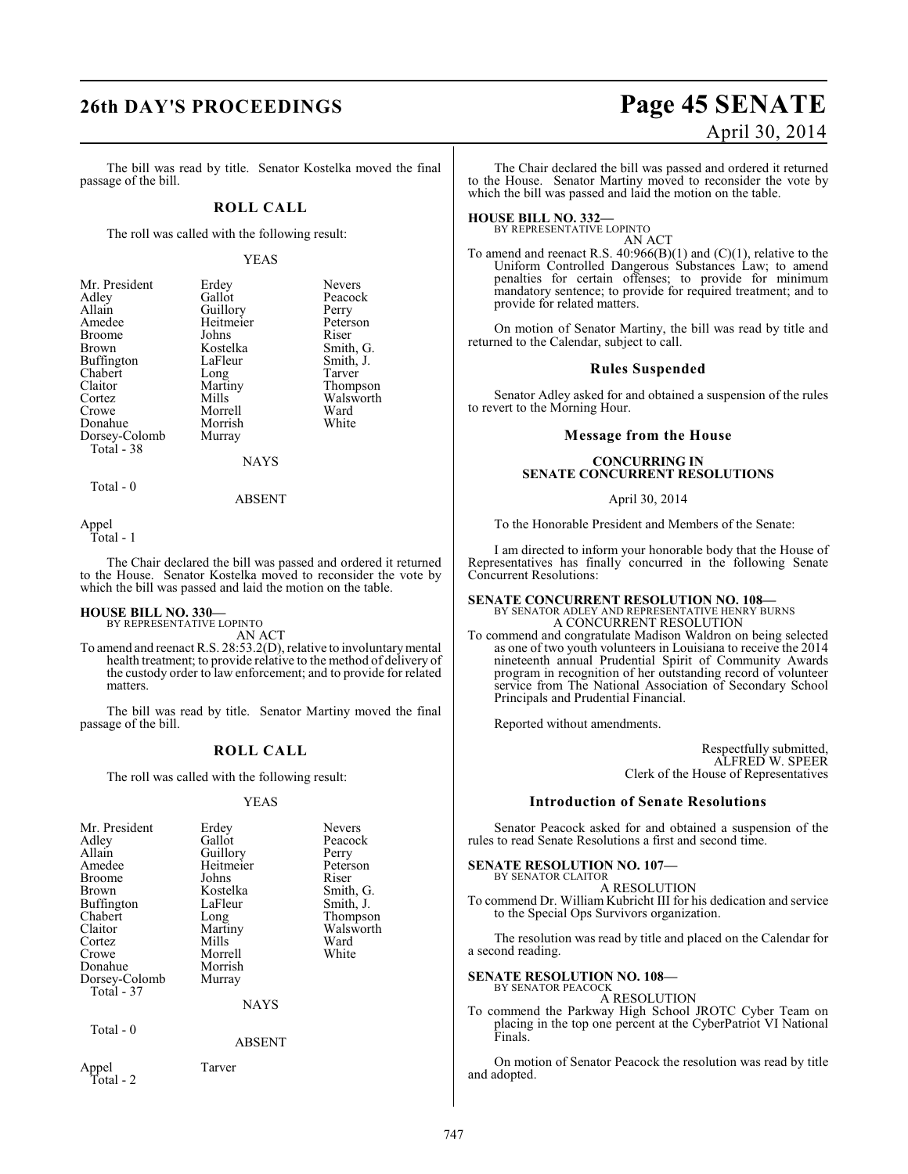# **26th DAY'S PROCEEDINGS Page 45 SENATE**

The bill was read by title. Senator Kostelka moved the final passage of the bill.

#### **ROLL CALL**

The roll was called with the following result:

#### YEAS

Nevers Peacock Perry Peterson<br>Riser

Smith, G. Smith, J.<br>Tarver

Thompson Walsworth<br>Ward

| Mr. President | Erdey     | Nevers |
|---------------|-----------|--------|
| Adley         | Gallot    | Peacod |
| Allain        | Guillory  | Perry  |
| Amedee        | Heitmeier | Peters |
| <b>Broome</b> | Johns     | Riser  |
| Brown         | Kostelka  | Smith, |
| Buffington    | LaFleur   | Smith, |
| Chabert       | Long      | Tarver |
| Claitor       | Martiny   | Thomp  |
| Cortez        | Mills     | Walsw  |
| Crowe         | Morrell   | Ward   |
| Donahue       | Morrish   | White  |
| Dorsey-Colomb | Murray    |        |
| Total - 38    |           |        |

NAYS

 $Total - 0$ 

ABSENT

Appel

Total - 1

The Chair declared the bill was passed and ordered it returned to the House. Senator Kostelka moved to reconsider the vote by which the bill was passed and laid the motion on the table.

# **HOUSE BILL NO. 330—** BY REPRESENTATIVE LOPINTO

AN ACT

To amend and reenact R.S. 28:53.2(D), relative to involuntary mental health treatment; to provide relative to the method of delivery of the custody order to law enforcement; and to provide for related matters.

The bill was read by title. Senator Martiny moved the final passage of the bill.

## **ROLL CALL**

The roll was called with the following result:

#### YEAS

| Mr. President<br>Adley<br>Allain<br>Amedee<br>Broome<br>Brown<br>Buffington<br>Chabert<br>Claitor<br>Cortez<br>Crowe<br>Donahue<br>Dorsey-Colomb<br>Total - 37 | Erdey<br>Gallot<br>Guillory<br>Heitmeier<br>Johns<br>Kostelka<br>LaFleur<br>Long<br>Martiny<br>Mills<br>Morrell<br>Morrish<br>Murray<br>NAYS | <b>Nevers</b><br>Peacock<br>Perry<br>Peterson<br>Riser<br>Smith, G.<br>Smith, J.<br>Thompson<br>Walsworth<br>Ward<br>White |
|----------------------------------------------------------------------------------------------------------------------------------------------------------------|----------------------------------------------------------------------------------------------------------------------------------------------|----------------------------------------------------------------------------------------------------------------------------|
| Total - 0                                                                                                                                                      | <b>ABSENT</b>                                                                                                                                |                                                                                                                            |
| Appel<br>Total - 2                                                                                                                                             | Tarver                                                                                                                                       |                                                                                                                            |

# April 30, 2014

The Chair declared the bill was passed and ordered it returned to the House. Senator Martiny moved to reconsider the vote by which the bill was passed and laid the motion on the table.

**HOUSE BILL NO. 332—** BY REPRESENTATIVE LOPINTO AN ACT

To amend and reenact R.S. 40:966(B)(1) and (C)(1), relative to the Uniform Controlled Dangerous Substances Law; to amend penalties for certain offenses; to provide for minimum mandatory sentence; to provide for required treatment; and to provide for related matters.

On motion of Senator Martiny, the bill was read by title and returned to the Calendar, subject to call.

#### **Rules Suspended**

Senator Adley asked for and obtained a suspension of the rules to revert to the Morning Hour.

#### **Message from the House**

#### **CONCURRING IN SENATE CONCURRENT RESOLUTIONS**

April 30, 2014

To the Honorable President and Members of the Senate:

I am directed to inform your honorable body that the House of Representatives has finally concurred in the following Senate Concurrent Resolutions:

## **SENATE CONCURRENT RESOLUTION NO. 108—** BY SENATOR ADLEY AND REPRESENTATIVE HENRY BURNS A CONCURRENT RESOLUTION

To commend and congratulate Madison Waldron on being selected as one of two youth volunteers in Louisiana to receive the 2014 nineteenth annual Prudential Spirit of Community Awards program in recognition of her outstanding record of volunteer service from The National Association of Secondary School Principals and Prudential Financial.

Reported without amendments.

Respectfully submitted, ALFRED W. SPEER Clerk of the House of Representatives

#### **Introduction of Senate Resolutions**

Senator Peacock asked for and obtained a suspension of the rules to read Senate Resolutions a first and second time.

#### **SENATE RESOLUTION NO. 107—** BY SENATOR CLAITOR

A RESOLUTION To commend Dr. William Kubricht III for his dedication and service to the Special Ops Survivors organization.

The resolution was read by title and placed on the Calendar for a second reading.

# **SENATE RESOLUTION NO. 108—** BY SENATOR PEACOCK

A RESOLUTION

To commend the Parkway High School JROTC Cyber Team on placing in the top one percent at the CyberPatriot VI National Finals.

On motion of Senator Peacock the resolution was read by title and adopted.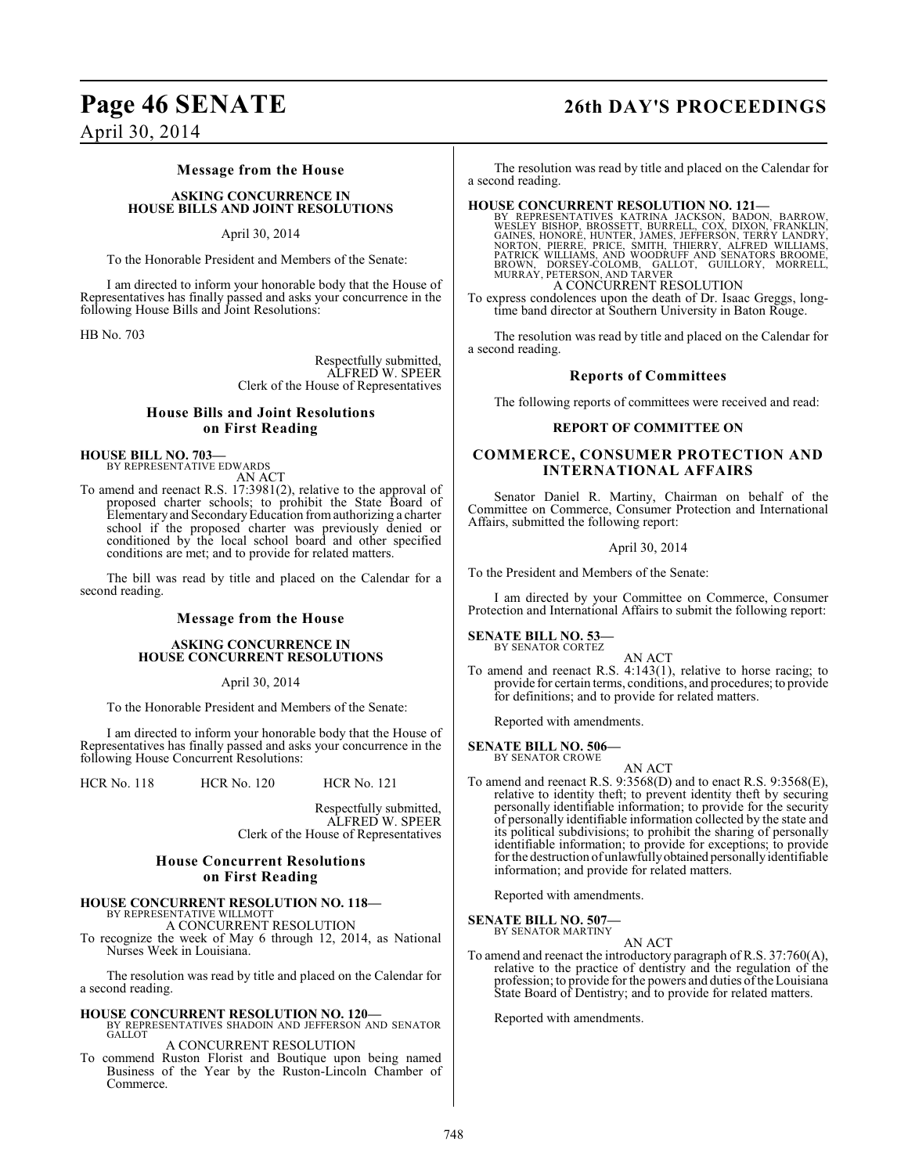# **Page 46 SENATE 26th DAY'S PROCEEDINGS**

April 30, 2014

#### **Message from the House**

**ASKING CONCURRENCE IN HOUSE BILLS AND JOINT RESOLUTIONS**

#### April 30, 2014

To the Honorable President and Members of the Senate:

I am directed to inform your honorable body that the House of Representatives has finally passed and asks your concurrence in the following House Bills and Joint Resolutions:

HB No. 703

Respectfully submitted, ALFRED W. SPEER Clerk of the House of Representatives

## **House Bills and Joint Resolutions on First Reading**

**HOUSE BILL NO. 703—** BY REPRESENTATIVE EDWARDS

AN ACT

To amend and reenact R.S. 17:3981(2), relative to the approval of proposed charter schools; to prohibit the State Board of Elementary and SecondaryEducation from authorizing a charter school if the proposed charter was previously denied or conditioned by the local school board and other specified conditions are met; and to provide for related matters.

The bill was read by title and placed on the Calendar for a second reading.

#### **Message from the House**

#### **ASKING CONCURRENCE IN HOUSE CONCURRENT RESOLUTIONS**

April 30, 2014

To the Honorable President and Members of the Senate:

I am directed to inform your honorable body that the House of Representatives has finally passed and asks your concurrence in the following House Concurrent Resolutions:

HCR No. 118 HCR No. 120 HCR No. 121

Respectfully submitted, ALFRED W. SPEER Clerk of the House of Representatives

#### **House Concurrent Resolutions on First Reading**

## **HOUSE CONCURRENT RESOLUTION NO. 118—**

BY REPRESENTATIVE WILLMOTT A CONCURRENT RESOLUTION

To recognize the week of May 6 through 12, 2014, as National Nurses Week in Louisiana.

The resolution was read by title and placed on the Calendar for a second reading.

#### **HOUSE CONCURRENT RESOLUTION NO. 120—** BY REPRESENTATIVES SHADOIN AND JEFFERSON AND SENATOR **GALLOT**

A CONCURRENT RESOLUTION

To commend Ruston Florist and Boutique upon being named Business of the Year by the Ruston-Lincoln Chamber of Commerce.

The resolution was read by title and placed on the Calendar for a second reading.

**HOUSE CONCURRENT RESOLUTION NO. 121—**<br>BY REPRESENTATIVES KATRINA JACKSON, BADON, BARROW, WESLEY BISHOP, BROSSETT, BURRELL, COX, DIXON, FRANKLIN, GAINES, HONORE, HUNTER, JAMES, JEFFERSON, TERRY LANDRY, NORTON, PIERRE, PRIC A CONCURRENT RESOLUTION

To express condolences upon the death of Dr. Isaac Greggs, longtime band director at Southern University in Baton Rouge.

The resolution was read by title and placed on the Calendar for a second reading.

#### **Reports of Committees**

The following reports of committees were received and read:

#### **REPORT OF COMMITTEE ON**

## **COMMERCE, CONSUMER PROTECTION AND INTERNATIONAL AFFAIRS**

Senator Daniel R. Martiny, Chairman on behalf of the Committee on Commerce, Consumer Protection and International Affairs, submitted the following report:

#### April 30, 2014

To the President and Members of the Senate:

I am directed by your Committee on Commerce, Consumer Protection and International Affairs to submit the following report:

# **SENATE BILL NO. 53—** BY SENATOR CORTEZ

AN ACT

To amend and reenact R.S. 4:143(1), relative to horse racing; to provide for certain terms, conditions, and procedures; to provide for definitions; and to provide for related matters.

Reported with amendments.

#### **SENATE BILL NO. 506—** BY SENATOR CROWE

- 
- AN ACT To amend and reenact R.S. 9:3568(D) and to enact R.S. 9:3568(E), relative to identity theft; to prevent identity theft by securing personally identifiable information; to provide for the security of personally identifiable information collected by the state and its political subdivisions; to prohibit the sharing of personally identifiable information; to provide for exceptions; to provide for the destruction of unlawfully obtained personally identifiable information; and provide for related matters.

Reported with amendments.

#### **SENATE BILL NO. 507—** BY SENATOR MARTINY

AN ACT

To amend and reenact the introductory paragraph of R.S. 37:760(A), relative to the practice of dentistry and the regulation of the profession; to provide for the powers and duties of the Louisiana State Board of Dentistry; and to provide for related matters.

Reported with amendments.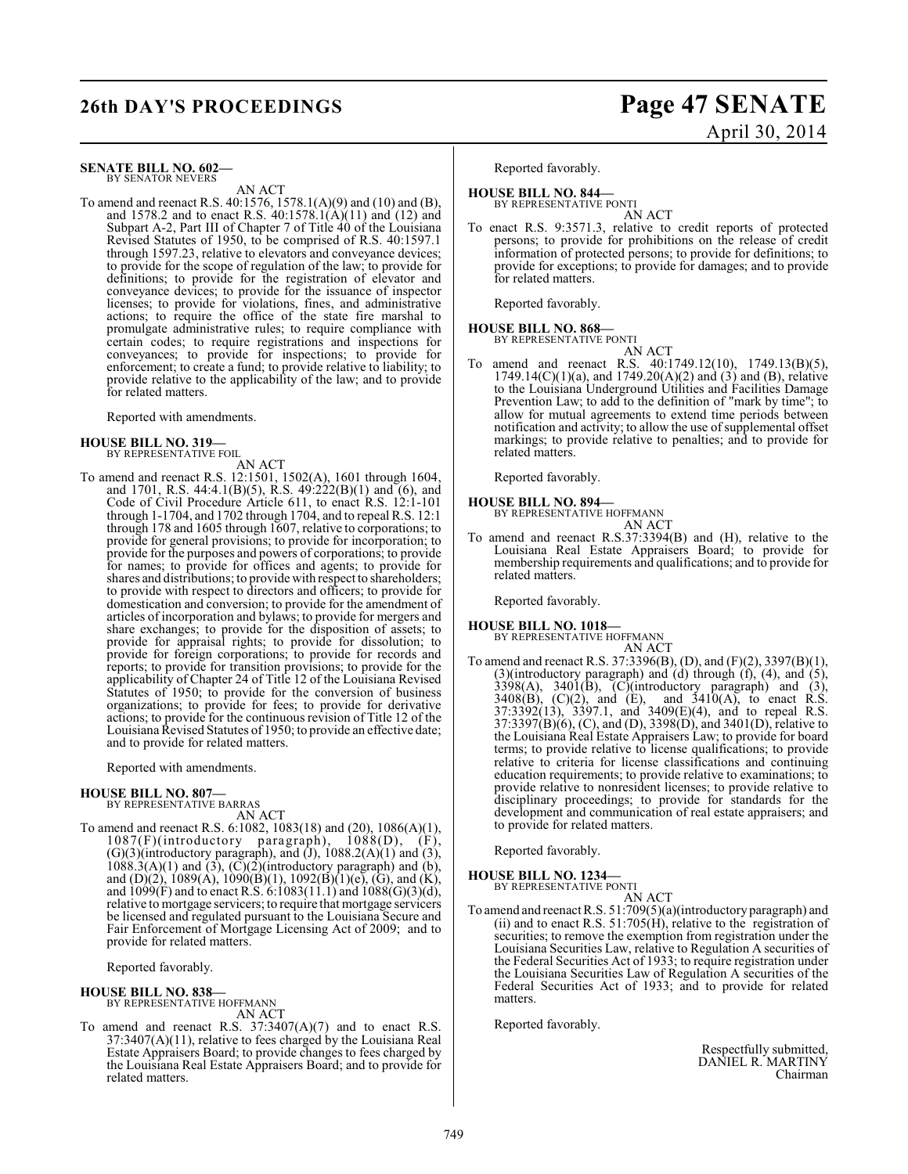#### **SENATE BILL NO. 602—** BY SENATOR NEVERS

AN ACT

To amend and reenact R.S. 40:1576, 1578.1(A)(9) and (10) and (B), and 1578.2 and to enact R.S. 40:1578.1(A)(11) and (12) and Subpart A-2, Part III of Chapter 7 of Title 40 of the Louisiana Revised Statutes of 1950, to be comprised of R.S. 40:1597.1 through 1597.23, relative to elevators and conveyance devices; to provide for the scope of regulation of the law; to provide for definitions; to provide for the registration of elevator and conveyance devices; to provide for the issuance of inspector licenses; to provide for violations, fines, and administrative actions; to require the office of the state fire marshal to promulgate administrative rules; to require compliance with certain codes; to require registrations and inspections for conveyances; to provide for inspections; to provide for enforcement; to create a fund; to provide relative to liability; to provide relative to the applicability of the law; and to provide for related matters.

Reported with amendments.

#### **HOUSE BILL NO. 319—** BY REPRESENTATIVE FOIL

AN ACT

To amend and reenact R.S. 12:1501, 1502(A), 1601 through 1604, and 1701, R.S. 44:4.1(B)(5), R.S. 49:222(B)(1) and (6), and Code of Civil Procedure Article 611, to enact R.S. 12:1-101 through 1-1704, and 1702 through 1704, and to repeal R.S. 12:1 through 178 and 1605 through 1607, relative to corporations; to provide for general provisions; to provide for incorporation; to provide for the purposes and powers of corporations; to provide for names; to provide for offices and agents; to provide for shares and distributions; to provide with respect to shareholders; to provide with respect to directors and officers; to provide for domestication and conversion; to provide for the amendment of articles of incorporation and bylaws; to provide for mergers and share exchanges; to provide for the disposition of assets; to provide for appraisal rights; to provide for dissolution; to provide for foreign corporations; to provide for records and reports; to provide for transition provisions; to provide for the applicability of Chapter 24 of Title 12 of the Louisiana Revised Statutes of 1950; to provide for the conversion of business organizations; to provide for fees; to provide for derivative actions; to provide for the continuousrevision of Title 12 of the Louisiana Revised Statutes of 1950; to provide an effective date; and to provide for related matters.

Reported with amendments.

#### **HOUSE BILL NO. 807—**

BY REPRESENTATIVE BARRAS AN ACT

To amend and reenact R.S. 6:1082, 1083(18) and (20), 1086(A)(1),  $1087(F)$ (introductory paragraph),  $1088(D)$ ,  $(F)$ ,  $(G)(3)$ (introductory paragraph), and  $(J)$ , 1088.2(A) $(1)$  and  $(3)$ ,  $1088.3(A)(1)$  and  $(3)$ ,  $(\overline{C})(2)$ (introductory paragraph) and  $(b)$ , and (D)(2), 1089(A), 1090(B)(1), 1092(B)(1)(e), (G), and (K), and  $1099(F)$  and to enact R.S. 6:1083(11.1) and  $1088(G)(3)(d)$ , relative to mortgage servicers; to require that mortgage servicers be licensed and regulated pursuant to the Louisiana Secure and Fair Enforcement of Mortgage Licensing Act of 2009; and to provide for related matters.

Reported favorably.

**HOUSE BILL NO. 838—** BY REPRESENTATIVE HOFFMANN AN ACT

To amend and reenact R.S.  $37:3407(A)(7)$  and to enact R.S. 37:3407(A)(11), relative to fees charged by the Louisiana Real Estate Appraisers Board; to provide changes to fees charged by the Louisiana Real Estate Appraisers Board; and to provide for related matters.

# **26th DAY'S PROCEEDINGS Page 47 SENATE** April 30, 2014

Reported favorably.

# **HOUSE BILL NO. 844—** BY REPRESENTATIVE PONTI

- AN ACT
- To enact R.S. 9:3571.3, relative to credit reports of protected persons; to provide for prohibitions on the release of credit information of protected persons; to provide for definitions; to provide for exceptions; to provide for damages; and to provide for related matters.

Reported favorably.

#### **HOUSE BILL NO. 868—** BY REPRESENTATIVE PONTI

AN ACT

To amend and reenact R.S. 40:1749.12(10), 1749.13(B)(5),  $1749.14(C)(1)(a)$ , and  $1749.20(A)(2)$  and  $(3)$  and  $(B)$ , relative to the Louisiana Underground Utilities and Facilities Damage Prevention Law; to add to the definition of "mark by time"; to allow for mutual agreements to extend time periods between notification and activity; to allow the use of supplemental offset markings; to provide relative to penalties; and to provide for related matters.

Reported favorably.

# **HOUSE BILL NO. 894—** BY REPRESENTATIVE HOFFMANN

To amend and reenact R.S.37:3394(B) and (H), relative to the Louisiana Real Estate Appraisers Board; to provide for membership requirements and qualifications; and to provide for related matters.

AN ACT

Reported favorably.

#### **HOUSE BILL NO. 1018—**

BY REPRESENTATIVE HOFFMANN AN ACT

To amend and reenact R.S. 37:3396(B), (D), and (F)(2), 3397(B)(1), (3)(introductory paragraph) and (d) through (f), (4), and (5),  $3398(A)$ ,  $3401(B)$ ,  $(C)(introducing) paragraph)$  and  $(3)$ ,  $3408(B)$ ,  $(C)(2)$ , and  $(E)$ , and  $3410(A)$ , to enact R.S. 37:3392(13), 3397.1, and 3409(E)(4), and to repeal R.S. 37:3397(B)(6), (C), and (D), 3398(D), and 3401(D), relative to the Louisiana Real Estate Appraisers Law; to provide for board terms; to provide relative to license qualifications; to provide relative to criteria for license classifications and continuing education requirements; to provide relative to examinations; to provide relative to nonresident licenses; to provide relative to disciplinary proceedings; to provide for standards for the development and communication of real estate appraisers; and to provide for related matters.

Reported favorably.

#### **HOUSE BILL NO. 1234—** BY REPRESENTATIVE PONTI

- AN ACT
- To amend and reenact R.S. 51:709(5)(a)(introductory paragraph) and (ii) and to enact R.S. 51:705(H), relative to the registration of securities; to remove the exemption from registration under the Louisiana Securities Law, relative to Regulation A securities of the Federal Securities Act of 1933; to require registration under the Louisiana Securities Law of Regulation A securities of the Federal Securities Act of 1933; and to provide for related matters.

Reported favorably.

Respectfully submitted, DANIEL R. MARTINY Chairman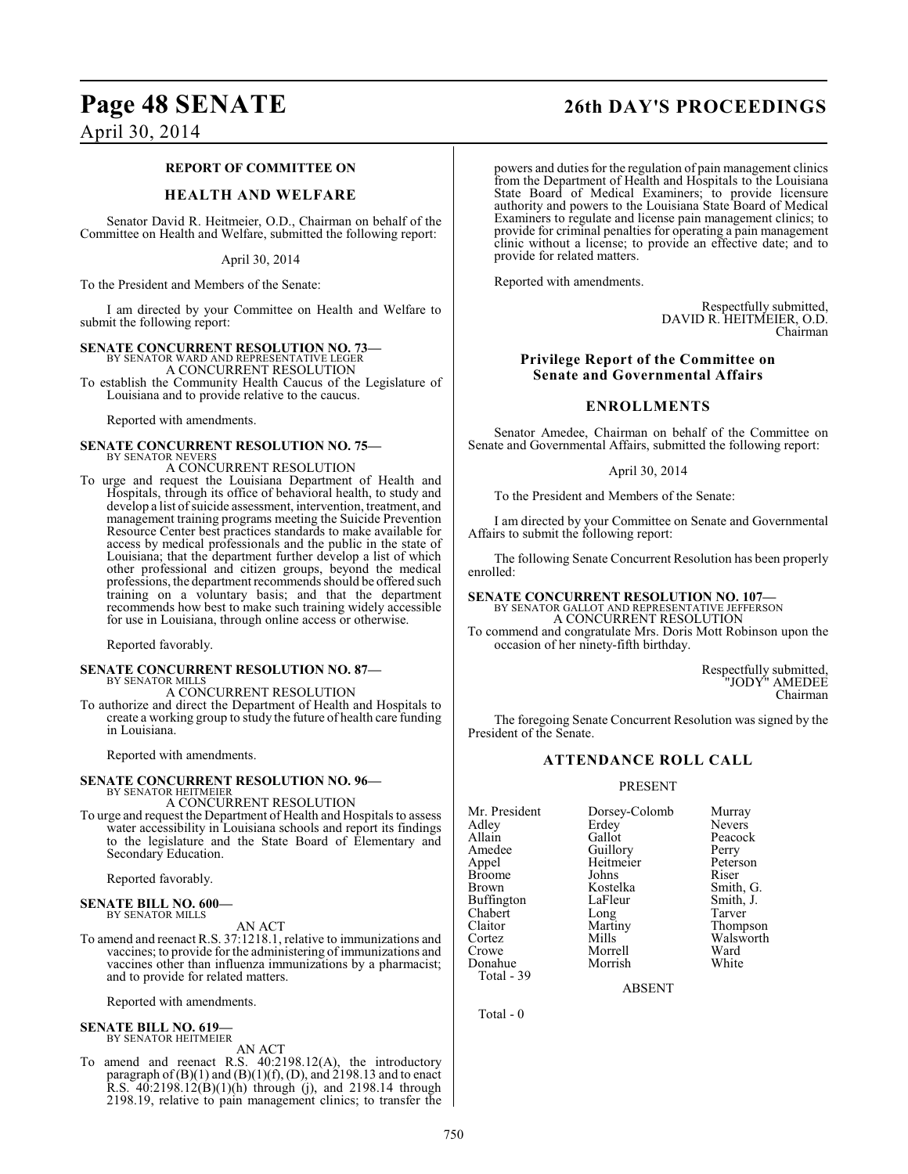#### **REPORT OF COMMITTEE ON**

## **HEALTH AND WELFARE**

Senator David R. Heitmeier, O.D., Chairman on behalf of the Committee on Health and Welfare, submitted the following report:

April 30, 2014

To the President and Members of the Senate:

I am directed by your Committee on Health and Welfare to submit the following report:

#### **SENATE CONCURRENT RESOLUTION NO. 73—**

BY SENATOR WARD AND REPRESENTATIVE LEGER A CONCURRENT RESOLUTION

To establish the Community Health Caucus of the Legislature of Louisiana and to provide relative to the caucus.

Reported with amendments.

#### **SENATE CONCURRENT RESOLUTION NO. 75—** BY SENATOR NEVERS

A CONCURRENT RESOLUTION To urge and request the Louisiana Department of Health and Hospitals, through its office of behavioral health, to study and develop a list of suicide assessment, intervention, treatment, and management training programs meeting the Suicide Prevention Resource Center best practices standards to make available for access by medical professionals and the public in the state of Louisiana; that the department further develop a list of which other professional and citizen groups, beyond the medical professions, the department recommends should be offered such

training on a voluntary basis; and that the department recommends how best to make such training widely accessible for use in Louisiana, through online access or otherwise.

Reported favorably.

#### **SENATE CONCURRENT RESOLUTION NO. 87—** BY SENATOR MILLS

A CONCURRENT RESOLUTION

To authorize and direct the Department of Health and Hospitals to create a working group to study the future of health care funding in Louisiana.

Reported with amendments.

# **SENATE CONCURRENT RESOLUTION NO. 96—** BY SENATOR HEITMEIER

#### A CONCURRENT RESOLUTION

To urge and request the Department of Health and Hospitals to assess water accessibility in Louisiana schools and report its findings to the legislature and the State Board of Elementary and Secondary Education.

Reported favorably.

#### **SENATE BILL NO. 600—** BY SENATOR MILLS

AN ACT

To amend and reenact R.S. 37:1218.1, relative to immunizations and vaccines; to provide for the administering of immunizations and vaccines other than influenza immunizations by a pharmacist; and to provide for related matters.

Reported with amendments.

#### **SENATE BILL NO. 619—** BY SENATOR HEITMEIER

AN ACT

To amend and reenact R.S. 40:2198.12(A), the introductory paragraph of  $(B)(1)$  and  $(B)(1)(f)$ ,  $(D)$ , and 2198.13 and to enact R.S. 40:2198.12(B)(1)(h) through (j), and 2198.14 through 2198.19, relative to pain management clinics; to transfer the

#### powers and duties for the regulation of pain management clinics from the Department of Health and Hospitals to the Louisiana State Board of Medical Examiners; to provide licensure authority and powers to the Louisiana State Board of Medical Examiners to regulate and license pain management clinics; to provide for criminal penalties for operating a pain management clinic without a license; to provide an effective date; and to provide for related matters.

Reported with amendments.

Respectfully submitted, DAVID R. HEITMEIER, O.D. Chairman

## **Privilege Report of the Committee on Senate and Governmental Affairs**

#### **ENROLLMENTS**

Senator Amedee, Chairman on behalf of the Committee on Senate and Governmental Affairs, submitted the following report:

#### April 30, 2014

To the President and Members of the Senate:

I am directed by your Committee on Senate and Governmental Affairs to submit the following report:

The following Senate Concurrent Resolution has been properly enrolled:

## **SENATE CONCURRENT RESOLUTION NO. 107—** BY SENATOR GALLOT AND REPRESENTATIVE JEFFERSON A CONCURRENT RESOLUTION

To commend and congratulate Mrs. Doris Mott Robinson upon the occasion of her ninety-fifth birthday.

> Respectfully submitted, "JODY" AMEDEE Chairman

The foregoing Senate Concurrent Resolution was signed by the President of the Senate.

## **ATTENDANCE ROLL CALL**

#### PRESENT

Mr. President Dorsey-Colomb Murray<br>Adley Erdey Nevers Adley Erdey Nevers<br>
Allain Gallot Peacocl Allain Gallot Peacock<br>Amedee Guillory Perry Amedee Guillory<br>Appel Heitmeier Broome Johns<br>Brown Kostelka Buffington LaFleur Smith,<br>
Chabert Long Tarver Chabert Long<br>Claitor Martiny Claitor Martiny Thompson Cortez Mills Walsworth<br>Crowe Morrell Ward Donahue Total - 39

Morrell Ward<br>
Morrish White

Heitmeier Peterson<br>Johns Riser Kostelka Smith, G.<br>LaFleur Smith, J.

ABSENT

Total - 0

# **Page 48 SENATE 26th DAY'S PROCEEDINGS**